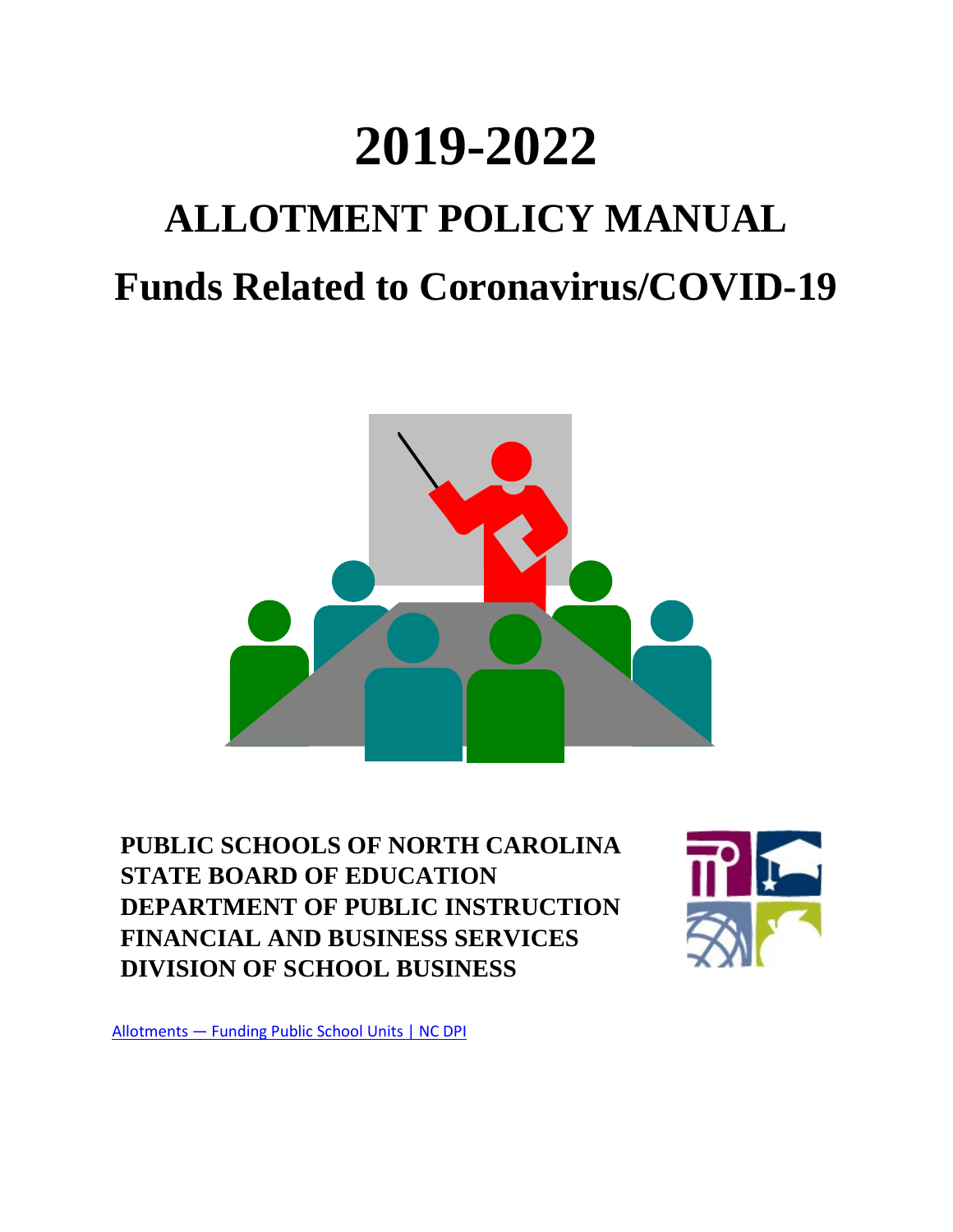# **2019-2022**

# **ALLOTMENT POLICY MANUAL Funds Related to Coronavirus/COVID-19**



**PUBLIC SCHOOLS OF NORTH CAROLINA STATE BOARD OF EDUCATION DEPARTMENT OF PUBLIC INSTRUCTION FINANCIAL AND BUSINESS SERVICES DIVISION OF SCHOOL BUSINESS**



[Allotments — Funding Public School Units | NC DPI](https://www.dpi.nc.gov/districts-schools/district-operations/financial-and-business-services/allotments-funding-public-school-units)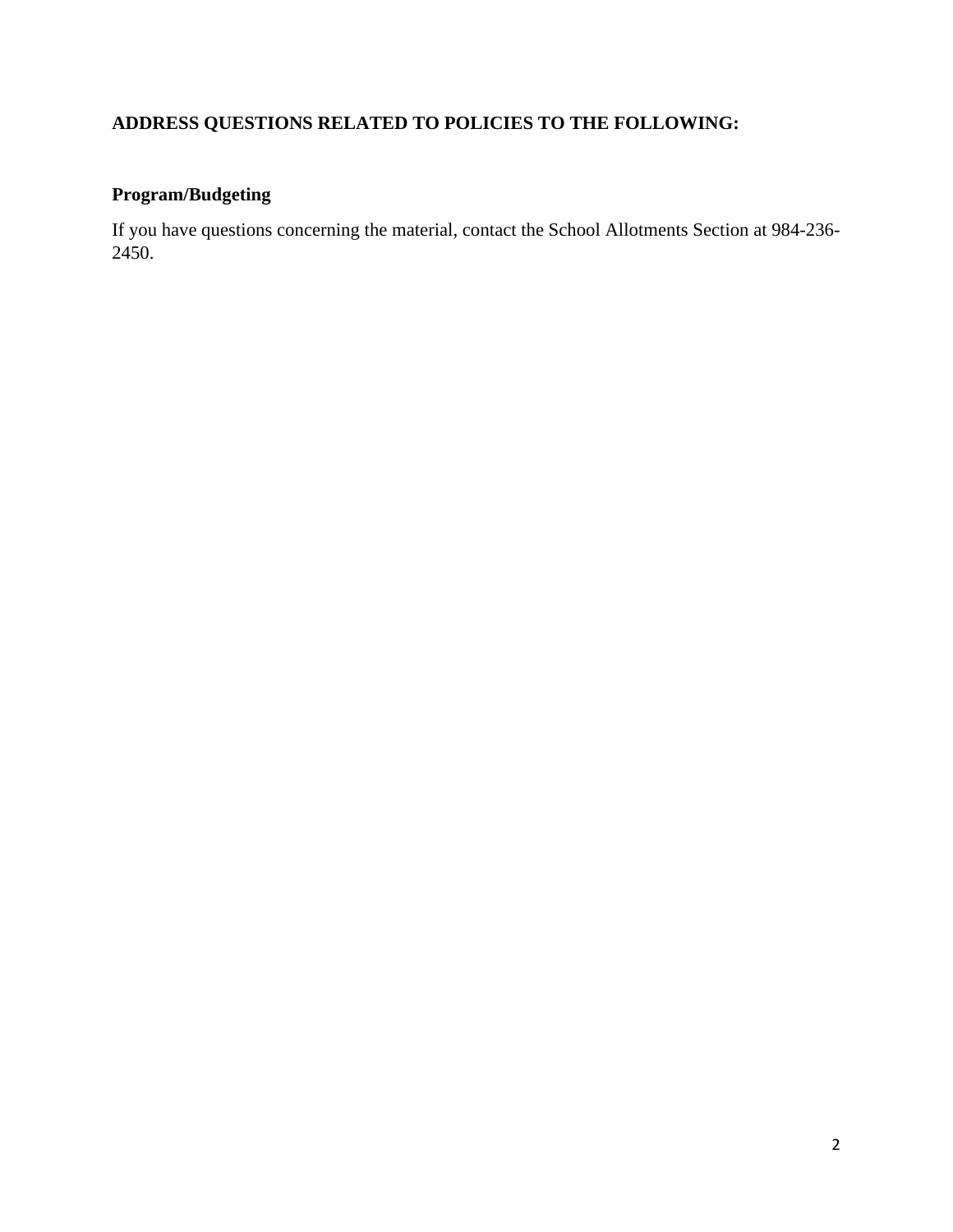# **ADDRESS QUESTIONS RELATED TO POLICIES TO THE FOLLOWING:**

# **Program/Budgeting**

If you have questions concerning the material, contact the School Allotments Section at 984-236- 2450.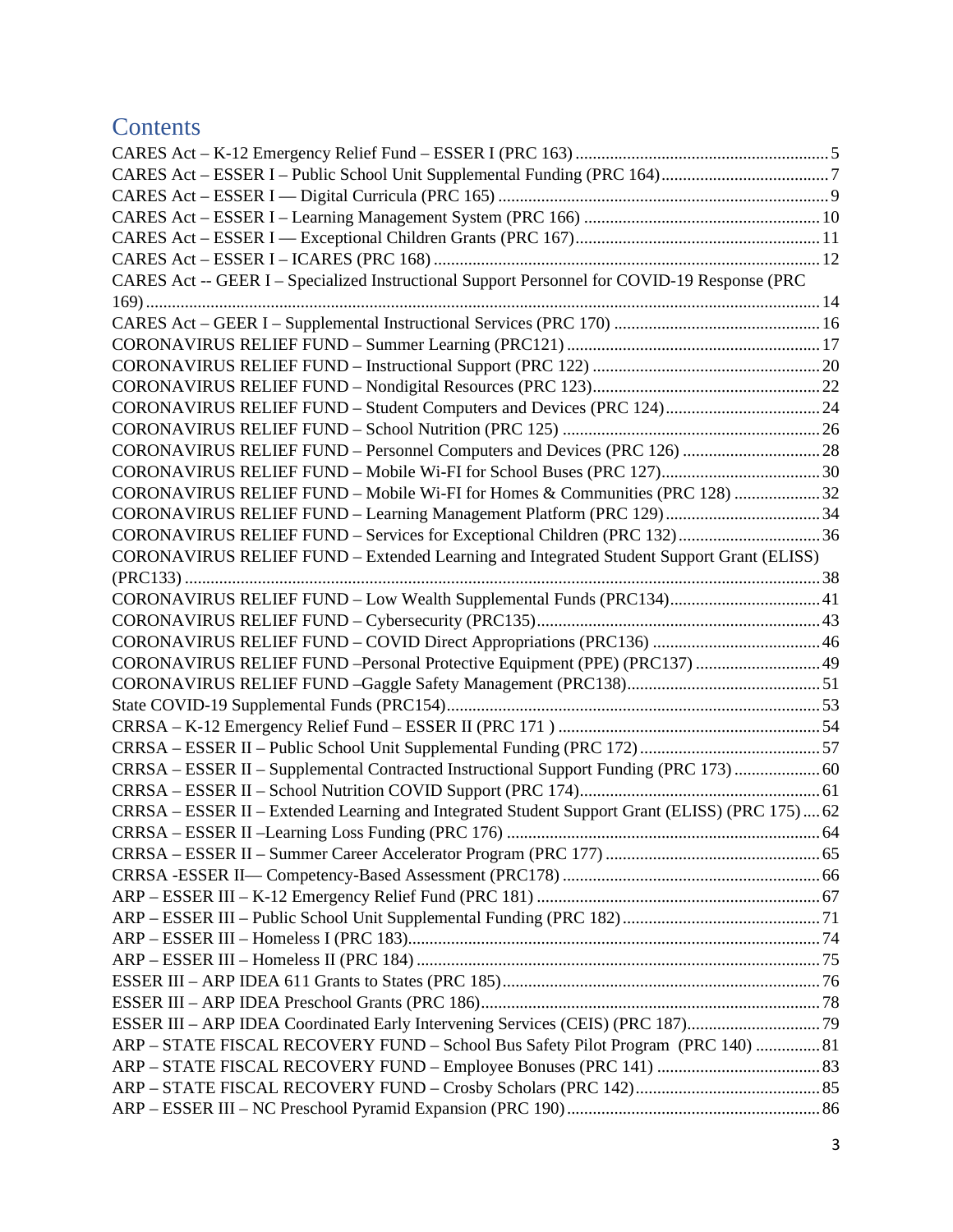# **Contents**

| CARES Act -- GEER I - Specialized Instructional Support Personnel for COVID-19 Response (PRC  |  |
|-----------------------------------------------------------------------------------------------|--|
|                                                                                               |  |
|                                                                                               |  |
|                                                                                               |  |
|                                                                                               |  |
|                                                                                               |  |
| CORONAVIRUS RELIEF FUND - Student Computers and Devices (PRC 124) 24                          |  |
|                                                                                               |  |
| CORONAVIRUS RELIEF FUND - Personnel Computers and Devices (PRC 126)  28                       |  |
| CORONAVIRUS RELIEF FUND - Mobile Wi-FI for School Buses (PRC 127) 30                          |  |
| CORONAVIRUS RELIEF FUND - Mobile Wi-FI for Homes & Communities (PRC 128) 32                   |  |
| CORONAVIRUS RELIEF FUND - Learning Management Platform (PRC 129) 34                           |  |
|                                                                                               |  |
| CORONAVIRUS RELIEF FUND - Extended Learning and Integrated Student Support Grant (ELISS)      |  |
|                                                                                               |  |
| CORONAVIRUS RELIEF FUND - Low Wealth Supplemental Funds (PRC134)41                            |  |
|                                                                                               |  |
|                                                                                               |  |
| CORONAVIRUS RELIEF FUND -Personal Protective Equipment (PPE) (PRC137)  49                     |  |
|                                                                                               |  |
|                                                                                               |  |
|                                                                                               |  |
|                                                                                               |  |
| CRRSA - ESSER II - Supplemental Contracted Instructional Support Funding (PRC 173)  60        |  |
|                                                                                               |  |
| CRRSA – ESSER II – Extended Learning and Integrated Student Support Grant (ELISS) (PRC 175)62 |  |
|                                                                                               |  |
|                                                                                               |  |
|                                                                                               |  |
|                                                                                               |  |
|                                                                                               |  |
|                                                                                               |  |
|                                                                                               |  |
|                                                                                               |  |
|                                                                                               |  |
| ESSER III - ARP IDEA Coordinated Early Intervening Services (CEIS) (PRC 187)79                |  |
| ARP - STATE FISCAL RECOVERY FUND - School Bus Safety Pilot Program (PRC 140)  81              |  |
|                                                                                               |  |
|                                                                                               |  |
|                                                                                               |  |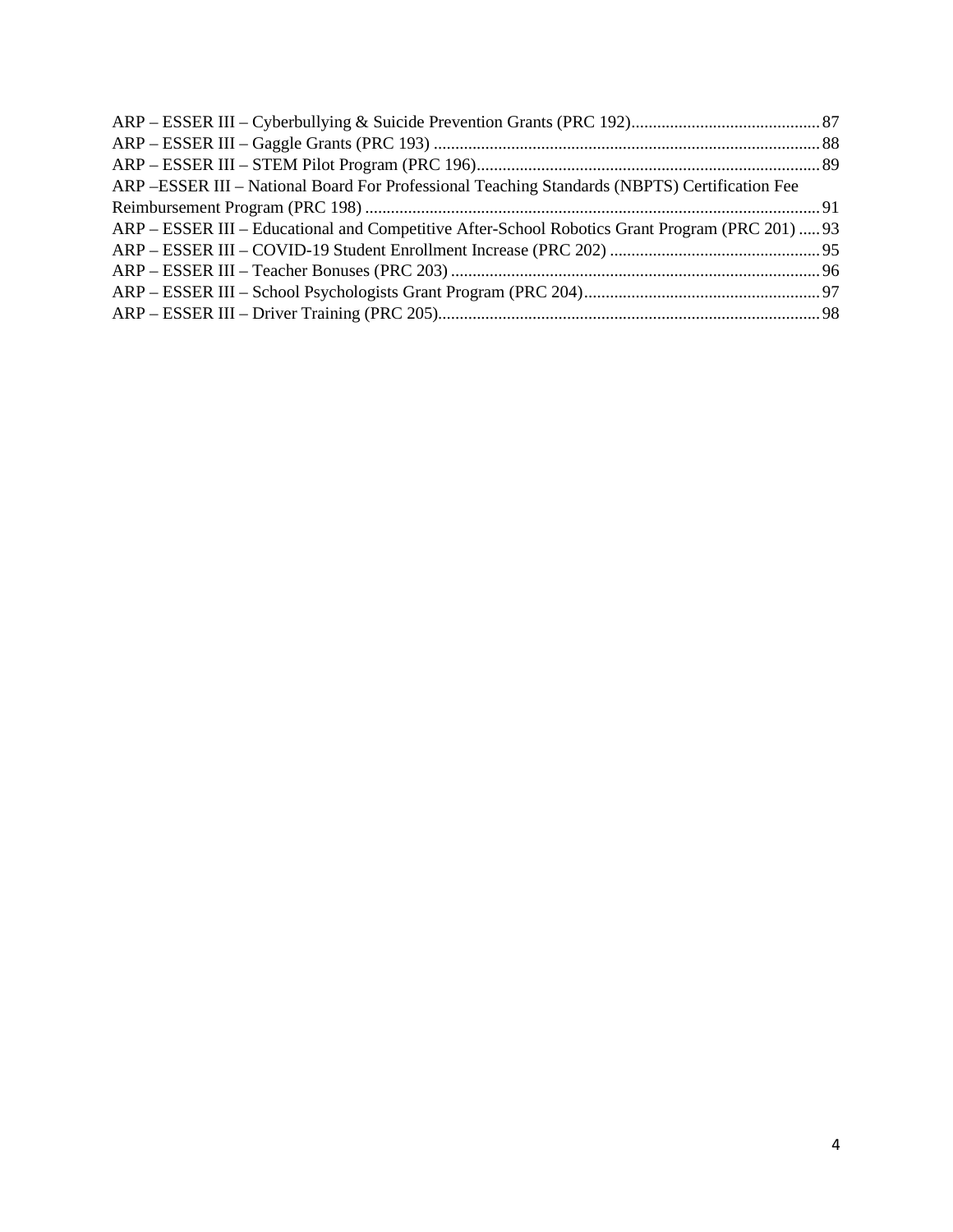| ARP - ESSER III - National Board For Professional Teaching Standards (NBPTS) Certification Fee  |  |
|-------------------------------------------------------------------------------------------------|--|
|                                                                                                 |  |
| ARP – ESSER III – Educational and Competitive After-School Robotics Grant Program (PRC 201)  93 |  |
|                                                                                                 |  |
|                                                                                                 |  |
|                                                                                                 |  |
|                                                                                                 |  |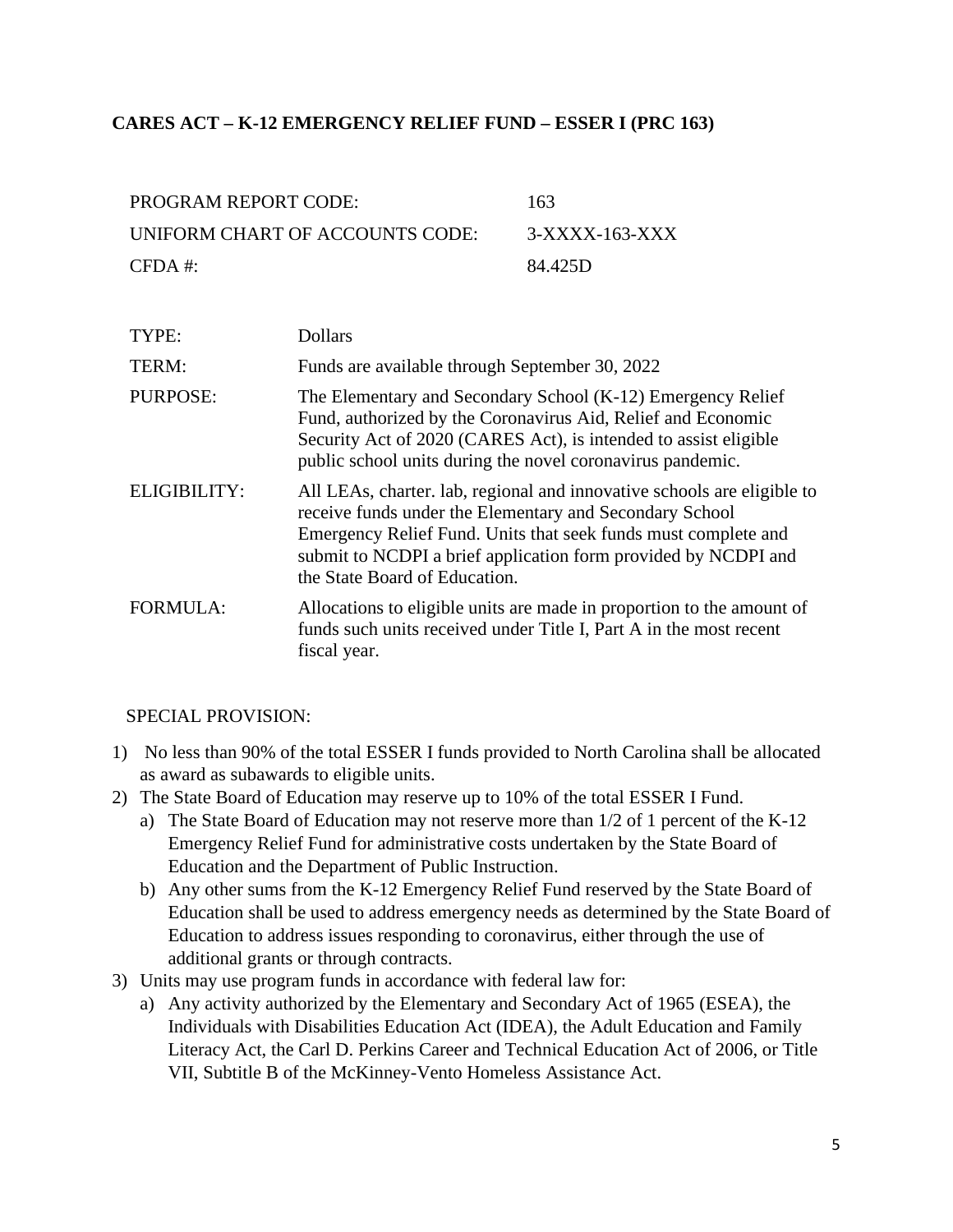#### <span id="page-4-0"></span>**CARES ACT – K-12 EMERGENCY RELIEF FUND – ESSER I (PRC 163)**

| PROGRAM REPORT CODE:            | -163           |
|---------------------------------|----------------|
| UNIFORM CHART OF ACCOUNTS CODE: | 3-XXXX-163-XXX |
| $CFDA \#$                       | 84.425D        |

| TYPE:           | <b>Dollars</b>                                                                                                                                                                                                                                                                                          |
|-----------------|---------------------------------------------------------------------------------------------------------------------------------------------------------------------------------------------------------------------------------------------------------------------------------------------------------|
| TERM:           | Funds are available through September 30, 2022                                                                                                                                                                                                                                                          |
| <b>PURPOSE:</b> | The Elementary and Secondary School (K-12) Emergency Relief<br>Fund, authorized by the Coronavirus Aid, Relief and Economic<br>Security Act of 2020 (CARES Act), is intended to assist eligible<br>public school units during the novel coronavirus pandemic.                                           |
| ELIGIBILITY:    | All LEAs, charter. lab, regional and innovative schools are eligible to<br>receive funds under the Elementary and Secondary School<br>Emergency Relief Fund. Units that seek funds must complete and<br>submit to NCDPI a brief application form provided by NCDPI and<br>the State Board of Education. |
| <b>FORMULA:</b> | Allocations to eligible units are made in proportion to the amount of<br>funds such units received under Title I, Part A in the most recent<br>fiscal year.                                                                                                                                             |

- 1) No less than 90% of the total ESSER I funds provided to North Carolina shall be allocated as award as subawards to eligible units.
- 2) The State Board of Education may reserve up to 10% of the total ESSER I Fund.
	- a) The State Board of Education may not reserve more than 1/2 of 1 percent of the K-12 Emergency Relief Fund for administrative costs undertaken by the State Board of Education and the Department of Public Instruction.
	- b) Any other sums from the K-12 Emergency Relief Fund reserved by the State Board of Education shall be used to address emergency needs as determined by the State Board of Education to address issues responding to coronavirus, either through the use of additional grants or through contracts.
- 3) Units may use program funds in accordance with federal law for:
	- a) Any activity authorized by the Elementary and Secondary Act of 1965 (ESEA), the Individuals with Disabilities Education Act (IDEA), the Adult Education and Family Literacy Act, the Carl D. Perkins Career and Technical Education Act of 2006, or Title VII, Subtitle B of the McKinney-Vento Homeless Assistance Act.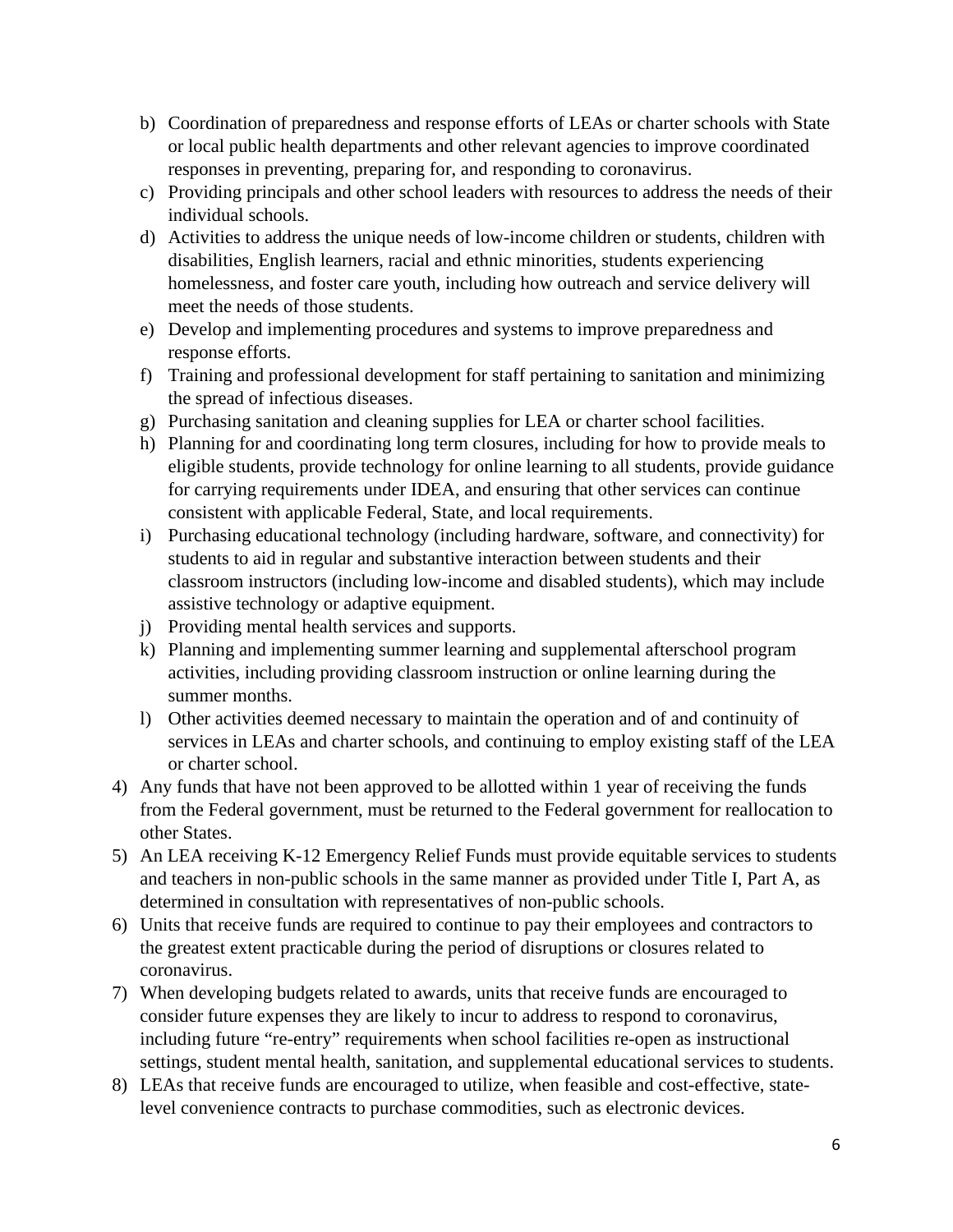- b) Coordination of preparedness and response efforts of LEAs or charter schools with State or local public health departments and other relevant agencies to improve coordinated responses in preventing, preparing for, and responding to coronavirus.
- c) Providing principals and other school leaders with resources to address the needs of their individual schools.
- d) Activities to address the unique needs of low-income children or students, children with disabilities, English learners, racial and ethnic minorities, students experiencing homelessness, and foster care youth, including how outreach and service delivery will meet the needs of those students.
- e) Develop and implementing procedures and systems to improve preparedness and response efforts.
- f) Training and professional development for staff pertaining to sanitation and minimizing the spread of infectious diseases.
- g) Purchasing sanitation and cleaning supplies for LEA or charter school facilities.
- h) Planning for and coordinating long term closures, including for how to provide meals to eligible students, provide technology for online learning to all students, provide guidance for carrying requirements under IDEA, and ensuring that other services can continue consistent with applicable Federal, State, and local requirements.
- i) Purchasing educational technology (including hardware, software, and connectivity) for students to aid in regular and substantive interaction between students and their classroom instructors (including low-income and disabled students), which may include assistive technology or adaptive equipment.
- j) Providing mental health services and supports.
- k) Planning and implementing summer learning and supplemental afterschool program activities, including providing classroom instruction or online learning during the summer months.
- l) Other activities deemed necessary to maintain the operation and of and continuity of services in LEAs and charter schools, and continuing to employ existing staff of the LEA or charter school.
- 4) Any funds that have not been approved to be allotted within 1 year of receiving the funds from the Federal government, must be returned to the Federal government for reallocation to other States.
- 5) An LEA receiving K-12 Emergency Relief Funds must provide equitable services to students and teachers in non-public schools in the same manner as provided under Title I, Part A, as determined in consultation with representatives of non-public schools.
- 6) Units that receive funds are required to continue to pay their employees and contractors to the greatest extent practicable during the period of disruptions or closures related to coronavirus.
- 7) When developing budgets related to awards, units that receive funds are encouraged to consider future expenses they are likely to incur to address to respond to coronavirus, including future "re-entry" requirements when school facilities re-open as instructional settings, student mental health, sanitation, and supplemental educational services to students.
- 8) LEAs that receive funds are encouraged to utilize, when feasible and cost-effective, statelevel convenience contracts to purchase commodities, such as electronic devices.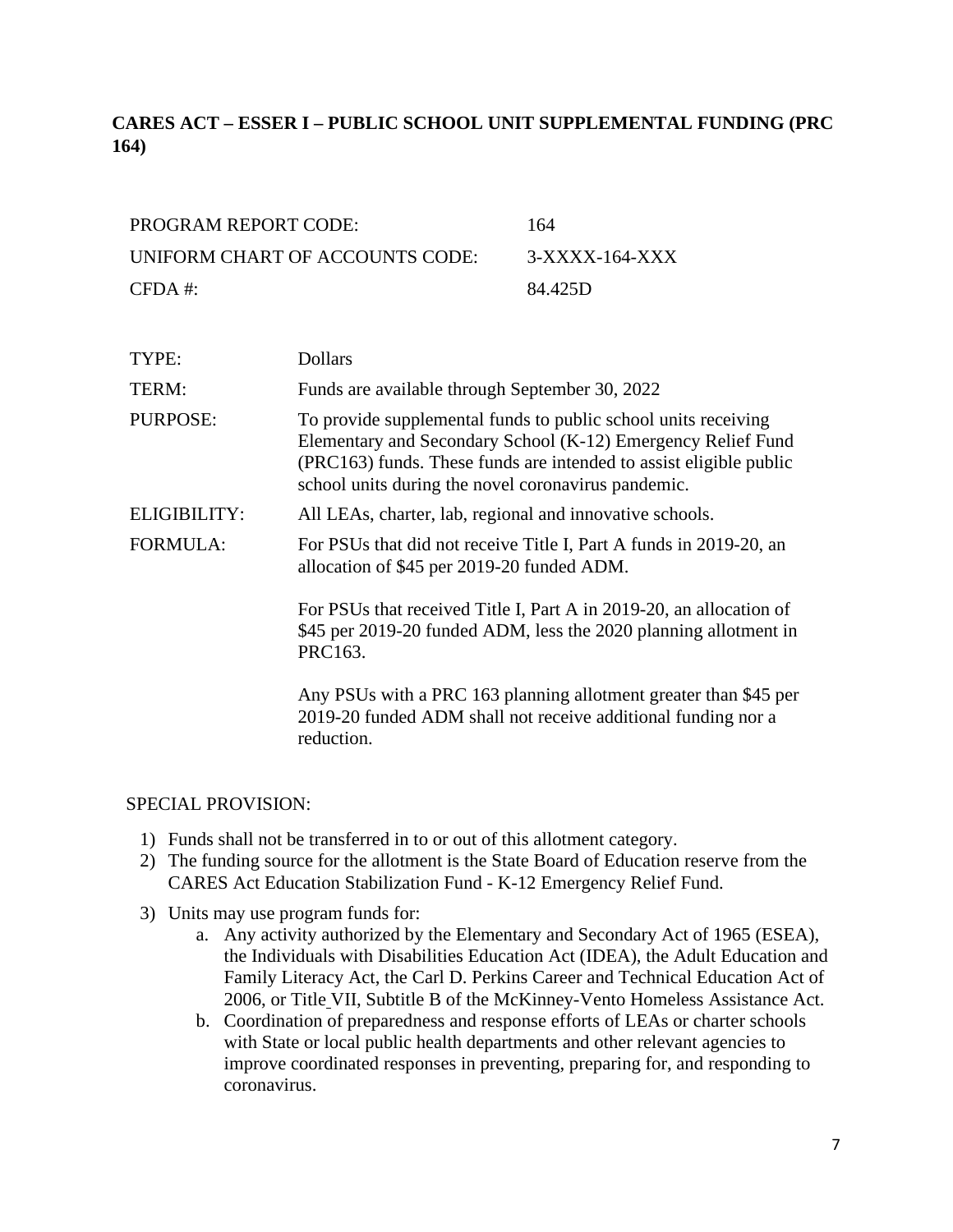# <span id="page-6-0"></span>**CARES ACT – ESSER I – PUBLIC SCHOOL UNIT SUPPLEMENTAL FUNDING (PRC 164)**

| PROGRAM REPORT CODE:            | 164            |
|---------------------------------|----------------|
| UNIFORM CHART OF ACCOUNTS CODE: | 3-XXXX-164-XXX |
| $CFDA \#$                       | 84.425D        |

| TYPE:           | <b>Dollars</b>                                                                                                                                                                                                                                              |
|-----------------|-------------------------------------------------------------------------------------------------------------------------------------------------------------------------------------------------------------------------------------------------------------|
| TERM:           | Funds are available through September 30, 2022                                                                                                                                                                                                              |
| <b>PURPOSE:</b> | To provide supplemental funds to public school units receiving<br>Elementary and Secondary School (K-12) Emergency Relief Fund<br>(PRC163) funds. These funds are intended to assist eligible public<br>school units during the novel coronavirus pandemic. |
| ELIGIBILITY:    | All LEAs, charter, lab, regional and innovative schools.                                                                                                                                                                                                    |
| <b>FORMULA:</b> | For PSUs that did not receive Title I, Part A funds in 2019-20, an<br>allocation of \$45 per 2019-20 funded ADM.                                                                                                                                            |
|                 | For PSUs that received Title I, Part A in 2019-20, an allocation of<br>\$45 per 2019-20 funded ADM, less the 2020 planning allotment in<br>PRC163.                                                                                                          |
|                 | Any PSUs with a PRC 163 planning allotment greater than \$45 per<br>2019-20 funded ADM shall not receive additional funding nor a<br>reduction.                                                                                                             |

- 1) Funds shall not be transferred in to or out of this allotment category.
- 2) The funding source for the allotment is the State Board of Education reserve from the CARES Act Education Stabilization Fund - K-12 Emergency Relief Fund.
- 3) Units may use program funds for:
	- a. Any activity authorized by the Elementary and Secondary Act of 1965 (ESEA), the Individuals with Disabilities Education Act (IDEA), the Adult Education and Family Literacy Act, the Carl D. Perkins Career and Technical Education Act of 2006, or Title VII, Subtitle B of the McKinney-Vento Homeless Assistance Act.
	- b. Coordination of preparedness and response efforts of LEAs or charter schools with State or local public health departments and other relevant agencies to improve coordinated responses in preventing, preparing for, and responding to coronavirus.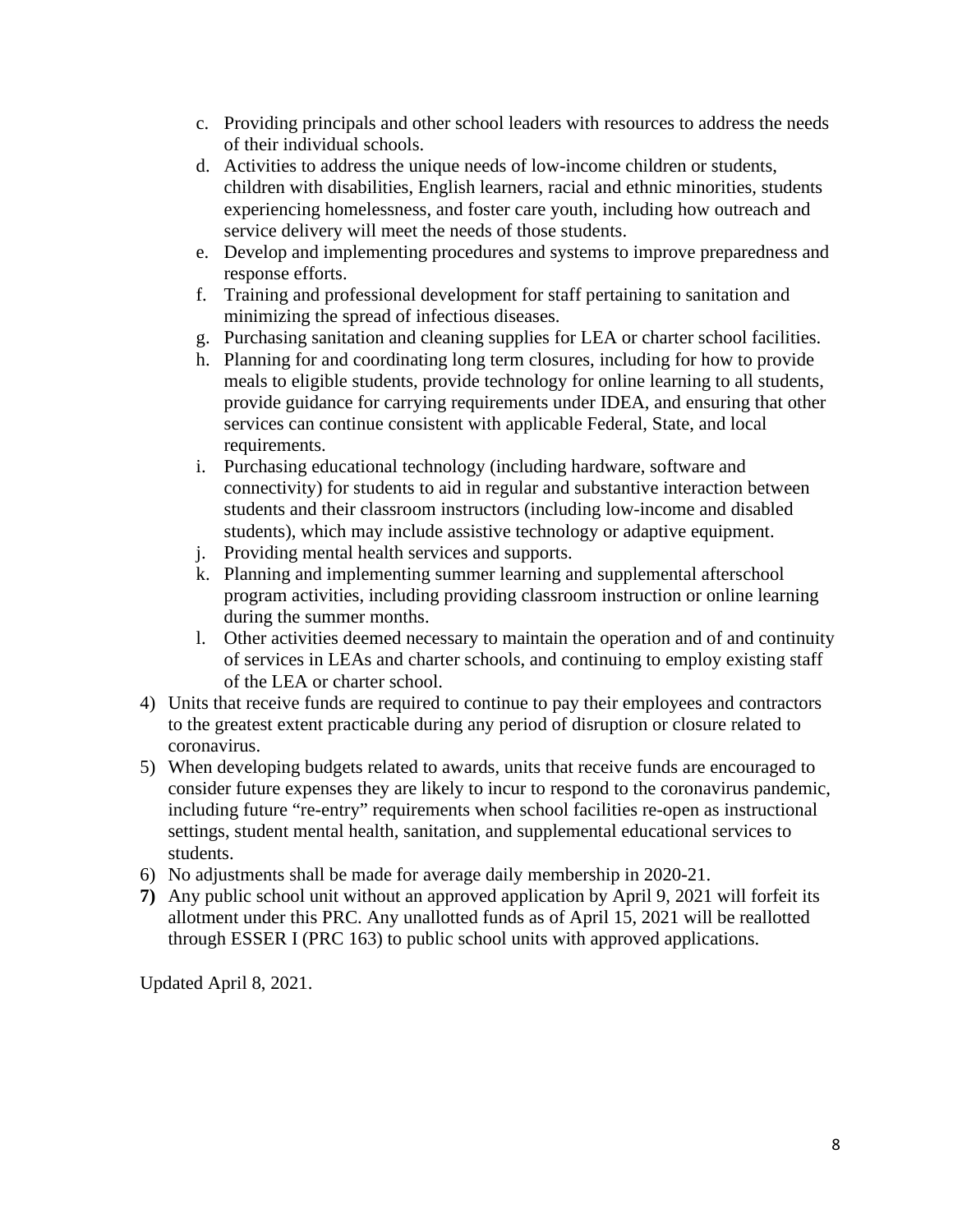- c. Providing principals and other school leaders with resources to address the needs of their individual schools.
- d. Activities to address the unique needs of low-income children or students, children with disabilities, English learners, racial and ethnic minorities, students experiencing homelessness, and foster care youth, including how outreach and service delivery will meet the needs of those students.
- e. Develop and implementing procedures and systems to improve preparedness and response efforts.
- f. Training and professional development for staff pertaining to sanitation and minimizing the spread of infectious diseases.
- g. Purchasing sanitation and cleaning supplies for LEA or charter school facilities.
- h. Planning for and coordinating long term closures, including for how to provide meals to eligible students, provide technology for online learning to all students, provide guidance for carrying requirements under IDEA, and ensuring that other services can continue consistent with applicable Federal, State, and local requirements.
- i. Purchasing educational technology (including hardware, software and connectivity) for students to aid in regular and substantive interaction between students and their classroom instructors (including low-income and disabled students), which may include assistive technology or adaptive equipment.
- j. Providing mental health services and supports.
- k. Planning and implementing summer learning and supplemental afterschool program activities, including providing classroom instruction or online learning during the summer months.
- l. Other activities deemed necessary to maintain the operation and of and continuity of services in LEAs and charter schools, and continuing to employ existing staff of the LEA or charter school.
- 4) Units that receive funds are required to continue to pay their employees and contractors to the greatest extent practicable during any period of disruption or closure related to coronavirus.
- 5) When developing budgets related to awards, units that receive funds are encouraged to consider future expenses they are likely to incur to respond to the coronavirus pandemic, including future "re-entry" requirements when school facilities re-open as instructional settings, student mental health, sanitation, and supplemental educational services to students.
- 6) No adjustments shall be made for average daily membership in 2020-21.
- **7)** Any public school unit without an approved application by April 9, 2021 will forfeit its allotment under this PRC. Any unallotted funds as of April 15, 2021 will be reallotted through ESSER I (PRC 163) to public school units with approved applications.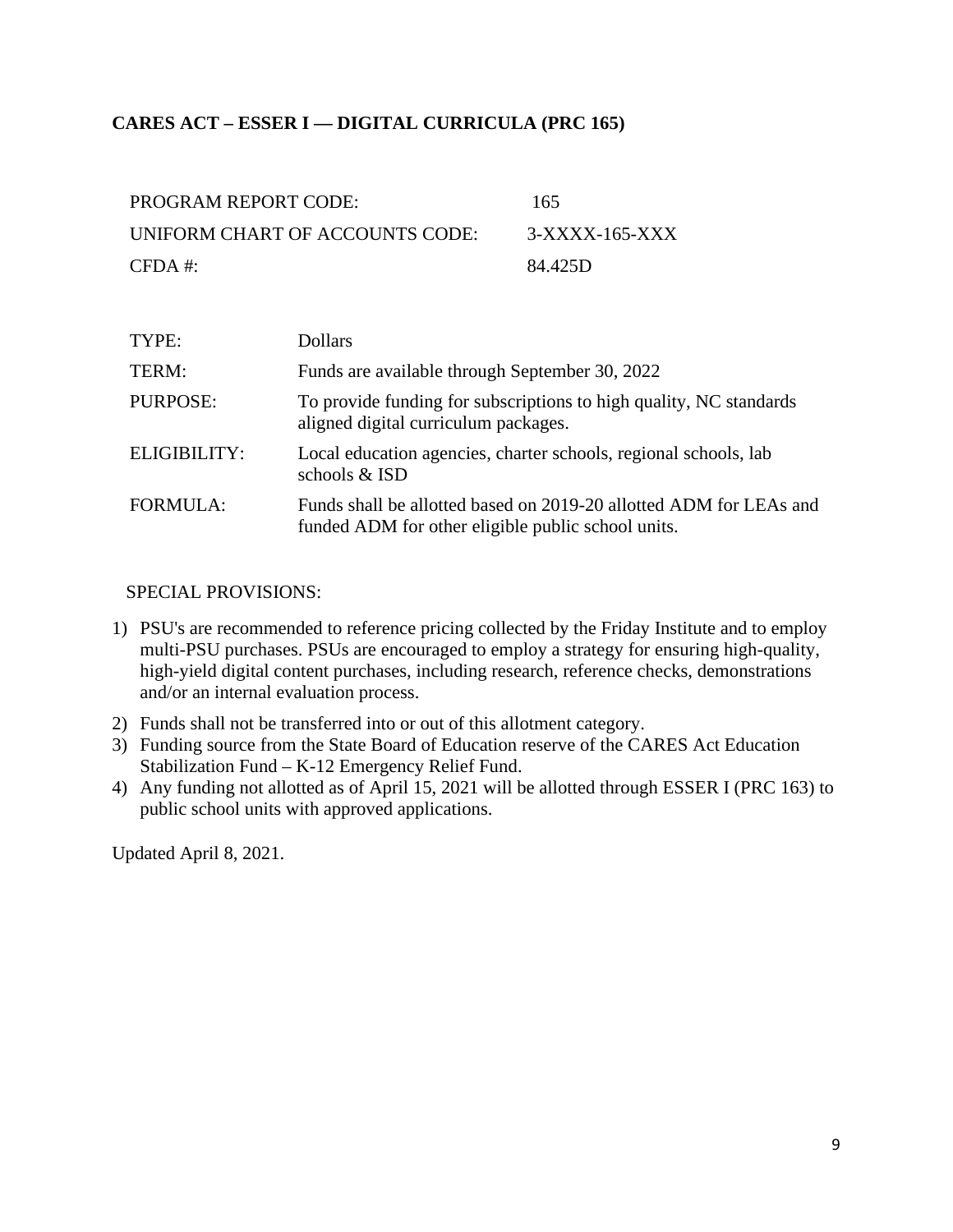### <span id="page-8-0"></span>**CARES ACT – ESSER I — DIGITAL CURRICULA (PRC 165)**

| PROGRAM REPORT CODE:            | 165            |
|---------------------------------|----------------|
| UNIFORM CHART OF ACCOUNTS CODE: | 3-XXXX-165-XXX |
| $CFDA \#$                       | 84.425D        |

| TYPE:           | <b>Dollars</b>                                                                                                           |
|-----------------|--------------------------------------------------------------------------------------------------------------------------|
| TERM:           | Funds are available through September 30, 2022                                                                           |
| PURPOSE:        | To provide funding for subscriptions to high quality, NC standards<br>aligned digital curriculum packages.               |
| ELIGIBILITY:    | Local education agencies, charter schools, regional schools, lab<br>schools & ISD                                        |
| <b>FORMULA:</b> | Funds shall be allotted based on 2019-20 allotted ADM for LEAs and<br>funded ADM for other eligible public school units. |

#### SPECIAL PROVISIONS:

- 1) PSU's are recommended to reference pricing collected by the Friday Institute and to employ multi-PSU purchases. PSUs are encouraged to employ a strategy for ensuring high-quality, high-yield digital content purchases, including research, reference checks, demonstrations and/or an internal evaluation process.
- 2) Funds shall not be transferred into or out of this allotment category.
- 3) Funding source from the State Board of Education reserve of the CARES Act Education Stabilization Fund – K-12 Emergency Relief Fund.
- 4) Any funding not allotted as of April 15, 2021 will be allotted through ESSER I (PRC 163) to public school units with approved applications.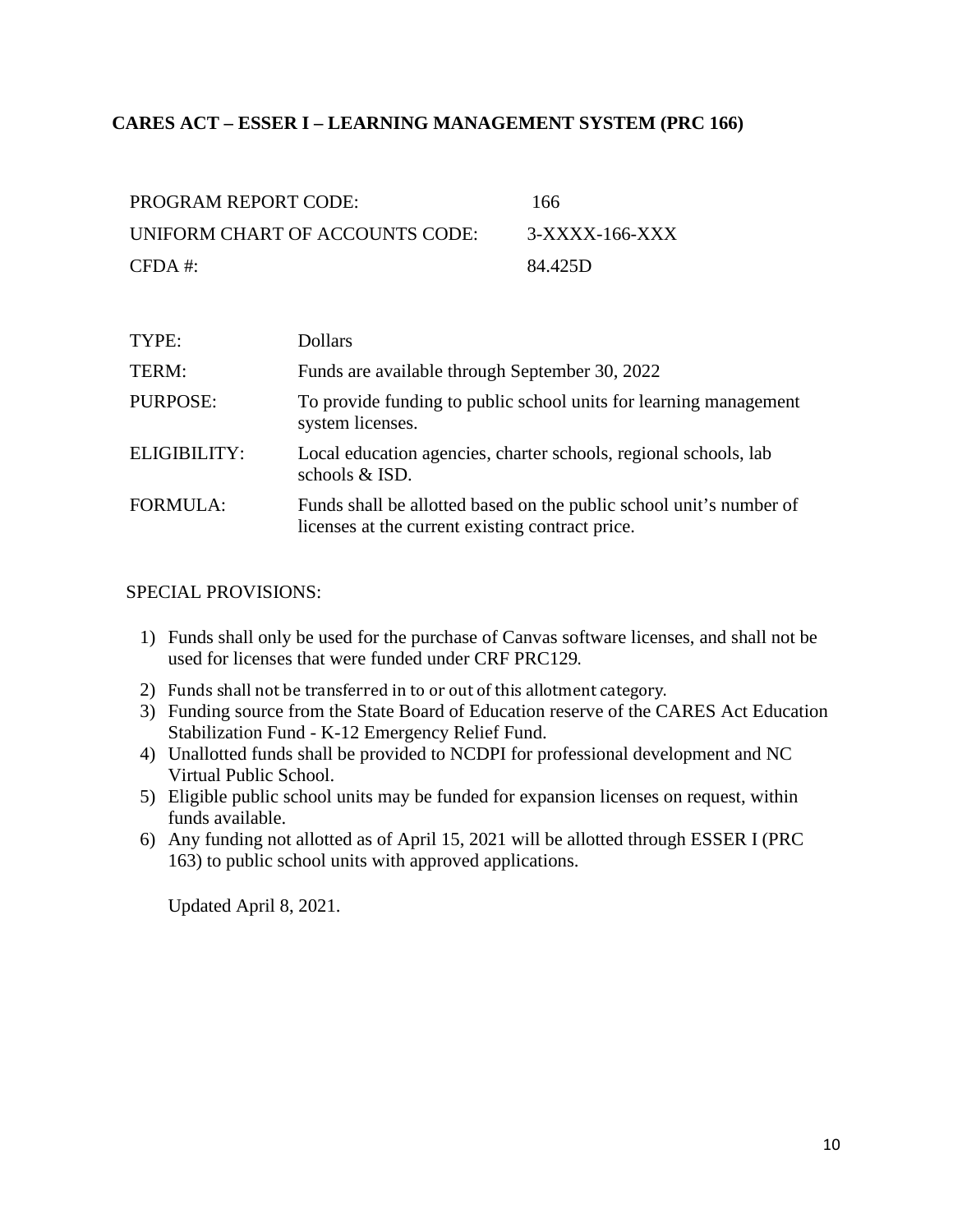#### <span id="page-9-0"></span>**CARES ACT – ESSER I – LEARNING MANAGEMENT SYSTEM (PRC 166)**

| PROGRAM REPORT CODE:            | 166              |
|---------------------------------|------------------|
| UNIFORM CHART OF ACCOUNTS CODE: | $3-XXXX-166-XXX$ |
| $CFDA \#$                       | 84.425D          |

| TYPE:               | <b>Dollars</b>                                                                                                          |
|---------------------|-------------------------------------------------------------------------------------------------------------------------|
| TERM:               | Funds are available through September 30, 2022                                                                          |
| PURPOSE:            | To provide funding to public school units for learning management<br>system licenses.                                   |
| <b>ELIGIBILITY:</b> | Local education agencies, charter schools, regional schools, lab<br>schools & ISD.                                      |
| <b>FORMULA:</b>     | Funds shall be allotted based on the public school unit's number of<br>licenses at the current existing contract price. |

#### SPECIAL PROVISIONS:

- 1) Funds shall only be used for the purchase of Canvas software licenses, and shall not be used for licenses that were funded under CRF PRC129.
- 2) Funds shall not be transferred in to or out of this allotment category.
- 3) Funding source from the State Board of Education reserve of the CARES Act Education Stabilization Fund - K-12 Emergency Relief Fund.
- 4) Unallotted funds shall be provided to NCDPI for professional development and NC Virtual Public School.
- 5) Eligible public school units may be funded for expansion licenses on request, within funds available.
- 6) Any funding not allotted as of April 15, 2021 will be allotted through ESSER I (PRC 163) to public school units with approved applications.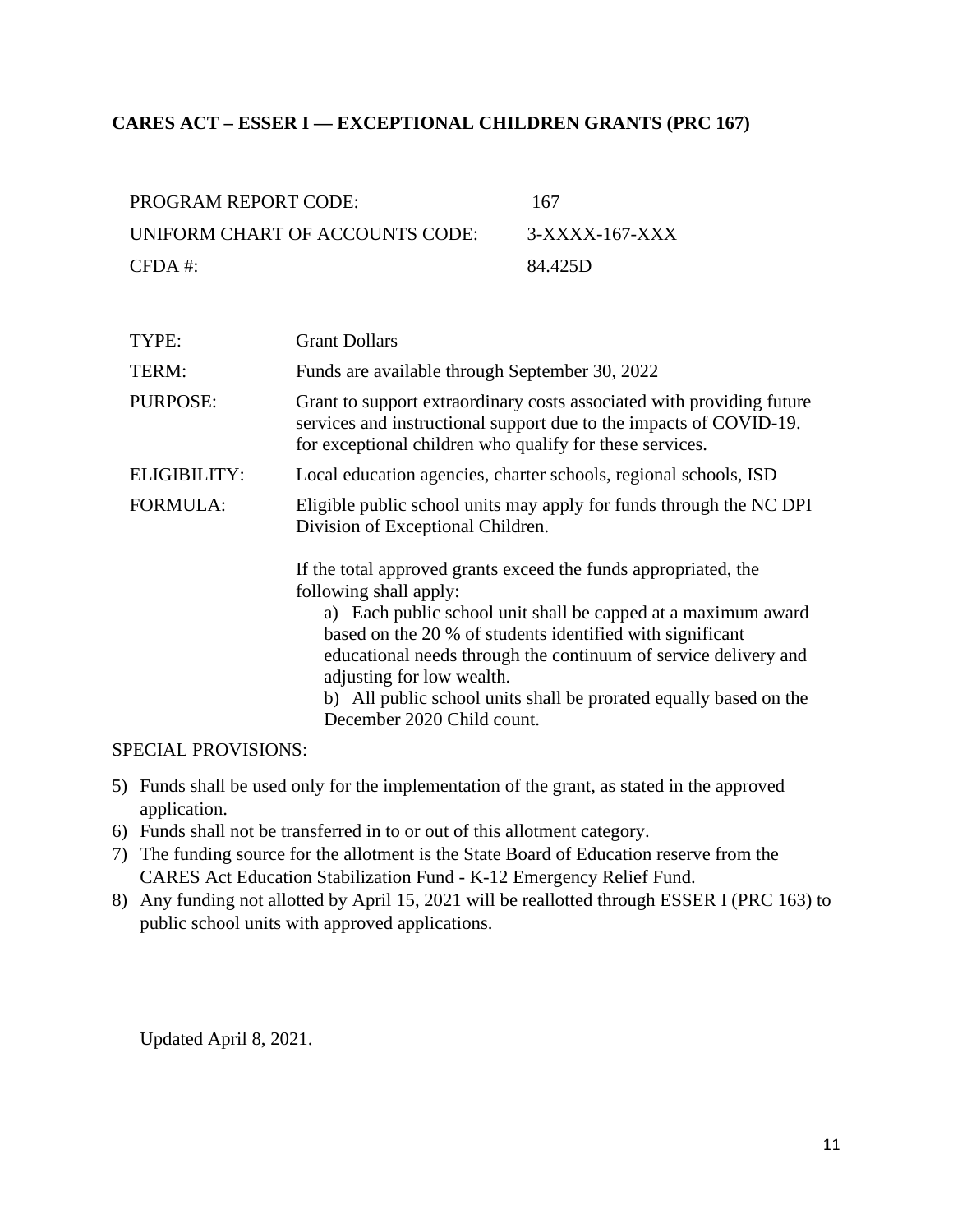#### <span id="page-10-0"></span>**CARES ACT – ESSER I — EXCEPTIONAL CHILDREN GRANTS (PRC 167)**

| <b>PROGRAM REPORT CODE:</b>     | 167            |
|---------------------------------|----------------|
| UNIFORM CHART OF ACCOUNTS CODE: | 3-XXXX-167-XXX |
| $CFDA$ #:                       | 84.425D        |

| TYPE:               | <b>Grant Dollars</b>                                                                                                                                                                                                                                                                                                                                                                                                       |
|---------------------|----------------------------------------------------------------------------------------------------------------------------------------------------------------------------------------------------------------------------------------------------------------------------------------------------------------------------------------------------------------------------------------------------------------------------|
| TERM:               | Funds are available through September 30, 2022                                                                                                                                                                                                                                                                                                                                                                             |
| <b>PURPOSE:</b>     | Grant to support extraordinary costs associated with providing future<br>services and instructional support due to the impacts of COVID-19.<br>for exceptional children who qualify for these services.                                                                                                                                                                                                                    |
| <b>ELIGIBILITY:</b> | Local education agencies, charter schools, regional schools, ISD                                                                                                                                                                                                                                                                                                                                                           |
| <b>FORMULA:</b>     | Eligible public school units may apply for funds through the NC DPI<br>Division of Exceptional Children.                                                                                                                                                                                                                                                                                                                   |
|                     | If the total approved grants exceed the funds appropriated, the<br>following shall apply:<br>a) Each public school unit shall be capped at a maximum award<br>based on the 20 % of students identified with significant<br>educational needs through the continuum of service delivery and<br>adjusting for low wealth.<br>b) All public school units shall be prorated equally based on the<br>December 2020 Child count. |

#### SPECIAL PROVISIONS:

- 5) Funds shall be used only for the implementation of the grant, as stated in the approved application.
- 6) Funds shall not be transferred in to or out of this allotment category.
- 7) The funding source for the allotment is the State Board of Education reserve from the CARES Act Education Stabilization Fund - K-12 Emergency Relief Fund.
- 8) Any funding not allotted by April 15, 2021 will be reallotted through ESSER I (PRC 163) to public school units with approved applications.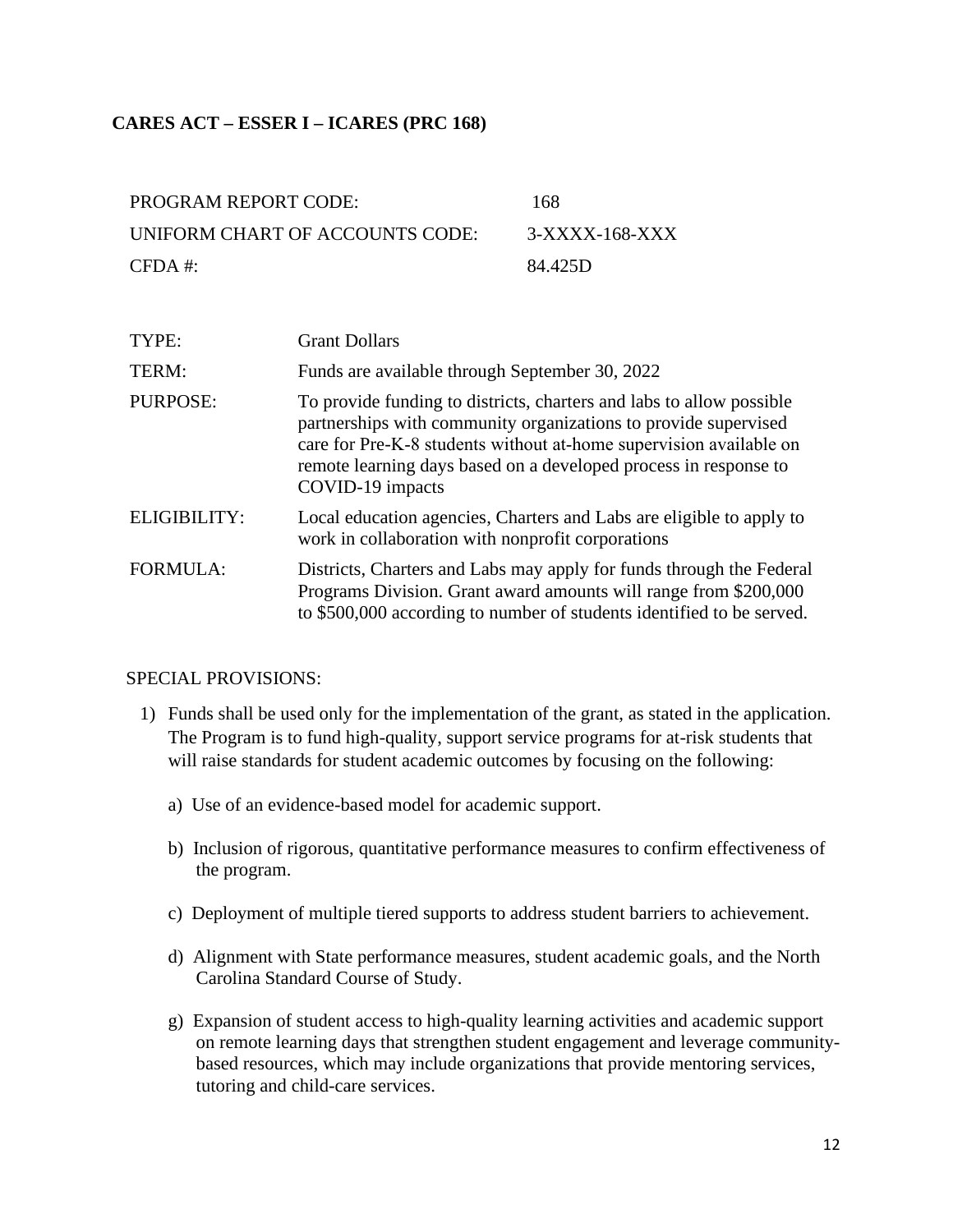#### <span id="page-11-0"></span>**CARES ACT – ESSER I – ICARES (PRC 168)**

| PROGRAM REPORT CODE:            | 168            |
|---------------------------------|----------------|
| UNIFORM CHART OF ACCOUNTS CODE: | 3-XXXX-168-XXX |
| $CFDA$ #:                       | 84.425D        |

| TYPE:           | <b>Grant Dollars</b>                                                                                                                                                                                                                                                                                  |
|-----------------|-------------------------------------------------------------------------------------------------------------------------------------------------------------------------------------------------------------------------------------------------------------------------------------------------------|
| TERM:           | Funds are available through September 30, 2022                                                                                                                                                                                                                                                        |
| <b>PURPOSE:</b> | To provide funding to districts, charters and labs to allow possible<br>partnerships with community organizations to provide supervised<br>care for Pre-K-8 students without at-home supervision available on<br>remote learning days based on a developed process in response to<br>COVID-19 impacts |
| ELIGIBILITY:    | Local education agencies, Charters and Labs are eligible to apply to<br>work in collaboration with nonprofit corporations                                                                                                                                                                             |
| <b>FORMULA:</b> | Districts, Charters and Labs may apply for funds through the Federal<br>Programs Division. Grant award amounts will range from \$200,000<br>to \$500,000 according to number of students identified to be served.                                                                                     |

- 1) Funds shall be used only for the implementation of the grant, as stated in the application. The Program is to fund high-quality, support service programs for at-risk students that will raise standards for student academic outcomes by focusing on the following:
	- a) Use of an evidence-based model for academic support.
	- b) Inclusion of rigorous, quantitative performance measures to confirm effectiveness of the program.
	- c) Deployment of multiple tiered supports to address student barriers to achievement.
	- d) Alignment with State performance measures, student academic goals, and the North Carolina Standard Course of Study.
	- g) Expansion of student access to high-quality learning activities and academic support on remote learning days that strengthen student engagement and leverage communitybased resources, which may include organizations that provide mentoring services, tutoring and child-care services.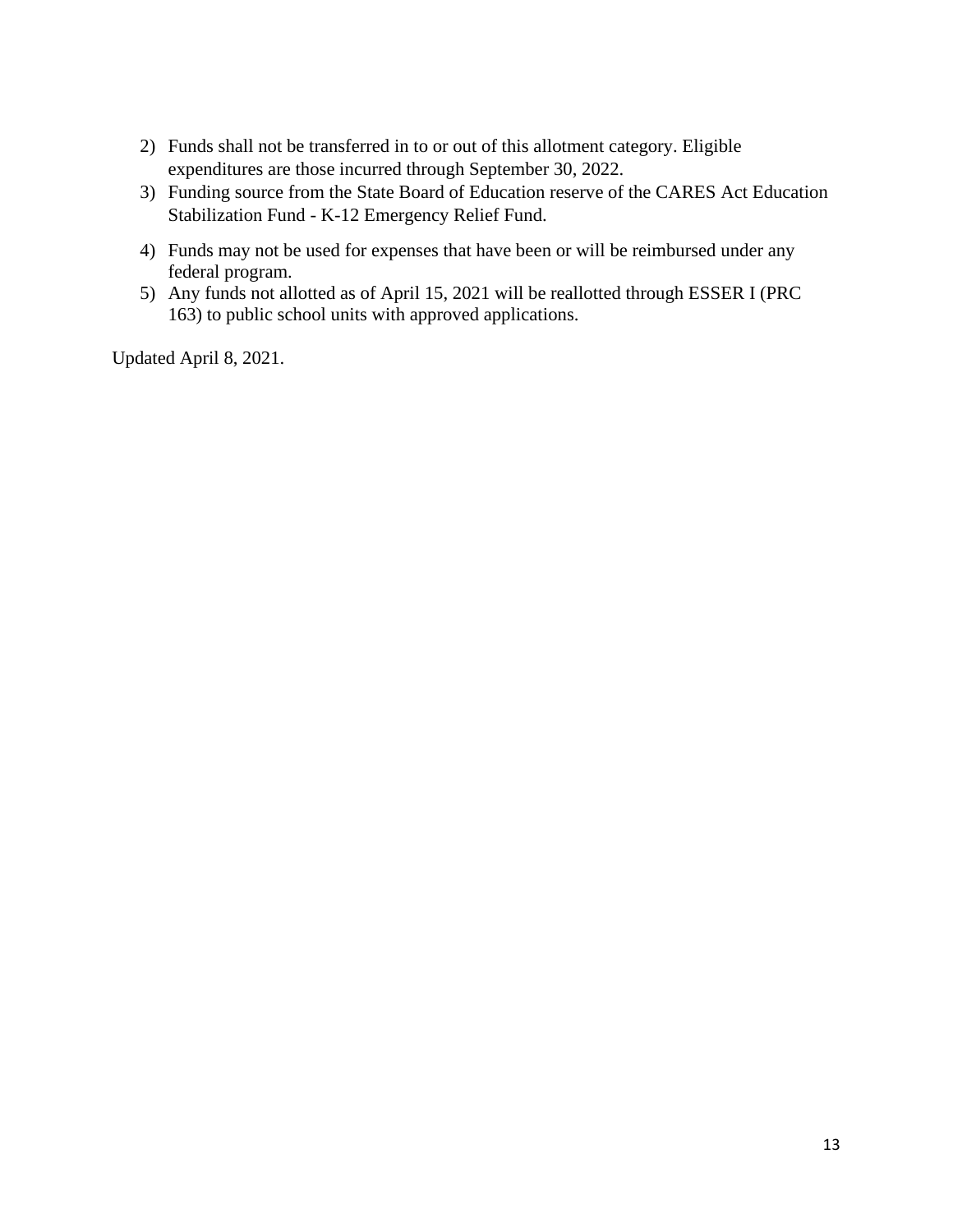- 2) Funds shall not be transferred in to or out of this allotment category. Eligible expenditures are those incurred through September 30, 2022.
- 3) Funding source from the State Board of Education reserve of the CARES Act Education Stabilization Fund - K-12 Emergency Relief Fund.
- 4) Funds may not be used for expenses that have been or will be reimbursed under any federal program.
- 5) Any funds not allotted as of April 15, 2021 will be reallotted through ESSER I (PRC 163) to public school units with approved applications.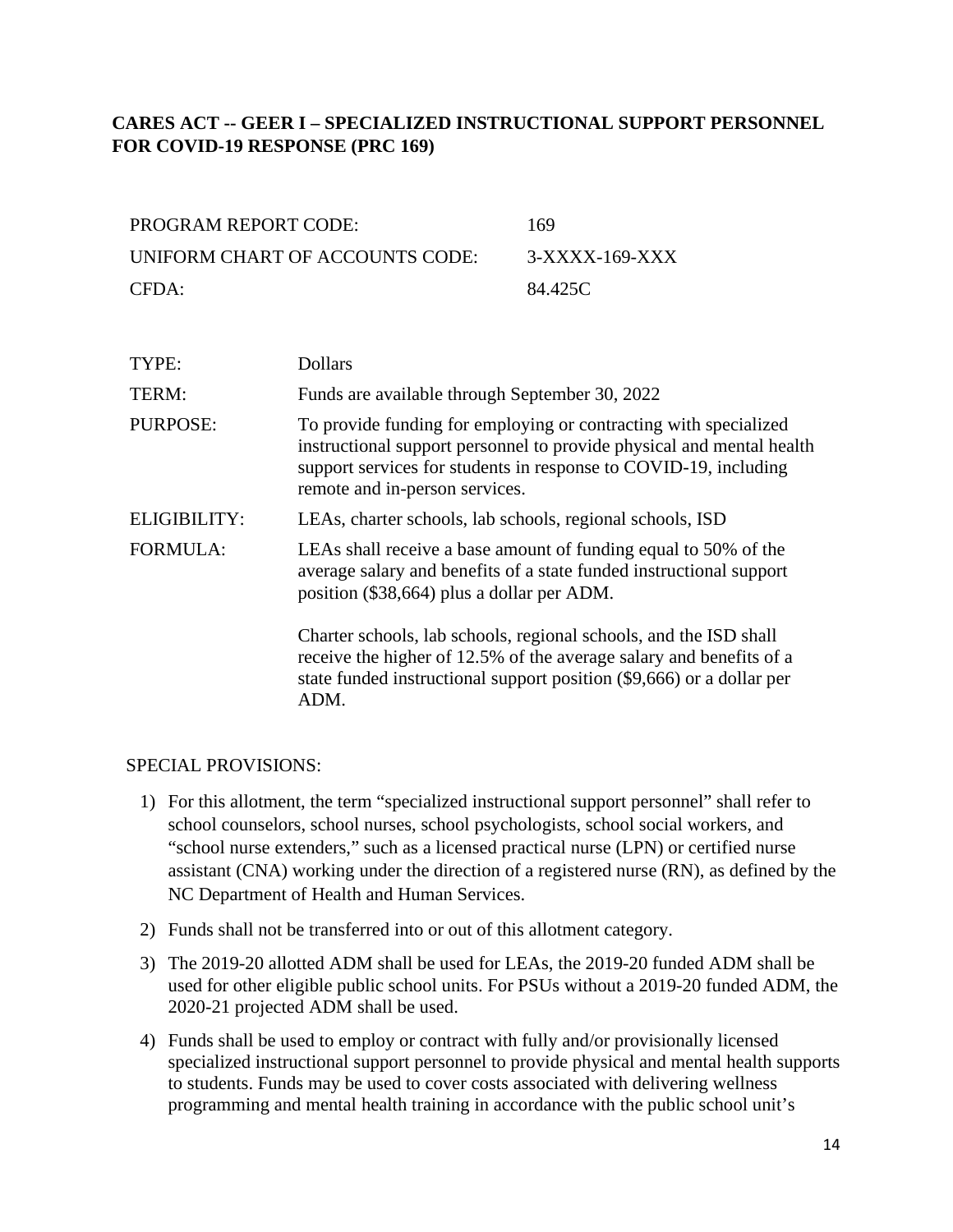### <span id="page-13-0"></span>**CARES ACT -- GEER I – SPECIALIZED INSTRUCTIONAL SUPPORT PERSONNEL FOR COVID-19 RESPONSE (PRC 169)**

| PROGRAM REPORT CODE:            | 169            |
|---------------------------------|----------------|
| UNIFORM CHART OF ACCOUNTS CODE: | 3-XXXX-169-XXX |
| CFDA:                           | 84.425C        |

| TYPE:           | <b>Dollars</b>                                                                                                                                                                                                                                  |
|-----------------|-------------------------------------------------------------------------------------------------------------------------------------------------------------------------------------------------------------------------------------------------|
| TERM:           | Funds are available through September 30, 2022                                                                                                                                                                                                  |
| PURPOSE:        | To provide funding for employing or contracting with specialized<br>instructional support personnel to provide physical and mental health<br>support services for students in response to COVID-19, including<br>remote and in-person services. |
| ELIGIBILITY:    | LEAs, charter schools, lab schools, regional schools, ISD                                                                                                                                                                                       |
| <b>FORMULA:</b> | LEAs shall receive a base amount of funding equal to 50% of the<br>average salary and benefits of a state funded instructional support<br>position (\$38,664) plus a dollar per ADM.                                                            |
|                 | Charter schools, lab schools, regional schools, and the ISD shall<br>receive the higher of 12.5% of the average salary and benefits of a<br>state funded instructional support position (\$9,666) or a dollar per<br>ADM.                       |

- 1) For this allotment, the term "specialized instructional support personnel" shall refer to school counselors, school nurses, school psychologists, school social workers, and "school nurse extenders," such as a licensed practical nurse (LPN) or certified nurse assistant (CNA) working under the direction of a registered nurse (RN), as defined by the NC Department of Health and Human Services.
- 2) Funds shall not be transferred into or out of this allotment category.
- 3) The 2019-20 allotted ADM shall be used for LEAs, the 2019-20 funded ADM shall be used for other eligible public school units. For PSUs without a 2019-20 funded ADM, the 2020-21 projected ADM shall be used.
- 4) Funds shall be used to employ or contract with fully and/or provisionally licensed specialized instructional support personnel to provide physical and mental health supports to students. Funds may be used to cover costs associated with delivering wellness programming and mental health training in accordance with the public school unit's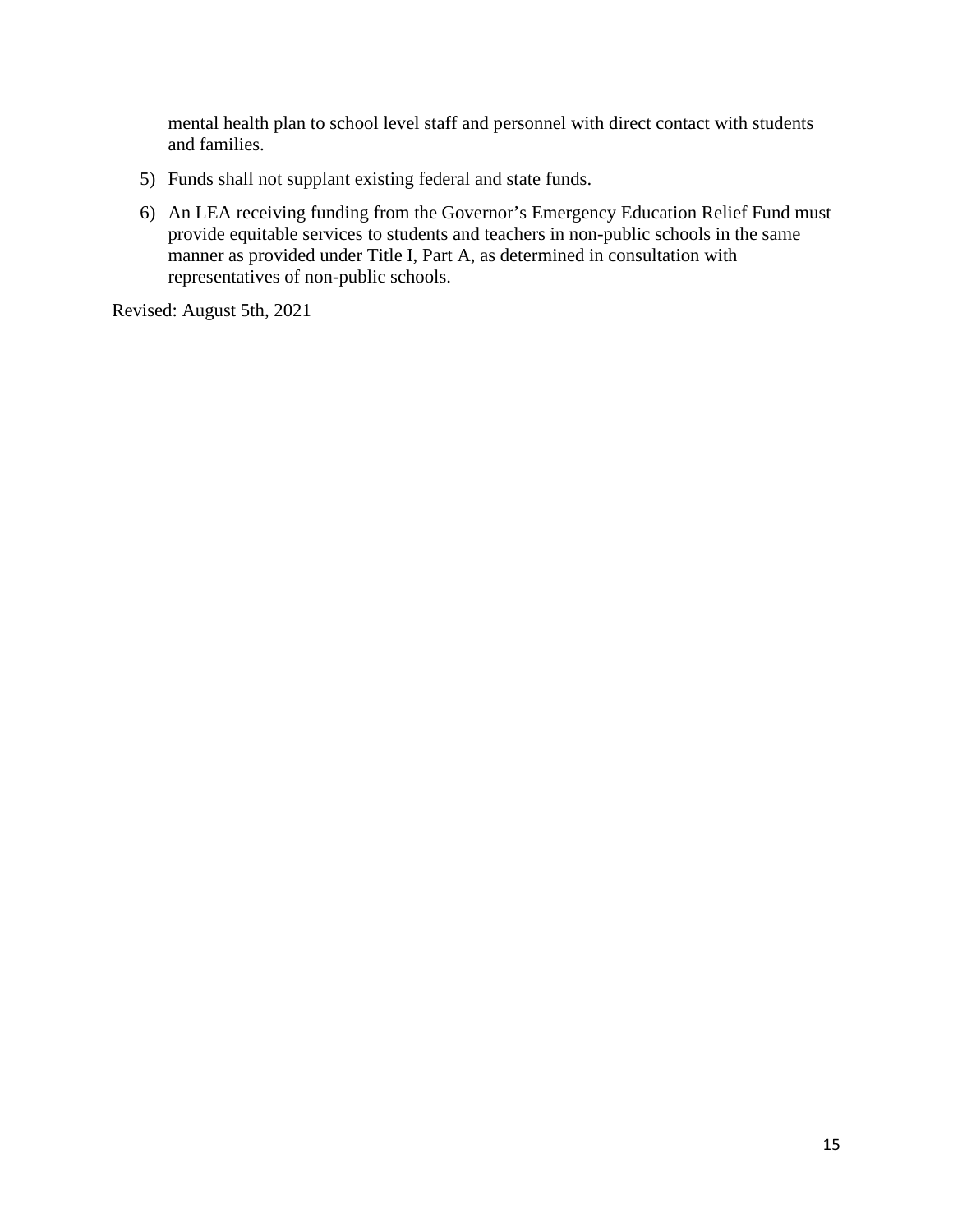mental health plan to school level staff and personnel with direct contact with students and families.

- 5) Funds shall not supplant existing federal and state funds.
- 6) An LEA receiving funding from the Governor's Emergency Education Relief Fund must provide equitable services to students and teachers in non-public schools in the same manner as provided under Title I, Part A, as determined in consultation with representatives of non-public schools.

Revised: August 5th, 2021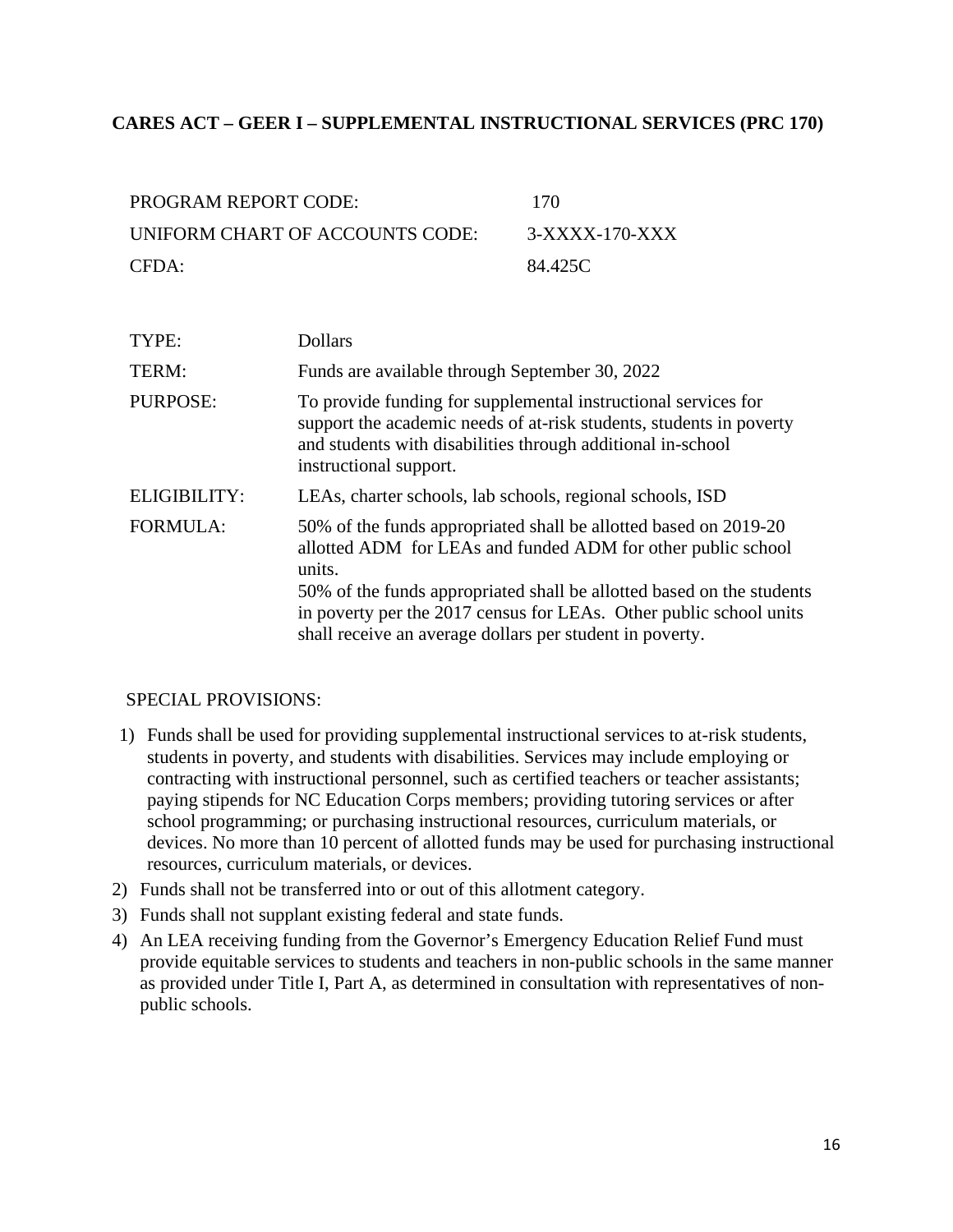#### <span id="page-15-0"></span>**CARES ACT – GEER I – SUPPLEMENTAL INSTRUCTIONAL SERVICES (PRC 170)**

| PROGRAM REPORT CODE:            | 170            |
|---------------------------------|----------------|
| UNIFORM CHART OF ACCOUNTS CODE: | 3-XXXX-170-XXX |
| CFDA:                           | 84.425C        |

| TYPE:           | <b>Dollars</b>                                                                                                                                                                                                                                                                                                                                        |
|-----------------|-------------------------------------------------------------------------------------------------------------------------------------------------------------------------------------------------------------------------------------------------------------------------------------------------------------------------------------------------------|
| TERM:           | Funds are available through September 30, 2022                                                                                                                                                                                                                                                                                                        |
| PURPOSE:        | To provide funding for supplemental instructional services for<br>support the academic needs of at-risk students, students in poverty<br>and students with disabilities through additional in-school<br>instructional support.                                                                                                                        |
| ELIGIBILITY:    | LEAs, charter schools, lab schools, regional schools, ISD                                                                                                                                                                                                                                                                                             |
| <b>FORMULA:</b> | 50% of the funds appropriated shall be allotted based on 2019-20<br>allotted ADM for LEAs and funded ADM for other public school<br>units.<br>50% of the funds appropriated shall be allotted based on the students<br>in poverty per the 2017 census for LEAs. Other public school units<br>shall receive an average dollars per student in poverty. |

- 1) Funds shall be used for providing supplemental instructional services to at-risk students, students in poverty, and students with disabilities. Services may include employing or contracting with instructional personnel, such as certified teachers or teacher assistants; paying stipends for NC Education Corps members; providing tutoring services or after school programming; or purchasing instructional resources, curriculum materials, or devices. No more than 10 percent of allotted funds may be used for purchasing instructional resources, curriculum materials, or devices.
- 2) Funds shall not be transferred into or out of this allotment category.
- 3) Funds shall not supplant existing federal and state funds.
- 4) An LEA receiving funding from the Governor's Emergency Education Relief Fund must provide equitable services to students and teachers in non-public schools in the same manner as provided under Title I, Part A, as determined in consultation with representatives of nonpublic schools.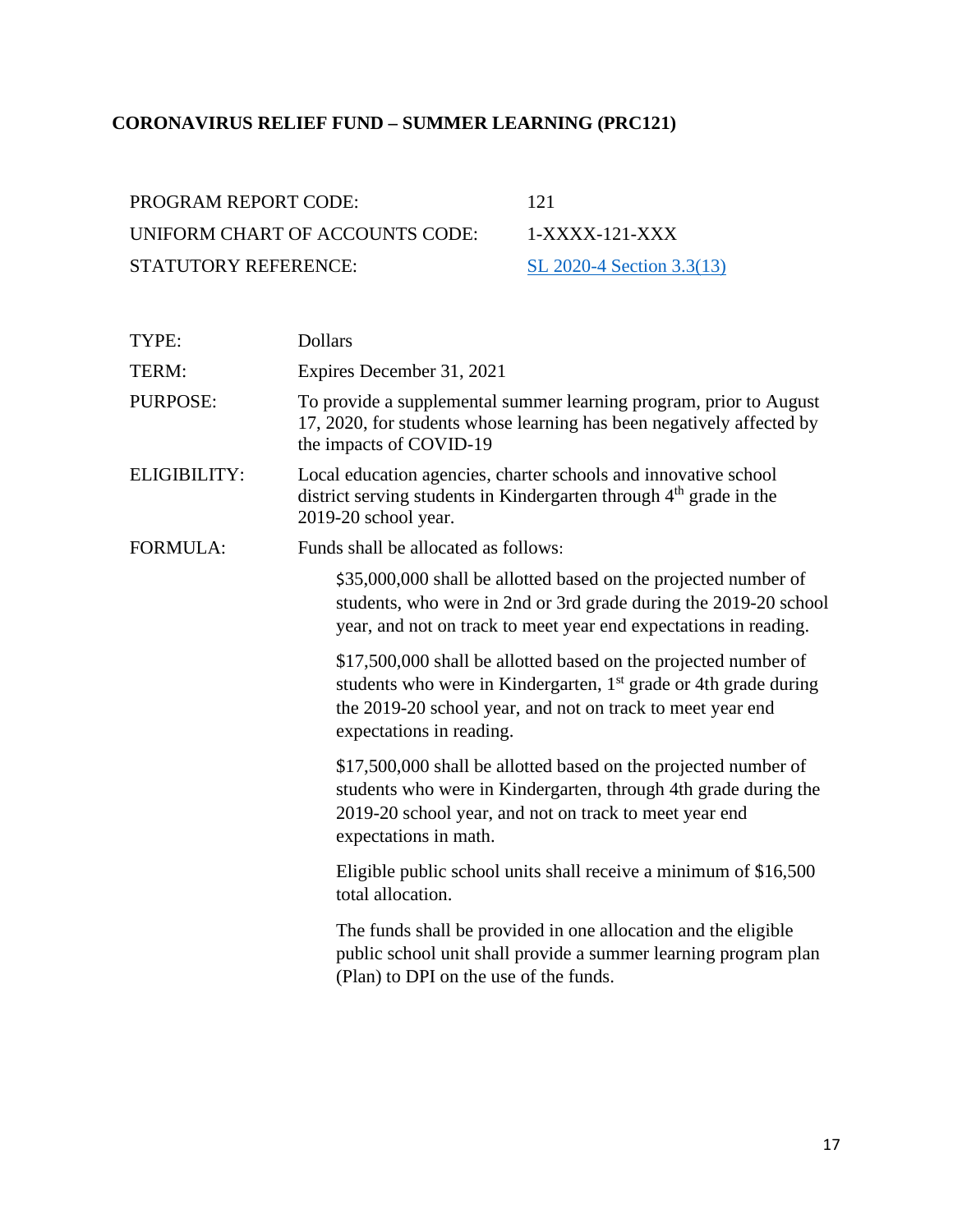# <span id="page-16-0"></span>**CORONAVIRUS RELIEF FUND – SUMMER LEARNING (PRC121)**

| <b>PROGRAM REPORT CODE:</b>     | -121                      |
|---------------------------------|---------------------------|
| UNIFORM CHART OF ACCOUNTS CODE: | $1-XXXX-121-XXX$          |
| STATUTORY REFERENCE:            | SL 2020-4 Section 3.3(13) |

| TYPE:           | <b>Dollars</b>                                                                                                                                                                                                                            |
|-----------------|-------------------------------------------------------------------------------------------------------------------------------------------------------------------------------------------------------------------------------------------|
| TERM:           | Expires December 31, 2021                                                                                                                                                                                                                 |
| <b>PURPOSE:</b> | To provide a supplemental summer learning program, prior to August<br>17, 2020, for students whose learning has been negatively affected by<br>the impacts of COVID-19                                                                    |
| ELIGIBILITY:    | Local education agencies, charter schools and innovative school<br>district serving students in Kindergarten through 4 <sup>th</sup> grade in the<br>2019-20 school year.                                                                 |
| <b>FORMULA:</b> | Funds shall be allocated as follows:                                                                                                                                                                                                      |
|                 | \$35,000,000 shall be allotted based on the projected number of<br>students, who were in 2nd or 3rd grade during the 2019-20 school<br>year, and not on track to meet year end expectations in reading.                                   |
|                 | \$17,500,000 shall be allotted based on the projected number of<br>students who were in Kindergarten, 1 <sup>st</sup> grade or 4th grade during<br>the 2019-20 school year, and not on track to meet year end<br>expectations in reading. |
|                 | \$17,500,000 shall be allotted based on the projected number of<br>students who were in Kindergarten, through 4th grade during the<br>2019-20 school year, and not on track to meet year end<br>expectations in math.                     |
|                 | Eligible public school units shall receive a minimum of \$16,500<br>total allocation.                                                                                                                                                     |
|                 | The funds shall be provided in one allocation and the eligible<br>public school unit shall provide a summer learning program plan<br>(Plan) to DPI on the use of the funds.                                                               |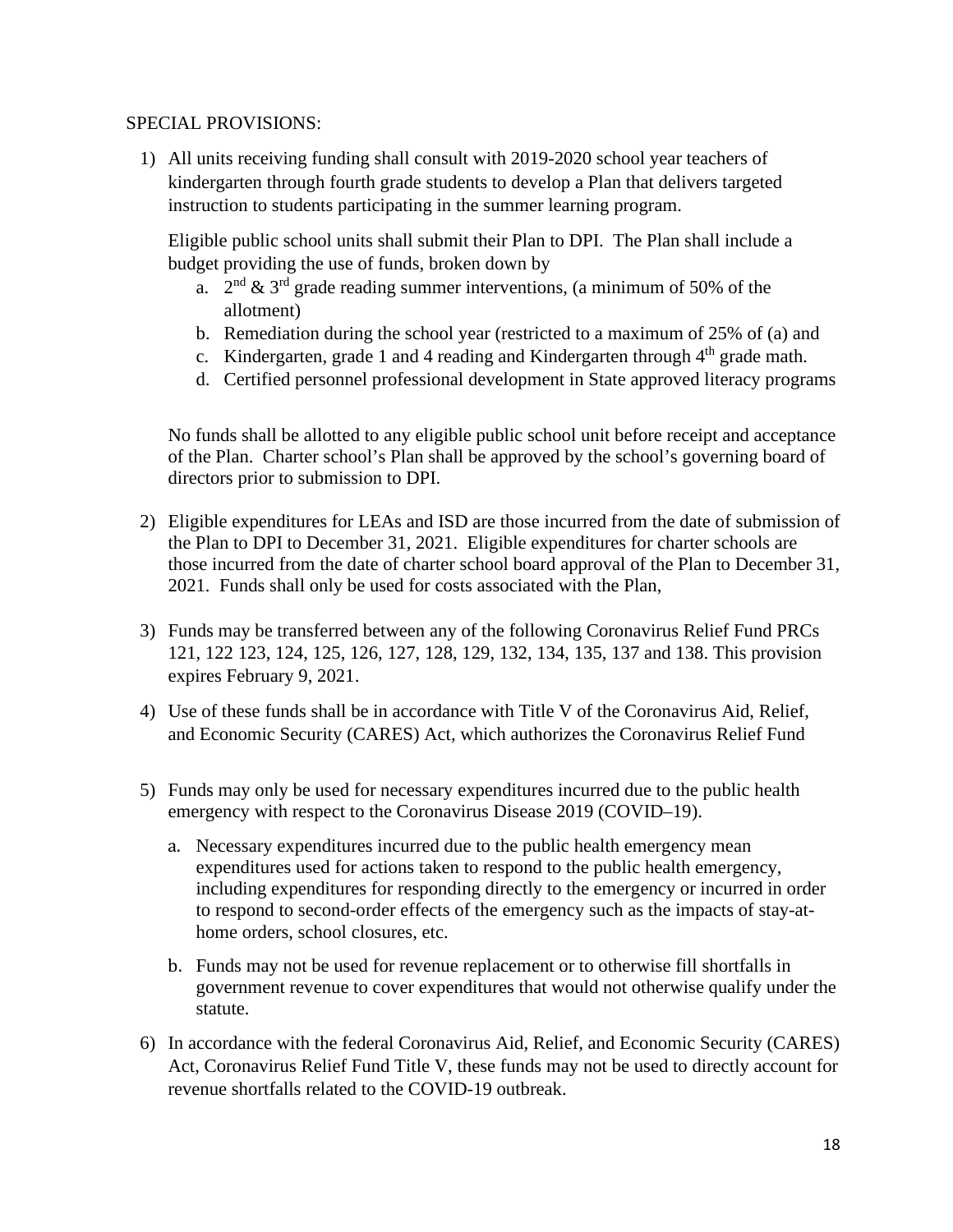#### SPECIAL PROVISIONS:

1) All units receiving funding shall consult with 2019-2020 school year teachers of kindergarten through fourth grade students to develop a Plan that delivers targeted instruction to students participating in the summer learning program.

Eligible public school units shall submit their Plan to DPI. The Plan shall include a budget providing the use of funds, broken down by

- a.  $2<sup>nd</sup> \& 3<sup>rd</sup>$  grade reading summer interventions, (a minimum of 50% of the allotment)
- b. Remediation during the school year (restricted to a maximum of 25% of (a) and
- c. Kindergarten, grade 1 and 4 reading and Kindergarten through  $4<sup>th</sup>$  grade math.
- d. Certified personnel professional development in State approved literacy programs

No funds shall be allotted to any eligible public school unit before receipt and acceptance of the Plan. Charter school's Plan shall be approved by the school's governing board of directors prior to submission to DPI.

- 2) Eligible expenditures for LEAs and ISD are those incurred from the date of submission of the Plan to DPI to December 31, 2021. Eligible expenditures for charter schools are those incurred from the date of charter school board approval of the Plan to December 31, 2021. Funds shall only be used for costs associated with the Plan,
- 3) Funds may be transferred between any of the following Coronavirus Relief Fund PRCs 121, 122 123, 124, 125, 126, 127, 128, 129, 132, 134, 135, 137 and 138. This provision expires February 9, 2021.
- 4) Use of these funds shall be in accordance with Title V of the Coronavirus Aid, Relief, and Economic Security (CARES) Act, which authorizes the Coronavirus Relief Fund
- 5) Funds may only be used for necessary expenditures incurred due to the public health emergency with respect to the Coronavirus Disease 2019 (COVID–19).
	- a. Necessary expenditures incurred due to the public health emergency mean expenditures used for actions taken to respond to the public health emergency, including expenditures for responding directly to the emergency or incurred in order to respond to second-order effects of the emergency such as the impacts of stay-athome orders, school closures, etc.
	- b. Funds may not be used for revenue replacement or to otherwise fill shortfalls in government revenue to cover expenditures that would not otherwise qualify under the statute.
- 6) In accordance with the federal Coronavirus Aid, Relief, and Economic Security (CARES) Act, Coronavirus Relief Fund Title V, these funds may not be used to directly account for revenue shortfalls related to the COVID-19 outbreak.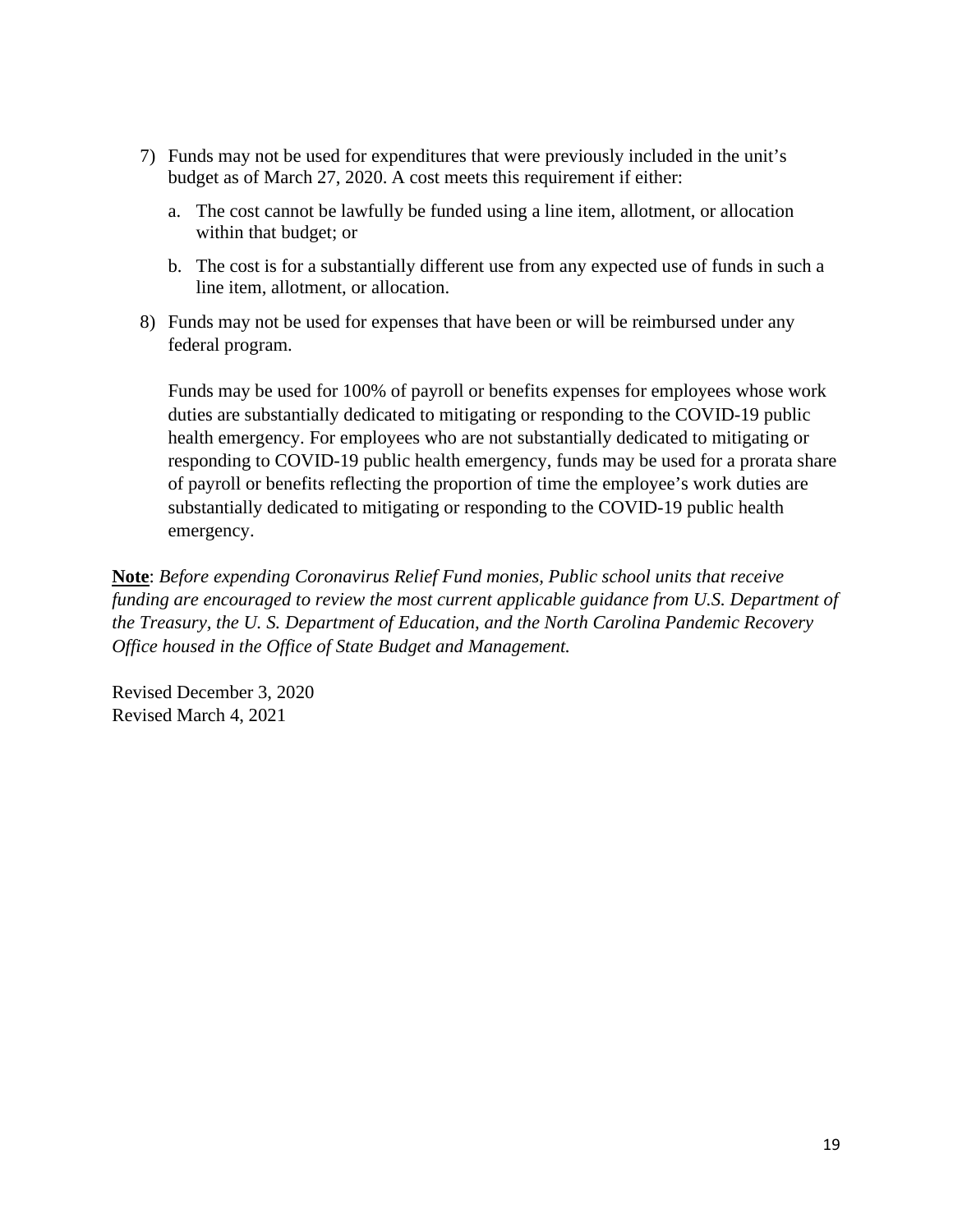- 7) Funds may not be used for expenditures that were previously included in the unit's budget as of March 27, 2020. A cost meets this requirement if either:
	- a. The cost cannot be lawfully be funded using a line item, allotment, or allocation within that budget; or
	- b. The cost is for a substantially different use from any expected use of funds in such a line item, allotment, or allocation.
- 8) Funds may not be used for expenses that have been or will be reimbursed under any federal program.

Funds may be used for 100% of payroll or benefits expenses for employees whose work duties are substantially dedicated to mitigating or responding to the COVID-19 public health emergency. For employees who are not substantially dedicated to mitigating or responding to COVID-19 public health emergency, funds may be used for a prorata share of payroll or benefits reflecting the proportion of time the employee's work duties are substantially dedicated to mitigating or responding to the COVID-19 public health emergency.

**Note**: *Before expending Coronavirus Relief Fund monies, Public school units that receive funding are encouraged to review the most current applicable guidance from U.S. Department of the Treasury, the U. S. Department of Education, and the North Carolina Pandemic Recovery Office housed in the Office of State Budget and Management.* 

Revised December 3, 2020 Revised March 4, 2021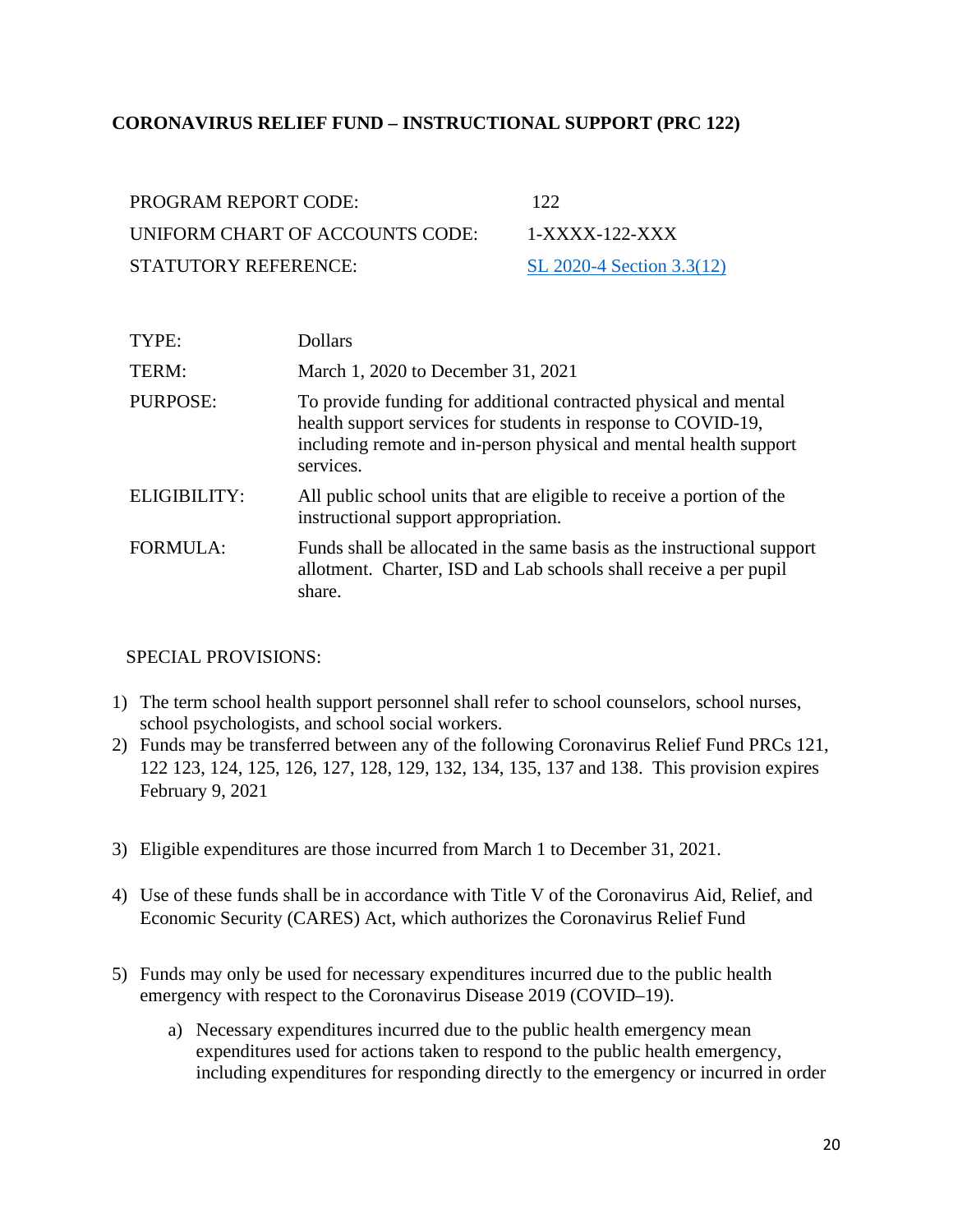#### <span id="page-19-0"></span>**CORONAVIRUS RELIEF FUND – INSTRUCTIONAL SUPPORT (PRC 122)**

| PROGRAM REPORT CODE:            | 122                       |
|---------------------------------|---------------------------|
| UNIFORM CHART OF ACCOUNTS CODE: | $1-XXXX-122-XXX$          |
| STATUTORY REFERENCE:            | SL 2020-4 Section 3.3(12) |

| TYPE:        | Dollars                                                                                                                                                                                                             |
|--------------|---------------------------------------------------------------------------------------------------------------------------------------------------------------------------------------------------------------------|
| TERM:        | March 1, 2020 to December 31, 2021                                                                                                                                                                                  |
| PURPOSE:     | To provide funding for additional contracted physical and mental<br>health support services for students in response to COVID-19,<br>including remote and in-person physical and mental health support<br>services. |
| ELIGIBILITY: | All public school units that are eligible to receive a portion of the<br>instructional support appropriation.                                                                                                       |
| FORMULA:     | Funds shall be allocated in the same basis as the instructional support<br>allotment. Charter, ISD and Lab schools shall receive a per pupil<br>share.                                                              |

- 1) The term school health support personnel shall refer to school counselors, school nurses, school psychologists, and school social workers.
- 2) Funds may be transferred between any of the following Coronavirus Relief Fund PRCs 121, 122 123, 124, 125, 126, 127, 128, 129, 132, 134, 135, 137 and 138. This provision expires February 9, 2021
- 3) Eligible expenditures are those incurred from March 1 to December 31, 2021.
- 4) Use of these funds shall be in accordance with Title V of the Coronavirus Aid, Relief, and Economic Security (CARES) Act, which authorizes the Coronavirus Relief Fund
- 5) Funds may only be used for necessary expenditures incurred due to the public health emergency with respect to the Coronavirus Disease 2019 (COVID–19).
	- a) Necessary expenditures incurred due to the public health emergency mean expenditures used for actions taken to respond to the public health emergency, including expenditures for responding directly to the emergency or incurred in order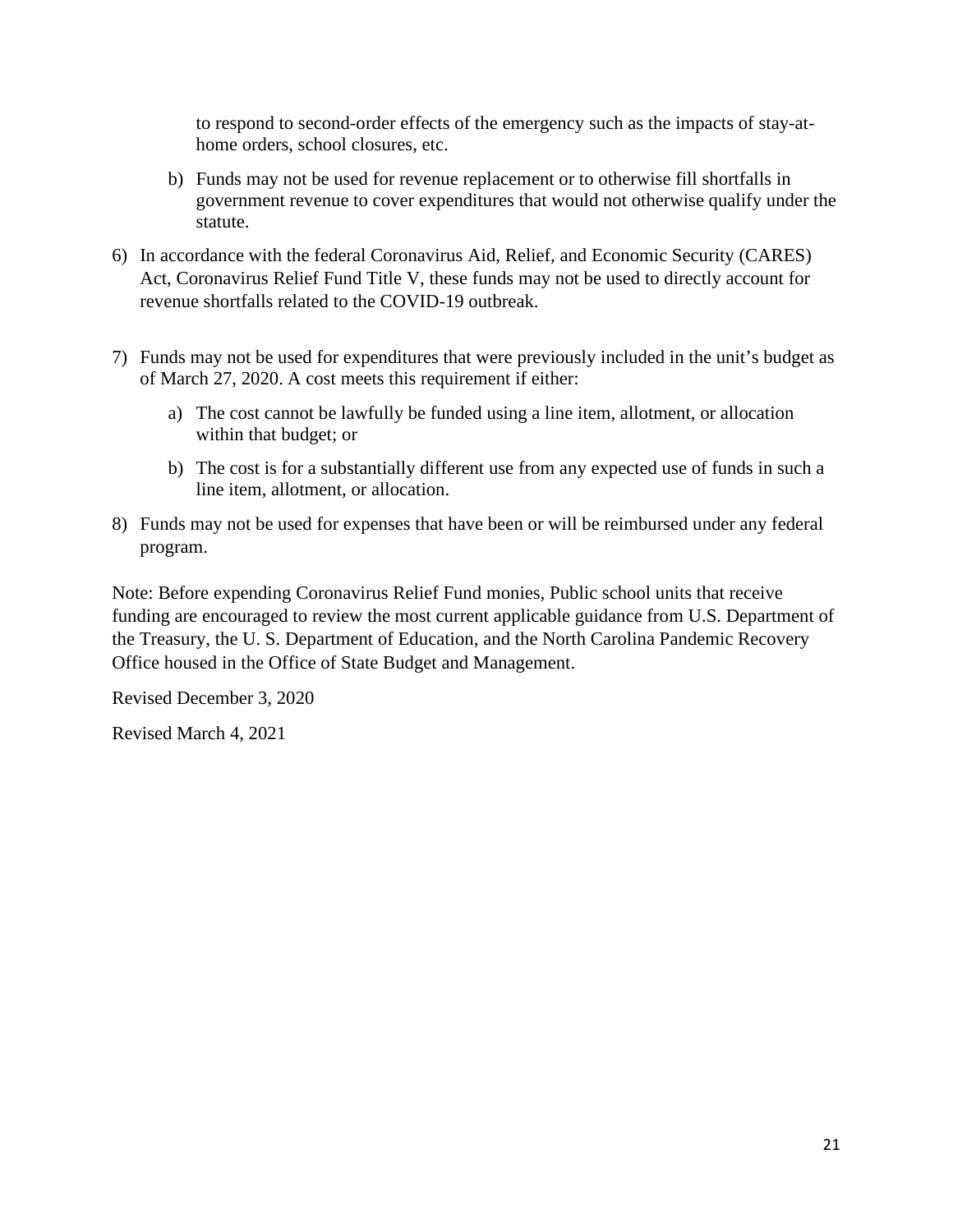to respond to second-order effects of the emergency such as the impacts of stay-athome orders, school closures, etc.

- b) Funds may not be used for revenue replacement or to otherwise fill shortfalls in government revenue to cover expenditures that would not otherwise qualify under the statute.
- 6) In accordance with the federal Coronavirus Aid, Relief, and Economic Security (CARES) Act, Coronavirus Relief Fund Title V, these funds may not be used to directly account for revenue shortfalls related to the COVID-19 outbreak.
- 7) Funds may not be used for expenditures that were previously included in the unit's budget as of March 27, 2020. A cost meets this requirement if either:
	- a) The cost cannot be lawfully be funded using a line item, allotment, or allocation within that budget; or
	- b) The cost is for a substantially different use from any expected use of funds in such a line item, allotment, or allocation.
- 8) Funds may not be used for expenses that have been or will be reimbursed under any federal program.

Note: Before expending Coronavirus Relief Fund monies, Public school units that receive funding are encouraged to review the most current applicable guidance from U.S. Department of the Treasury, the U. S. Department of Education, and the North Carolina Pandemic Recovery Office housed in the Office of State Budget and Management.

Revised December 3, 2020

Revised March 4, 2021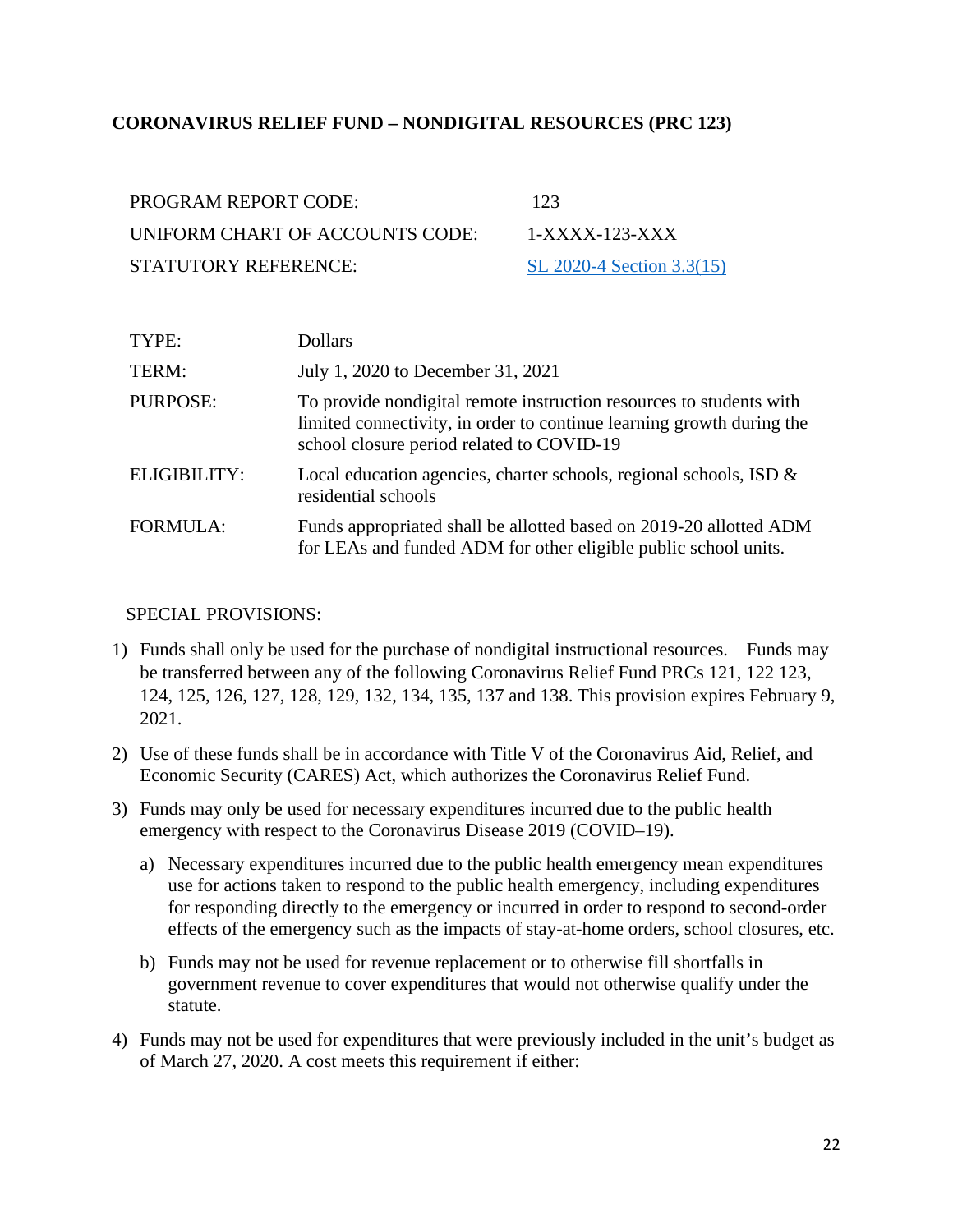#### <span id="page-21-0"></span>**CORONAVIRUS RELIEF FUND – NONDIGITAL RESOURCES (PRC 123)**

| PROGRAM REPORT CODE:            | 123                       |
|---------------------------------|---------------------------|
| UNIFORM CHART OF ACCOUNTS CODE: | $1-XXXX-123-XXX$          |
| STATUTORY REFERENCE:            | SL 2020-4 Section 3.3(15) |

| TYPE:           | <b>Dollars</b>                                                                                                                                                                            |
|-----------------|-------------------------------------------------------------------------------------------------------------------------------------------------------------------------------------------|
| TERM:           | July 1, 2020 to December 31, 2021                                                                                                                                                         |
| PURPOSE:        | To provide nondigital remote instruction resources to students with<br>limited connectivity, in order to continue learning growth during the<br>school closure period related to COVID-19 |
| ELIGIBILITY:    | Local education agencies, charter schools, regional schools, ISD $\&$<br>residential schools                                                                                              |
| <b>FORMULA:</b> | Funds appropriated shall be allotted based on 2019-20 allotted ADM<br>for LEAs and funded ADM for other eligible public school units.                                                     |

- 1) Funds shall only be used for the purchase of nondigital instructional resources. Funds may be transferred between any of the following Coronavirus Relief Fund PRCs 121, 122 123, 124, 125, 126, 127, 128, 129, 132, 134, 135, 137 and 138. This provision expires February 9, 2021.
- 2) Use of these funds shall be in accordance with Title V of the Coronavirus Aid, Relief, and Economic Security (CARES) Act, which authorizes the Coronavirus Relief Fund.
- 3) Funds may only be used for necessary expenditures incurred due to the public health emergency with respect to the Coronavirus Disease 2019 (COVID–19).
	- a) Necessary expenditures incurred due to the public health emergency mean expenditures use for actions taken to respond to the public health emergency, including expenditures for responding directly to the emergency or incurred in order to respond to second-order effects of the emergency such as the impacts of stay-at-home orders, school closures, etc.
	- b) Funds may not be used for revenue replacement or to otherwise fill shortfalls in government revenue to cover expenditures that would not otherwise qualify under the statute.
- 4) Funds may not be used for expenditures that were previously included in the unit's budget as of March 27, 2020. A cost meets this requirement if either: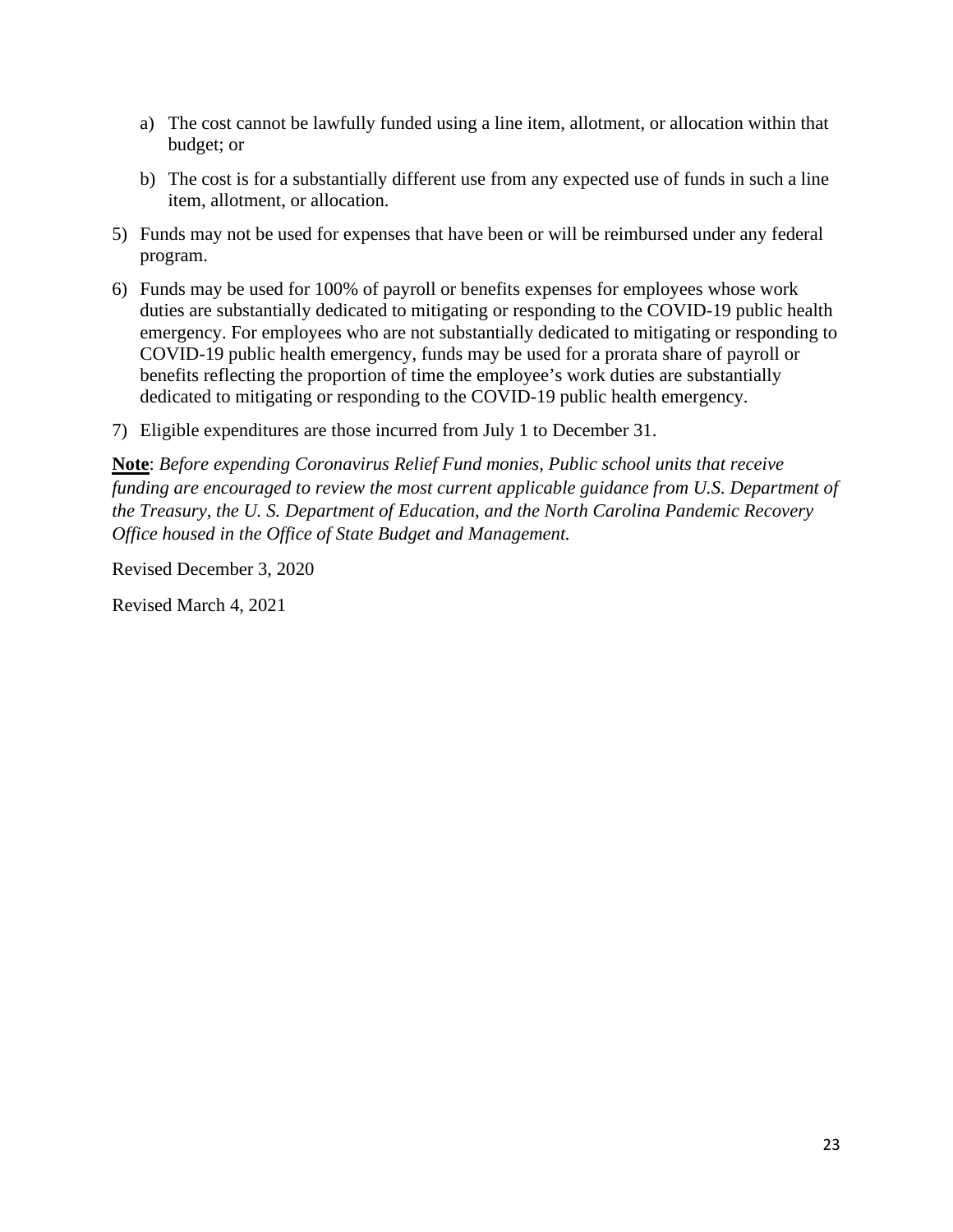- a) The cost cannot be lawfully funded using a line item, allotment, or allocation within that budget; or
- b) The cost is for a substantially different use from any expected use of funds in such a line item, allotment, or allocation.
- 5) Funds may not be used for expenses that have been or will be reimbursed under any federal program.
- 6) Funds may be used for 100% of payroll or benefits expenses for employees whose work duties are substantially dedicated to mitigating or responding to the COVID-19 public health emergency. For employees who are not substantially dedicated to mitigating or responding to COVID-19 public health emergency, funds may be used for a prorata share of payroll or benefits reflecting the proportion of time the employee's work duties are substantially dedicated to mitigating or responding to the COVID-19 public health emergency.
- 7) Eligible expenditures are those incurred from July 1 to December 31.

**Note**: *Before expending Coronavirus Relief Fund monies, Public school units that receive funding are encouraged to review the most current applicable guidance from U.S. Department of the Treasury, the U. S. Department of Education, and the North Carolina Pandemic Recovery Office housed in the Office of State Budget and Management.* 

Revised December 3, 2020

Revised March 4, 2021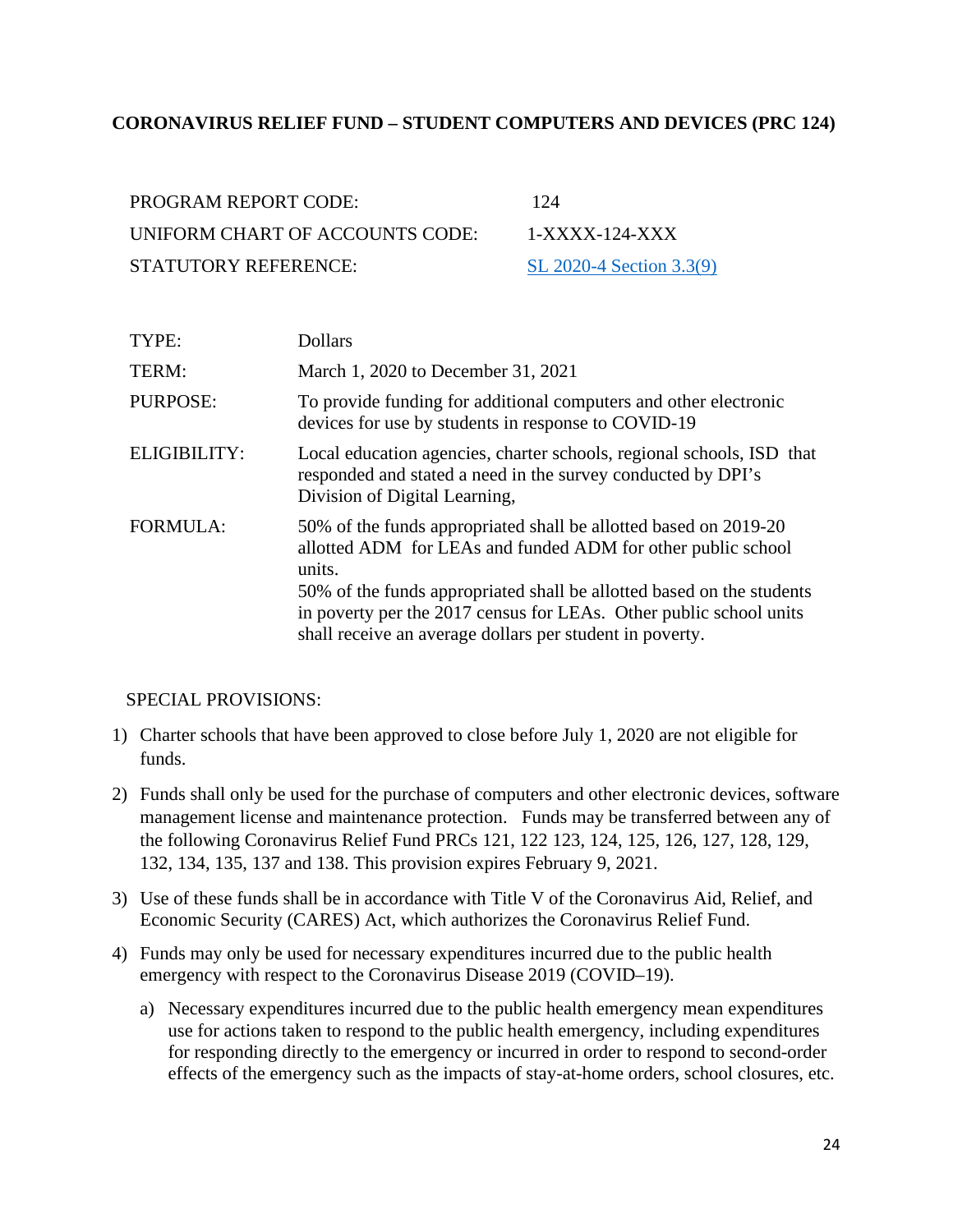#### <span id="page-23-0"></span>**CORONAVIRUS RELIEF FUND – STUDENT COMPUTERS AND DEVICES (PRC 124)**

| PROGRAM REPORT CODE:            | 124                      |
|---------------------------------|--------------------------|
| UNIFORM CHART OF ACCOUNTS CODE: | $1-XXXX-124-XXX$         |
| STATUTORY REFERENCE:            | SL 2020-4 Section 3.3(9) |

| TYPE:               | <b>Dollars</b>                                                                                                                                                                                                                                                                                                                                        |
|---------------------|-------------------------------------------------------------------------------------------------------------------------------------------------------------------------------------------------------------------------------------------------------------------------------------------------------------------------------------------------------|
| TERM:               | March 1, 2020 to December 31, 2021                                                                                                                                                                                                                                                                                                                    |
| <b>PURPOSE:</b>     | To provide funding for additional computers and other electronic<br>devices for use by students in response to COVID-19                                                                                                                                                                                                                               |
| <b>ELIGIBILITY:</b> | Local education agencies, charter schools, regional schools, ISD that<br>responded and stated a need in the survey conducted by DPI's<br>Division of Digital Learning,                                                                                                                                                                                |
| <b>FORMULA:</b>     | 50% of the funds appropriated shall be allotted based on 2019-20<br>allotted ADM for LEAs and funded ADM for other public school<br>units.<br>50% of the funds appropriated shall be allotted based on the students<br>in poverty per the 2017 census for LEAs. Other public school units<br>shall receive an average dollars per student in poverty. |

- 1) Charter schools that have been approved to close before July 1, 2020 are not eligible for funds.
- 2) Funds shall only be used for the purchase of computers and other electronic devices, software management license and maintenance protection. Funds may be transferred between any of the following Coronavirus Relief Fund PRCs 121, 122 123, 124, 125, 126, 127, 128, 129, 132, 134, 135, 137 and 138. This provision expires February 9, 2021.
- 3) Use of these funds shall be in accordance with Title V of the Coronavirus Aid, Relief, and Economic Security (CARES) Act, which authorizes the Coronavirus Relief Fund.
- 4) Funds may only be used for necessary expenditures incurred due to the public health emergency with respect to the Coronavirus Disease 2019 (COVID–19).
	- a) Necessary expenditures incurred due to the public health emergency mean expenditures use for actions taken to respond to the public health emergency, including expenditures for responding directly to the emergency or incurred in order to respond to second-order effects of the emergency such as the impacts of stay-at-home orders, school closures, etc.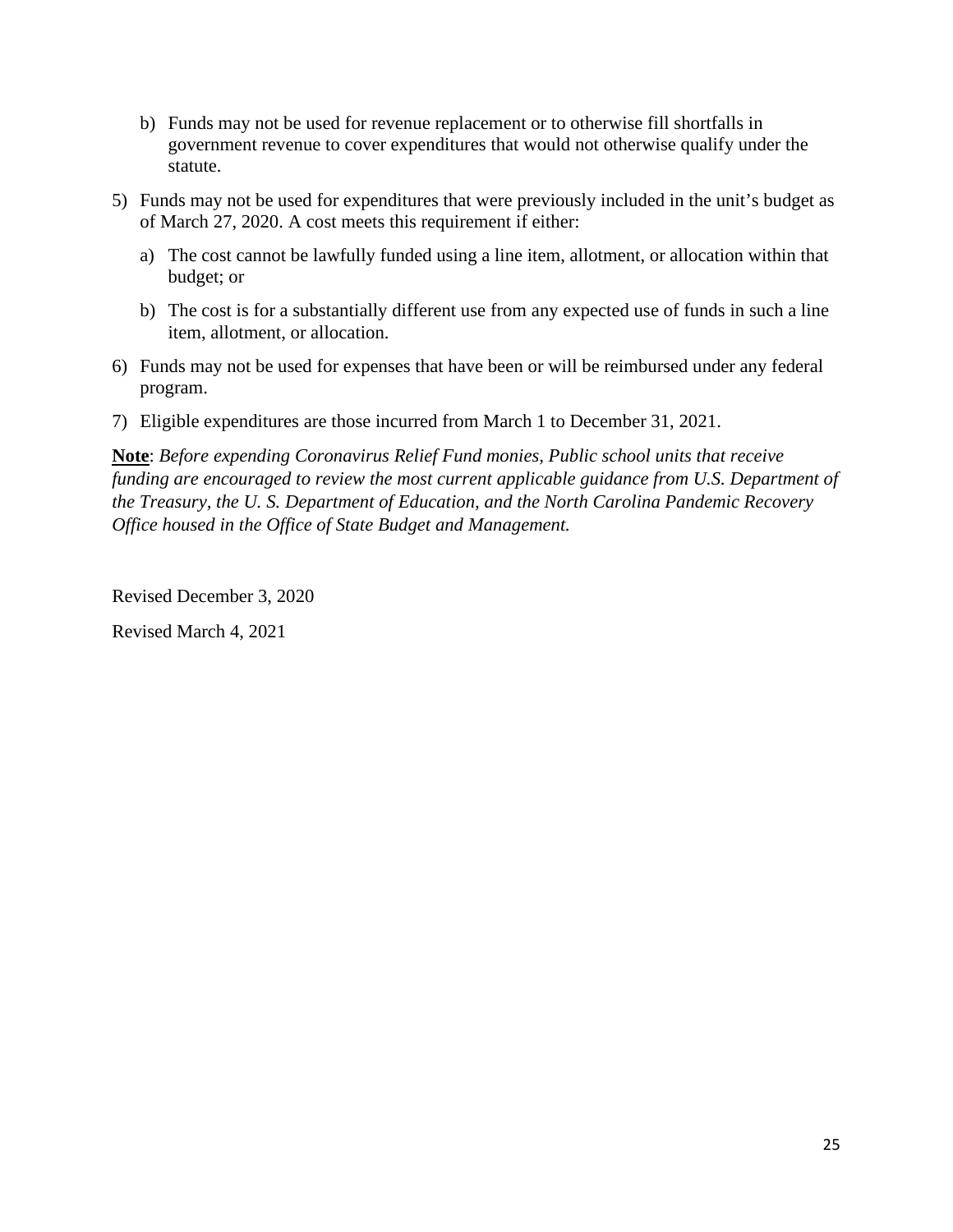- b) Funds may not be used for revenue replacement or to otherwise fill shortfalls in government revenue to cover expenditures that would not otherwise qualify under the statute.
- 5) Funds may not be used for expenditures that were previously included in the unit's budget as of March 27, 2020. A cost meets this requirement if either:
	- a) The cost cannot be lawfully funded using a line item, allotment, or allocation within that budget; or
	- b) The cost is for a substantially different use from any expected use of funds in such a line item, allotment, or allocation.
- 6) Funds may not be used for expenses that have been or will be reimbursed under any federal program.
- 7) Eligible expenditures are those incurred from March 1 to December 31, 2021.

**Note**: *Before expending Coronavirus Relief Fund monies, Public school units that receive funding are encouraged to review the most current applicable guidance from U.S. Department of the Treasury, the U. S. Department of Education, and the North Carolina Pandemic Recovery Office housed in the Office of State Budget and Management.* 

Revised December 3, 2020

Revised March 4, 2021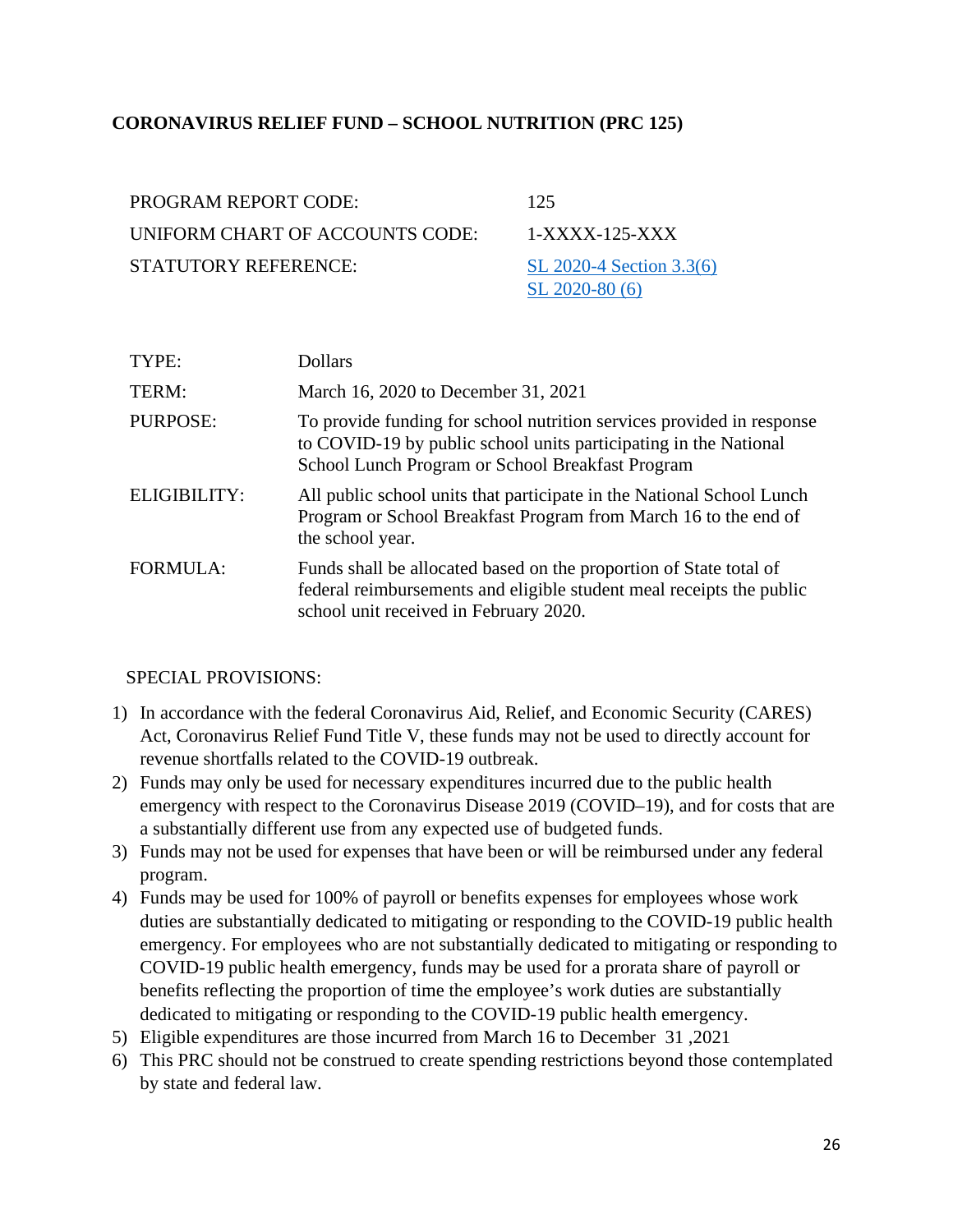### <span id="page-25-0"></span>**CORONAVIRUS RELIEF FUND – SCHOOL NUTRITION (PRC 125)**

| <b>PROGRAM REPORT CODE:</b>     | 125                      |
|---------------------------------|--------------------------|
| UNIFORM CHART OF ACCOUNTS CODE: | $1-XXXX-125-XXX$         |
| <b>STATUTORY REFERENCE:</b>     | SL 2020-4 Section 3.3(6) |
|                                 | $SL$ 2020-80 (6)         |

| TYPE:               | <b>Dollars</b>                                                                                                                                                                                |
|---------------------|-----------------------------------------------------------------------------------------------------------------------------------------------------------------------------------------------|
| TERM:               | March 16, 2020 to December 31, 2021                                                                                                                                                           |
| PURPOSE:            | To provide funding for school nutrition services provided in response<br>to COVID-19 by public school units participating in the National<br>School Lunch Program or School Breakfast Program |
| <b>ELIGIBILITY:</b> | All public school units that participate in the National School Lunch<br>Program or School Breakfast Program from March 16 to the end of<br>the school year.                                  |
| <b>FORMULA:</b>     | Funds shall be allocated based on the proportion of State total of<br>federal reimbursements and eligible student meal receipts the public<br>school unit received in February 2020.          |

- 1) In accordance with the federal Coronavirus Aid, Relief, and Economic Security (CARES) Act, Coronavirus Relief Fund Title V, these funds may not be used to directly account for revenue shortfalls related to the COVID-19 outbreak.
- 2) Funds may only be used for necessary expenditures incurred due to the public health emergency with respect to the Coronavirus Disease 2019 (COVID–19), and for costs that are a substantially different use from any expected use of budgeted funds.
- 3) Funds may not be used for expenses that have been or will be reimbursed under any federal program.
- 4) Funds may be used for 100% of payroll or benefits expenses for employees whose work duties are substantially dedicated to mitigating or responding to the COVID-19 public health emergency. For employees who are not substantially dedicated to mitigating or responding to COVID-19 public health emergency, funds may be used for a prorata share of payroll or benefits reflecting the proportion of time the employee's work duties are substantially dedicated to mitigating or responding to the COVID-19 public health emergency.
- 5) Eligible expenditures are those incurred from March 16 to December 31 ,2021
- 6) This PRC should not be construed to create spending restrictions beyond those contemplated by state and federal law.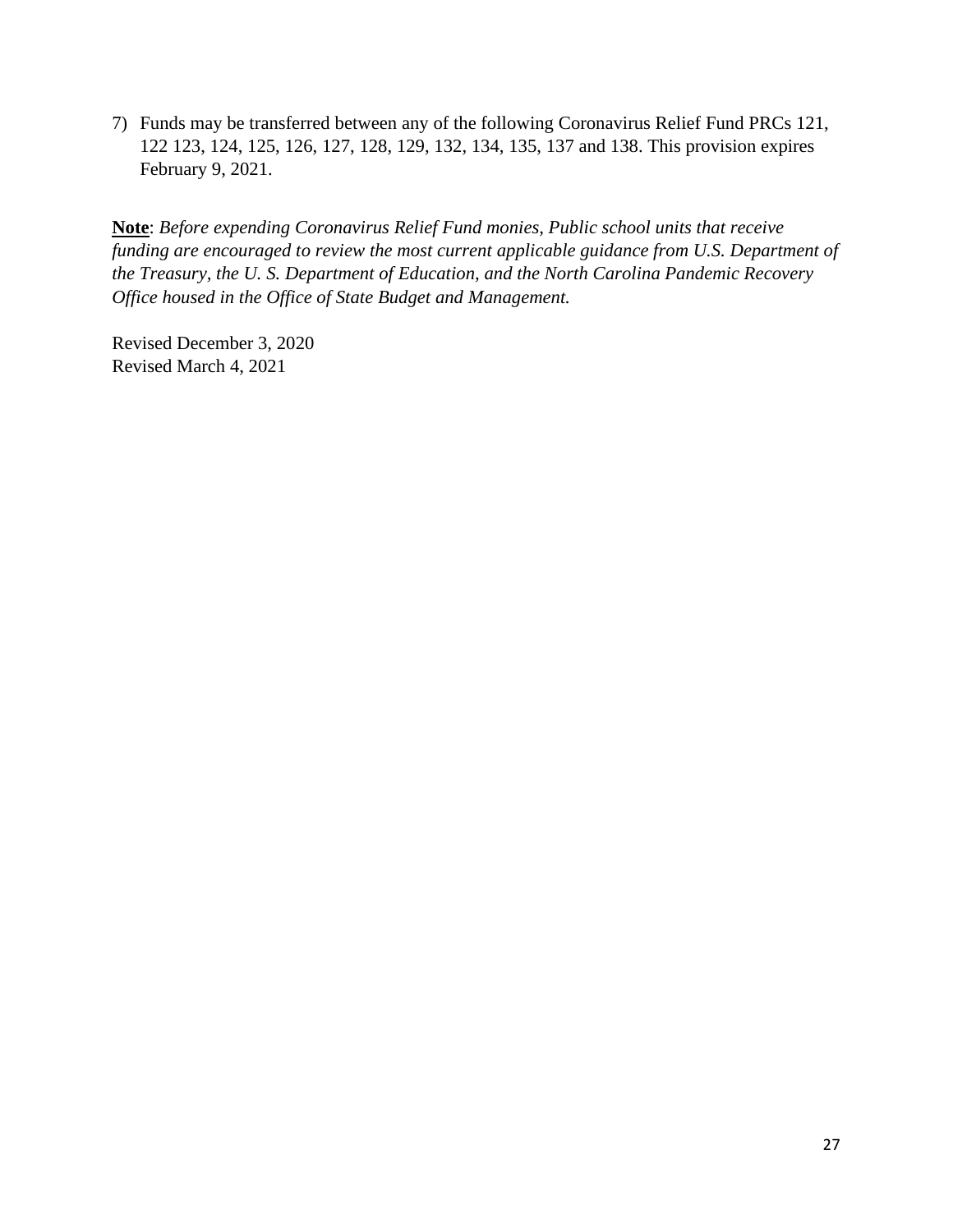7) Funds may be transferred between any of the following Coronavirus Relief Fund PRCs 121, 122 123, 124, 125, 126, 127, 128, 129, 132, 134, 135, 137 and 138. This provision expires February 9, 2021.

**Note**: *Before expending Coronavirus Relief Fund monies, Public school units that receive funding are encouraged to review the most current applicable guidance from U.S. Department of the Treasury, the U. S. Department of Education, and the North Carolina Pandemic Recovery Office housed in the Office of State Budget and Management.*

Revised December 3, 2020 Revised March 4, 2021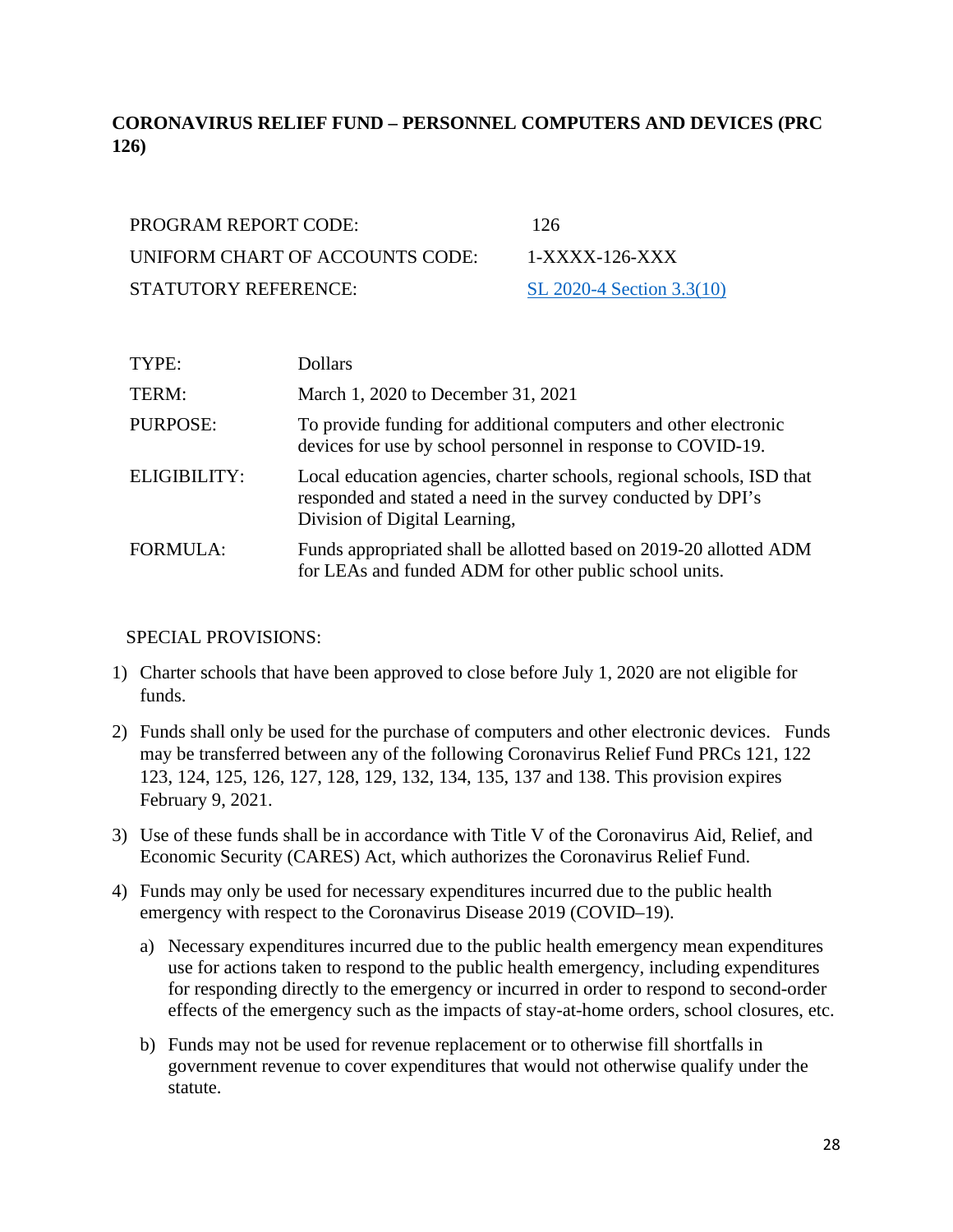# <span id="page-27-0"></span>**CORONAVIRUS RELIEF FUND – PERSONNEL COMPUTERS AND DEVICES (PRC 126)**

| <b>PROGRAM REPORT CODE:</b>     | 126             |
|---------------------------------|-----------------|
| UNIFORM CHART OF ACCOUNTS CODE: | $1-X$           |
| <b>STATUTORY REFERENCE:</b>     | SL <sub>2</sub> |

1-XXXX-126-XXX [SL 2020-4 Section 3.3\(10\)](https://www.ncleg.gov/Sessions/2019/Bills/House/PDF/H1043v7.pdf)

| TYPE:               | Dollars                                                                                                                                                                |
|---------------------|------------------------------------------------------------------------------------------------------------------------------------------------------------------------|
| TERM:               | March 1, 2020 to December 31, 2021                                                                                                                                     |
| PURPOSE:            | To provide funding for additional computers and other electronic<br>devices for use by school personnel in response to COVID-19.                                       |
| <b>ELIGIBILITY:</b> | Local education agencies, charter schools, regional schools, ISD that<br>responded and stated a need in the survey conducted by DPI's<br>Division of Digital Learning, |
| <b>FORMULA:</b>     | Funds appropriated shall be allotted based on 2019-20 allotted ADM<br>for LEAs and funded ADM for other public school units.                                           |

- 1) Charter schools that have been approved to close before July 1, 2020 are not eligible for funds.
- 2) Funds shall only be used for the purchase of computers and other electronic devices. Funds may be transferred between any of the following Coronavirus Relief Fund PRCs 121, 122 123, 124, 125, 126, 127, 128, 129, 132, 134, 135, 137 and 138. This provision expires February 9, 2021.
- 3) Use of these funds shall be in accordance with Title V of the Coronavirus Aid, Relief, and Economic Security (CARES) Act, which authorizes the Coronavirus Relief Fund.
- 4) Funds may only be used for necessary expenditures incurred due to the public health emergency with respect to the Coronavirus Disease 2019 (COVID–19).
	- a) Necessary expenditures incurred due to the public health emergency mean expenditures use for actions taken to respond to the public health emergency, including expenditures for responding directly to the emergency or incurred in order to respond to second-order effects of the emergency such as the impacts of stay-at-home orders, school closures, etc.
	- b) Funds may not be used for revenue replacement or to otherwise fill shortfalls in government revenue to cover expenditures that would not otherwise qualify under the statute.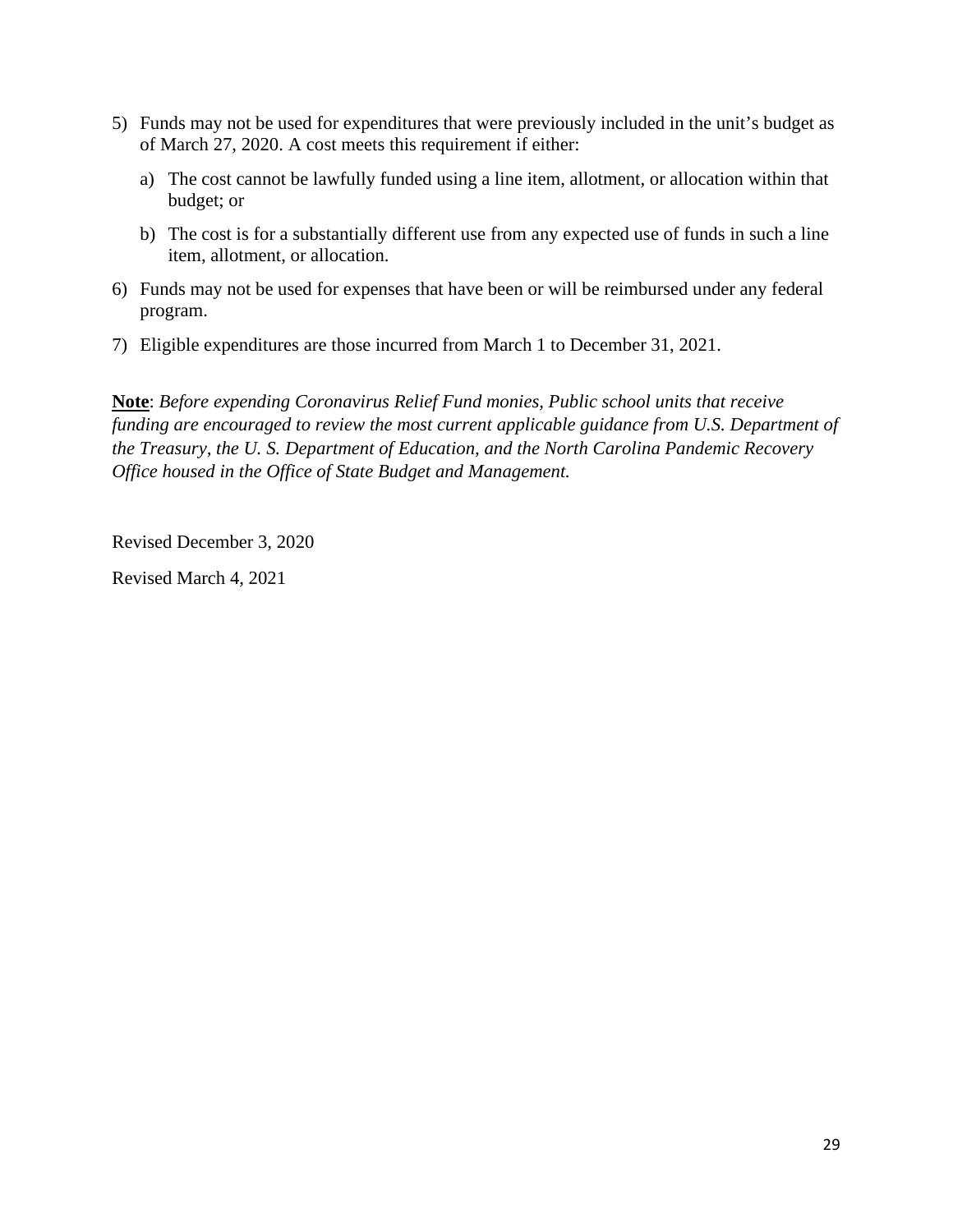- 5) Funds may not be used for expenditures that were previously included in the unit's budget as of March 27, 2020. A cost meets this requirement if either:
	- a) The cost cannot be lawfully funded using a line item, allotment, or allocation within that budget; or
	- b) The cost is for a substantially different use from any expected use of funds in such a line item, allotment, or allocation.
- 6) Funds may not be used for expenses that have been or will be reimbursed under any federal program.
- 7) Eligible expenditures are those incurred from March 1 to December 31, 2021.

**Note**: *Before expending Coronavirus Relief Fund monies, Public school units that receive funding are encouraged to review the most current applicable guidance from U.S. Department of the Treasury, the U. S. Department of Education, and the North Carolina Pandemic Recovery Office housed in the Office of State Budget and Management.* 

Revised December 3, 2020

Revised March 4, 2021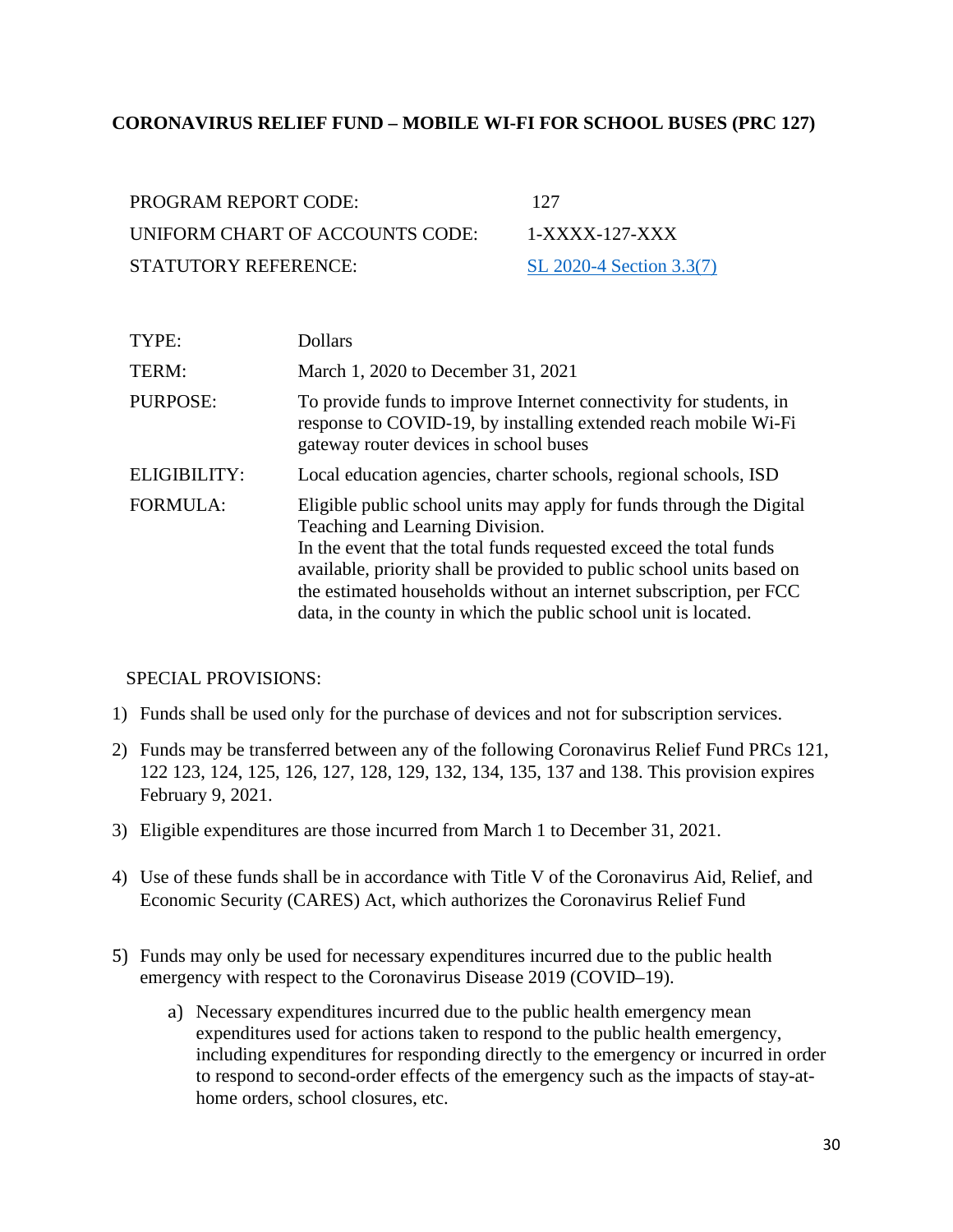#### <span id="page-29-0"></span>**CORONAVIRUS RELIEF FUND – MOBILE WI-FI FOR SCHOOL BUSES (PRC 127)**

| PROGRAM REPORT CODE:            | 127                      |
|---------------------------------|--------------------------|
| UNIFORM CHART OF ACCOUNTS CODE: | 1-XXXX-127-XXX           |
| STATUTORY REFERENCE:            | SL 2020-4 Section 3.3(7) |

| TYPE:           | <b>Dollars</b>                                                                                                                                                                                                                                                                                                                                                                                  |
|-----------------|-------------------------------------------------------------------------------------------------------------------------------------------------------------------------------------------------------------------------------------------------------------------------------------------------------------------------------------------------------------------------------------------------|
| TERM:           | March 1, 2020 to December 31, 2021                                                                                                                                                                                                                                                                                                                                                              |
| <b>PURPOSE:</b> | To provide funds to improve Internet connectivity for students, in<br>response to COVID-19, by installing extended reach mobile Wi-Fi<br>gateway router devices in school buses                                                                                                                                                                                                                 |
| ELIGIBILITY:    | Local education agencies, charter schools, regional schools, ISD                                                                                                                                                                                                                                                                                                                                |
| <b>FORMULA:</b> | Eligible public school units may apply for funds through the Digital<br>Teaching and Learning Division.<br>In the event that the total funds requested exceed the total funds<br>available, priority shall be provided to public school units based on<br>the estimated households without an internet subscription, per FCC<br>data, in the county in which the public school unit is located. |

- 1) Funds shall be used only for the purchase of devices and not for subscription services.
- 2) Funds may be transferred between any of the following Coronavirus Relief Fund PRCs 121, 122 123, 124, 125, 126, 127, 128, 129, 132, 134, 135, 137 and 138. This provision expires February 9, 2021.
- 3) Eligible expenditures are those incurred from March 1 to December 31, 2021.
- 4) Use of these funds shall be in accordance with Title V of the Coronavirus Aid, Relief, and Economic Security (CARES) Act, which authorizes the Coronavirus Relief Fund
- 5) Funds may only be used for necessary expenditures incurred due to the public health emergency with respect to the Coronavirus Disease 2019 (COVID–19).
	- a) Necessary expenditures incurred due to the public health emergency mean expenditures used for actions taken to respond to the public health emergency, including expenditures for responding directly to the emergency or incurred in order to respond to second-order effects of the emergency such as the impacts of stay-athome orders, school closures, etc.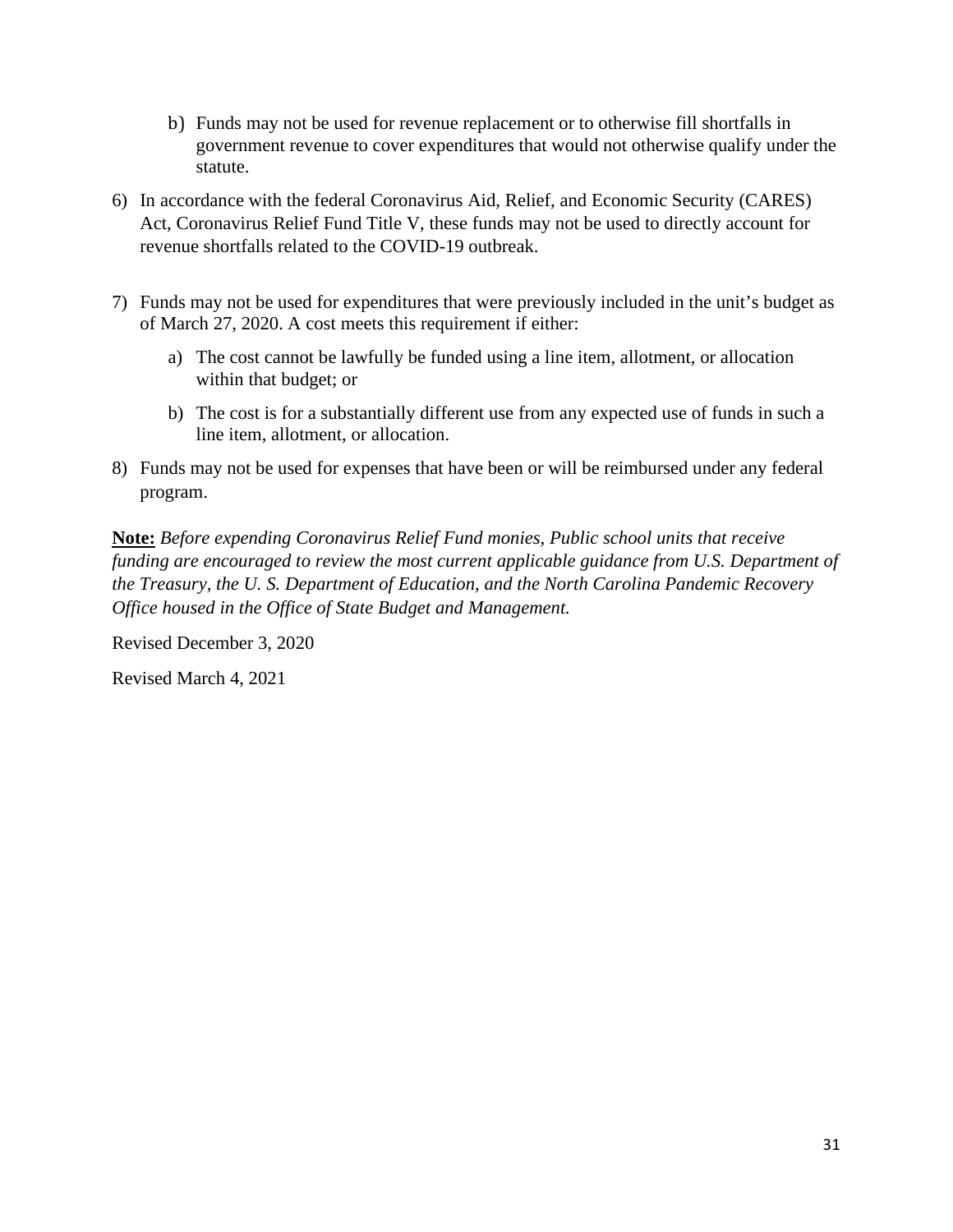- b) Funds may not be used for revenue replacement or to otherwise fill shortfalls in government revenue to cover expenditures that would not otherwise qualify under the statute.
- 6) In accordance with the federal Coronavirus Aid, Relief, and Economic Security (CARES) Act, Coronavirus Relief Fund Title V, these funds may not be used to directly account for revenue shortfalls related to the COVID-19 outbreak.
- 7) Funds may not be used for expenditures that were previously included in the unit's budget as of March 27, 2020. A cost meets this requirement if either:
	- a) The cost cannot be lawfully be funded using a line item, allotment, or allocation within that budget; or
	- b) The cost is for a substantially different use from any expected use of funds in such a line item, allotment, or allocation.
- 8) Funds may not be used for expenses that have been or will be reimbursed under any federal program.

**Note:** *Before expending Coronavirus Relief Fund monies, Public school units that receive funding are encouraged to review the most current applicable guidance from U.S. Department of the Treasury, the U. S. Department of Education, and the North Carolina Pandemic Recovery Office housed in the Office of State Budget and Management.* 

Revised December 3, 2020

Revised March 4, 2021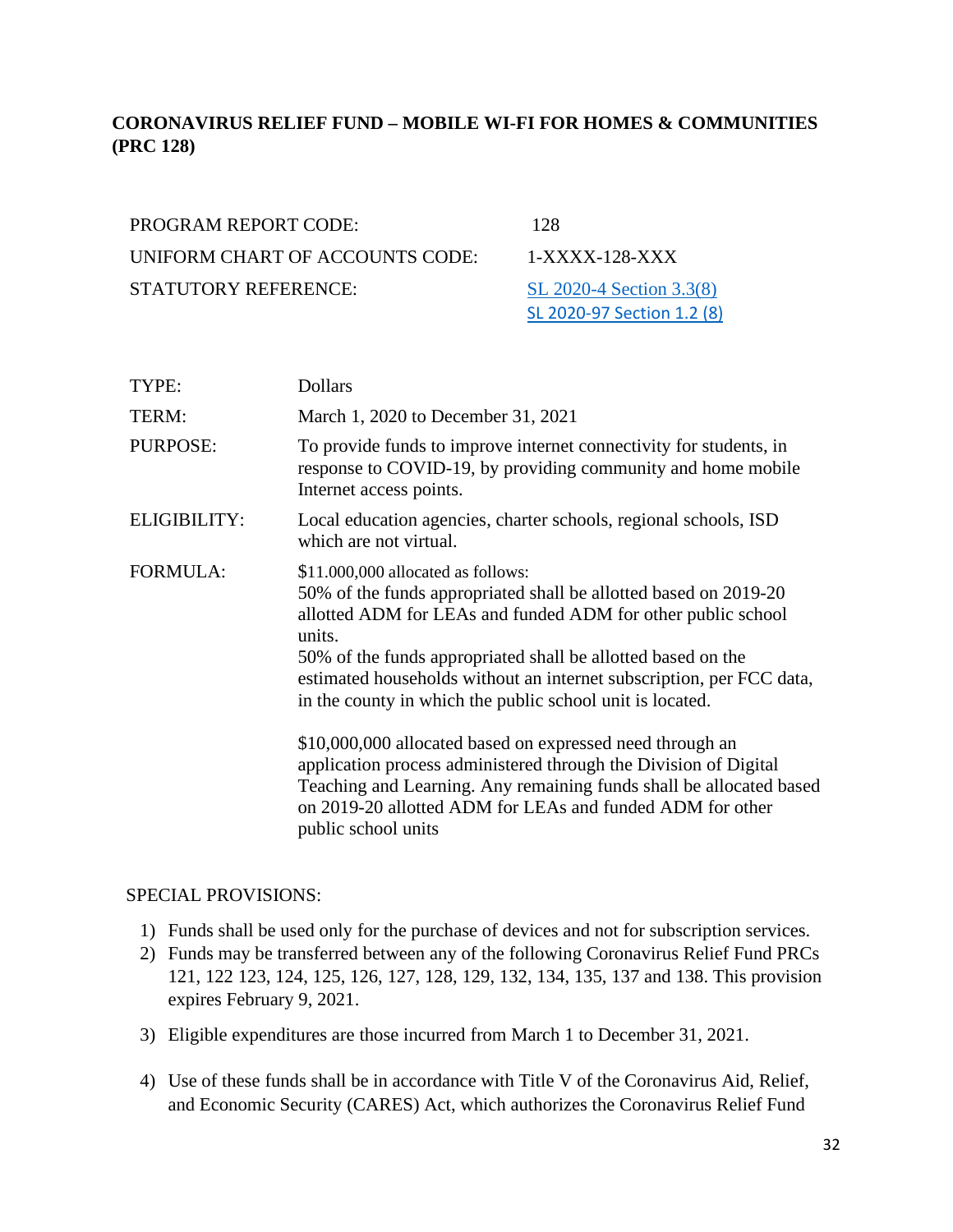## <span id="page-31-0"></span>**CORONAVIRUS RELIEF FUND – MOBILE WI-FI FOR HOMES & COMMUNITIES (PRC 128)**

| <b>PROGRAM REPORT CODE:</b>     | 128             |
|---------------------------------|-----------------|
| UNIFORM CHART OF ACCOUNTS CODE: | $1-X$           |
| <b>STATUTORY REFERENCE:</b>     | SL <sub>2</sub> |

 $1-XXXX-128-XXX$ [SL 2020-4 Section 3.3\(8\)](https://www.ncleg.gov/Sessions/2019/Bills/House/PDF/H1043v7.pdf) SL 2020-97 Section 1.2 (8)

| TYPE:               | <b>Dollars</b>                                                                                                                                                                                                                                                                                                                                                                        |
|---------------------|---------------------------------------------------------------------------------------------------------------------------------------------------------------------------------------------------------------------------------------------------------------------------------------------------------------------------------------------------------------------------------------|
| TERM:               | March 1, 2020 to December 31, 2021                                                                                                                                                                                                                                                                                                                                                    |
| PURPOSE:            | To provide funds to improve internet connectivity for students, in<br>response to COVID-19, by providing community and home mobile<br>Internet access points.                                                                                                                                                                                                                         |
| <b>ELIGIBILITY:</b> | Local education agencies, charter schools, regional schools, ISD<br>which are not virtual.                                                                                                                                                                                                                                                                                            |
| <b>FORMULA:</b>     | \$11.000,000 allocated as follows:<br>50% of the funds appropriated shall be allotted based on 2019-20<br>allotted ADM for LEAs and funded ADM for other public school<br>units.<br>50% of the funds appropriated shall be allotted based on the<br>estimated households without an internet subscription, per FCC data,<br>in the county in which the public school unit is located. |
|                     | \$10,000,000 allocated based on expressed need through an<br>application process administered through the Division of Digital<br>Teaching and Learning. Any remaining funds shall be allocated based<br>on 2019-20 allotted ADM for LEAs and funded ADM for other<br>public school units                                                                                              |

- 1) Funds shall be used only for the purchase of devices and not for subscription services.
- 2) Funds may be transferred between any of the following Coronavirus Relief Fund PRCs 121, 122 123, 124, 125, 126, 127, 128, 129, 132, 134, 135, 137 and 138. This provision expires February 9, 2021.
- 3) Eligible expenditures are those incurred from March 1 to December 31, 2021.
- 4) Use of these funds shall be in accordance with Title V of the Coronavirus Aid, Relief, and Economic Security (CARES) Act, which authorizes the Coronavirus Relief Fund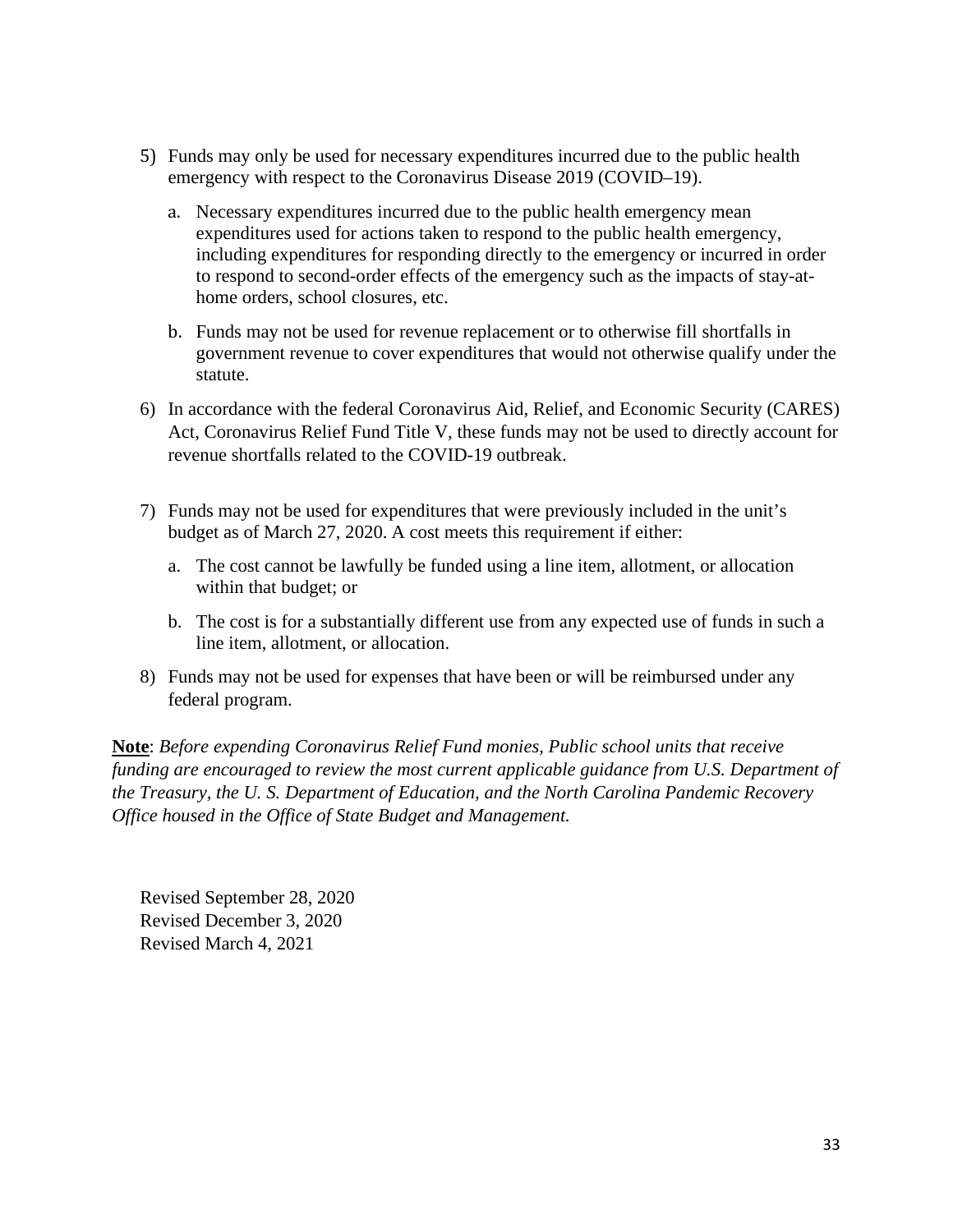- 5) Funds may only be used for necessary expenditures incurred due to the public health emergency with respect to the Coronavirus Disease 2019 (COVID–19).
	- a. Necessary expenditures incurred due to the public health emergency mean expenditures used for actions taken to respond to the public health emergency, including expenditures for responding directly to the emergency or incurred in order to respond to second-order effects of the emergency such as the impacts of stay-athome orders, school closures, etc.
	- b. Funds may not be used for revenue replacement or to otherwise fill shortfalls in government revenue to cover expenditures that would not otherwise qualify under the statute.
- 6) In accordance with the federal Coronavirus Aid, Relief, and Economic Security (CARES) Act, Coronavirus Relief Fund Title V, these funds may not be used to directly account for revenue shortfalls related to the COVID-19 outbreak.
- 7) Funds may not be used for expenditures that were previously included in the unit's budget as of March 27, 2020. A cost meets this requirement if either:
	- a. The cost cannot be lawfully be funded using a line item, allotment, or allocation within that budget; or
	- b. The cost is for a substantially different use from any expected use of funds in such a line item, allotment, or allocation.
- 8) Funds may not be used for expenses that have been or will be reimbursed under any federal program.

**Note**: *Before expending Coronavirus Relief Fund monies, Public school units that receive funding are encouraged to review the most current applicable guidance from U.S. Department of the Treasury, the U. S. Department of Education, and the North Carolina Pandemic Recovery Office housed in the Office of State Budget and Management.* 

Revised September 28, 2020 Revised December 3, 2020 Revised March 4, 2021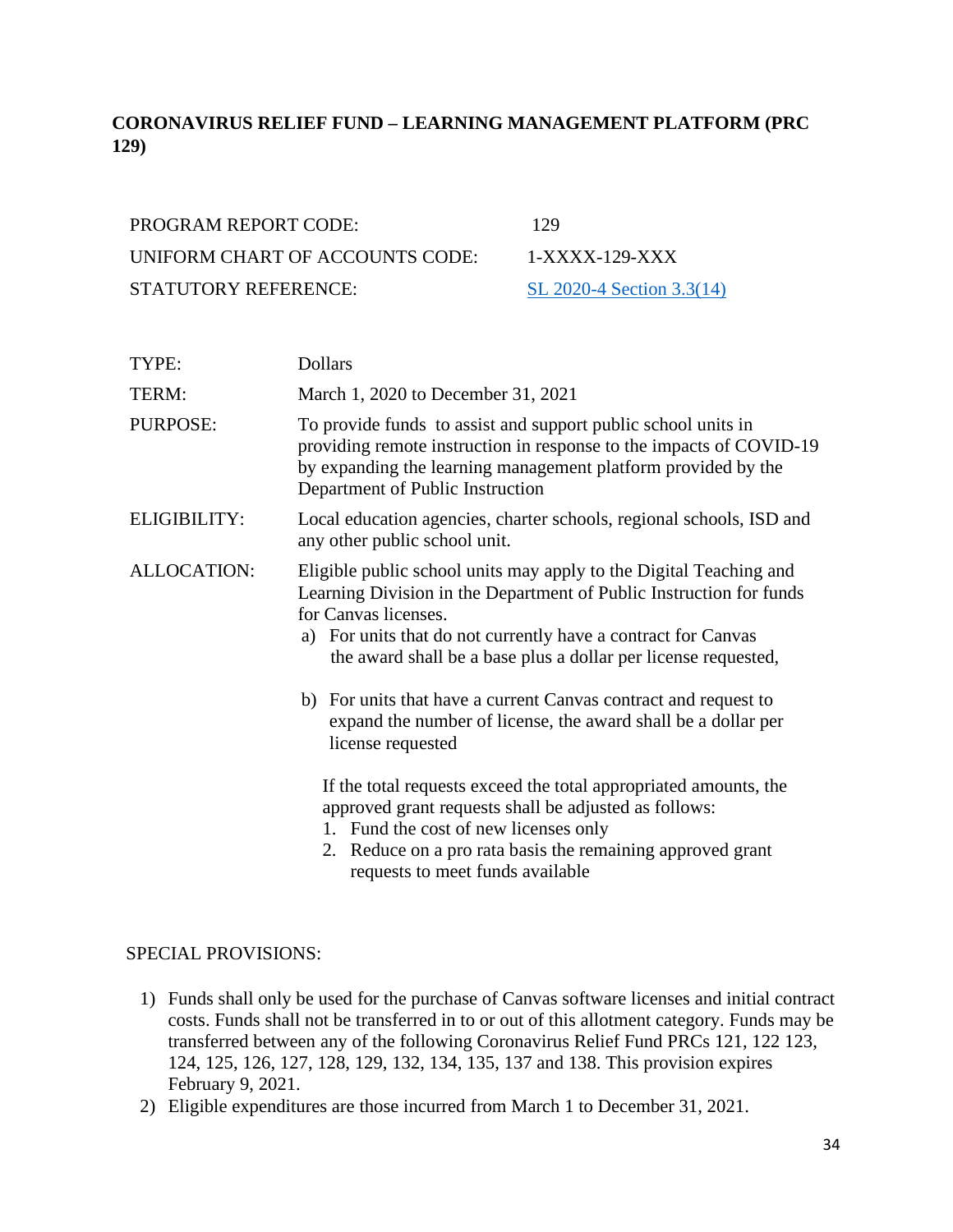# <span id="page-33-0"></span>**CORONAVIRUS RELIEF FUND – LEARNING MANAGEMENT PLATFORM (PRC 129)**

| <b>PROGRAM REPORT CODE:</b>     | 129   |
|---------------------------------|-------|
| UNIFORM CHART OF ACCOUNTS CODE: | $1-X$ |
| <b>STATUTORY REFERENCE:</b>     | SL 2  |

 $1-XXXX-129-XXX$ [SL 2020-4 Section 3.3\(14\)](https://www.ncleg.gov/Sessions/2019/Bills/House/PDF/H1043v7.pdf)

| TYPE:              | <b>Dollars</b>                                                                                                                                                                                                                                                                                                                                                                                                                                                |
|--------------------|---------------------------------------------------------------------------------------------------------------------------------------------------------------------------------------------------------------------------------------------------------------------------------------------------------------------------------------------------------------------------------------------------------------------------------------------------------------|
| TERM:              | March 1, 2020 to December 31, 2021                                                                                                                                                                                                                                                                                                                                                                                                                            |
| PURPOSE:           | To provide funds to assist and support public school units in<br>providing remote instruction in response to the impacts of COVID-19<br>by expanding the learning management platform provided by the<br>Department of Public Instruction                                                                                                                                                                                                                     |
| ELIGIBILITY:       | Local education agencies, charter schools, regional schools, ISD and<br>any other public school unit.                                                                                                                                                                                                                                                                                                                                                         |
| <b>ALLOCATION:</b> | Eligible public school units may apply to the Digital Teaching and<br>Learning Division in the Department of Public Instruction for funds<br>for Canvas licenses.<br>a) For units that do not currently have a contract for Canvas<br>the award shall be a base plus a dollar per license requested,<br>b) For units that have a current Canvas contract and request to<br>expand the number of license, the award shall be a dollar per<br>license requested |
|                    | If the total requests exceed the total appropriated amounts, the<br>approved grant requests shall be adjusted as follows:<br>1. Fund the cost of new licenses only<br>2. Reduce on a pro rata basis the remaining approved grant<br>requests to meet funds available                                                                                                                                                                                          |

- 1) Funds shall only be used for the purchase of Canvas software licenses and initial contract costs. Funds shall not be transferred in to or out of this allotment category. Funds may be transferred between any of the following Coronavirus Relief Fund PRCs 121, 122 123, 124, 125, 126, 127, 128, 129, 132, 134, 135, 137 and 138. This provision expires February 9, 2021.
- 2) Eligible expenditures are those incurred from March 1 to December 31, 2021.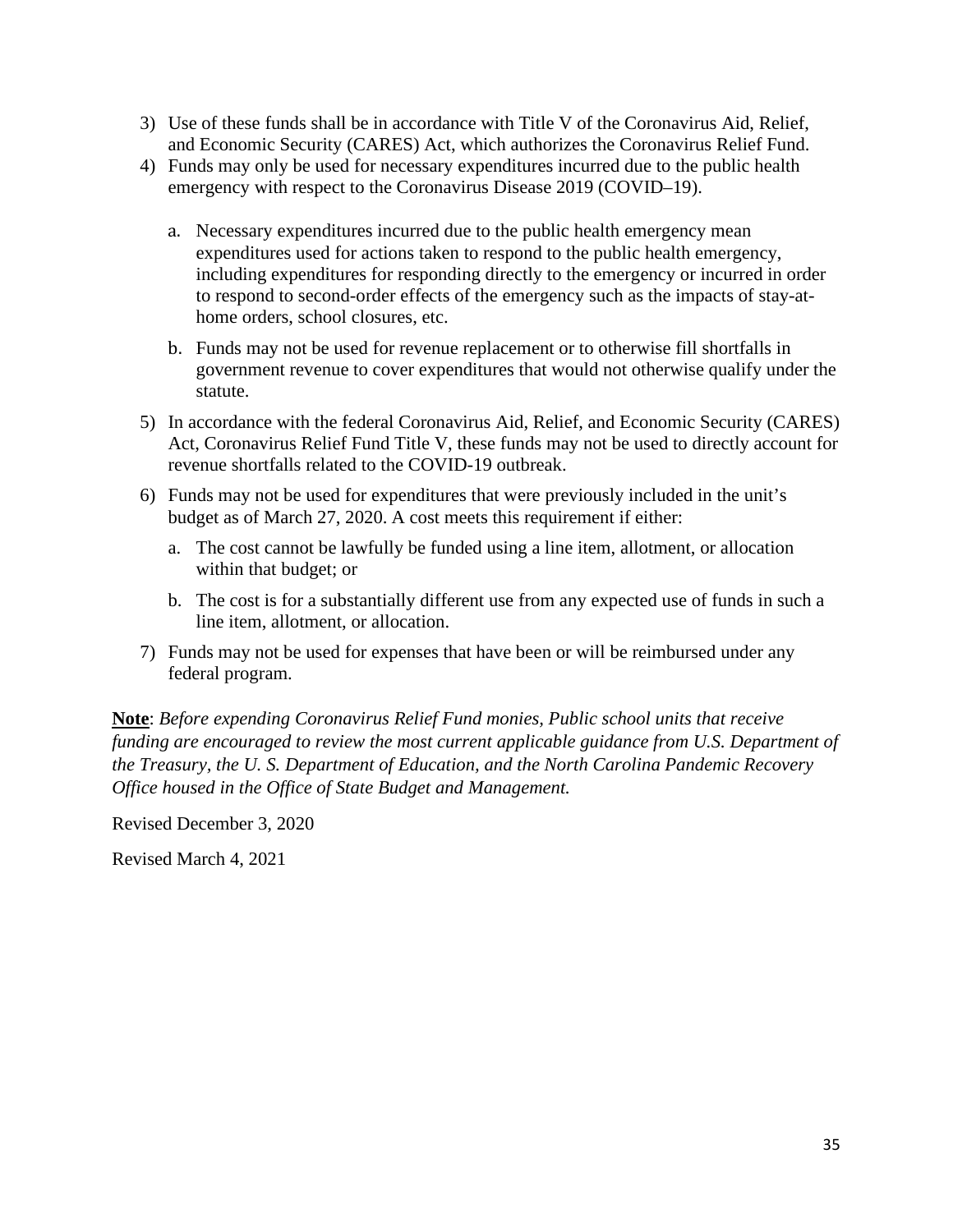- 3) Use of these funds shall be in accordance with Title V of the Coronavirus Aid, Relief, and Economic Security (CARES) Act, which authorizes the Coronavirus Relief Fund.
- 4) Funds may only be used for necessary expenditures incurred due to the public health emergency with respect to the Coronavirus Disease 2019 (COVID–19).
	- a. Necessary expenditures incurred due to the public health emergency mean expenditures used for actions taken to respond to the public health emergency, including expenditures for responding directly to the emergency or incurred in order to respond to second-order effects of the emergency such as the impacts of stay-athome orders, school closures, etc.
	- b. Funds may not be used for revenue replacement or to otherwise fill shortfalls in government revenue to cover expenditures that would not otherwise qualify under the statute.
- 5) In accordance with the federal Coronavirus Aid, Relief, and Economic Security (CARES) Act, Coronavirus Relief Fund Title V, these funds may not be used to directly account for revenue shortfalls related to the COVID-19 outbreak.
- 6) Funds may not be used for expenditures that were previously included in the unit's budget as of March 27, 2020. A cost meets this requirement if either:
	- a. The cost cannot be lawfully be funded using a line item, allotment, or allocation within that budget; or
	- b. The cost is for a substantially different use from any expected use of funds in such a line item, allotment, or allocation.
- 7) Funds may not be used for expenses that have been or will be reimbursed under any federal program.

**Note**: *Before expending Coronavirus Relief Fund monies, Public school units that receive funding are encouraged to review the most current applicable guidance from U.S. Department of the Treasury, the U. S. Department of Education, and the North Carolina Pandemic Recovery Office housed in the Office of State Budget and Management.* 

Revised December 3, 2020

Revised March 4, 2021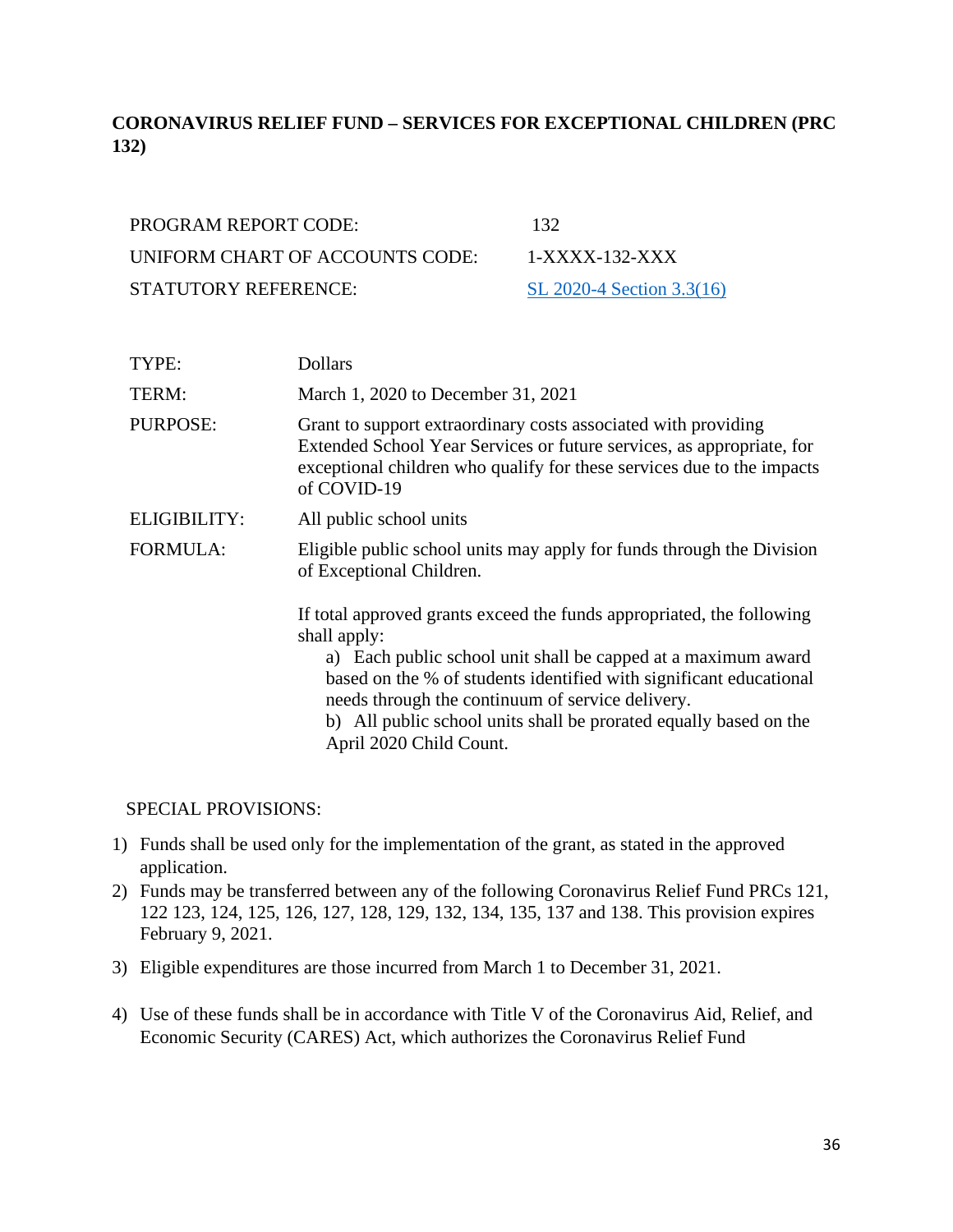# <span id="page-35-0"></span>**CORONAVIRUS RELIEF FUND – SERVICES FOR EXCEPTIONAL CHILDREN (PRC 132)**

| <b>PROGRAM REPORT CODE:</b>     | 132             |
|---------------------------------|-----------------|
| UNIFORM CHART OF ACCOUNTS CODE: | $1-X$           |
| <b>STATUTORY REFERENCE:</b>     | SL <sub>2</sub> |

XXXX-132-XXX  $2020-4$  Section 3.3(16)

| TYPE:           | <b>Dollars</b>                                                                                                                                                                                                                                                                                                                                                                   |
|-----------------|----------------------------------------------------------------------------------------------------------------------------------------------------------------------------------------------------------------------------------------------------------------------------------------------------------------------------------------------------------------------------------|
| TERM:           | March 1, 2020 to December 31, 2021                                                                                                                                                                                                                                                                                                                                               |
| PURPOSE:        | Grant to support extraordinary costs associated with providing<br>Extended School Year Services or future services, as appropriate, for<br>exceptional children who qualify for these services due to the impacts<br>of COVID-19                                                                                                                                                 |
| ELIGIBILITY:    | All public school units                                                                                                                                                                                                                                                                                                                                                          |
| <b>FORMULA:</b> | Eligible public school units may apply for funds through the Division<br>of Exceptional Children.                                                                                                                                                                                                                                                                                |
|                 | If total approved grants exceed the funds appropriated, the following<br>shall apply:<br>a) Each public school unit shall be capped at a maximum award<br>based on the % of students identified with significant educational<br>needs through the continuum of service delivery.<br>b) All public school units shall be prorated equally based on the<br>April 2020 Child Count. |

- 1) Funds shall be used only for the implementation of the grant, as stated in the approved application.
- 2) Funds may be transferred between any of the following Coronavirus Relief Fund PRCs 121, 122 123, 124, 125, 126, 127, 128, 129, 132, 134, 135, 137 and 138. This provision expires February 9, 2021.
- 3) Eligible expenditures are those incurred from March 1 to December 31, 2021.
- 4) Use of these funds shall be in accordance with Title V of the Coronavirus Aid, Relief, and Economic Security (CARES) Act, which authorizes the Coronavirus Relief Fund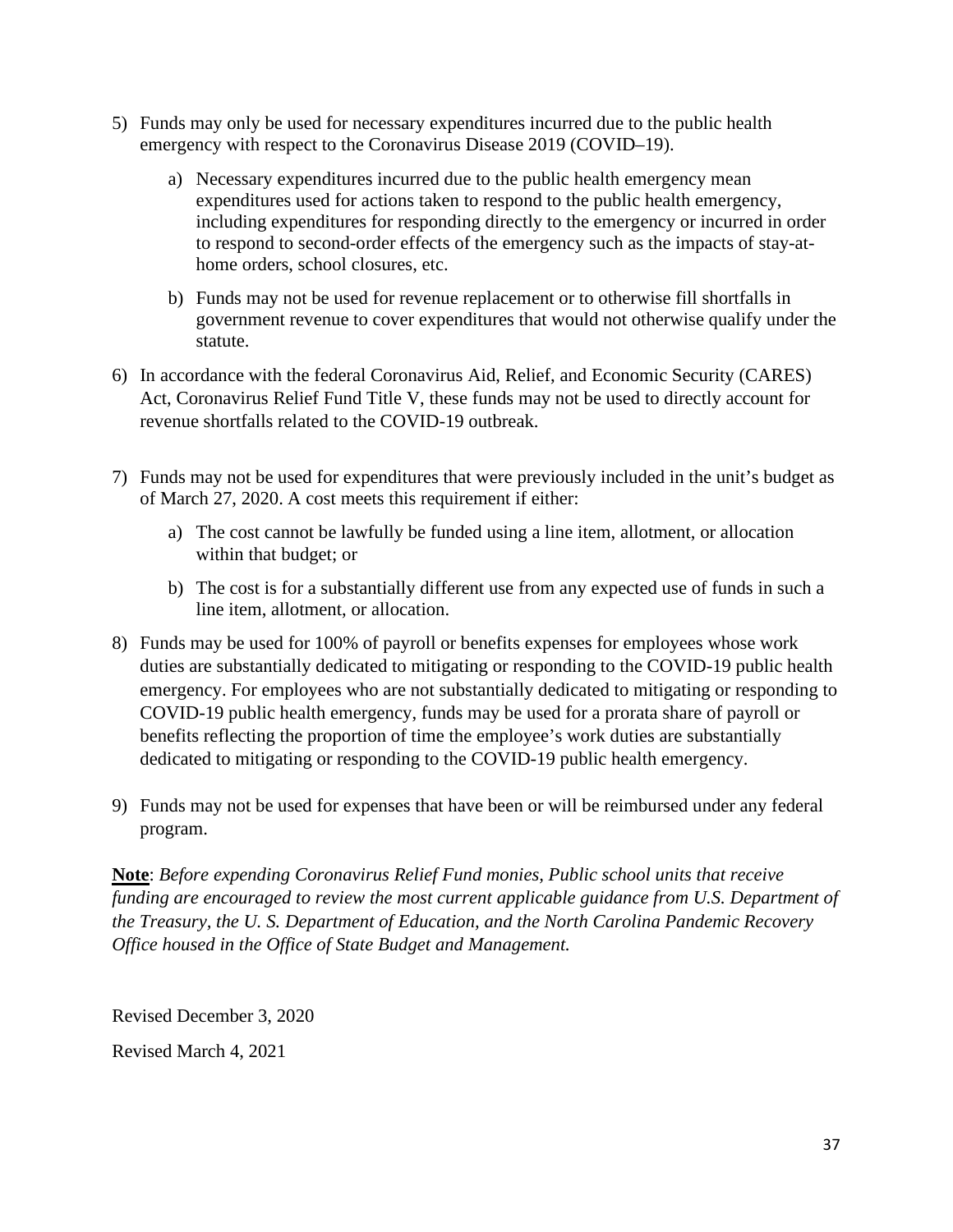- 5) Funds may only be used for necessary expenditures incurred due to the public health emergency with respect to the Coronavirus Disease 2019 (COVID–19).
	- a) Necessary expenditures incurred due to the public health emergency mean expenditures used for actions taken to respond to the public health emergency, including expenditures for responding directly to the emergency or incurred in order to respond to second-order effects of the emergency such as the impacts of stay-athome orders, school closures, etc.
	- b) Funds may not be used for revenue replacement or to otherwise fill shortfalls in government revenue to cover expenditures that would not otherwise qualify under the statute.
- 6) In accordance with the federal Coronavirus Aid, Relief, and Economic Security (CARES) Act, Coronavirus Relief Fund Title V, these funds may not be used to directly account for revenue shortfalls related to the COVID-19 outbreak.
- 7) Funds may not be used for expenditures that were previously included in the unit's budget as of March 27, 2020. A cost meets this requirement if either:
	- a) The cost cannot be lawfully be funded using a line item, allotment, or allocation within that budget; or
	- b) The cost is for a substantially different use from any expected use of funds in such a line item, allotment, or allocation.
- 8) Funds may be used for 100% of payroll or benefits expenses for employees whose work duties are substantially dedicated to mitigating or responding to the COVID-19 public health emergency. For employees who are not substantially dedicated to mitigating or responding to COVID-19 public health emergency, funds may be used for a prorata share of payroll or benefits reflecting the proportion of time the employee's work duties are substantially dedicated to mitigating or responding to the COVID-19 public health emergency.
- 9) Funds may not be used for expenses that have been or will be reimbursed under any federal program.

Revised December 3, 2020

Revised March 4, 2021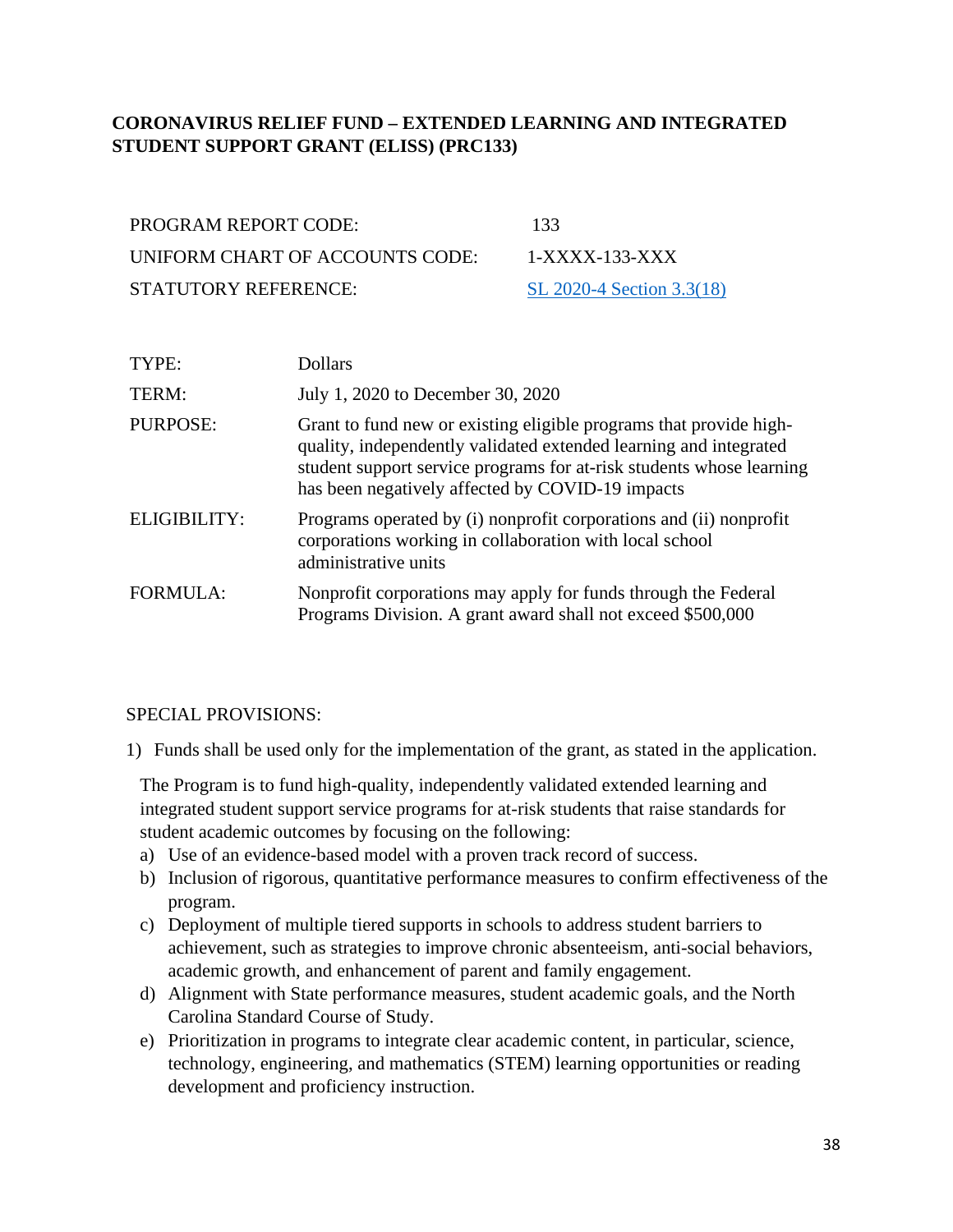## **CORONAVIRUS RELIEF FUND – EXTENDED LEARNING AND INTEGRATED STUDENT SUPPORT GRANT (ELISS) (PRC133)**

| <b>PROGRAM REPORT CODE:</b>     | 133             |
|---------------------------------|-----------------|
| UNIFORM CHART OF ACCOUNTS CODE: | $1-X$           |
| <b>STATUTORY REFERENCE:</b>     | SL <sub>2</sub> |

1-XXXX-133-XXX [SL 2020-4 Section 3.3\(18\)](https://www.ncleg.gov/Sessions/2019/Bills/House/PDF/H1043v7.pdf)

| TYPE:               | <b>Dollars</b>                                                                                                                                                                                                                                                      |
|---------------------|---------------------------------------------------------------------------------------------------------------------------------------------------------------------------------------------------------------------------------------------------------------------|
| TERM:               | July 1, 2020 to December 30, 2020                                                                                                                                                                                                                                   |
| <b>PURPOSE:</b>     | Grant to fund new or existing eligible programs that provide high-<br>quality, independently validated extended learning and integrated<br>student support service programs for at-risk students whose learning<br>has been negatively affected by COVID-19 impacts |
| <b>ELIGIBILITY:</b> | Programs operated by (i) nonprofit corporations and (ii) nonprofit<br>corporations working in collaboration with local school<br>administrative units                                                                                                               |
| <b>FORMULA:</b>     | Nonprofit corporations may apply for funds through the Federal<br>Programs Division. A grant award shall not exceed \$500,000                                                                                                                                       |

#### SPECIAL PROVISIONS:

1) Funds shall be used only for the implementation of the grant, as stated in the application.

The Program is to fund high-quality, independently validated extended learning and integrated student support service programs for at-risk students that raise standards for student academic outcomes by focusing on the following:

- a) Use of an evidence-based model with a proven track record of success.
- b) Inclusion of rigorous, quantitative performance measures to confirm effectiveness of the program.
- c) Deployment of multiple tiered supports in schools to address student barriers to achievement, such as strategies to improve chronic absenteeism, anti-social behaviors, academic growth, and enhancement of parent and family engagement.
- d) Alignment with State performance measures, student academic goals, and the North Carolina Standard Course of Study.
- e) Prioritization in programs to integrate clear academic content, in particular, science, technology, engineering, and mathematics (STEM) learning opportunities or reading development and proficiency instruction.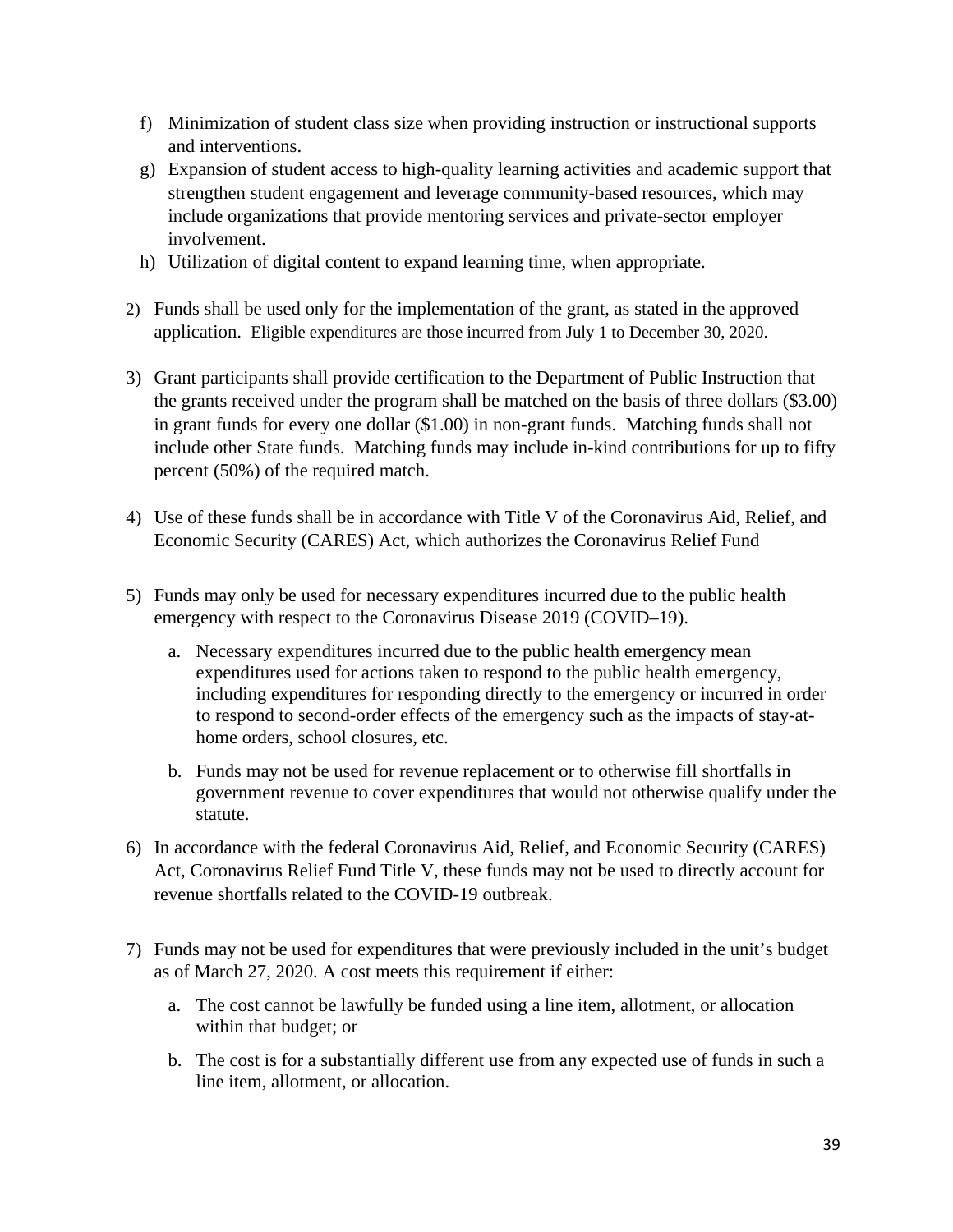- f) Minimization of student class size when providing instruction or instructional supports and interventions.
- g) Expansion of student access to high-quality learning activities and academic support that strengthen student engagement and leverage community-based resources, which may include organizations that provide mentoring services and private-sector employer involvement.
- h) Utilization of digital content to expand learning time, when appropriate.
- 2) Funds shall be used only for the implementation of the grant, as stated in the approved application. Eligible expenditures are those incurred from July 1 to December 30, 2020.
- 3) Grant participants shall provide certification to the Department of Public Instruction that the grants received under the program shall be matched on the basis of three dollars (\$3.00) in grant funds for every one dollar (\$1.00) in non-grant funds. Matching funds shall not include other State funds. Matching funds may include in-kind contributions for up to fifty percent (50%) of the required match.
- 4) Use of these funds shall be in accordance with Title V of the Coronavirus Aid, Relief, and Economic Security (CARES) Act, which authorizes the Coronavirus Relief Fund
- 5) Funds may only be used for necessary expenditures incurred due to the public health emergency with respect to the Coronavirus Disease 2019 (COVID–19).
	- a. Necessary expenditures incurred due to the public health emergency mean expenditures used for actions taken to respond to the public health emergency, including expenditures for responding directly to the emergency or incurred in order to respond to second-order effects of the emergency such as the impacts of stay-athome orders, school closures, etc.
	- b. Funds may not be used for revenue replacement or to otherwise fill shortfalls in government revenue to cover expenditures that would not otherwise qualify under the statute.
- 6) In accordance with the federal Coronavirus Aid, Relief, and Economic Security (CARES) Act, Coronavirus Relief Fund Title V, these funds may not be used to directly account for revenue shortfalls related to the COVID-19 outbreak.
- 7) Funds may not be used for expenditures that were previously included in the unit's budget as of March 27, 2020. A cost meets this requirement if either:
	- a. The cost cannot be lawfully be funded using a line item, allotment, or allocation within that budget; or
	- b. The cost is for a substantially different use from any expected use of funds in such a line item, allotment, or allocation.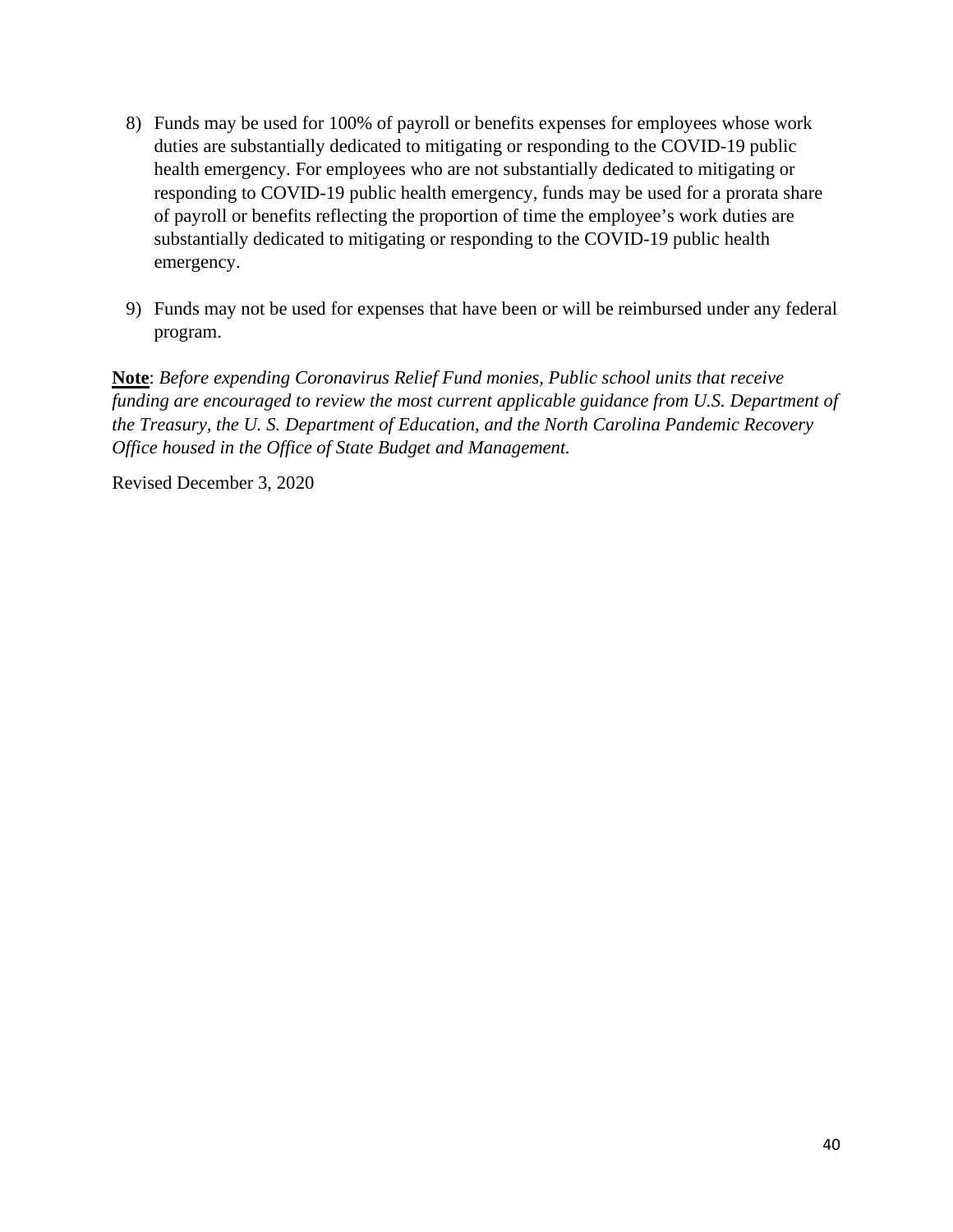- 8) Funds may be used for 100% of payroll or benefits expenses for employees whose work duties are substantially dedicated to mitigating or responding to the COVID-19 public health emergency. For employees who are not substantially dedicated to mitigating or responding to COVID-19 public health emergency, funds may be used for a prorata share of payroll or benefits reflecting the proportion of time the employee's work duties are substantially dedicated to mitigating or responding to the COVID-19 public health emergency.
- 9) Funds may not be used for expenses that have been or will be reimbursed under any federal program.

Revised December 3, 2020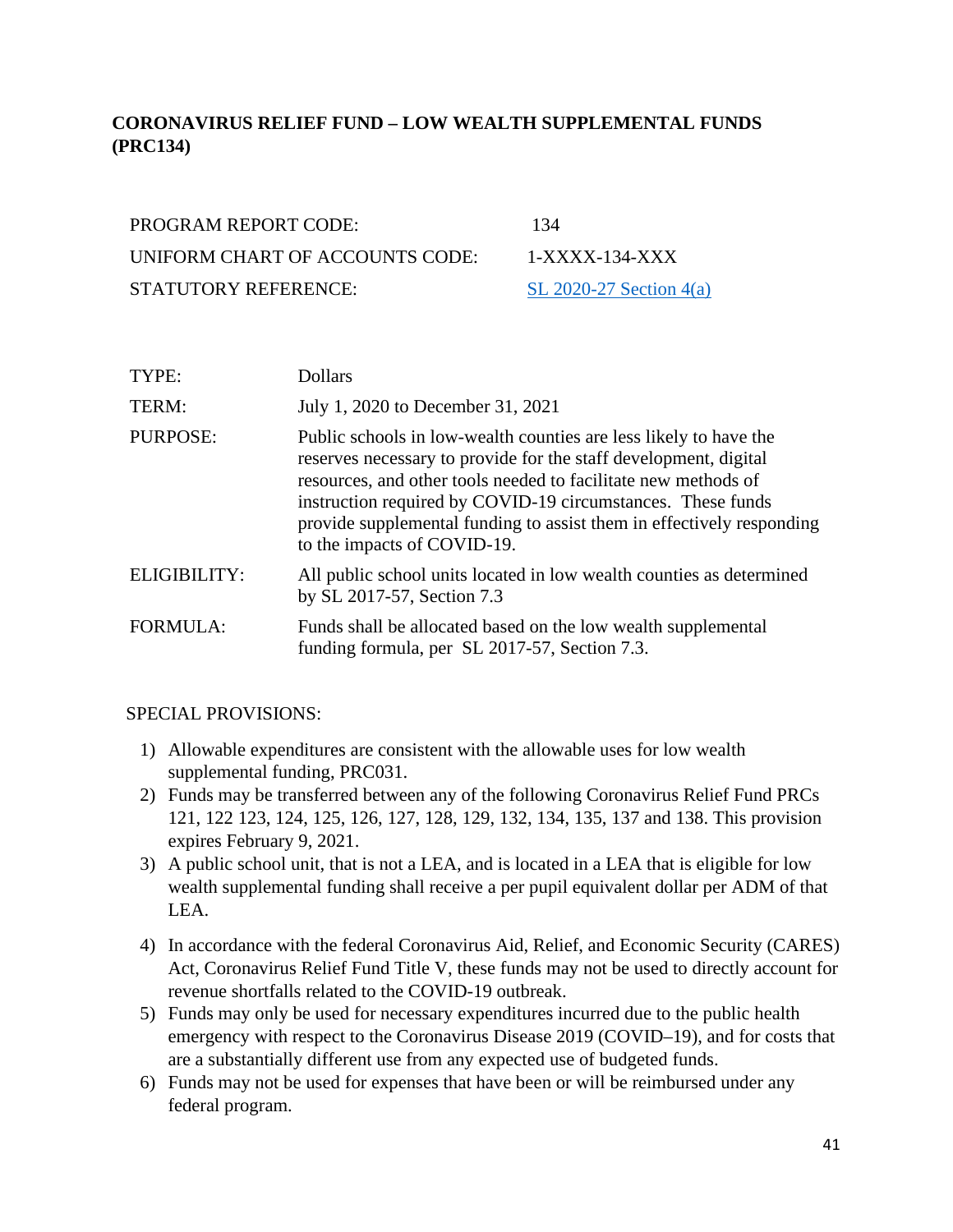# **CORONAVIRUS RELIEF FUND – LOW WEALTH SUPPLEMENTAL FUNDS (PRC134)**

| <b>PROGRAM REPORT CODE:</b>     | 134             |
|---------------------------------|-----------------|
| UNIFORM CHART OF ACCOUNTS CODE: | $1-X$           |
| <b>STATUTORY REFERENCE:</b>     | SL <sub>2</sub> |

1-XXXX-134-XXX [SL 2020-27 Section](https://www.ncleg.gov/Sessions/2019/Bills/House/PDF/H1043v7.pdf)  $4(a)$ 

| TYPE:           | <b>Dollars</b>                                                                                                                                                                                                                                                                                                                                                                 |
|-----------------|--------------------------------------------------------------------------------------------------------------------------------------------------------------------------------------------------------------------------------------------------------------------------------------------------------------------------------------------------------------------------------|
| TERM:           | July 1, 2020 to December 31, 2021                                                                                                                                                                                                                                                                                                                                              |
| PURPOSE:        | Public schools in low-wealth counties are less likely to have the<br>reserves necessary to provide for the staff development, digital<br>resources, and other tools needed to facilitate new methods of<br>instruction required by COVID-19 circumstances. These funds<br>provide supplemental funding to assist them in effectively responding<br>to the impacts of COVID-19. |
| ELIGIBILITY:    | All public school units located in low wealth counties as determined<br>by SL 2017-57, Section 7.3                                                                                                                                                                                                                                                                             |
| <b>FORMULA:</b> | Funds shall be allocated based on the low wealth supplemental<br>funding formula, per SL 2017-57, Section 7.3.                                                                                                                                                                                                                                                                 |

#### SPECIAL PROVISIONS:

- 1) Allowable expenditures are consistent with the allowable uses for low wealth supplemental funding, PRC031.
- 2) Funds may be transferred between any of the following Coronavirus Relief Fund PRCs 121, 122 123, 124, 125, 126, 127, 128, 129, 132, 134, 135, 137 and 138. This provision expires February 9, 2021.
- 3) A public school unit, that is not a LEA, and is located in a LEA that is eligible for low wealth supplemental funding shall receive a per pupil equivalent dollar per ADM of that LEA.
- 4) In accordance with the federal Coronavirus Aid, Relief, and Economic Security (CARES) Act, Coronavirus Relief Fund Title V, these funds may not be used to directly account for revenue shortfalls related to the COVID-19 outbreak.
- 5) Funds may only be used for necessary expenditures incurred due to the public health emergency with respect to the Coronavirus Disease 2019 (COVID–19), and for costs that are a substantially different use from any expected use of budgeted funds.
- 6) Funds may not be used for expenses that have been or will be reimbursed under any federal program.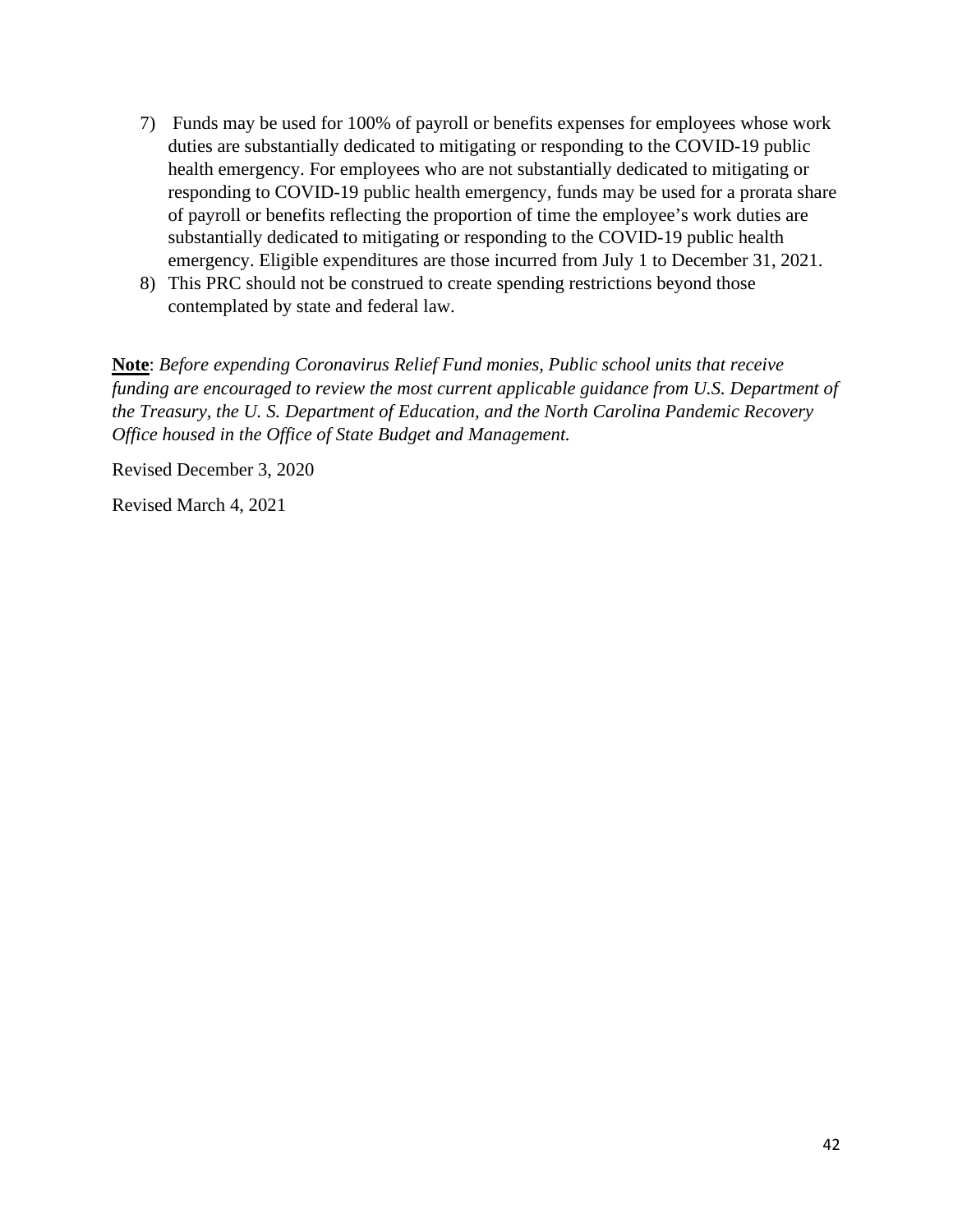- 7) Funds may be used for 100% of payroll or benefits expenses for employees whose work duties are substantially dedicated to mitigating or responding to the COVID-19 public health emergency. For employees who are not substantially dedicated to mitigating or responding to COVID-19 public health emergency, funds may be used for a prorata share of payroll or benefits reflecting the proportion of time the employee's work duties are substantially dedicated to mitigating or responding to the COVID-19 public health emergency. Eligible expenditures are those incurred from July 1 to December 31, 2021.
- 8) This PRC should not be construed to create spending restrictions beyond those contemplated by state and federal law.

Revised December 3, 2020

Revised March 4, 2021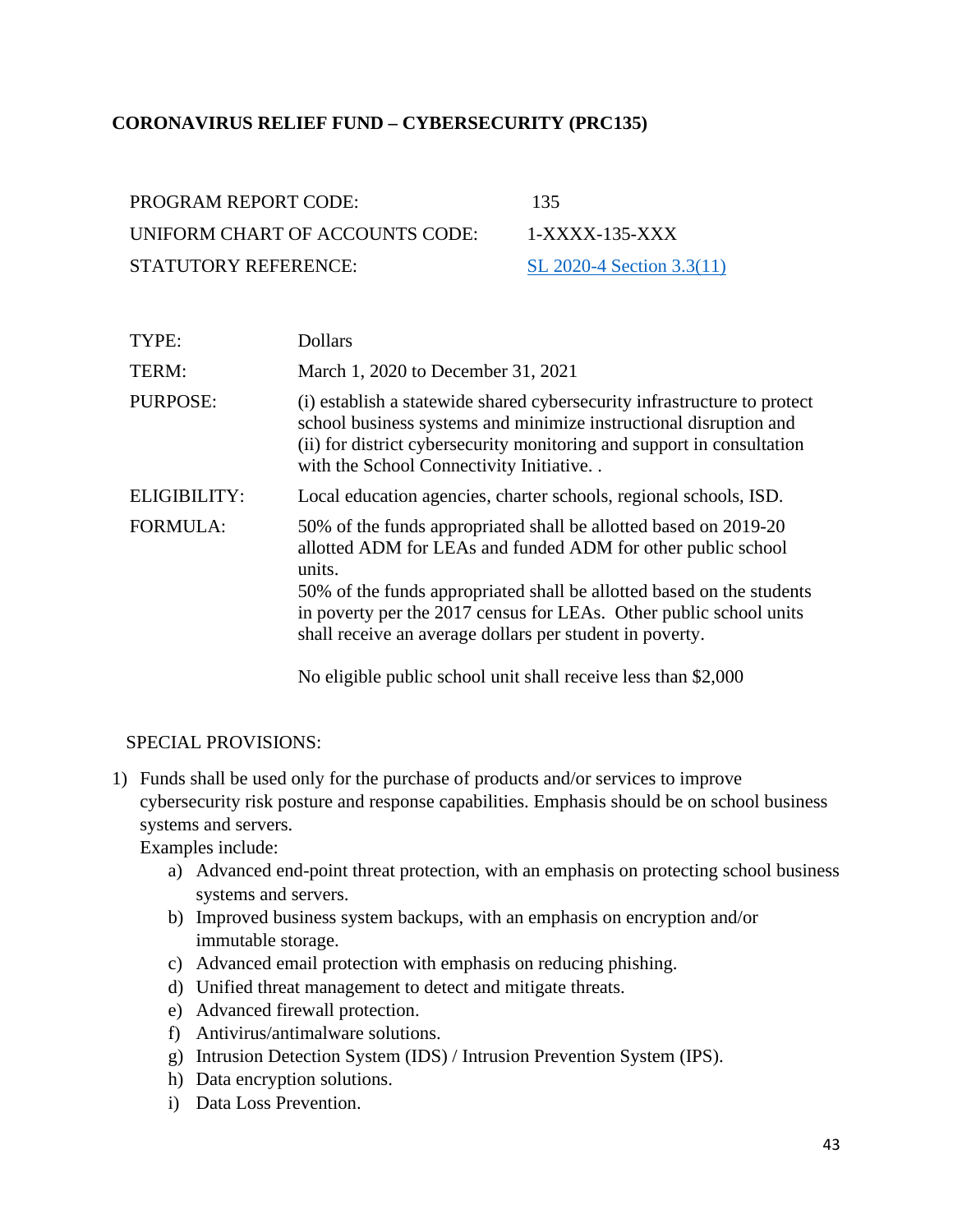## **CORONAVIRUS RELIEF FUND – CYBERSECURITY (PRC135)**

| PROGRAM REPORT CODE:            | 135                       |
|---------------------------------|---------------------------|
| UNIFORM CHART OF ACCOUNTS CODE: | 1-XXXX-135-XXX            |
| STATUTORY REFERENCE:            | SL 2020-4 Section 3.3(11) |

| TYPE:               | <b>Dollars</b>                                                                                                                                                                                                                                                                                                                                        |
|---------------------|-------------------------------------------------------------------------------------------------------------------------------------------------------------------------------------------------------------------------------------------------------------------------------------------------------------------------------------------------------|
| TERM:               | March 1, 2020 to December 31, 2021                                                                                                                                                                                                                                                                                                                    |
| <b>PURPOSE:</b>     | (i) establish a statewide shared cybersecurity infrastructure to protect<br>school business systems and minimize instructional disruption and<br>(ii) for district cybersecurity monitoring and support in consultation<br>with the School Connectivity Initiative                                                                                    |
| <b>ELIGIBILITY:</b> | Local education agencies, charter schools, regional schools, ISD.                                                                                                                                                                                                                                                                                     |
| <b>FORMULA:</b>     | 50% of the funds appropriated shall be allotted based on 2019-20<br>allotted ADM for LEAs and funded ADM for other public school<br>units.<br>50% of the funds appropriated shall be allotted based on the students<br>in poverty per the 2017 census for LEAs. Other public school units<br>shall receive an average dollars per student in poverty. |
|                     |                                                                                                                                                                                                                                                                                                                                                       |

No eligible public school unit shall receive less than \$2,000

#### SPECIAL PROVISIONS:

1) Funds shall be used only for the purchase of products and/or services to improve cybersecurity risk posture and response capabilities. Emphasis should be on school business systems and servers.

Examples include:

- a) Advanced end-point threat protection, with an emphasis on protecting school business systems and servers.
- b) Improved business system backups, with an emphasis on encryption and/or immutable storage.
- c) Advanced email protection with emphasis on reducing phishing.
- d) Unified threat management to detect and mitigate threats.
- e) Advanced firewall protection.
- f) Antivirus/antimalware solutions.
- g) Intrusion Detection System (IDS) / Intrusion Prevention System (IPS).
- h) Data encryption solutions.
- i) Data Loss Prevention.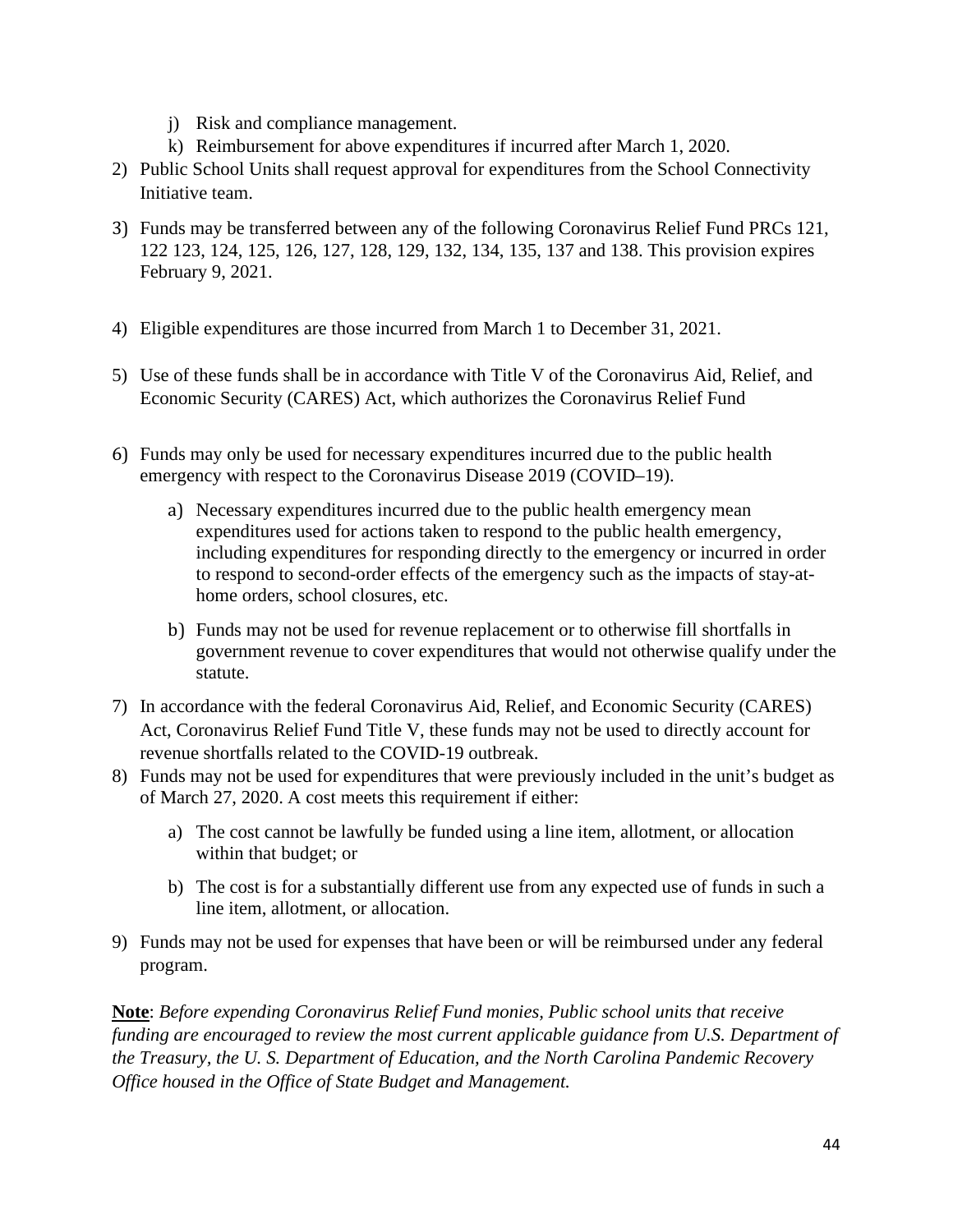- j) Risk and compliance management.
- k) Reimbursement for above expenditures if incurred after March 1, 2020.
- 2) Public School Units shall request approval for expenditures from the School Connectivity Initiative team.
- 3) Funds may be transferred between any of the following Coronavirus Relief Fund PRCs 121, 122 123, 124, 125, 126, 127, 128, 129, 132, 134, 135, 137 and 138. This provision expires February 9, 2021.
- 4) Eligible expenditures are those incurred from March 1 to December 31, 2021.
- 5) Use of these funds shall be in accordance with Title V of the Coronavirus Aid, Relief, and Economic Security (CARES) Act, which authorizes the Coronavirus Relief Fund
- 6) Funds may only be used for necessary expenditures incurred due to the public health emergency with respect to the Coronavirus Disease 2019 (COVID–19).
	- a) Necessary expenditures incurred due to the public health emergency mean expenditures used for actions taken to respond to the public health emergency, including expenditures for responding directly to the emergency or incurred in order to respond to second-order effects of the emergency such as the impacts of stay-athome orders, school closures, etc.
	- b) Funds may not be used for revenue replacement or to otherwise fill shortfalls in government revenue to cover expenditures that would not otherwise qualify under the statute.
- 7) In accordance with the federal Coronavirus Aid, Relief, and Economic Security (CARES) Act, Coronavirus Relief Fund Title V, these funds may not be used to directly account for revenue shortfalls related to the COVID-19 outbreak.
- 8) Funds may not be used for expenditures that were previously included in the unit's budget as of March 27, 2020. A cost meets this requirement if either:
	- a) The cost cannot be lawfully be funded using a line item, allotment, or allocation within that budget; or
	- b) The cost is for a substantially different use from any expected use of funds in such a line item, allotment, or allocation.
- 9) Funds may not be used for expenses that have been or will be reimbursed under any federal program.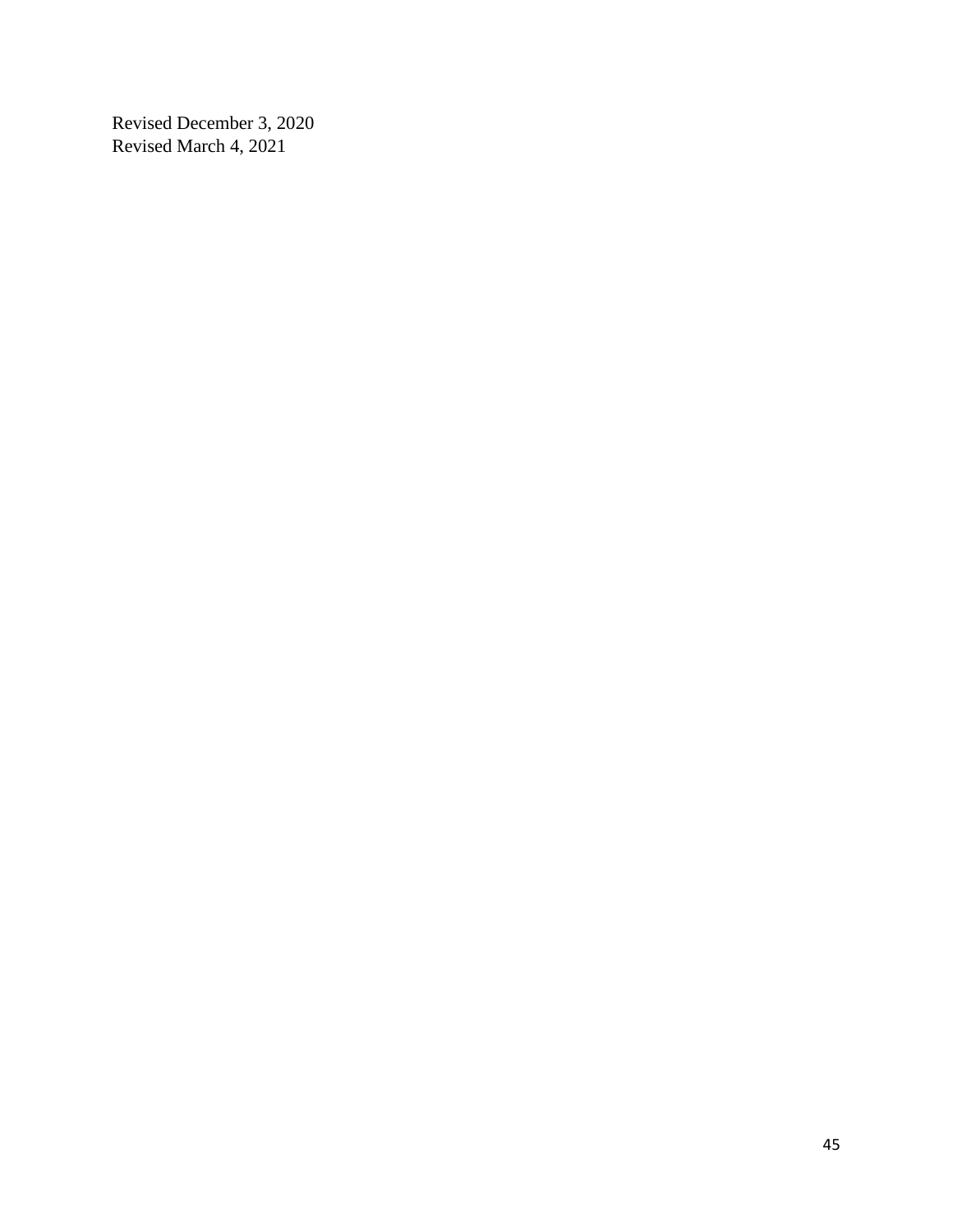Revised December 3, 2020 Revised March 4, 2021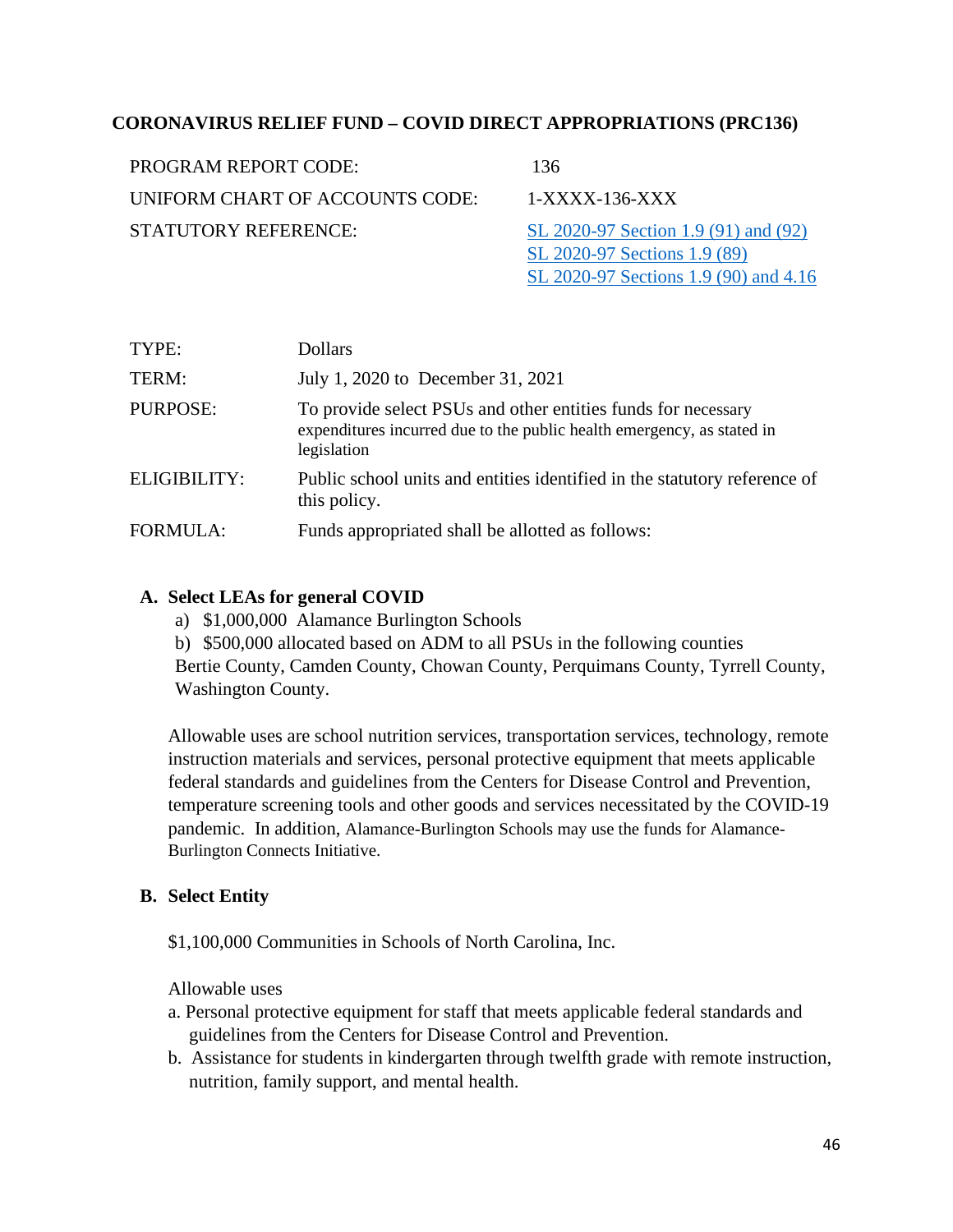## **CORONAVIRUS RELIEF FUND – COVID DIRECT APPROPRIATIONS (PRC136)**

| PROGRAM REPORT CODE:            | 136                                                                  |
|---------------------------------|----------------------------------------------------------------------|
| UNIFORM CHART OF ACCOUNTS CODE: | $1-XXXX-136-XXX$                                                     |
| STATUTORY REFERENCE:            | SL 2020-97 Section 1.9 (91) and (92)<br>SL 2020-97 Sections 1.9 (89) |

TYPE: Dollars TERM: July 1, 2020 to December 31, 2021 PURPOSE: To provide select PSUs and other entities funds for necessary expenditures incurred due to the public health emergency, as stated in legislation

[SL 2020-97 Sections 1.9 \(90\) and 4.16](https://www.ncleg.gov/Sessions/2019/Bills/House/PDF/H1105v7.pdf)

ELIGIBILITY: Public school units and entities identified in the statutory reference of this policy.

FORMULA: Funds appropriated shall be allotted as follows:

### **A. Select LEAs for general COVID**

- a) \$1,000,000 Alamance Burlington Schools
- b) \$500,000 allocated based on ADM to all PSUs in the following counties

Bertie County, Camden County, Chowan County, Perquimans County, Tyrrell County, Washington County.

Allowable uses are school nutrition services, transportation services, technology, remote instruction materials and services, personal protective equipment that meets applicable federal standards and guidelines from the Centers for Disease Control and Prevention, temperature screening tools and other goods and services necessitated by the COVID-19 pandemic. In addition, Alamance-Burlington Schools may use the funds for Alamance-Burlington Connects Initiative.

### **B. Select Entity**

\$1,100,000 Communities in Schools of North Carolina, Inc.

Allowable uses

- a. Personal protective equipment for staff that meets applicable federal standards and guidelines from the Centers for Disease Control and Prevention.
- b. Assistance for students in kindergarten through twelfth grade with remote instruction, nutrition, family support, and mental health.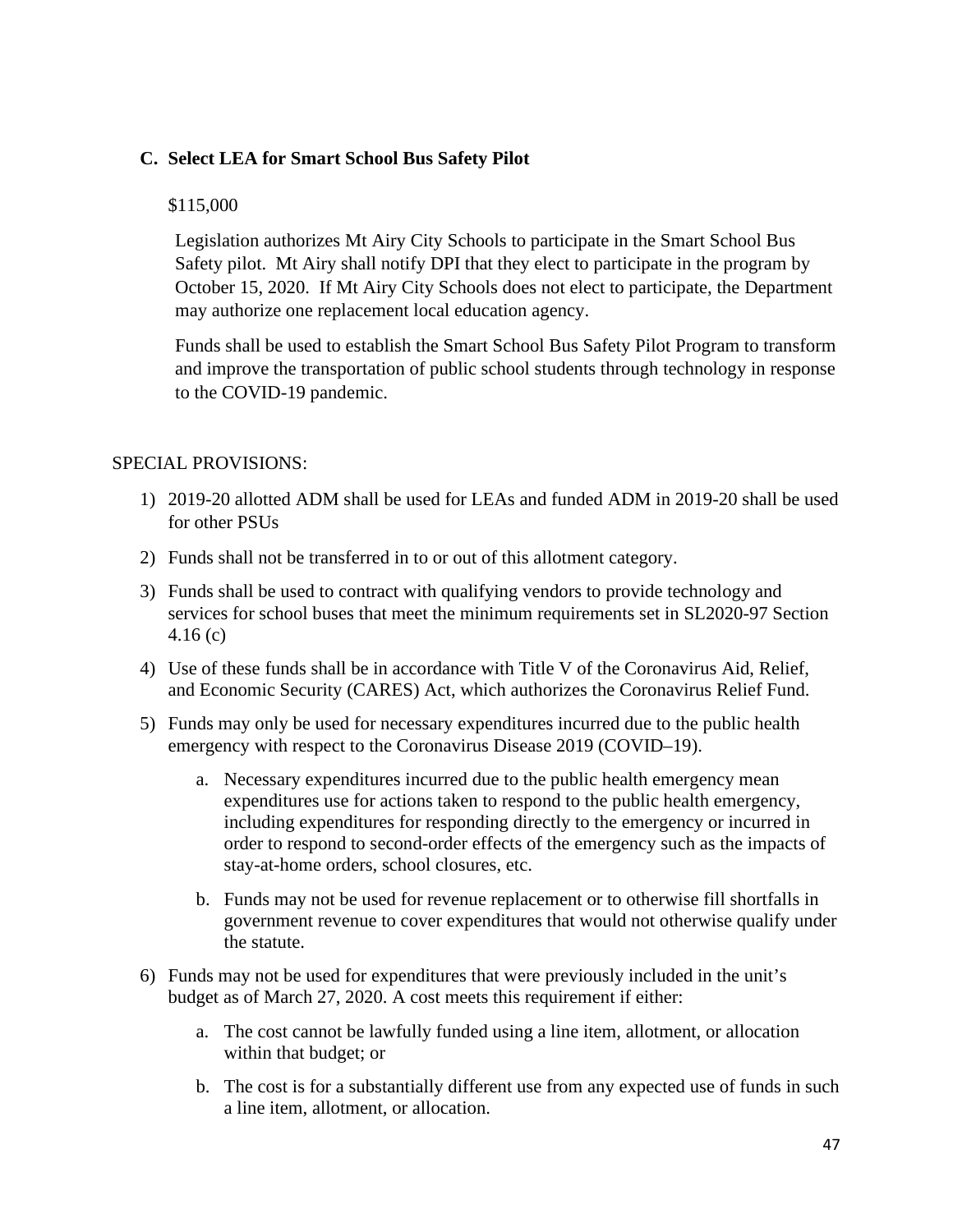### **C. Select LEA for Smart School Bus Safety Pilot**

#### \$115,000

Legislation authorizes Mt Airy City Schools to participate in the Smart School Bus Safety pilot. Mt Airy shall notify DPI that they elect to participate in the program by October 15, 2020. If Mt Airy City Schools does not elect to participate, the Department may authorize one replacement local education agency.

Funds shall be used to establish the Smart School Bus Safety Pilot Program to transform and improve the transportation of public school students through technology in response to the COVID-19 pandemic.

#### SPECIAL PROVISIONS:

- 1) 2019-20 allotted ADM shall be used for LEAs and funded ADM in 2019-20 shall be used for other PSUs
- 2) Funds shall not be transferred in to or out of this allotment category.
- 3) Funds shall be used to contract with qualifying vendors to provide technology and services for school buses that meet the minimum requirements set in SL2020-97 Section 4.16 (c)
- 4) Use of these funds shall be in accordance with Title V of the Coronavirus Aid, Relief, and Economic Security (CARES) Act, which authorizes the Coronavirus Relief Fund.
- 5) Funds may only be used for necessary expenditures incurred due to the public health emergency with respect to the Coronavirus Disease 2019 (COVID–19).
	- a. Necessary expenditures incurred due to the public health emergency mean expenditures use for actions taken to respond to the public health emergency, including expenditures for responding directly to the emergency or incurred in order to respond to second-order effects of the emergency such as the impacts of stay-at-home orders, school closures, etc.
	- b. Funds may not be used for revenue replacement or to otherwise fill shortfalls in government revenue to cover expenditures that would not otherwise qualify under the statute.
- 6) Funds may not be used for expenditures that were previously included in the unit's budget as of March 27, 2020. A cost meets this requirement if either:
	- a. The cost cannot be lawfully funded using a line item, allotment, or allocation within that budget; or
	- b. The cost is for a substantially different use from any expected use of funds in such a line item, allotment, or allocation.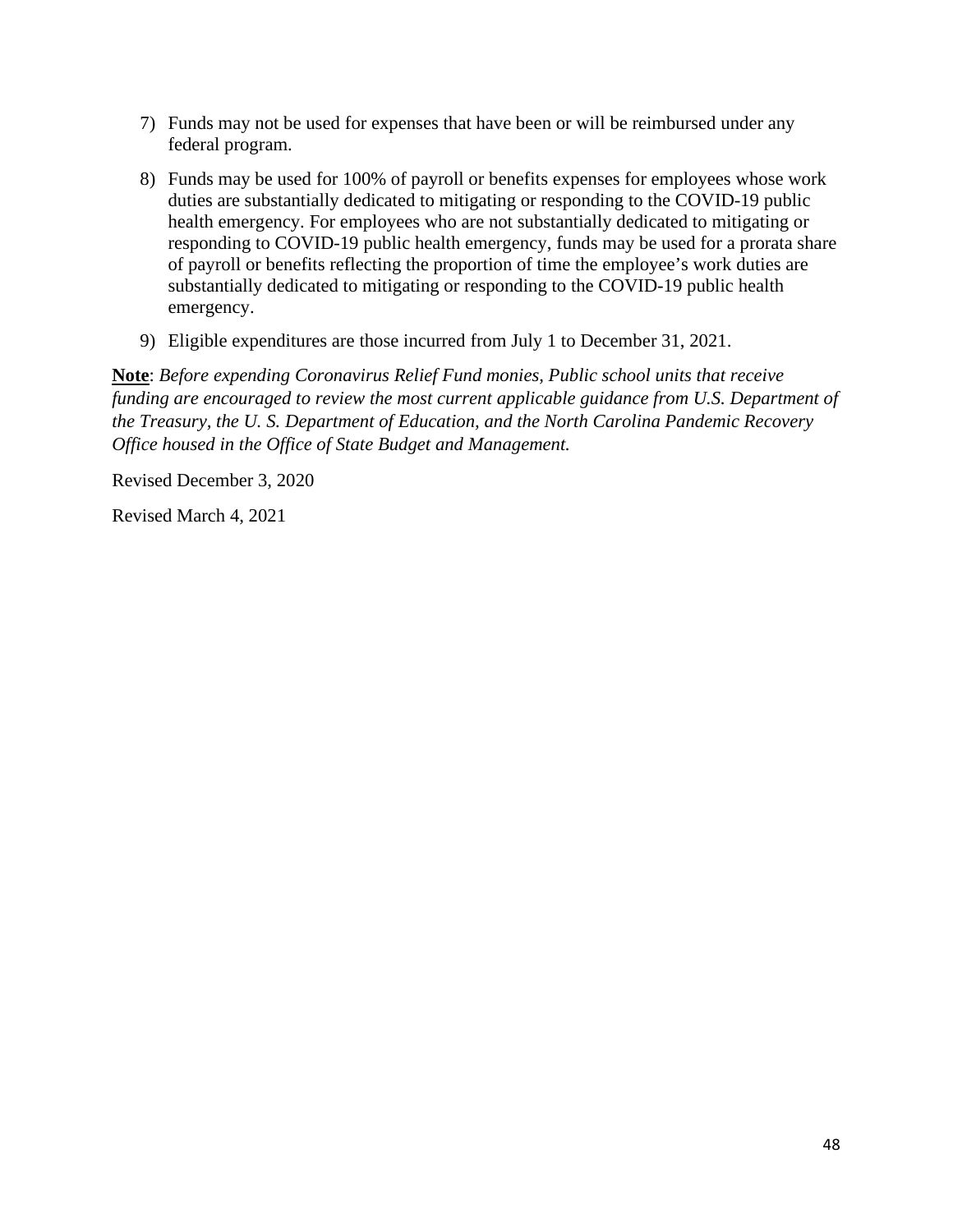- 7) Funds may not be used for expenses that have been or will be reimbursed under any federal program.
- 8) Funds may be used for 100% of payroll or benefits expenses for employees whose work duties are substantially dedicated to mitigating or responding to the COVID-19 public health emergency. For employees who are not substantially dedicated to mitigating or responding to COVID-19 public health emergency, funds may be used for a prorata share of payroll or benefits reflecting the proportion of time the employee's work duties are substantially dedicated to mitigating or responding to the COVID-19 public health emergency.
- 9) Eligible expenditures are those incurred from July 1 to December 31, 2021.

Revised December 3, 2020

Revised March 4, 2021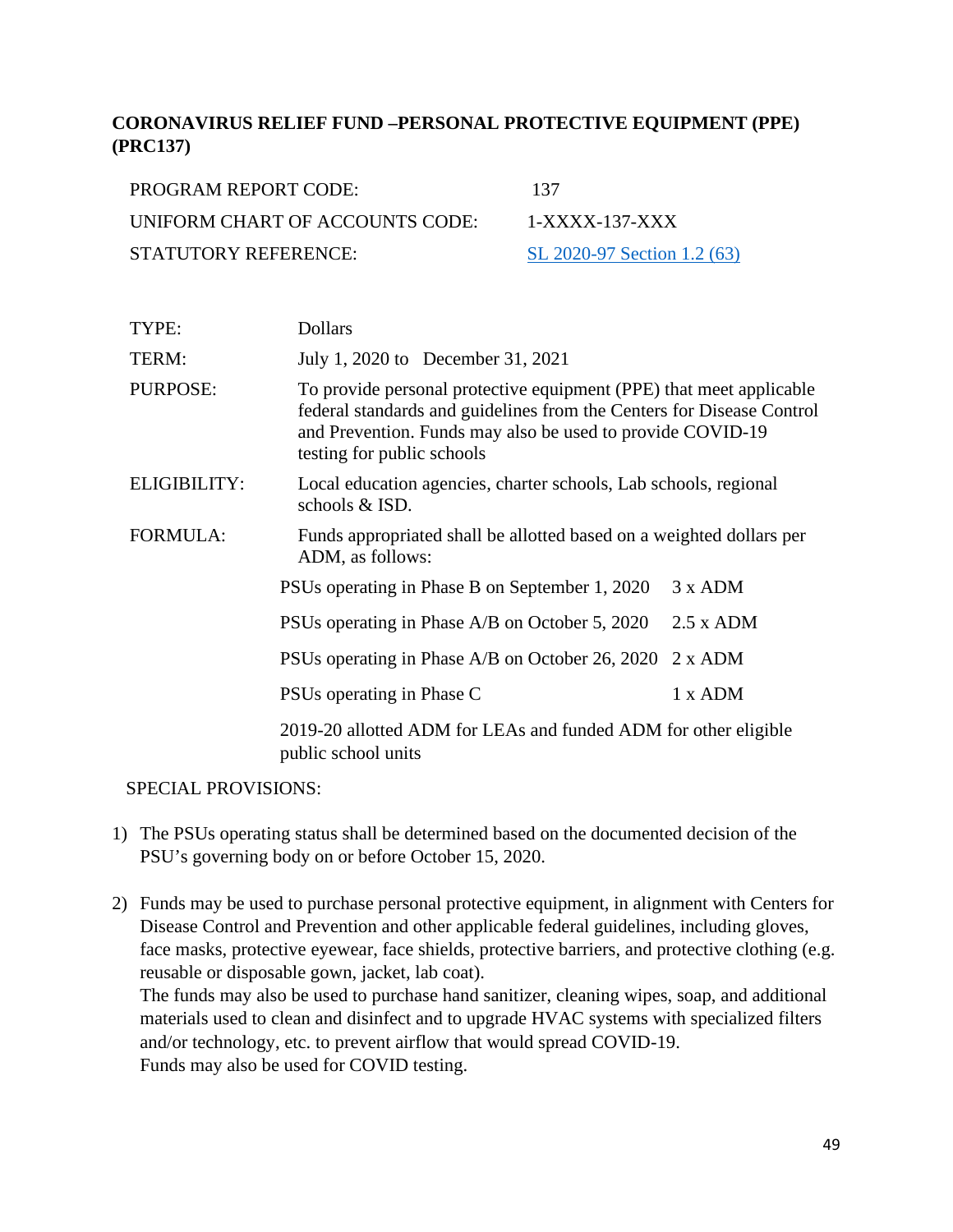# **CORONAVIRUS RELIEF FUND –PERSONAL PROTECTIVE EQUIPMENT (PPE) (PRC137)**

| PROGRAM REPORT CODE:            | 137                         |
|---------------------------------|-----------------------------|
| UNIFORM CHART OF ACCOUNTS CODE: | $1-XXXX-137-XXX$            |
| STATUTORY REFERENCE:            | SL 2020-97 Section 1.2 (63) |

| To provide personal protective equipment (PPE) that meet applicable<br>federal standards and guidelines from the Centers for Disease Control<br>and Prevention. Funds may also be used to provide COVID-19 |
|------------------------------------------------------------------------------------------------------------------------------------------------------------------------------------------------------------|
| Local education agencies, charter schools, Lab schools, regional                                                                                                                                           |
| Funds appropriated shall be allotted based on a weighted dollars per                                                                                                                                       |
|                                                                                                                                                                                                            |
|                                                                                                                                                                                                            |
|                                                                                                                                                                                                            |
|                                                                                                                                                                                                            |
| 2019-20 allotted ADM for LEAs and funded ADM for other eligible                                                                                                                                            |
|                                                                                                                                                                                                            |

#### SPECIAL PROVISIONS:

- 1) The PSUs operating status shall be determined based on the documented decision of the PSU's governing body on or before October 15, 2020.
- 2) Funds may be used to purchase personal protective equipment, in alignment with Centers for Disease Control and Prevention and other applicable federal guidelines, including gloves, face masks, protective eyewear, face shields, protective barriers, and protective clothing (e.g. reusable or disposable gown, jacket, lab coat).

The funds may also be used to purchase hand sanitizer, cleaning wipes, soap, and additional materials used to clean and disinfect and to upgrade HVAC systems with specialized filters and/or technology, etc. to prevent airflow that would spread COVID-19. Funds may also be used for COVID testing.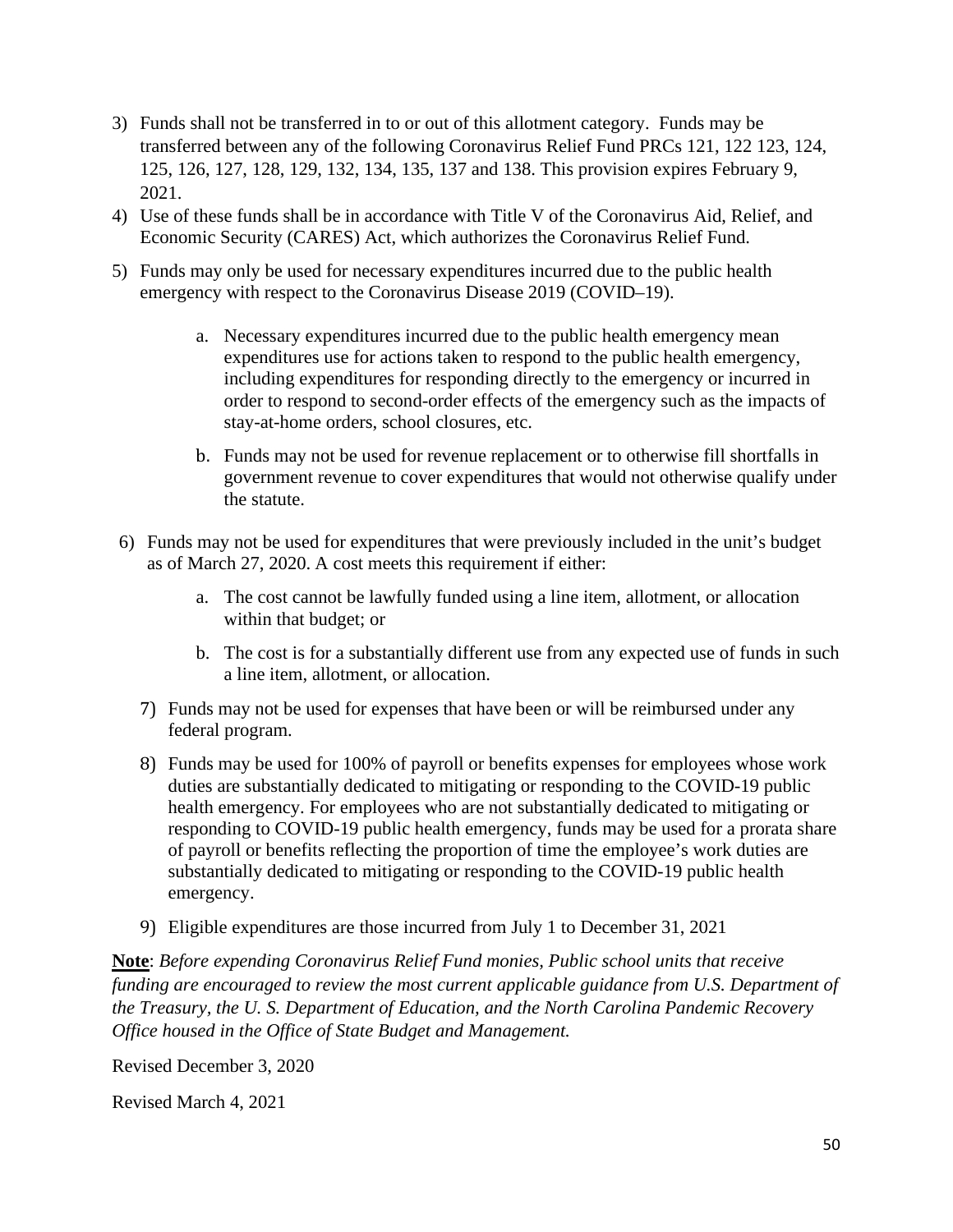- 3) Funds shall not be transferred in to or out of this allotment category. Funds may be transferred between any of the following Coronavirus Relief Fund PRCs 121, 122 123, 124, 125, 126, 127, 128, 129, 132, 134, 135, 137 and 138. This provision expires February 9, 2021.
- 4) Use of these funds shall be in accordance with Title V of the Coronavirus Aid, Relief, and Economic Security (CARES) Act, which authorizes the Coronavirus Relief Fund.
- 5) Funds may only be used for necessary expenditures incurred due to the public health emergency with respect to the Coronavirus Disease 2019 (COVID–19).
	- a. Necessary expenditures incurred due to the public health emergency mean expenditures use for actions taken to respond to the public health emergency, including expenditures for responding directly to the emergency or incurred in order to respond to second-order effects of the emergency such as the impacts of stay-at-home orders, school closures, etc.
	- b. Funds may not be used for revenue replacement or to otherwise fill shortfalls in government revenue to cover expenditures that would not otherwise qualify under the statute.
- 6) Funds may not be used for expenditures that were previously included in the unit's budget as of March 27, 2020. A cost meets this requirement if either:
	- a. The cost cannot be lawfully funded using a line item, allotment, or allocation within that budget; or
	- b. The cost is for a substantially different use from any expected use of funds in such a line item, allotment, or allocation.
	- 7) Funds may not be used for expenses that have been or will be reimbursed under any federal program.
	- 8) Funds may be used for 100% of payroll or benefits expenses for employees whose work duties are substantially dedicated to mitigating or responding to the COVID-19 public health emergency. For employees who are not substantially dedicated to mitigating or responding to COVID-19 public health emergency, funds may be used for a prorata share of payroll or benefits reflecting the proportion of time the employee's work duties are substantially dedicated to mitigating or responding to the COVID-19 public health emergency.
	- 9) Eligible expenditures are those incurred from July 1 to December 31, 2021

Revised December 3, 2020

Revised March 4, 2021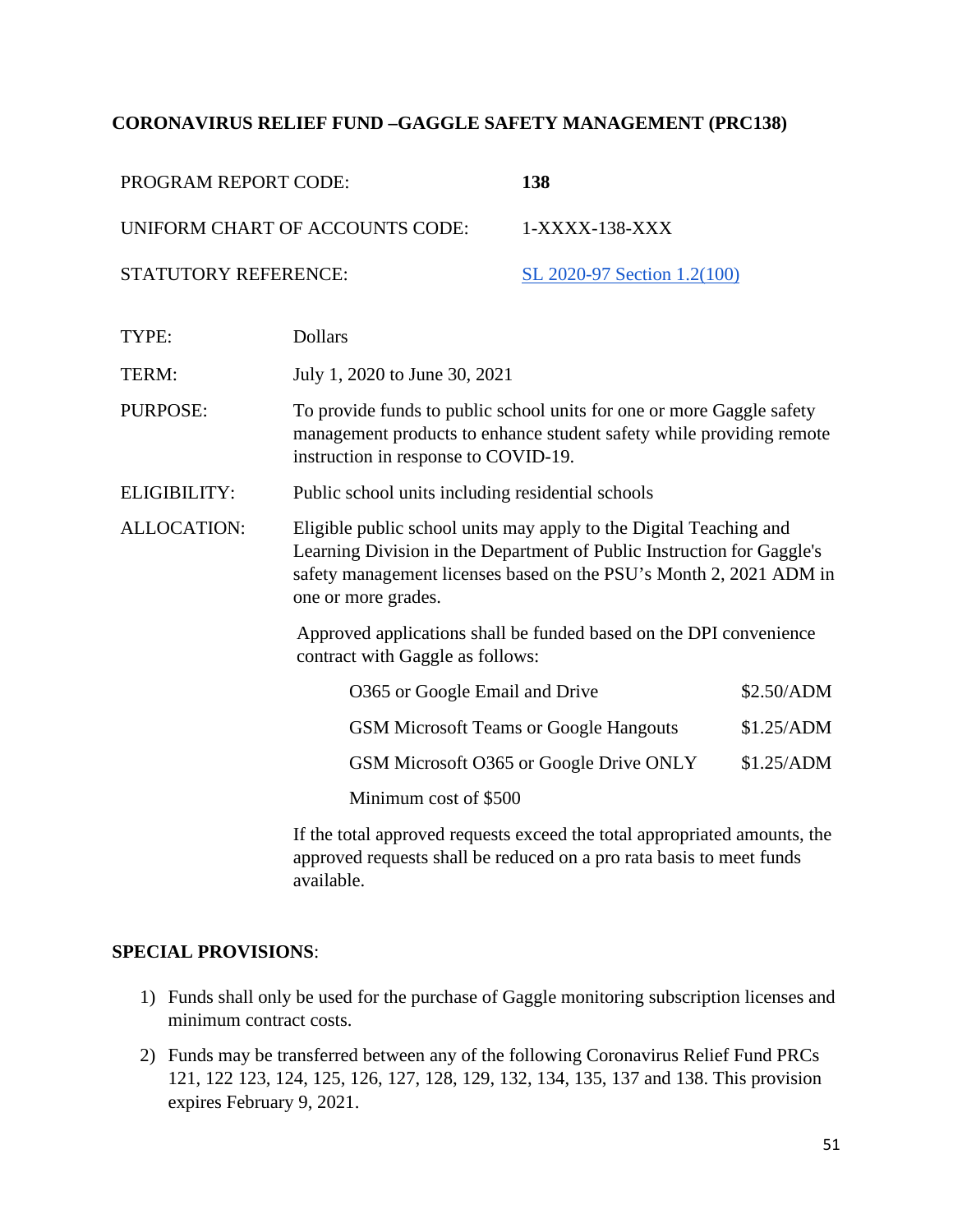### **CORONAVIRUS RELIEF FUND –GAGGLE SAFETY MANAGEMENT (PRC138)**

| PROGRAM REPORT CODE: |                                                                                                                                                                                                                                           | 138                                                                |            |
|----------------------|-------------------------------------------------------------------------------------------------------------------------------------------------------------------------------------------------------------------------------------------|--------------------------------------------------------------------|------------|
|                      | UNIFORM CHART OF ACCOUNTS CODE:                                                                                                                                                                                                           | 1-XXXX-138-XXX                                                     |            |
| STATUTORY REFERENCE: |                                                                                                                                                                                                                                           | SL 2020-97 Section 1.2(100)                                        |            |
| TYPE:                | <b>Dollars</b>                                                                                                                                                                                                                            |                                                                    |            |
| TERM:                | July 1, 2020 to June 30, 2021                                                                                                                                                                                                             |                                                                    |            |
| <b>PURPOSE:</b>      | To provide funds to public school units for one or more Gaggle safety<br>management products to enhance student safety while providing remote<br>instruction in response to COVID-19.                                                     |                                                                    |            |
| ELIGIBILITY:         | Public school units including residential schools                                                                                                                                                                                         |                                                                    |            |
| <b>ALLOCATION:</b>   | Eligible public school units may apply to the Digital Teaching and<br>Learning Division in the Department of Public Instruction for Gaggle's<br>safety management licenses based on the PSU's Month 2, 2021 ADM in<br>one or more grades. |                                                                    |            |
|                      | contract with Gaggle as follows:                                                                                                                                                                                                          | Approved applications shall be funded based on the DPI convenience |            |
|                      | O365 or Google Email and Drive                                                                                                                                                                                                            |                                                                    | \$2.50/ADM |
|                      | <b>GSM Microsoft Teams or Google Hangouts</b>                                                                                                                                                                                             |                                                                    | \$1.25/ADM |
|                      |                                                                                                                                                                                                                                           | GSM Microsoft O365 or Google Drive ONLY                            | \$1.25/ADM |
|                      | Minimum cost of \$500                                                                                                                                                                                                                     |                                                                    |            |
|                      | If the total approved requests exceed the total appropriated amounts, the<br>approved requests shall be reduced on a pro rata basis to meet funds                                                                                         |                                                                    |            |

approved requests shall be reduced on a pro rata basis to meet funds available.

### **SPECIAL PROVISIONS**:

- 1) Funds shall only be used for the purchase of Gaggle monitoring subscription licenses and minimum contract costs.
- 2) Funds may be transferred between any of the following Coronavirus Relief Fund PRCs 121, 122 123, 124, 125, 126, 127, 128, 129, 132, 134, 135, 137 and 138. This provision expires February 9, 2021.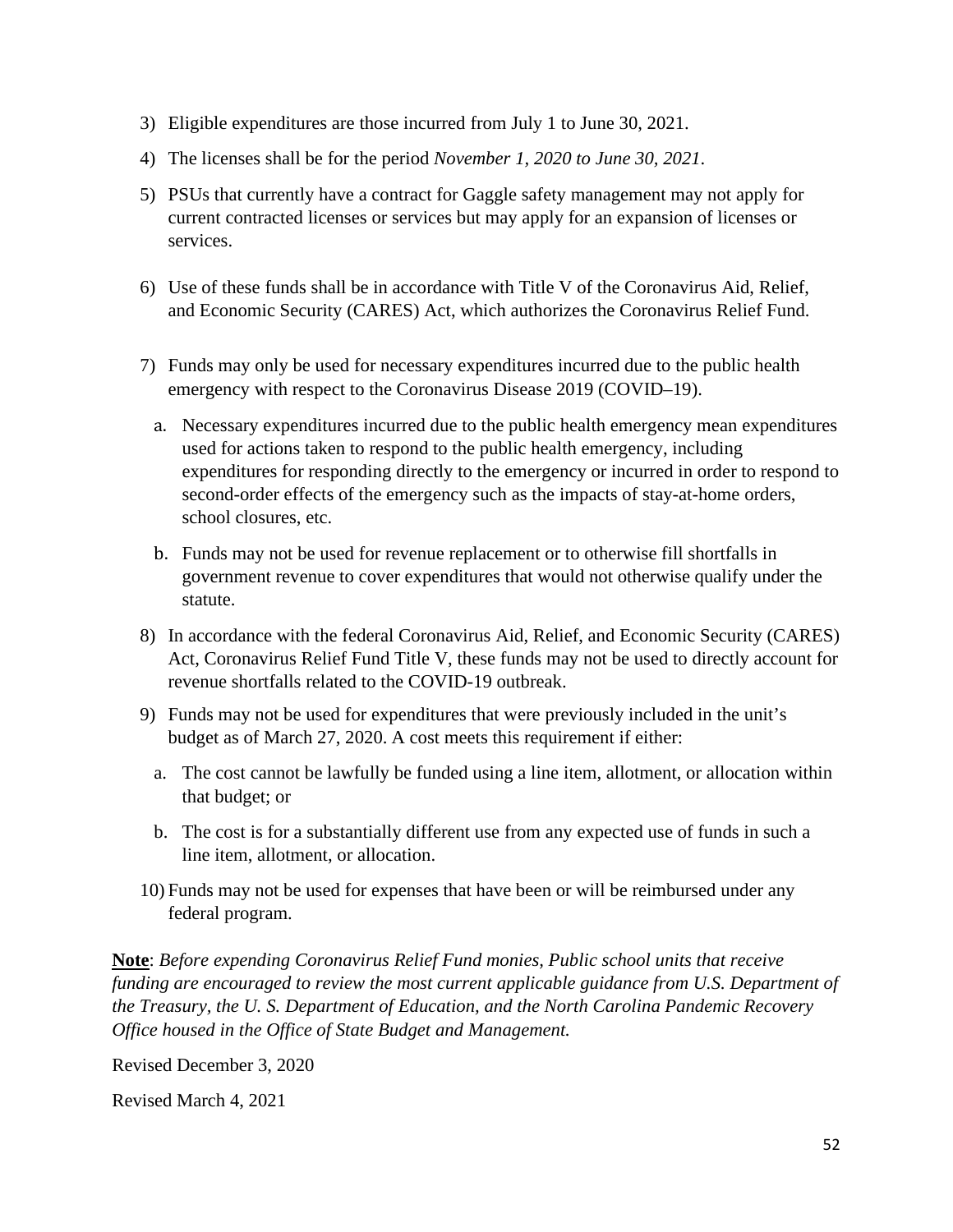- 3) Eligible expenditures are those incurred from July 1 to June 30, 2021.
- 4) The licenses shall be for the period *November 1, 2020 to June 30, 2021*.
- 5) PSUs that currently have a contract for Gaggle safety management may not apply for current contracted licenses or services but may apply for an expansion of licenses or services.
- 6) Use of these funds shall be in accordance with Title V of the Coronavirus Aid, Relief, and Economic Security (CARES) Act, which authorizes the Coronavirus Relief Fund.
- 7) Funds may only be used for necessary expenditures incurred due to the public health emergency with respect to the Coronavirus Disease 2019 (COVID–19).
	- a. Necessary expenditures incurred due to the public health emergency mean expenditures used for actions taken to respond to the public health emergency, including expenditures for responding directly to the emergency or incurred in order to respond to second-order effects of the emergency such as the impacts of stay-at-home orders, school closures, etc.
	- b. Funds may not be used for revenue replacement or to otherwise fill shortfalls in government revenue to cover expenditures that would not otherwise qualify under the statute.
- 8) In accordance with the federal Coronavirus Aid, Relief, and Economic Security (CARES) Act, Coronavirus Relief Fund Title V, these funds may not be used to directly account for revenue shortfalls related to the COVID-19 outbreak.
- 9) Funds may not be used for expenditures that were previously included in the unit's budget as of March 27, 2020. A cost meets this requirement if either:
	- a. The cost cannot be lawfully be funded using a line item, allotment, or allocation within that budget; or
	- b. The cost is for a substantially different use from any expected use of funds in such a line item, allotment, or allocation.
- 10) Funds may not be used for expenses that have been or will be reimbursed under any federal program.

Revised December 3, 2020

Revised March 4, 2021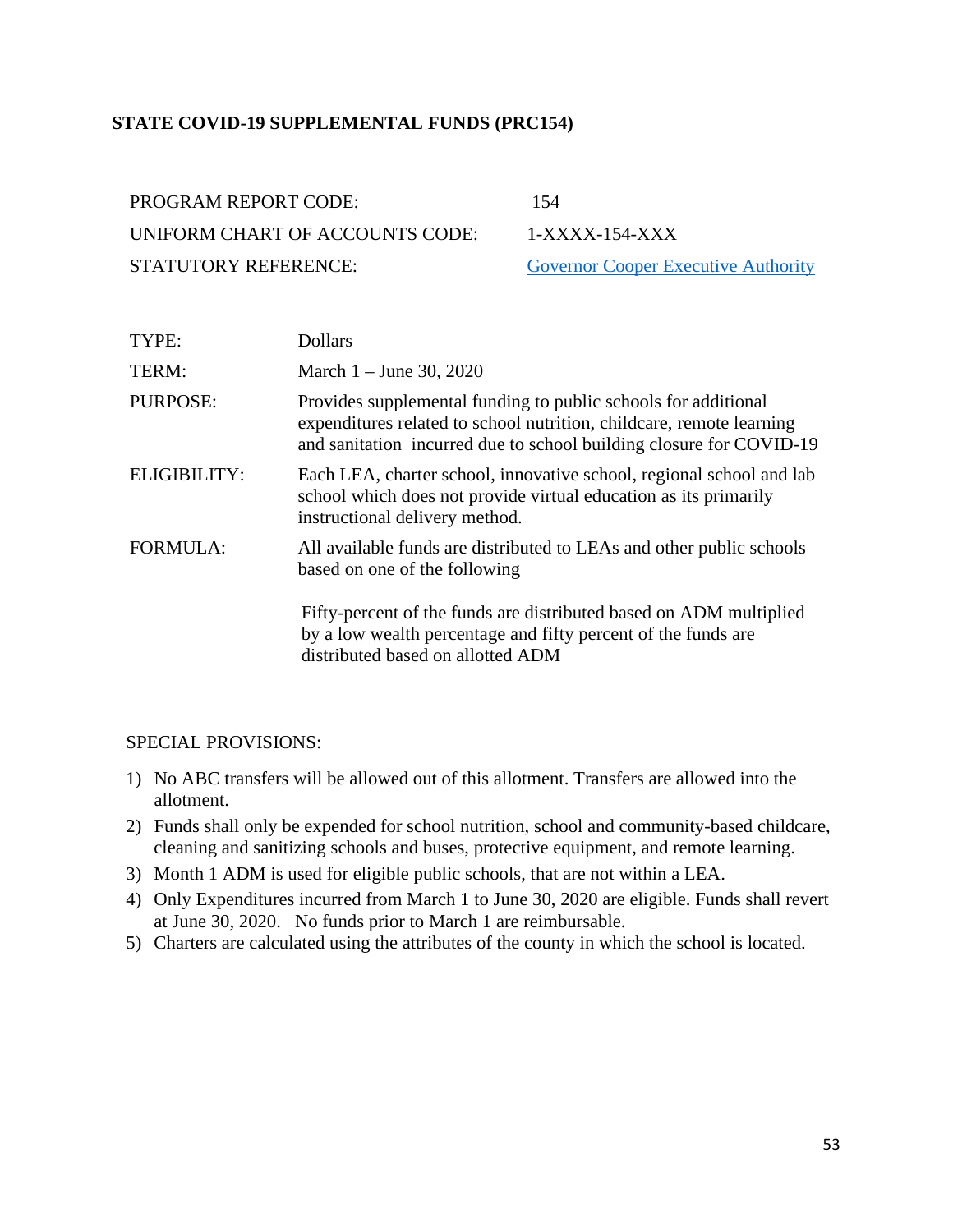### **STATE COVID-19 SUPPLEMENTAL FUNDS (PRC154)**

| PROGRAM REPORT CODE:            | 154   |
|---------------------------------|-------|
| UNIFORM CHART OF ACCOUNTS CODE: | $1-X$ |
| <b>STATUTORY REFERENCE:</b>     | Gov   |

 $1-XXXX - 154-XXX$ [Governor Cooper Executive Authority](https://files.nc.gov/governor/documents/files/COVID-19-Allotment-and-Public-School-Budget-Version-2-03242020.pdf)

| TYPE:           | <b>Dollars</b>                                                                                                                                                                                                |
|-----------------|---------------------------------------------------------------------------------------------------------------------------------------------------------------------------------------------------------------|
| TERM:           | March 1 – June 30, 2020                                                                                                                                                                                       |
| PURPOSE:        | Provides supplemental funding to public schools for additional<br>expenditures related to school nutrition, childcare, remote learning<br>and sanitation incurred due to school building closure for COVID-19 |
| ELIGIBILITY:    | Each LEA, charter school, innovative school, regional school and lab<br>school which does not provide virtual education as its primarily<br>instructional delivery method.                                    |
| <b>FORMULA:</b> | All available funds are distributed to LEAs and other public schools<br>based on one of the following                                                                                                         |
|                 | Fifty-percent of the funds are distributed based on ADM multiplied<br>by a low wealth percentage and fifty percent of the funds are<br>distributed based on allotted ADM                                      |

#### SPECIAL PROVISIONS:

- 1) No ABC transfers will be allowed out of this allotment. Transfers are allowed into the allotment.
- 2) Funds shall only be expended for school nutrition, school and community-based childcare, cleaning and sanitizing schools and buses, protective equipment, and remote learning.
- 3) Month 1 ADM is used for eligible public schools, that are not within a LEA.
- 4) Only Expenditures incurred from March 1 to June 30, 2020 are eligible. Funds shall revert at June 30, 2020. No funds prior to March 1 are reimbursable.
- 5) Charters are calculated using the attributes of the county in which the school is located.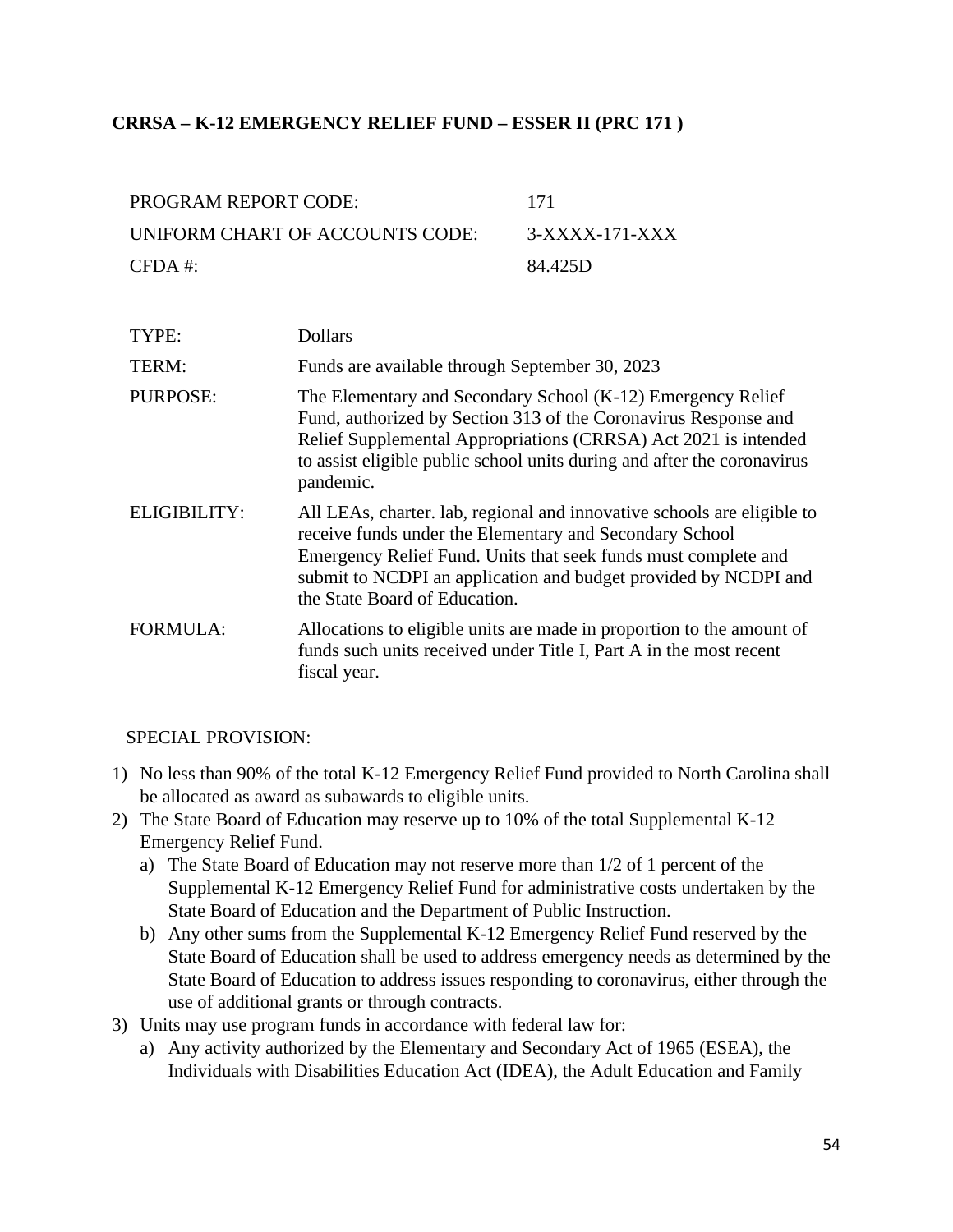### **CRRSA – K-12 EMERGENCY RELIEF FUND – ESSER II (PRC 171 )**

| PROGRAM REPORT CODE:            | -171           |
|---------------------------------|----------------|
| UNIFORM CHART OF ACCOUNTS CODE: | 3-XXXX-171-XXX |
| $CFDA \#$                       | 84.425D        |

| TYPE:           | <b>Dollars</b>                                                                                                                                                                                                                                                                                           |
|-----------------|----------------------------------------------------------------------------------------------------------------------------------------------------------------------------------------------------------------------------------------------------------------------------------------------------------|
| TERM:           | Funds are available through September 30, 2023                                                                                                                                                                                                                                                           |
| <b>PURPOSE:</b> | The Elementary and Secondary School (K-12) Emergency Relief<br>Fund, authorized by Section 313 of the Coronavirus Response and<br>Relief Supplemental Appropriations (CRRSA) Act 2021 is intended<br>to assist eligible public school units during and after the coronavirus<br>pandemic.                |
| ELIGIBILITY:    | All LEAs, charter. lab, regional and innovative schools are eligible to<br>receive funds under the Elementary and Secondary School<br>Emergency Relief Fund. Units that seek funds must complete and<br>submit to NCDPI an application and budget provided by NCDPI and<br>the State Board of Education. |
| <b>FORMULA:</b> | Allocations to eligible units are made in proportion to the amount of<br>funds such units received under Title I, Part A in the most recent<br>fiscal year.                                                                                                                                              |

#### SPECIAL PROVISION:

- 1) No less than 90% of the total K-12 Emergency Relief Fund provided to North Carolina shall be allocated as award as subawards to eligible units.
- 2) The State Board of Education may reserve up to 10% of the total Supplemental K-12 Emergency Relief Fund.
	- a) The State Board of Education may not reserve more than 1/2 of 1 percent of the Supplemental K-12 Emergency Relief Fund for administrative costs undertaken by the State Board of Education and the Department of Public Instruction.
	- b) Any other sums from the Supplemental K-12 Emergency Relief Fund reserved by the State Board of Education shall be used to address emergency needs as determined by the State Board of Education to address issues responding to coronavirus, either through the use of additional grants or through contracts.
- 3) Units may use program funds in accordance with federal law for:
	- a) Any activity authorized by the Elementary and Secondary Act of 1965 (ESEA), the Individuals with Disabilities Education Act (IDEA), the Adult Education and Family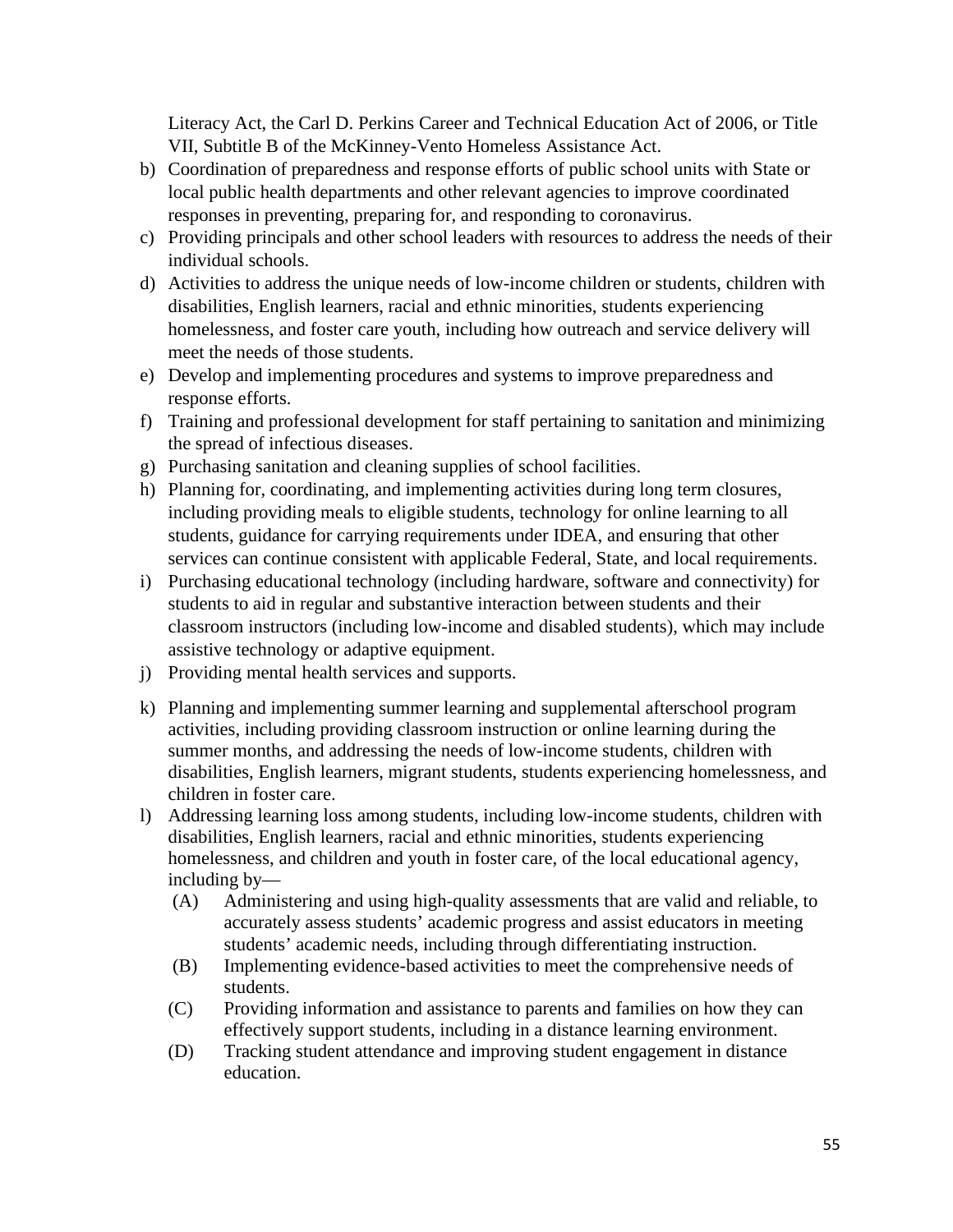Literacy Act, the Carl D. Perkins Career and Technical Education Act of 2006, or Title VII, Subtitle B of the McKinney-Vento Homeless Assistance Act.

- b) Coordination of preparedness and response efforts of public school units with State or local public health departments and other relevant agencies to improve coordinated responses in preventing, preparing for, and responding to coronavirus.
- c) Providing principals and other school leaders with resources to address the needs of their individual schools.
- d) Activities to address the unique needs of low-income children or students, children with disabilities, English learners, racial and ethnic minorities, students experiencing homelessness, and foster care youth, including how outreach and service delivery will meet the needs of those students.
- e) Develop and implementing procedures and systems to improve preparedness and response efforts.
- f) Training and professional development for staff pertaining to sanitation and minimizing the spread of infectious diseases.
- g) Purchasing sanitation and cleaning supplies of school facilities.
- h) Planning for, coordinating, and implementing activities during long term closures, including providing meals to eligible students, technology for online learning to all students, guidance for carrying requirements under IDEA, and ensuring that other services can continue consistent with applicable Federal, State, and local requirements.
- i) Purchasing educational technology (including hardware, software and connectivity) for students to aid in regular and substantive interaction between students and their classroom instructors (including low-income and disabled students), which may include assistive technology or adaptive equipment.
- j) Providing mental health services and supports.
- k) Planning and implementing summer learning and supplemental afterschool program activities, including providing classroom instruction or online learning during the summer months, and addressing the needs of low-income students, children with disabilities, English learners, migrant students, students experiencing homelessness, and children in foster care.
- l) Addressing learning loss among students, including low-income students, children with disabilities, English learners, racial and ethnic minorities, students experiencing homelessness, and children and youth in foster care, of the local educational agency, including by—
	- (A) Administering and using high-quality assessments that are valid and reliable, to accurately assess students' academic progress and assist educators in meeting students' academic needs, including through differentiating instruction.
	- (B) Implementing evidence-based activities to meet the comprehensive needs of students.
	- (C) Providing information and assistance to parents and families on how they can effectively support students, including in a distance learning environment.
	- (D) Tracking student attendance and improving student engagement in distance education.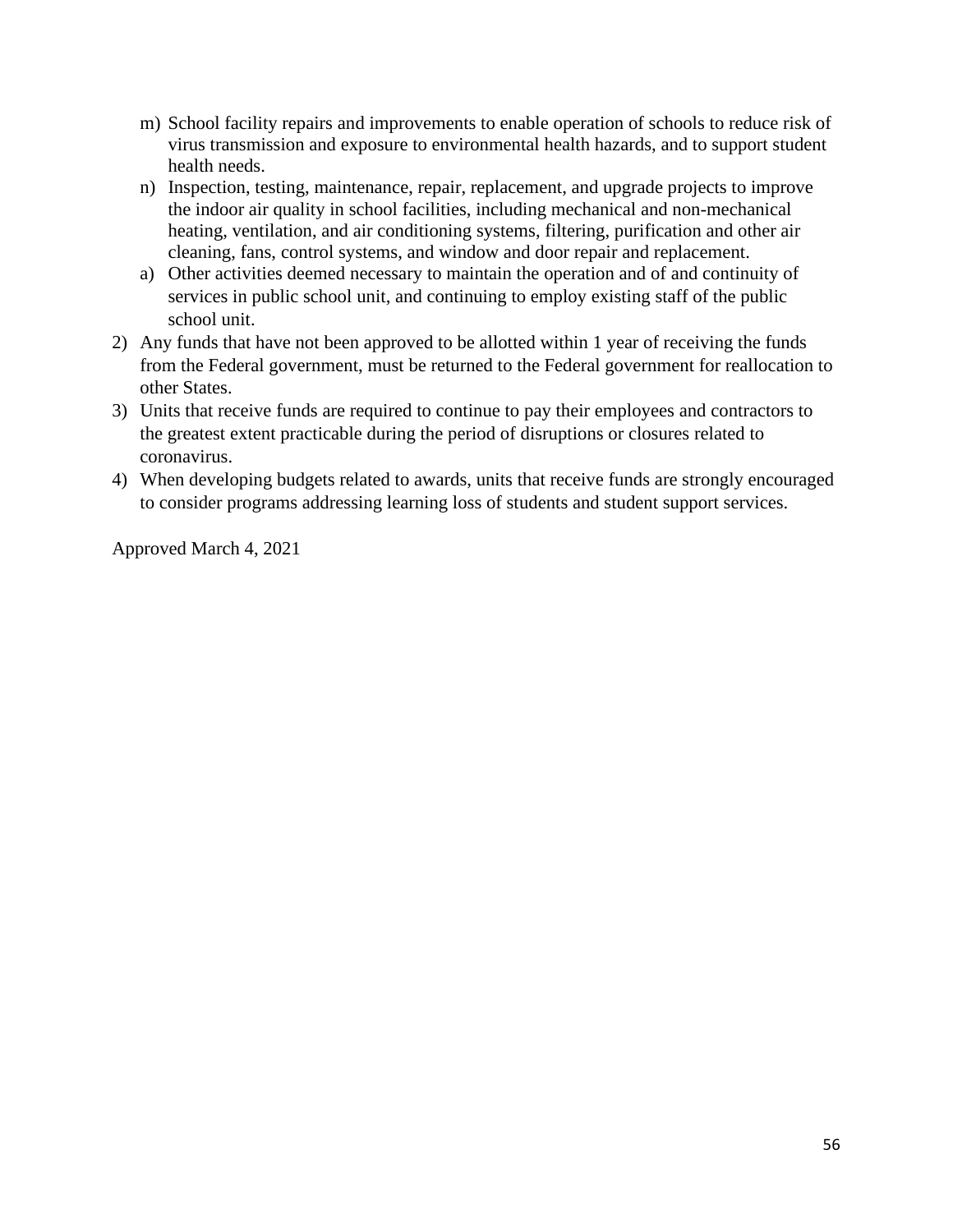- m) School facility repairs and improvements to enable operation of schools to reduce risk of virus transmission and exposure to environmental health hazards, and to support student health needs.
- n) Inspection, testing, maintenance, repair, replacement, and upgrade projects to improve the indoor air quality in school facilities, including mechanical and non-mechanical heating, ventilation, and air conditioning systems, filtering, purification and other air cleaning, fans, control systems, and window and door repair and replacement.
- a) Other activities deemed necessary to maintain the operation and of and continuity of services in public school unit, and continuing to employ existing staff of the public school unit.
- 2) Any funds that have not been approved to be allotted within 1 year of receiving the funds from the Federal government, must be returned to the Federal government for reallocation to other States.
- 3) Units that receive funds are required to continue to pay their employees and contractors to the greatest extent practicable during the period of disruptions or closures related to coronavirus.
- 4) When developing budgets related to awards, units that receive funds are strongly encouraged to consider programs addressing learning loss of students and student support services.

Approved March 4, 2021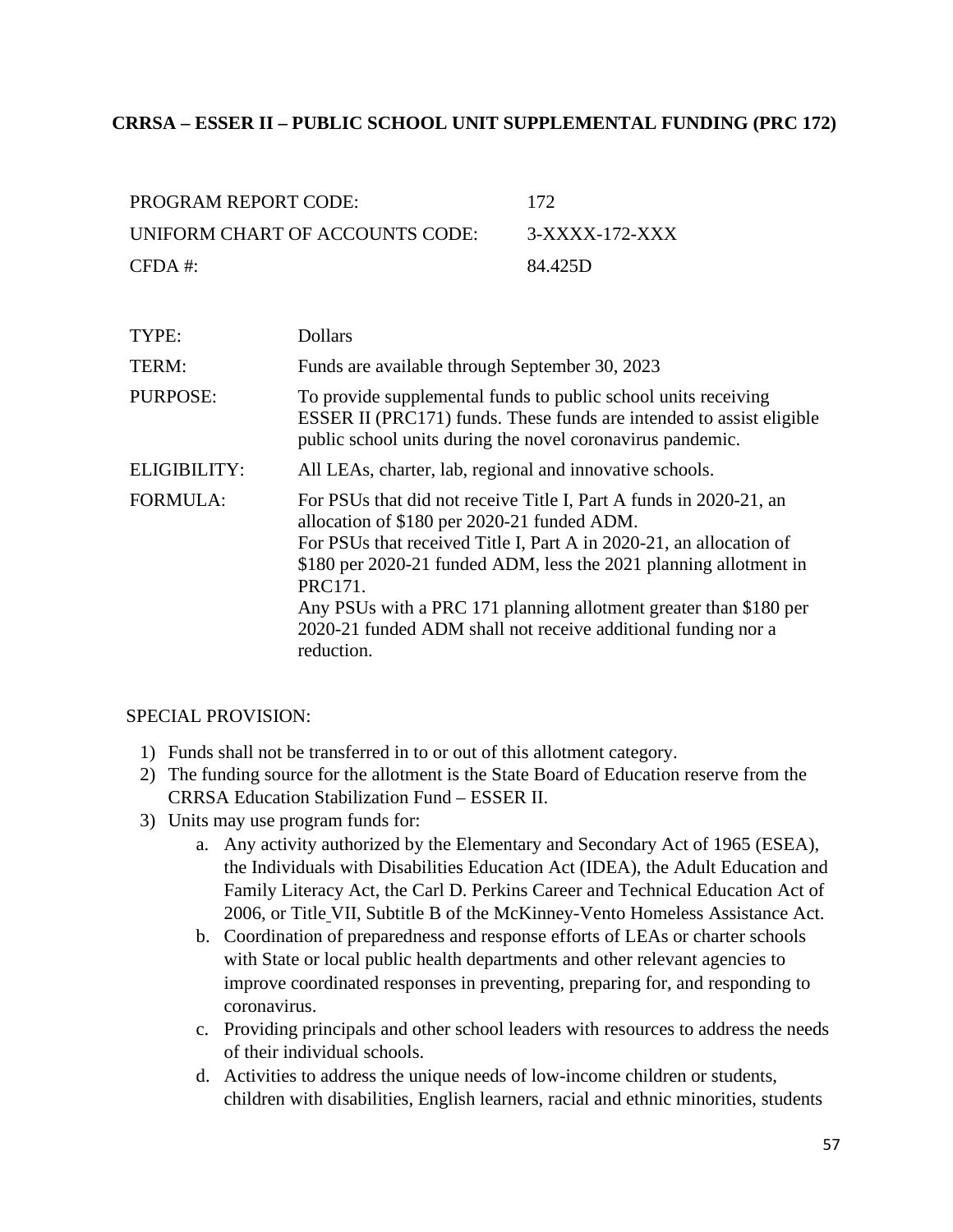### **CRRSA – ESSER II – PUBLIC SCHOOL UNIT SUPPLEMENTAL FUNDING (PRC 172)**

| PROGRAM REPORT CODE:            | 172            |
|---------------------------------|----------------|
| UNIFORM CHART OF ACCOUNTS CODE: | 3-XXXX-172-XXX |
| $CFDA \#$                       | 84.425D        |

| TYPE:           | <b>Dollars</b>                                                                                                                                                                                                                                                                                                                                                                                                               |
|-----------------|------------------------------------------------------------------------------------------------------------------------------------------------------------------------------------------------------------------------------------------------------------------------------------------------------------------------------------------------------------------------------------------------------------------------------|
| TERM:           | Funds are available through September 30, 2023                                                                                                                                                                                                                                                                                                                                                                               |
| PURPOSE:        | To provide supplemental funds to public school units receiving<br>ESSER II (PRC171) funds. These funds are intended to assist eligible<br>public school units during the novel coronavirus pandemic.                                                                                                                                                                                                                         |
| ELIGIBILITY:    | All LEAs, charter, lab, regional and innovative schools.                                                                                                                                                                                                                                                                                                                                                                     |
| <b>FORMULA:</b> | For PSUs that did not receive Title I, Part A funds in 2020-21, an<br>allocation of \$180 per 2020-21 funded ADM.<br>For PSUs that received Title I, Part A in 2020-21, an allocation of<br>\$180 per 2020-21 funded ADM, less the 2021 planning allotment in<br>PRC171.<br>Any PSUs with a PRC 171 planning allotment greater than \$180 per<br>2020-21 funded ADM shall not receive additional funding nor a<br>reduction. |

#### SPECIAL PROVISION:

- 1) Funds shall not be transferred in to or out of this allotment category.
- 2) The funding source for the allotment is the State Board of Education reserve from the CRRSA Education Stabilization Fund – ESSER II.
- 3) Units may use program funds for:
	- a. Any activity authorized by the Elementary and Secondary Act of 1965 (ESEA), the Individuals with Disabilities Education Act (IDEA), the Adult Education and Family Literacy Act, the Carl D. Perkins Career and Technical Education Act of 2006, or Title VII, Subtitle B of the McKinney-Vento Homeless Assistance Act.
	- b. Coordination of preparedness and response efforts of LEAs or charter schools with State or local public health departments and other relevant agencies to improve coordinated responses in preventing, preparing for, and responding to coronavirus.
	- c. Providing principals and other school leaders with resources to address the needs of their individual schools.
	- d. Activities to address the unique needs of low-income children or students, children with disabilities, English learners, racial and ethnic minorities, students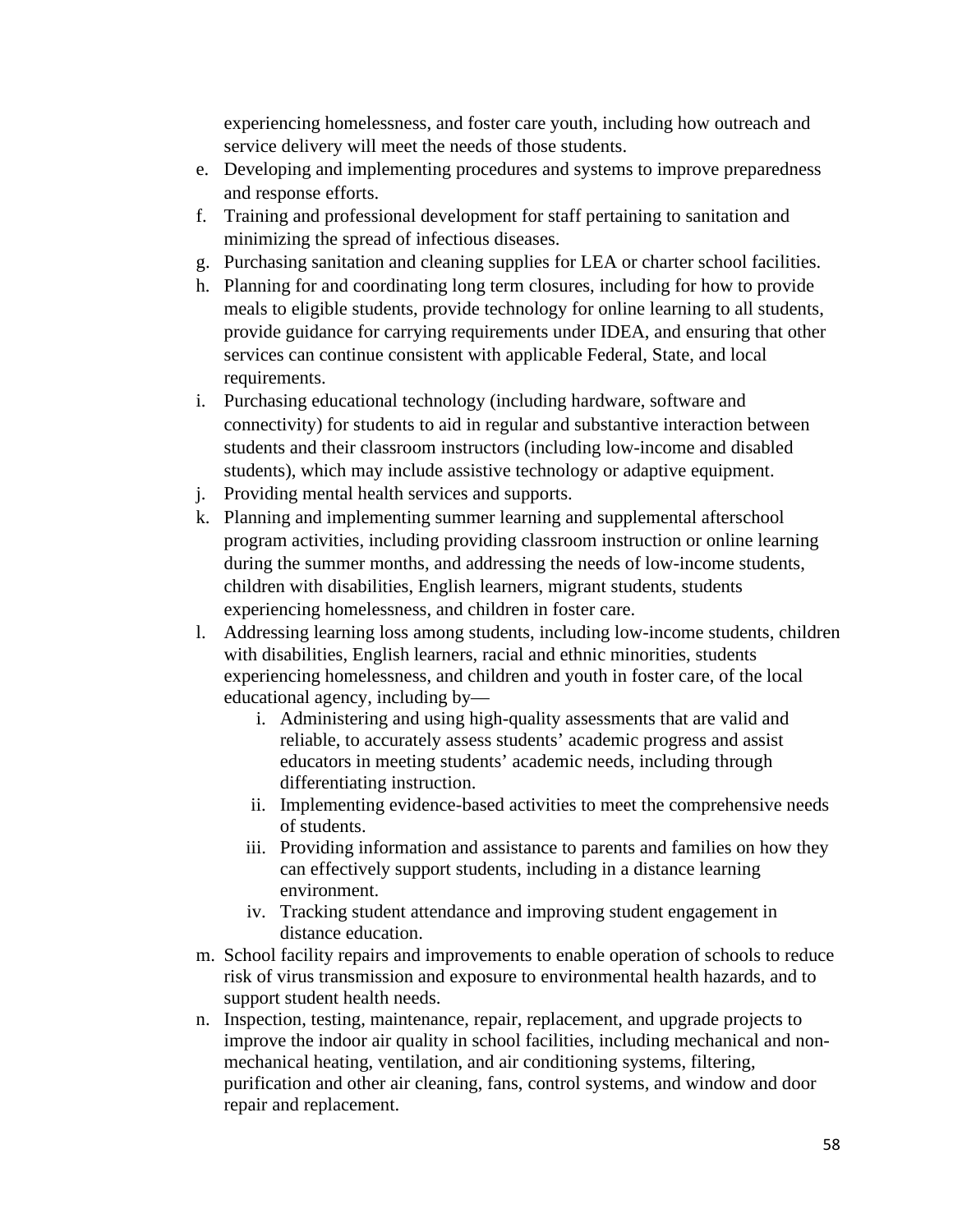experiencing homelessness, and foster care youth, including how outreach and service delivery will meet the needs of those students.

- e. Developing and implementing procedures and systems to improve preparedness and response efforts.
- f. Training and professional development for staff pertaining to sanitation and minimizing the spread of infectious diseases.
- g. Purchasing sanitation and cleaning supplies for LEA or charter school facilities.
- h. Planning for and coordinating long term closures, including for how to provide meals to eligible students, provide technology for online learning to all students, provide guidance for carrying requirements under IDEA, and ensuring that other services can continue consistent with applicable Federal, State, and local requirements.
- i. Purchasing educational technology (including hardware, software and connectivity) for students to aid in regular and substantive interaction between students and their classroom instructors (including low-income and disabled students), which may include assistive technology or adaptive equipment.
- j. Providing mental health services and supports.
- k. Planning and implementing summer learning and supplemental afterschool program activities, including providing classroom instruction or online learning during the summer months, and addressing the needs of low-income students, children with disabilities, English learners, migrant students, students experiencing homelessness, and children in foster care.
- l. Addressing learning loss among students, including low-income students, children with disabilities, English learners, racial and ethnic minorities, students experiencing homelessness, and children and youth in foster care, of the local educational agency, including by
	- i. Administering and using high-quality assessments that are valid and reliable, to accurately assess students' academic progress and assist educators in meeting students' academic needs, including through differentiating instruction.
	- ii. Implementing evidence-based activities to meet the comprehensive needs of students.
	- iii. Providing information and assistance to parents and families on how they can effectively support students, including in a distance learning environment.
	- iv. Tracking student attendance and improving student engagement in distance education.
- m. School facility repairs and improvements to enable operation of schools to reduce risk of virus transmission and exposure to environmental health hazards, and to support student health needs.
- n. Inspection, testing, maintenance, repair, replacement, and upgrade projects to improve the indoor air quality in school facilities, including mechanical and nonmechanical heating, ventilation, and air conditioning systems, filtering, purification and other air cleaning, fans, control systems, and window and door repair and replacement.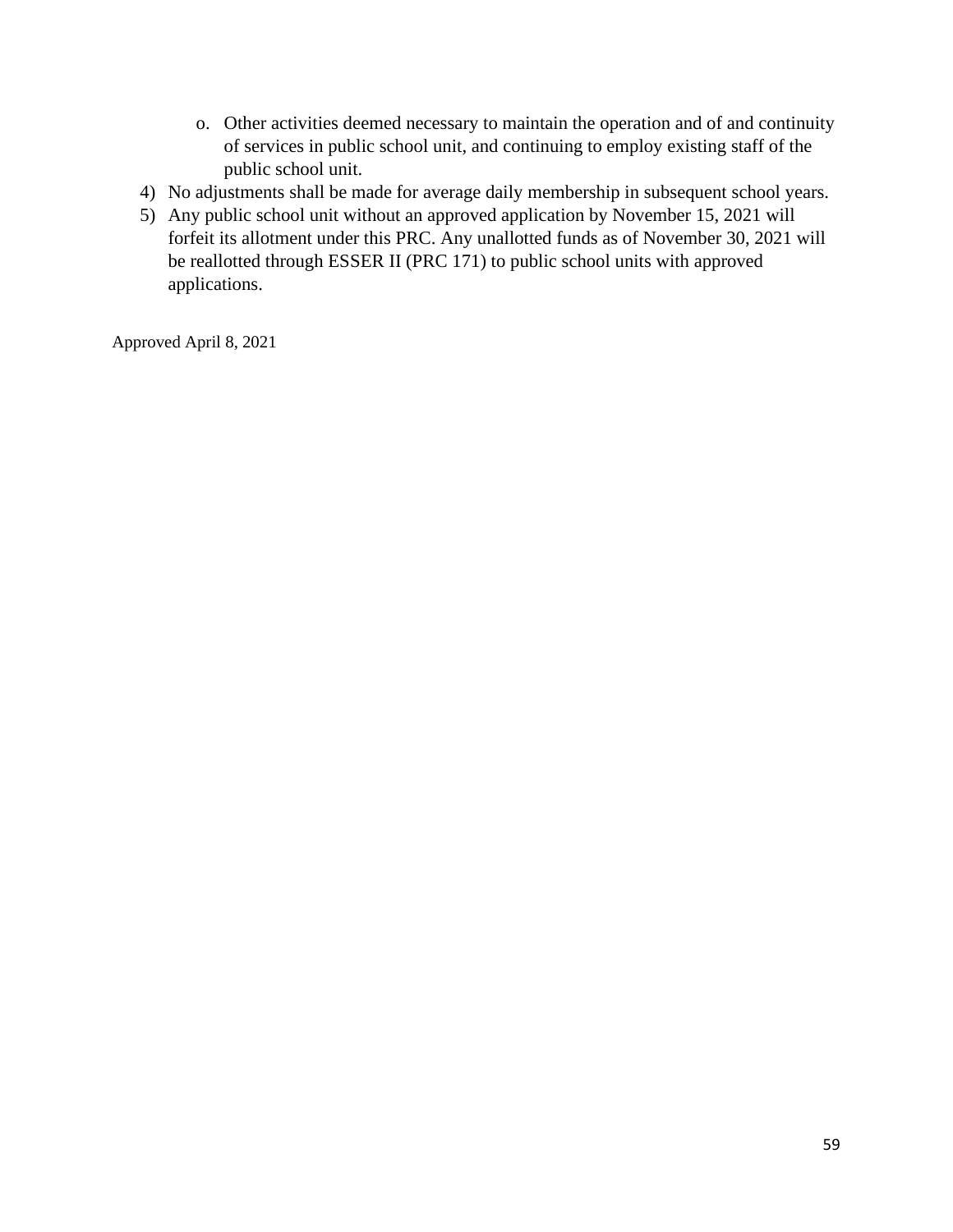- o. Other activities deemed necessary to maintain the operation and of and continuity of services in public school unit, and continuing to employ existing staff of the public school unit.
- 4) No adjustments shall be made for average daily membership in subsequent school years.
- 5) Any public school unit without an approved application by November 15, 2021 will forfeit its allotment under this PRC. Any unallotted funds as of November 30, 2021 will be reallotted through ESSER II (PRC 171) to public school units with approved applications.

Approved April 8, 2021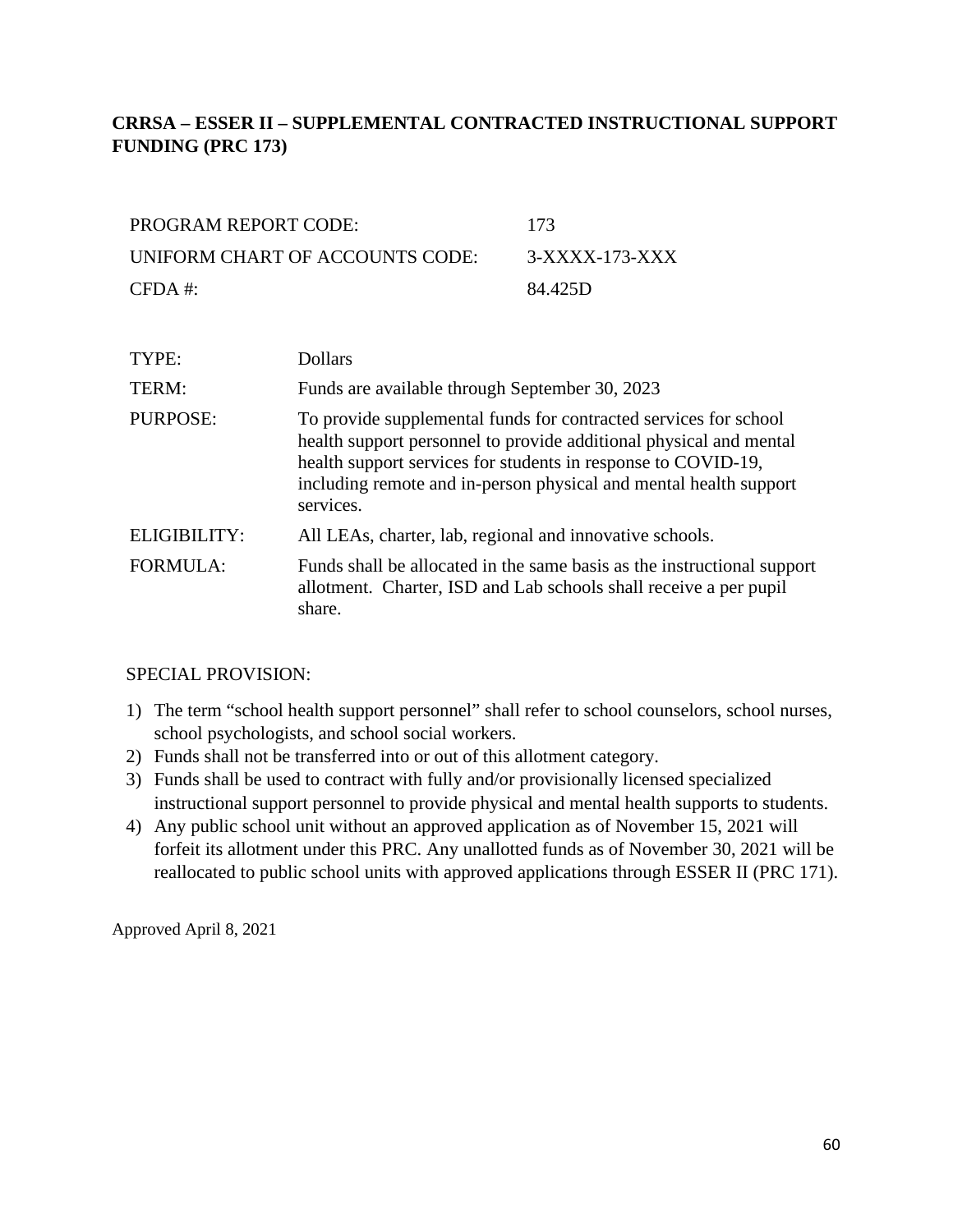# **CRRSA – ESSER II – SUPPLEMENTAL CONTRACTED INSTRUCTIONAL SUPPORT FUNDING (PRC 173)**

| PROGRAM REPORT CODE:            | -173           |
|---------------------------------|----------------|
| UNIFORM CHART OF ACCOUNTS CODE: | 3-XXXX-173-XXX |
| $CFDA \#$                       | 84.425D        |

| TYPE:           | <b>Dollars</b>                                                                                                                                                                                                                                                                            |
|-----------------|-------------------------------------------------------------------------------------------------------------------------------------------------------------------------------------------------------------------------------------------------------------------------------------------|
| TERM:           | Funds are available through September 30, 2023                                                                                                                                                                                                                                            |
| PURPOSE:        | To provide supplemental funds for contracted services for school<br>health support personnel to provide additional physical and mental<br>health support services for students in response to COVID-19,<br>including remote and in-person physical and mental health support<br>services. |
| ELIGIBILITY:    | All LEAs, charter, lab, regional and innovative schools.                                                                                                                                                                                                                                  |
| <b>FORMULA:</b> | Funds shall be allocated in the same basis as the instructional support<br>allotment. Charter, ISD and Lab schools shall receive a per pupil<br>share.                                                                                                                                    |

### SPECIAL PROVISION:

- 1) The term "school health support personnel" shall refer to school counselors, school nurses, school psychologists, and school social workers.
- 2) Funds shall not be transferred into or out of this allotment category.
- 3) Funds shall be used to contract with fully and/or provisionally licensed specialized instructional support personnel to provide physical and mental health supports to students.
- 4) Any public school unit without an approved application as of November 15, 2021 will forfeit its allotment under this PRC. Any unallotted funds as of November 30, 2021 will be reallocated to public school units with approved applications through ESSER II (PRC 171).

Approved April 8, 2021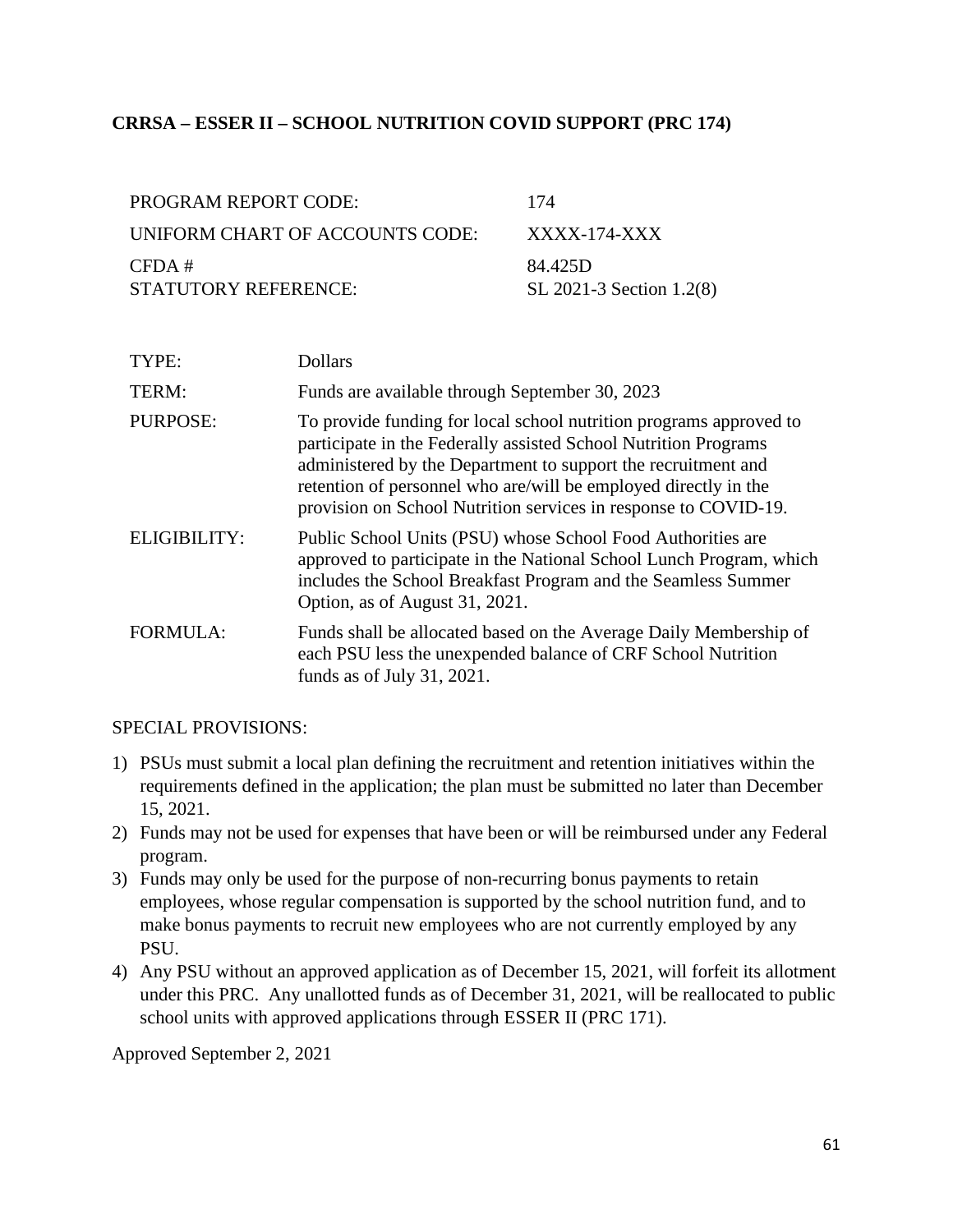### **CRRSA – ESSER II – SCHOOL NUTRITION COVID SUPPORT (PRC 174)**

| PROGRAM REPORT CODE:            | 174                      |
|---------------------------------|--------------------------|
| UNIFORM CHART OF ACCOUNTS CODE: | XXXX-174-XXX             |
| CFDA#                           | 84.425D                  |
| STATUTORY REFERENCE:            | SL 2021-3 Section 1.2(8) |

| TYPE:           | <b>Dollars</b>                                                                                                                                                                                                                                                                                                                               |
|-----------------|----------------------------------------------------------------------------------------------------------------------------------------------------------------------------------------------------------------------------------------------------------------------------------------------------------------------------------------------|
| TERM:           | Funds are available through September 30, 2023                                                                                                                                                                                                                                                                                               |
| <b>PURPOSE:</b> | To provide funding for local school nutrition programs approved to<br>participate in the Federally assisted School Nutrition Programs<br>administered by the Department to support the recruitment and<br>retention of personnel who are/will be employed directly in the<br>provision on School Nutrition services in response to COVID-19. |
| ELIGIBILITY:    | Public School Units (PSU) whose School Food Authorities are<br>approved to participate in the National School Lunch Program, which<br>includes the School Breakfast Program and the Seamless Summer<br>Option, as of August 31, 2021.                                                                                                        |
| <b>FORMULA:</b> | Funds shall be allocated based on the Average Daily Membership of<br>each PSU less the unexpended balance of CRF School Nutrition<br>funds as of July 31, 2021.                                                                                                                                                                              |

#### SPECIAL PROVISIONS:

- 1) PSUs must submit a local plan defining the recruitment and retention initiatives within the requirements defined in the application; the plan must be submitted no later than December 15, 2021.
- 2) Funds may not be used for expenses that have been or will be reimbursed under any Federal program.
- 3) Funds may only be used for the purpose of non-recurring bonus payments to retain employees, whose regular compensation is supported by the school nutrition fund, and to make bonus payments to recruit new employees who are not currently employed by any PSU.
- 4) Any PSU without an approved application as of December 15, 2021, will forfeit its allotment under this PRC. Any unallotted funds as of December 31, 2021, will be reallocated to public school units with approved applications through ESSER II (PRC 171).

Approved September 2, 2021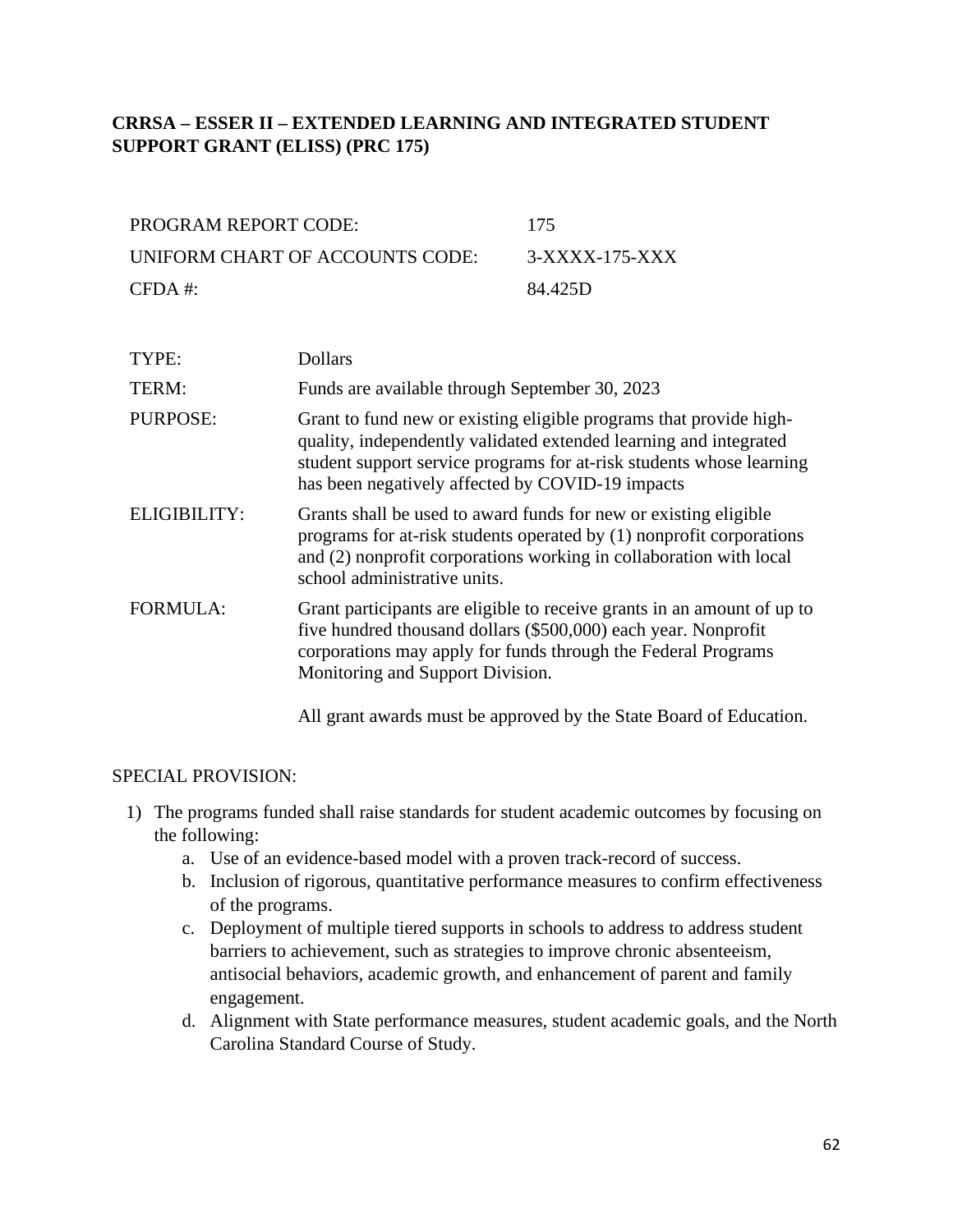## **CRRSA – ESSER II – EXTENDED LEARNING AND INTEGRATED STUDENT SUPPORT GRANT (ELISS) (PRC 175)**

| PROGRAM REPORT CODE:            | -175           |
|---------------------------------|----------------|
| UNIFORM CHART OF ACCOUNTS CODE: | 3-XXXX-175-XXX |
| $CFDA \#$                       | 84.425D        |

| TYPE:           | <b>Dollars</b>                                                                                                                                                                                                                                                      |
|-----------------|---------------------------------------------------------------------------------------------------------------------------------------------------------------------------------------------------------------------------------------------------------------------|
| TERM:           | Funds are available through September 30, 2023                                                                                                                                                                                                                      |
| <b>PURPOSE:</b> | Grant to fund new or existing eligible programs that provide high-<br>quality, independently validated extended learning and integrated<br>student support service programs for at-risk students whose learning<br>has been negatively affected by COVID-19 impacts |
| ELIGIBILITY:    | Grants shall be used to award funds for new or existing eligible<br>programs for at-risk students operated by (1) nonprofit corporations<br>and (2) nonprofit corporations working in collaboration with local<br>school administrative units.                      |
| <b>FORMULA:</b> | Grant participants are eligible to receive grants in an amount of up to<br>five hundred thousand dollars (\$500,000) each year. Nonprofit<br>corporations may apply for funds through the Federal Programs<br>Monitoring and Support Division.                      |

All grant awards must be approved by the State Board of Education.

#### SPECIAL PROVISION:

- 1) The programs funded shall raise standards for student academic outcomes by focusing on the following:
	- a. Use of an evidence-based model with a proven track-record of success.
	- b. Inclusion of rigorous, quantitative performance measures to confirm effectiveness of the programs.
	- c. Deployment of multiple tiered supports in schools to address to address student barriers to achievement, such as strategies to improve chronic absenteeism, antisocial behaviors, academic growth, and enhancement of parent and family engagement.
	- d. Alignment with State performance measures, student academic goals, and the North Carolina Standard Course of Study.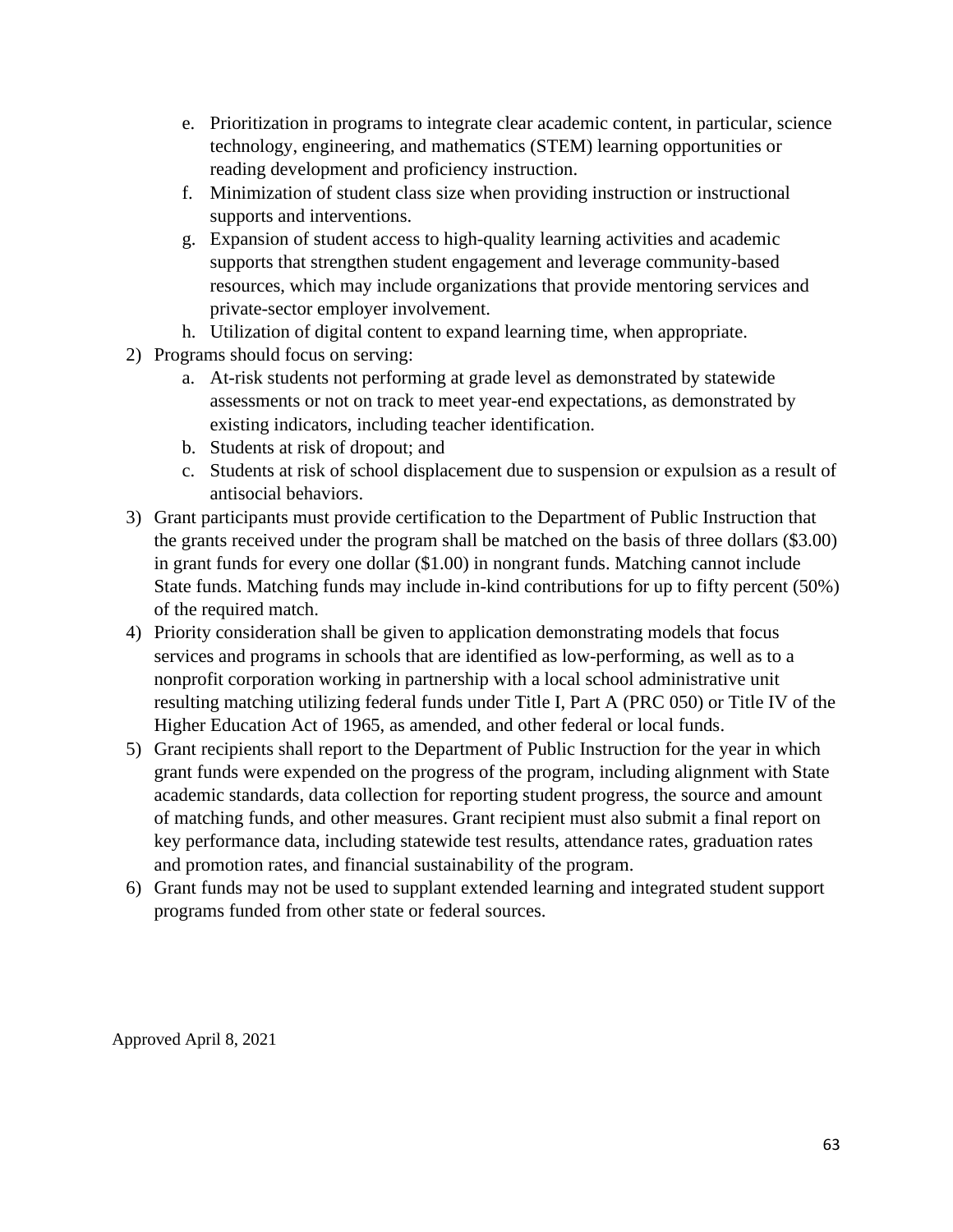- e. Prioritization in programs to integrate clear academic content, in particular, science technology, engineering, and mathematics (STEM) learning opportunities or reading development and proficiency instruction.
- f. Minimization of student class size when providing instruction or instructional supports and interventions.
- g. Expansion of student access to high-quality learning activities and academic supports that strengthen student engagement and leverage community-based resources, which may include organizations that provide mentoring services and private-sector employer involvement.
- h. Utilization of digital content to expand learning time, when appropriate.
- 2) Programs should focus on serving:
	- a. At-risk students not performing at grade level as demonstrated by statewide assessments or not on track to meet year-end expectations, as demonstrated by existing indicators, including teacher identification.
	- b. Students at risk of dropout; and
	- c. Students at risk of school displacement due to suspension or expulsion as a result of antisocial behaviors.
- 3) Grant participants must provide certification to the Department of Public Instruction that the grants received under the program shall be matched on the basis of three dollars (\$3.00) in grant funds for every one dollar (\$1.00) in nongrant funds. Matching cannot include State funds. Matching funds may include in-kind contributions for up to fifty percent (50%) of the required match.
- 4) Priority consideration shall be given to application demonstrating models that focus services and programs in schools that are identified as low-performing, as well as to a nonprofit corporation working in partnership with a local school administrative unit resulting matching utilizing federal funds under Title I, Part A (PRC 050) or Title IV of the Higher Education Act of 1965, as amended, and other federal or local funds.
- 5) Grant recipients shall report to the Department of Public Instruction for the year in which grant funds were expended on the progress of the program, including alignment with State academic standards, data collection for reporting student progress, the source and amount of matching funds, and other measures. Grant recipient must also submit a final report on key performance data, including statewide test results, attendance rates, graduation rates and promotion rates, and financial sustainability of the program.
- 6) Grant funds may not be used to supplant extended learning and integrated student support programs funded from other state or federal sources.

Approved April 8, 2021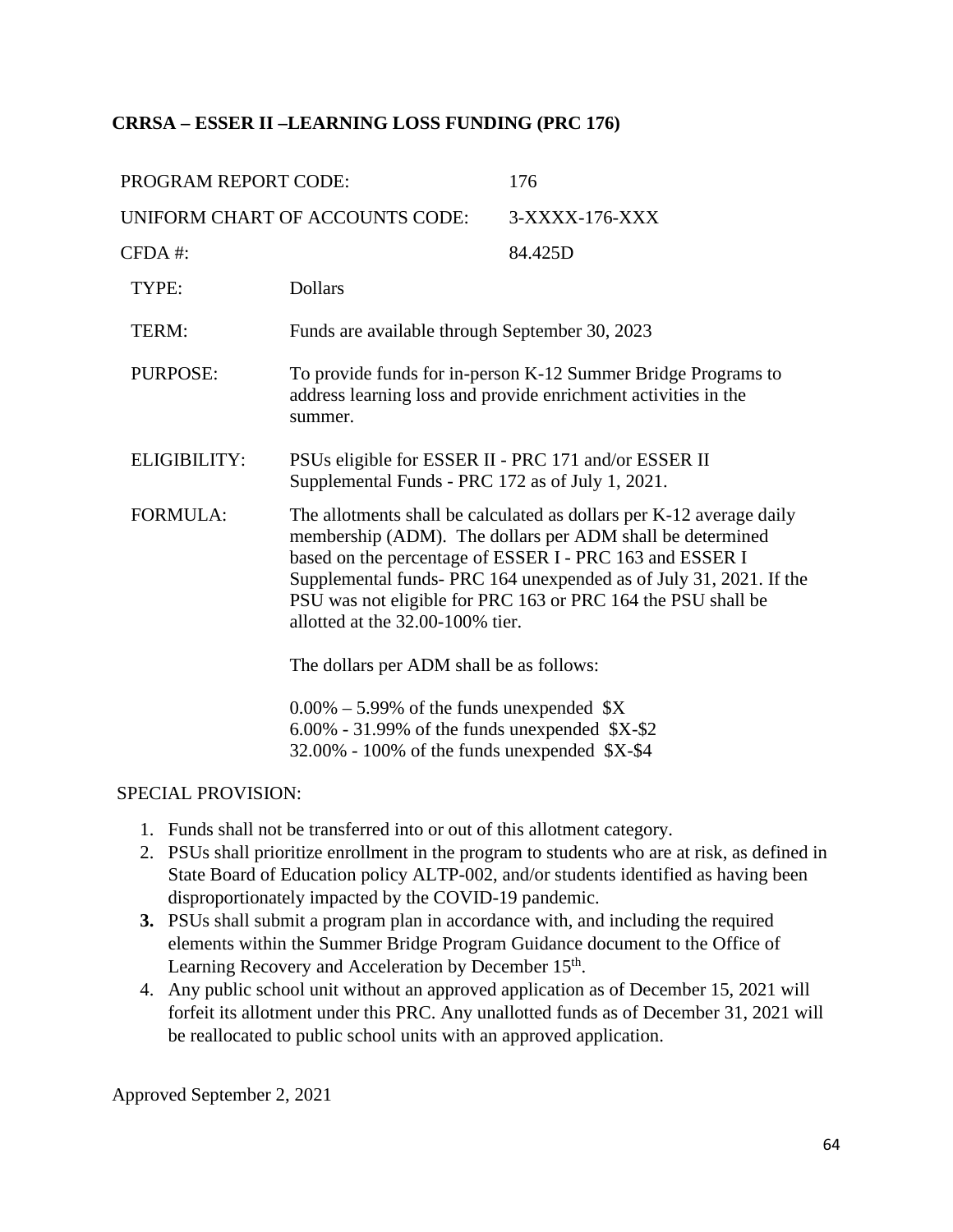### **CRRSA – ESSER II –LEARNING LOSS FUNDING (PRC 176)**

| PROGRAM REPORT CODE:            |                                                                                                                                                                                                                                                                                                                                                                         | 176                                                  |
|---------------------------------|-------------------------------------------------------------------------------------------------------------------------------------------------------------------------------------------------------------------------------------------------------------------------------------------------------------------------------------------------------------------------|------------------------------------------------------|
| UNIFORM CHART OF ACCOUNTS CODE: |                                                                                                                                                                                                                                                                                                                                                                         | 3-XXXX-176-XXX                                       |
| CFDA #:                         |                                                                                                                                                                                                                                                                                                                                                                         | 84.425D                                              |
| TYPE:                           | <b>Dollars</b>                                                                                                                                                                                                                                                                                                                                                          |                                                      |
| TERM:                           | Funds are available through September 30, 2023                                                                                                                                                                                                                                                                                                                          |                                                      |
| <b>PURPOSE:</b>                 | To provide funds for in-person K-12 Summer Bridge Programs to<br>address learning loss and provide enrichment activities in the<br>summer.                                                                                                                                                                                                                              |                                                      |
| <b>ELIGIBILITY:</b>             | Supplemental Funds - PRC 172 as of July 1, 2021.                                                                                                                                                                                                                                                                                                                        | PSUs eligible for ESSER II - PRC 171 and/or ESSER II |
| <b>FORMULA:</b>                 | The allotments shall be calculated as dollars per K-12 average daily<br>membership (ADM). The dollars per ADM shall be determined<br>based on the percentage of ESSER I - PRC 163 and ESSER I<br>Supplemental funds- PRC 164 unexpended as of July 31, 2021. If the<br>PSU was not eligible for PRC 163 or PRC 164 the PSU shall be<br>allotted at the 32.00-100% tier. |                                                      |
|                                 | The dollars per ADM shall be as follows:                                                                                                                                                                                                                                                                                                                                |                                                      |
|                                 | $0.00\% - 5.99\%$ of the funds unexpended $X$<br>$6.00\%$ - 31.99% of the funds unexpended $X-S2$<br>$32.00\%$ - 100% of the funds unexpended \$X-\$4                                                                                                                                                                                                                   |                                                      |

#### SPECIAL PROVISION:

- 1. Funds shall not be transferred into or out of this allotment category.
- 2. PSUs shall prioritize enrollment in the program to students who are at risk, as defined in State Board of Education policy ALTP-002, and/or students identified as having been disproportionately impacted by the COVID-19 pandemic.
- **3.** PSUs shall submit a program plan in accordance with, and including the required elements within the Summer Bridge Program Guidance document to the Office of Learning Recovery and Acceleration by December 15<sup>th</sup>.
- 4. Any public school unit without an approved application as of December 15, 2021 will forfeit its allotment under this PRC. Any unallotted funds as of December 31, 2021 will be reallocated to public school units with an approved application.

Approved September 2, 2021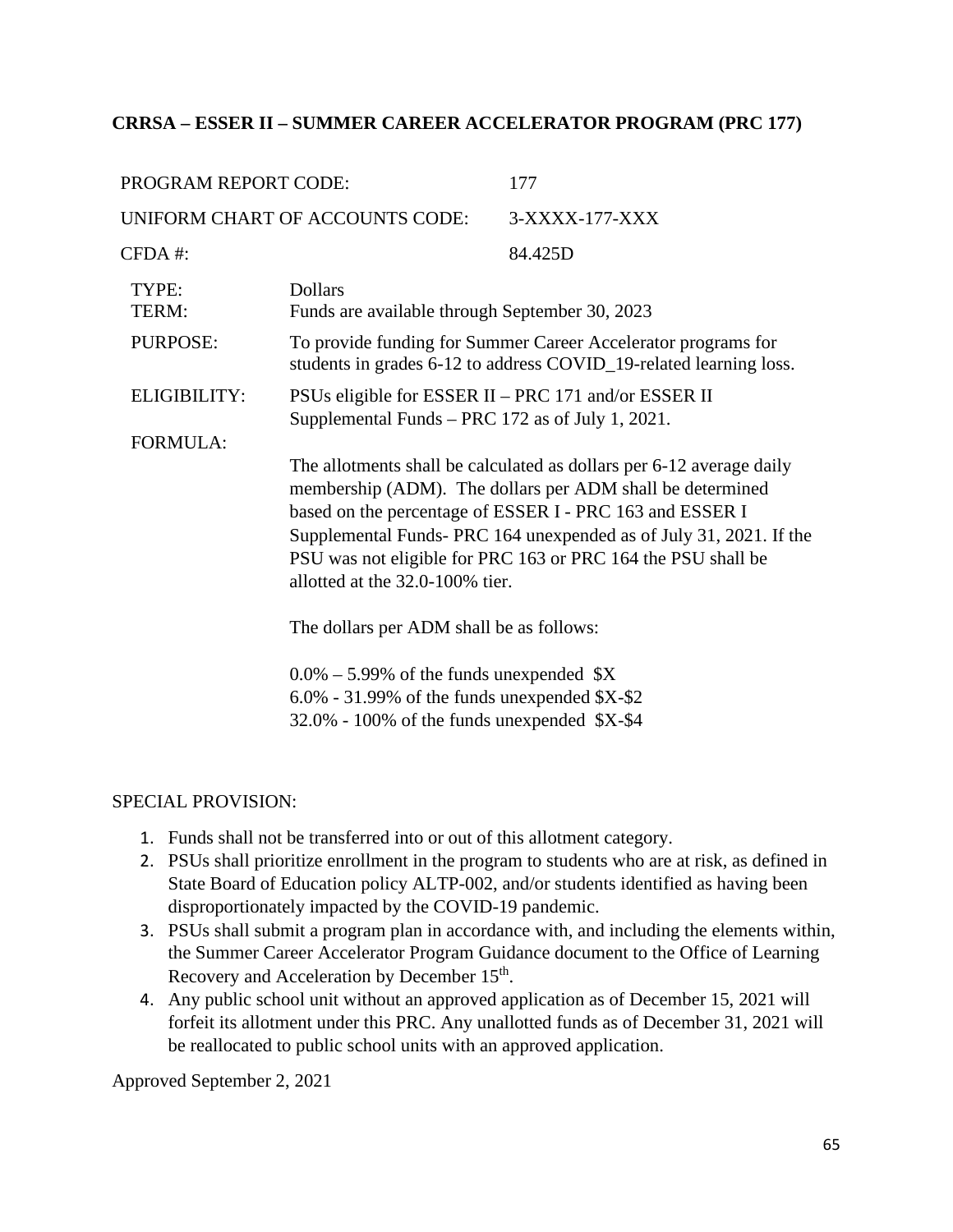### **CRRSA – ESSER II – SUMMER CAREER ACCELERATOR PROGRAM (PRC 177)**

| PROGRAM REPORT CODE: |                                                                                                                                                                                                                                                                                                                                                                       | 177            |
|----------------------|-----------------------------------------------------------------------------------------------------------------------------------------------------------------------------------------------------------------------------------------------------------------------------------------------------------------------------------------------------------------------|----------------|
|                      | UNIFORM CHART OF ACCOUNTS CODE:                                                                                                                                                                                                                                                                                                                                       | 3-XXXX-177-XXX |
| $CFDA$ #:            |                                                                                                                                                                                                                                                                                                                                                                       | 84.425D        |
| TYPE:<br>TERM:       | <b>Dollars</b><br>Funds are available through September 30, 2023                                                                                                                                                                                                                                                                                                      |                |
| PURPOSE:             | To provide funding for Summer Career Accelerator programs for<br>students in grades 6-12 to address COVID_19-related learning loss.                                                                                                                                                                                                                                   |                |
| <b>ELIGIBILITY:</b>  | PSUs eligible for ESSER II – PRC 171 and/or ESSER II<br>Supplemental Funds – PRC 172 as of July 1, 2021.                                                                                                                                                                                                                                                              |                |
| <b>FORMULA:</b>      |                                                                                                                                                                                                                                                                                                                                                                       |                |
|                      | The allotments shall be calculated as dollars per 6-12 average daily<br>membership (ADM). The dollars per ADM shall be determined<br>based on the percentage of ESSER I - PRC 163 and ESSER I<br>Supplemental Funds-PRC 164 unexpended as of July 31, 2021. If the<br>PSU was not eligible for PRC 163 or PRC 164 the PSU shall be<br>allotted at the 32.0-100% tier. |                |
|                      | The dollars per ADM shall be as follows:                                                                                                                                                                                                                                                                                                                              |                |
|                      | $0.0\% - 5.99\%$ of the funds unexpended \$X<br>$6.0\%$ - 31.99% of the funds unexpended \$X-\$2<br>$32.0\%$ - 100% of the funds unexpended \$X-\$4                                                                                                                                                                                                                   |                |
|                      |                                                                                                                                                                                                                                                                                                                                                                       |                |

#### SPECIAL PROVISION:

- 1. Funds shall not be transferred into or out of this allotment category.
- 2. PSUs shall prioritize enrollment in the program to students who are at risk, as defined in State Board of Education policy ALTP-002, and/or students identified as having been disproportionately impacted by the COVID-19 pandemic.
- 3. PSUs shall submit a program plan in accordance with, and including the elements within, the Summer Career Accelerator Program Guidance document to the Office of Learning Recovery and Acceleration by December 15<sup>th</sup>.
- 4. Any public school unit without an approved application as of December 15, 2021 will forfeit its allotment under this PRC. Any unallotted funds as of December 31, 2021 will be reallocated to public school units with an approved application.

Approved September 2, 2021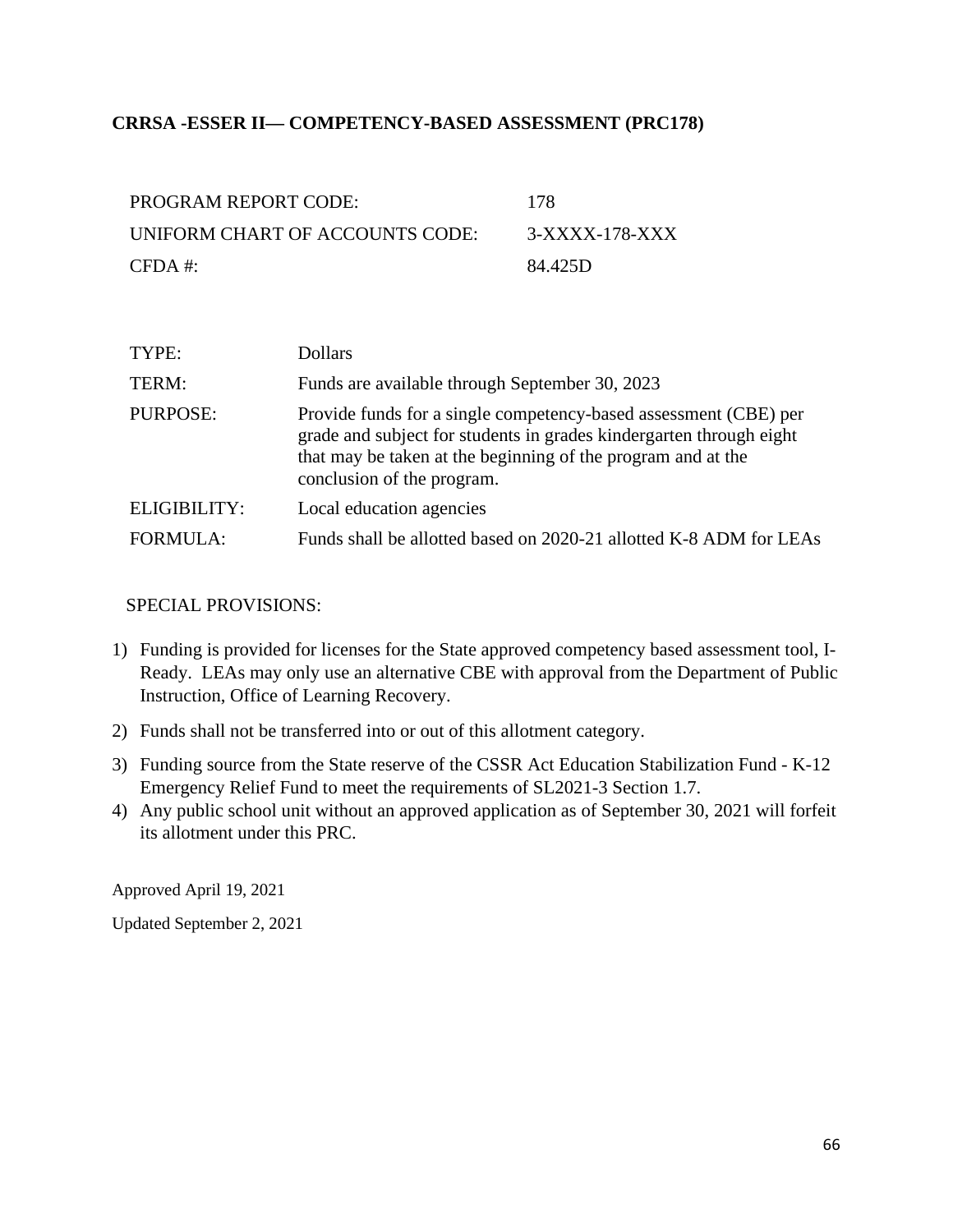### **CRRSA -ESSER II— COMPETENCY-BASED ASSESSMENT (PRC178)**

| PROGRAM REPORT CODE:            | -178           |
|---------------------------------|----------------|
| UNIFORM CHART OF ACCOUNTS CODE: | 3-XXXX-178-XXX |
| $CFDA \#$                       | 84.425D        |

| TYPE:           | <b>Dollars</b>                                                                                                                                                                                                                        |
|-----------------|---------------------------------------------------------------------------------------------------------------------------------------------------------------------------------------------------------------------------------------|
| TERM:           | Funds are available through September 30, 2023                                                                                                                                                                                        |
| PURPOSE:        | Provide funds for a single competency-based assessment (CBE) per<br>grade and subject for students in grades kindergarten through eight<br>that may be taken at the beginning of the program and at the<br>conclusion of the program. |
| ELIGIBILITY:    | Local education agencies                                                                                                                                                                                                              |
| <b>FORMULA:</b> | Funds shall be allotted based on 2020-21 allotted K-8 ADM for LEAs                                                                                                                                                                    |

#### SPECIAL PROVISIONS:

- 1) Funding is provided for licenses for the State approved competency based assessment tool, I-Ready. LEAs may only use an alternative CBE with approval from the Department of Public Instruction, Office of Learning Recovery.
- 2) Funds shall not be transferred into or out of this allotment category.
- 3) Funding source from the State reserve of the CSSR Act Education Stabilization Fund K-12 Emergency Relief Fund to meet the requirements of SL2021-3 Section 1.7.
- 4) Any public school unit without an approved application as of September 30, 2021 will forfeit its allotment under this PRC.

Approved April 19, 2021

Updated September 2, 2021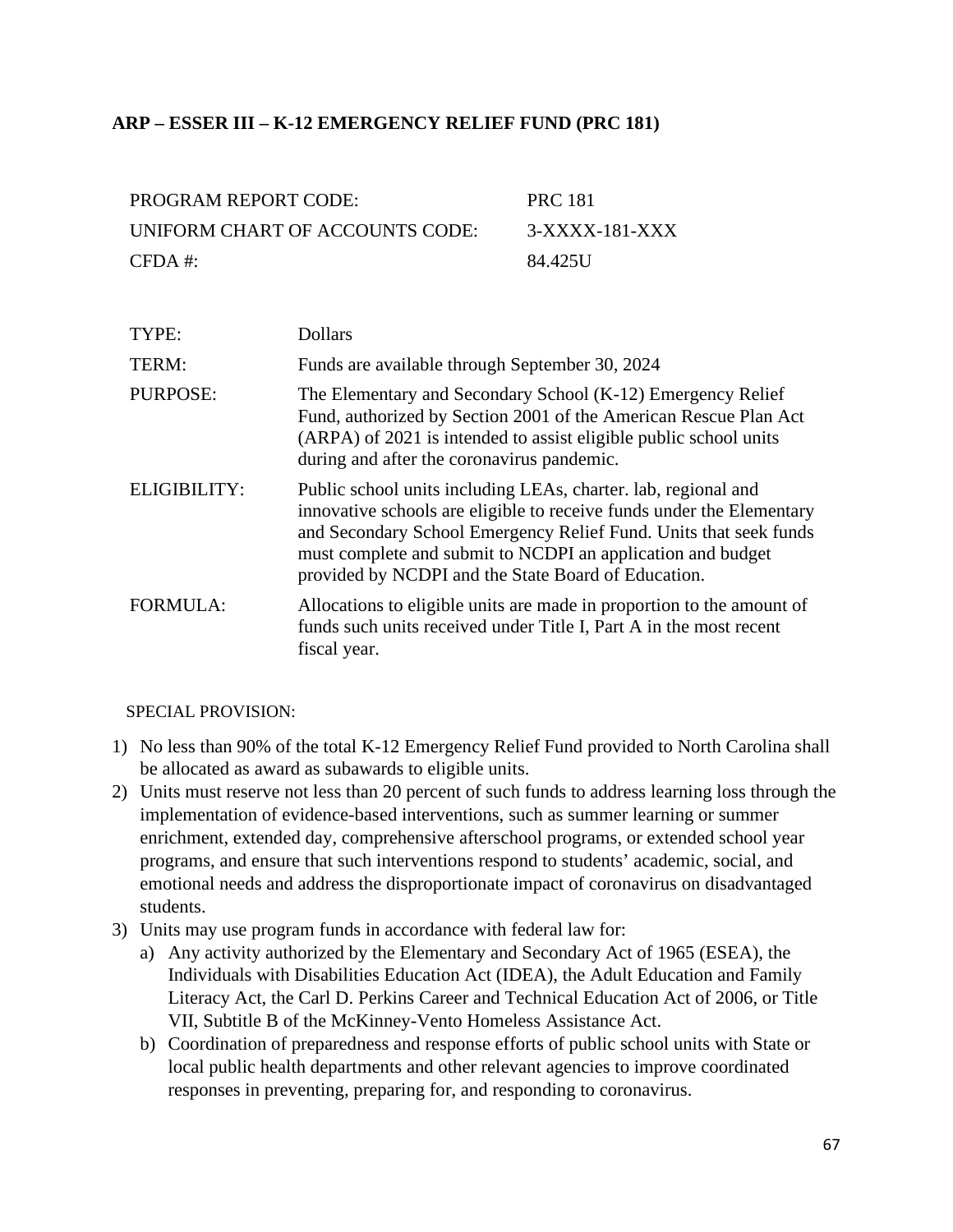### **ARP – ESSER III – K-12 EMERGENCY RELIEF FUND (PRC 181)**

| PROGRAM REPORT CODE:            | <b>PRC 181</b> |
|---------------------------------|----------------|
| UNIFORM CHART OF ACCOUNTS CODE: | 3-XXXX-181-XXX |
| $CFDA \#$                       | 84.425U        |

| TYPE:           | <b>Dollars</b>                                                                                                                                                                                                                                                                                                                     |
|-----------------|------------------------------------------------------------------------------------------------------------------------------------------------------------------------------------------------------------------------------------------------------------------------------------------------------------------------------------|
| TERM:           | Funds are available through September 30, 2024                                                                                                                                                                                                                                                                                     |
| <b>PURPOSE:</b> | The Elementary and Secondary School (K-12) Emergency Relief<br>Fund, authorized by Section 2001 of the American Rescue Plan Act<br>(ARPA) of 2021 is intended to assist eligible public school units<br>during and after the coronavirus pandemic.                                                                                 |
| ELIGIBILITY:    | Public school units including LEAs, charter. lab, regional and<br>innovative schools are eligible to receive funds under the Elementary<br>and Secondary School Emergency Relief Fund. Units that seek funds<br>must complete and submit to NCDPI an application and budget<br>provided by NCDPI and the State Board of Education. |
| <b>FORMULA:</b> | Allocations to eligible units are made in proportion to the amount of<br>funds such units received under Title I, Part A in the most recent<br>fiscal year.                                                                                                                                                                        |

#### SPECIAL PROVISION:

- 1) No less than 90% of the total K-12 Emergency Relief Fund provided to North Carolina shall be allocated as award as subawards to eligible units.
- 2) Units must reserve not less than 20 percent of such funds to address learning loss through the implementation of evidence-based interventions, such as summer learning or summer enrichment, extended day, comprehensive afterschool programs, or extended school year programs, and ensure that such interventions respond to students' academic, social, and emotional needs and address the disproportionate impact of coronavirus on disadvantaged students.
- 3) Units may use program funds in accordance with federal law for:
	- a) Any activity authorized by the Elementary and Secondary Act of 1965 (ESEA), the Individuals with Disabilities Education Act (IDEA), the Adult Education and Family Literacy Act, the Carl D. Perkins Career and Technical Education Act of 2006, or Title VII, Subtitle B of the McKinney-Vento Homeless Assistance Act.
	- b) Coordination of preparedness and response efforts of public school units with State or local public health departments and other relevant agencies to improve coordinated responses in preventing, preparing for, and responding to coronavirus.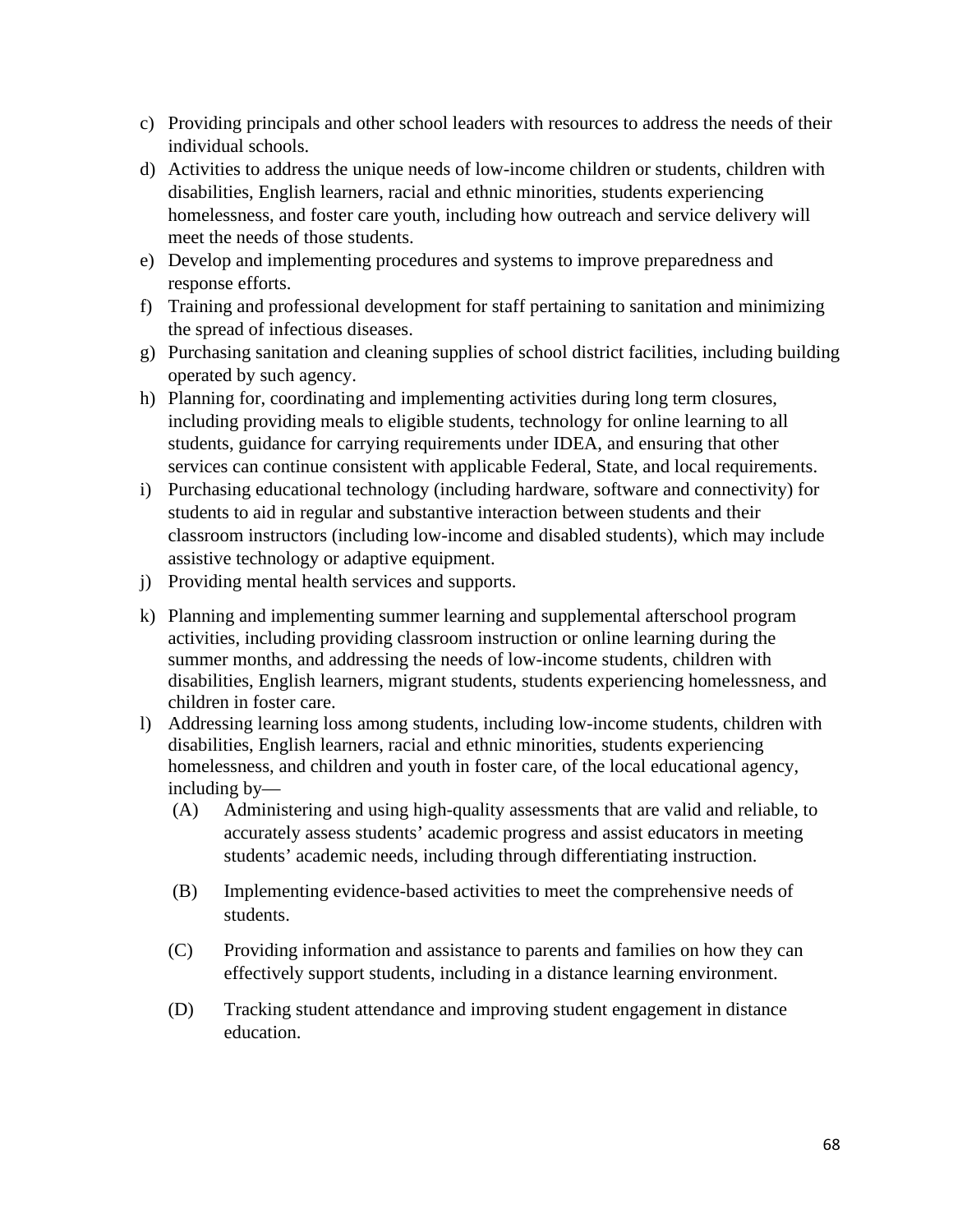- c) Providing principals and other school leaders with resources to address the needs of their individual schools.
- d) Activities to address the unique needs of low-income children or students, children with disabilities, English learners, racial and ethnic minorities, students experiencing homelessness, and foster care youth, including how outreach and service delivery will meet the needs of those students.
- e) Develop and implementing procedures and systems to improve preparedness and response efforts.
- f) Training and professional development for staff pertaining to sanitation and minimizing the spread of infectious diseases.
- g) Purchasing sanitation and cleaning supplies of school district facilities, including building operated by such agency.
- h) Planning for, coordinating and implementing activities during long term closures, including providing meals to eligible students, technology for online learning to all students, guidance for carrying requirements under IDEA, and ensuring that other services can continue consistent with applicable Federal, State, and local requirements.
- i) Purchasing educational technology (including hardware, software and connectivity) for students to aid in regular and substantive interaction between students and their classroom instructors (including low-income and disabled students), which may include assistive technology or adaptive equipment.
- j) Providing mental health services and supports.
- k) Planning and implementing summer learning and supplemental afterschool program activities, including providing classroom instruction or online learning during the summer months, and addressing the needs of low-income students, children with disabilities, English learners, migrant students, students experiencing homelessness, and children in foster care.
- l) Addressing learning loss among students, including low-income students, children with disabilities, English learners, racial and ethnic minorities, students experiencing homelessness, and children and youth in foster care, of the local educational agency, including by—
	- (A) Administering and using high-quality assessments that are valid and reliable, to accurately assess students' academic progress and assist educators in meeting students' academic needs, including through differentiating instruction.
	- (B) Implementing evidence-based activities to meet the comprehensive needs of students.
	- (C) Providing information and assistance to parents and families on how they can effectively support students, including in a distance learning environment.
	- (D) Tracking student attendance and improving student engagement in distance education.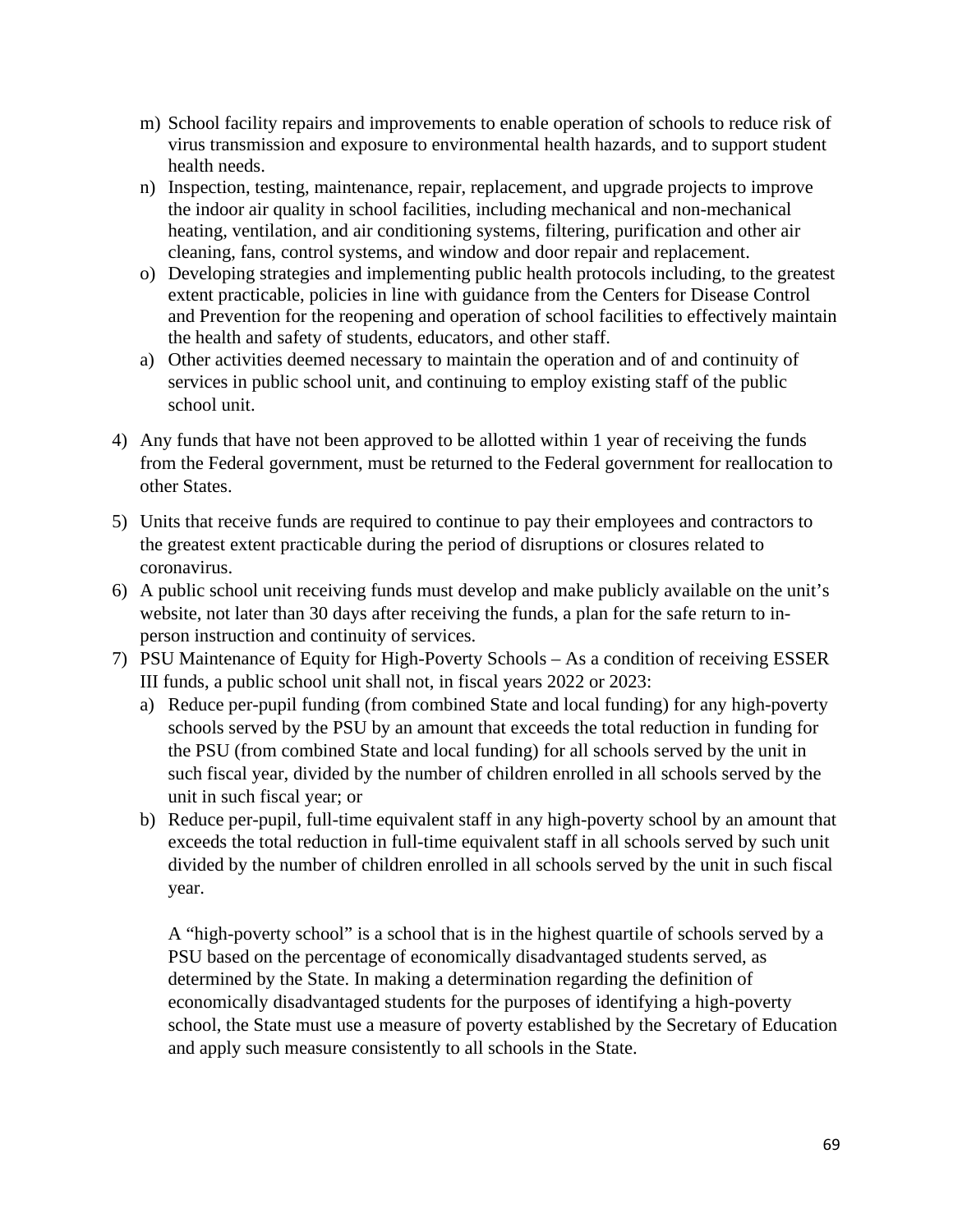- m) School facility repairs and improvements to enable operation of schools to reduce risk of virus transmission and exposure to environmental health hazards, and to support student health needs.
- n) Inspection, testing, maintenance, repair, replacement, and upgrade projects to improve the indoor air quality in school facilities, including mechanical and non-mechanical heating, ventilation, and air conditioning systems, filtering, purification and other air cleaning, fans, control systems, and window and door repair and replacement.
- o) Developing strategies and implementing public health protocols including, to the greatest extent practicable, policies in line with guidance from the Centers for Disease Control and Prevention for the reopening and operation of school facilities to effectively maintain the health and safety of students, educators, and other staff.
- a) Other activities deemed necessary to maintain the operation and of and continuity of services in public school unit, and continuing to employ existing staff of the public school unit.
- 4) Any funds that have not been approved to be allotted within 1 year of receiving the funds from the Federal government, must be returned to the Federal government for reallocation to other States.
- 5) Units that receive funds are required to continue to pay their employees and contractors to the greatest extent practicable during the period of disruptions or closures related to coronavirus.
- 6) A public school unit receiving funds must develop and make publicly available on the unit's website, not later than 30 days after receiving the funds, a plan for the safe return to inperson instruction and continuity of services.
- 7) PSU Maintenance of Equity for High-Poverty Schools As a condition of receiving ESSER III funds, a public school unit shall not, in fiscal years 2022 or 2023:
	- a) Reduce per-pupil funding (from combined State and local funding) for any high-poverty schools served by the PSU by an amount that exceeds the total reduction in funding for the PSU (from combined State and local funding) for all schools served by the unit in such fiscal year, divided by the number of children enrolled in all schools served by the unit in such fiscal year; or
	- b) Reduce per-pupil, full-time equivalent staff in any high-poverty school by an amount that exceeds the total reduction in full-time equivalent staff in all schools served by such unit divided by the number of children enrolled in all schools served by the unit in such fiscal year.

A "high-poverty school" is a school that is in the highest quartile of schools served by a PSU based on the percentage of economically disadvantaged students served, as determined by the State. In making a determination regarding the definition of economically disadvantaged students for the purposes of identifying a high-poverty school, the State must use a measure of poverty established by the Secretary of Education and apply such measure consistently to all schools in the State.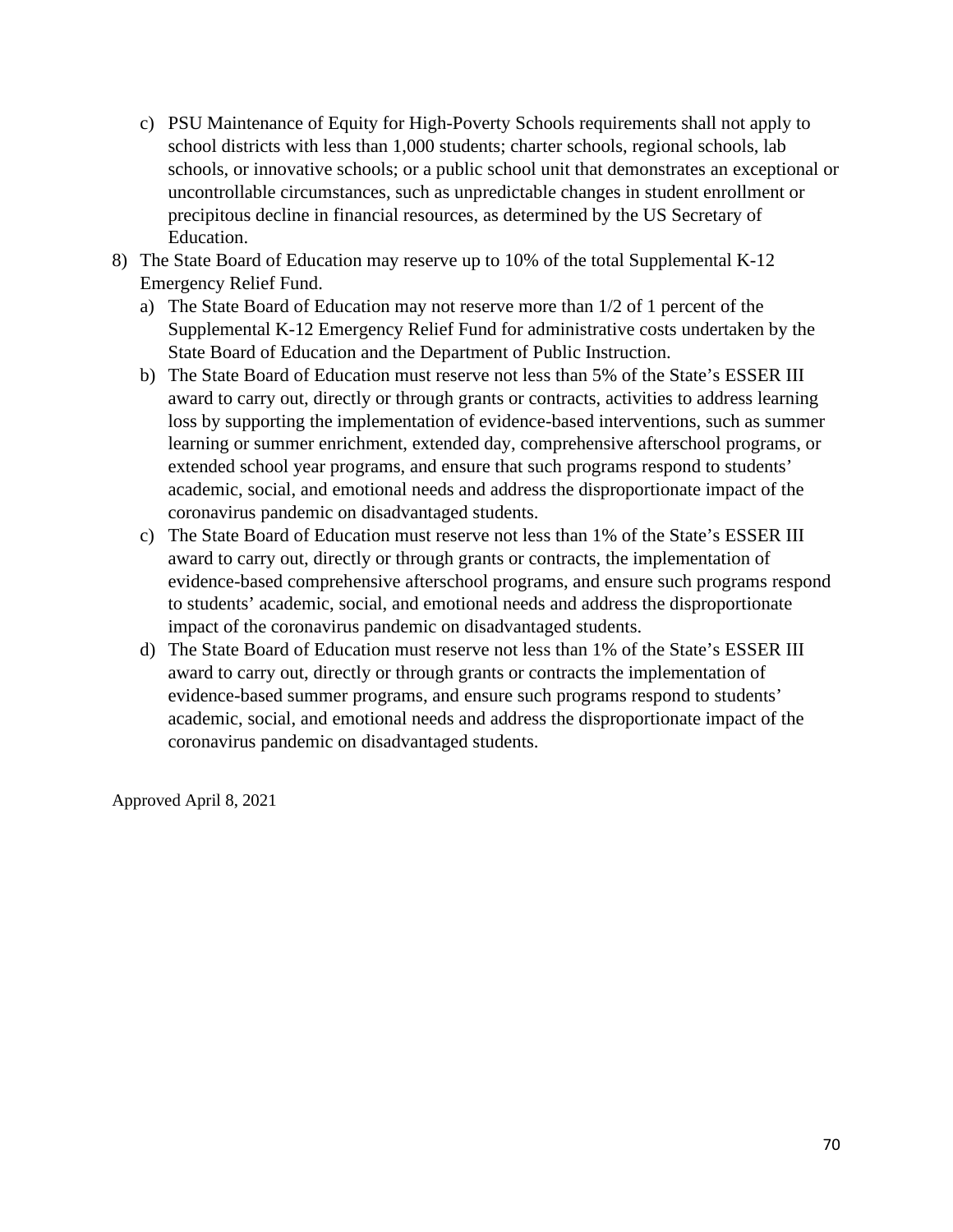- c) PSU Maintenance of Equity for High-Poverty Schools requirements shall not apply to school districts with less than 1,000 students; charter schools, regional schools, lab schools, or innovative schools; or a public school unit that demonstrates an exceptional or uncontrollable circumstances, such as unpredictable changes in student enrollment or precipitous decline in financial resources, as determined by the US Secretary of Education.
- 8) The State Board of Education may reserve up to 10% of the total Supplemental K-12 Emergency Relief Fund.
	- a) The State Board of Education may not reserve more than 1/2 of 1 percent of the Supplemental K-12 Emergency Relief Fund for administrative costs undertaken by the State Board of Education and the Department of Public Instruction.
	- b) The State Board of Education must reserve not less than 5% of the State's ESSER III award to carry out, directly or through grants or contracts, activities to address learning loss by supporting the implementation of evidence-based interventions, such as summer learning or summer enrichment, extended day, comprehensive afterschool programs, or extended school year programs, and ensure that such programs respond to students' academic, social, and emotional needs and address the disproportionate impact of the coronavirus pandemic on disadvantaged students.
	- c) The State Board of Education must reserve not less than 1% of the State's ESSER III award to carry out, directly or through grants or contracts, the implementation of evidence-based comprehensive afterschool programs, and ensure such programs respond to students' academic, social, and emotional needs and address the disproportionate impact of the coronavirus pandemic on disadvantaged students.
	- d) The State Board of Education must reserve not less than 1% of the State's ESSER III award to carry out, directly or through grants or contracts the implementation of evidence-based summer programs, and ensure such programs respond to students' academic, social, and emotional needs and address the disproportionate impact of the coronavirus pandemic on disadvantaged students.

Approved April 8, 2021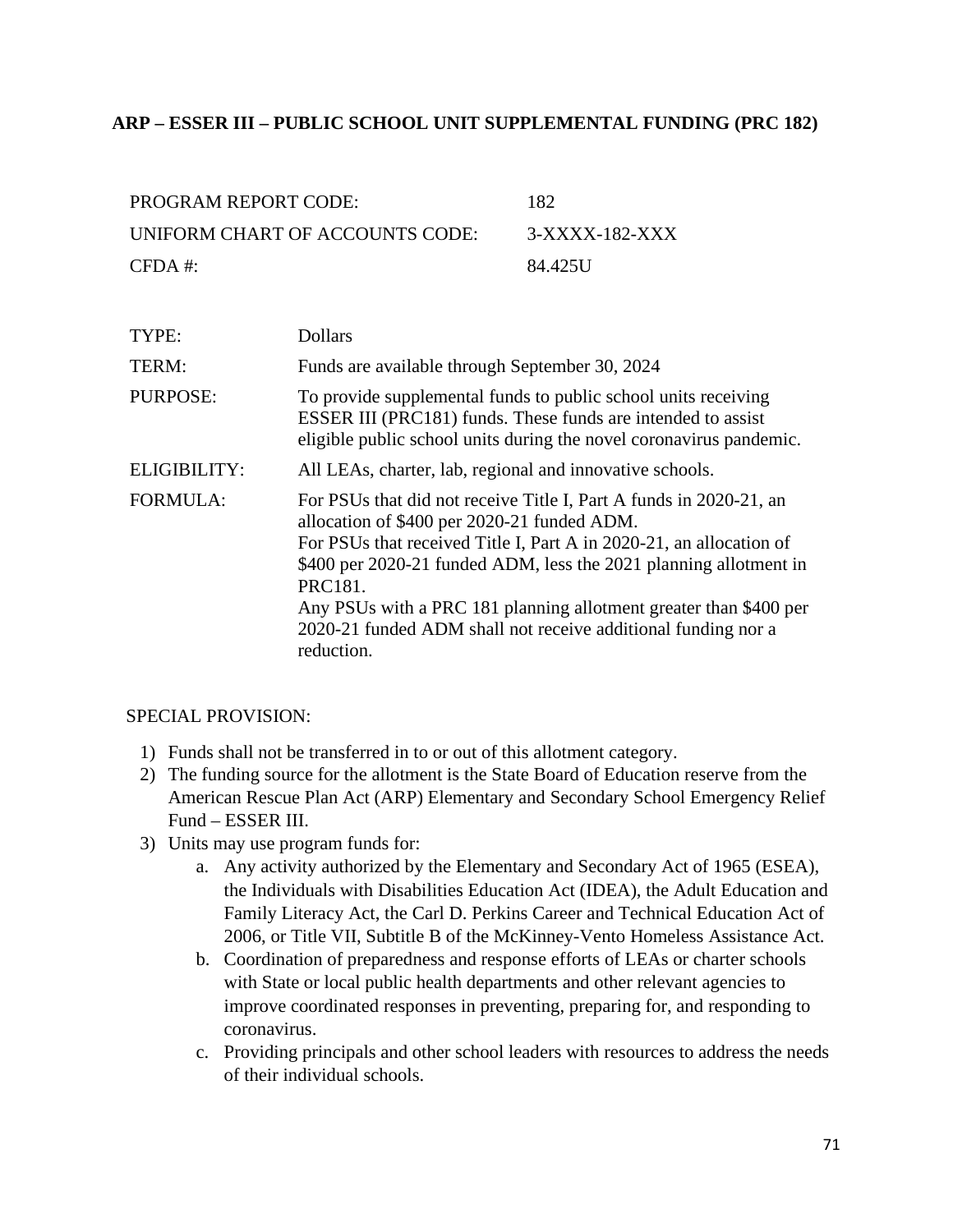### **ARP – ESSER III – PUBLIC SCHOOL UNIT SUPPLEMENTAL FUNDING (PRC 182)**

| PROGRAM REPORT CODE:            | 182            |
|---------------------------------|----------------|
| UNIFORM CHART OF ACCOUNTS CODE: | 3-XXXX-182-XXX |
| $CFDA \#$                       | 84.425U        |

| TYPE:           | <b>Dollars</b>                                                                                                                                                                                                                                                                                                                                                                                                               |
|-----------------|------------------------------------------------------------------------------------------------------------------------------------------------------------------------------------------------------------------------------------------------------------------------------------------------------------------------------------------------------------------------------------------------------------------------------|
| TERM:           | Funds are available through September 30, 2024                                                                                                                                                                                                                                                                                                                                                                               |
| <b>PURPOSE:</b> | To provide supplemental funds to public school units receiving<br>ESSER III (PRC181) funds. These funds are intended to assist<br>eligible public school units during the novel coronavirus pandemic.                                                                                                                                                                                                                        |
| ELIGIBILITY:    | All LEAs, charter, lab, regional and innovative schools.                                                                                                                                                                                                                                                                                                                                                                     |
| <b>FORMULA:</b> | For PSUs that did not receive Title I, Part A funds in 2020-21, an<br>allocation of \$400 per 2020-21 funded ADM.<br>For PSUs that received Title I, Part A in 2020-21, an allocation of<br>\$400 per 2020-21 funded ADM, less the 2021 planning allotment in<br>PRC181.<br>Any PSUs with a PRC 181 planning allotment greater than \$400 per<br>2020-21 funded ADM shall not receive additional funding nor a<br>reduction. |

#### SPECIAL PROVISION:

- 1) Funds shall not be transferred in to or out of this allotment category.
- 2) The funding source for the allotment is the State Board of Education reserve from the American Rescue Plan Act (ARP) Elementary and Secondary School Emergency Relief Fund – ESSER III.
- 3) Units may use program funds for:
	- a. Any activity authorized by the Elementary and Secondary Act of 1965 (ESEA), the Individuals with Disabilities Education Act (IDEA), the Adult Education and Family Literacy Act, the Carl D. Perkins Career and Technical Education Act of 2006, or Title VII, Subtitle B of the McKinney-Vento Homeless Assistance Act.
	- b. Coordination of preparedness and response efforts of LEAs or charter schools with State or local public health departments and other relevant agencies to improve coordinated responses in preventing, preparing for, and responding to coronavirus.
	- c. Providing principals and other school leaders with resources to address the needs of their individual schools.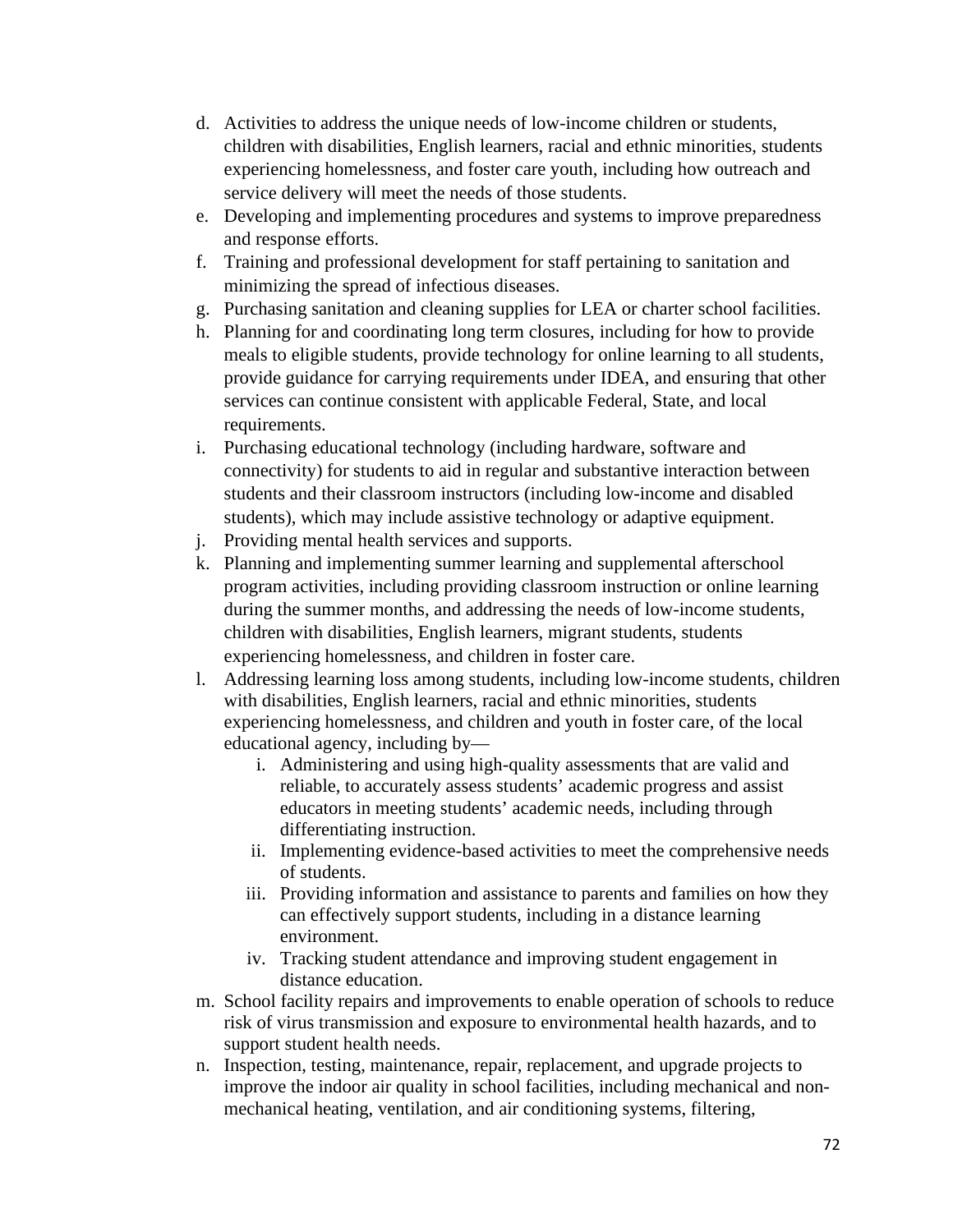- d. Activities to address the unique needs of low-income children or students, children with disabilities, English learners, racial and ethnic minorities, students experiencing homelessness, and foster care youth, including how outreach and service delivery will meet the needs of those students.
- e. Developing and implementing procedures and systems to improve preparedness and response efforts.
- f. Training and professional development for staff pertaining to sanitation and minimizing the spread of infectious diseases.
- g. Purchasing sanitation and cleaning supplies for LEA or charter school facilities.
- h. Planning for and coordinating long term closures, including for how to provide meals to eligible students, provide technology for online learning to all students, provide guidance for carrying requirements under IDEA, and ensuring that other services can continue consistent with applicable Federal, State, and local requirements.
- i. Purchasing educational technology (including hardware, software and connectivity) for students to aid in regular and substantive interaction between students and their classroom instructors (including low-income and disabled students), which may include assistive technology or adaptive equipment.
- j. Providing mental health services and supports.
- k. Planning and implementing summer learning and supplemental afterschool program activities, including providing classroom instruction or online learning during the summer months, and addressing the needs of low-income students, children with disabilities, English learners, migrant students, students experiencing homelessness, and children in foster care.
- l. Addressing learning loss among students, including low-income students, children with disabilities, English learners, racial and ethnic minorities, students experiencing homelessness, and children and youth in foster care, of the local educational agency, including by
	- i. Administering and using high-quality assessments that are valid and reliable, to accurately assess students' academic progress and assist educators in meeting students' academic needs, including through differentiating instruction.
	- ii. Implementing evidence-based activities to meet the comprehensive needs of students.
	- iii. Providing information and assistance to parents and families on how they can effectively support students, including in a distance learning environment.
	- iv. Tracking student attendance and improving student engagement in distance education.
- m. School facility repairs and improvements to enable operation of schools to reduce risk of virus transmission and exposure to environmental health hazards, and to support student health needs.
- n. Inspection, testing, maintenance, repair, replacement, and upgrade projects to improve the indoor air quality in school facilities, including mechanical and nonmechanical heating, ventilation, and air conditioning systems, filtering,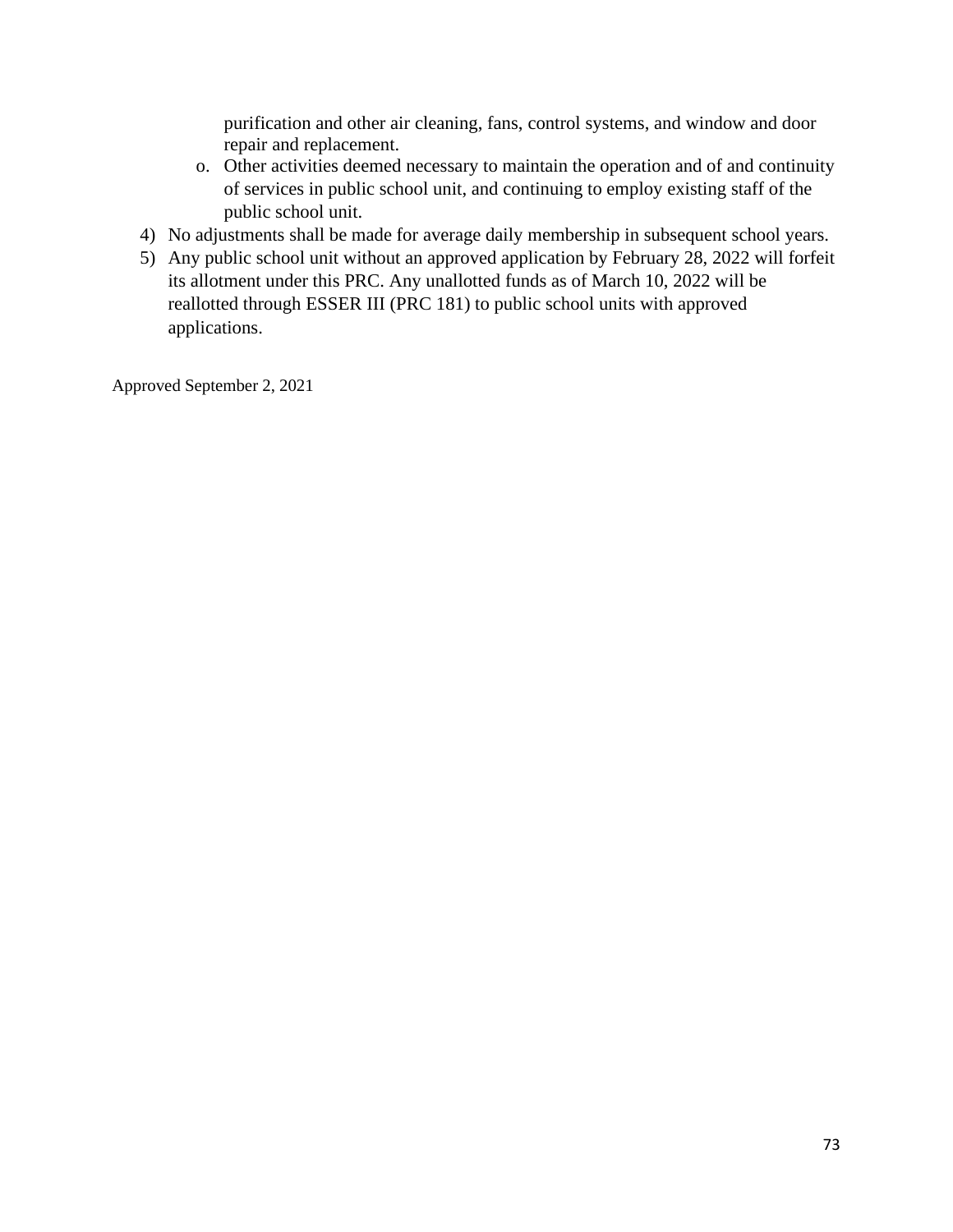purification and other air cleaning, fans, control systems, and window and door repair and replacement.

- o. Other activities deemed necessary to maintain the operation and of and continuity of services in public school unit, and continuing to employ existing staff of the public school unit.
- 4) No adjustments shall be made for average daily membership in subsequent school years.
- 5) Any public school unit without an approved application by February 28, 2022 will forfeit its allotment under this PRC. Any unallotted funds as of March 10, 2022 will be reallotted through ESSER III (PRC 181) to public school units with approved applications.

Approved September 2, 2021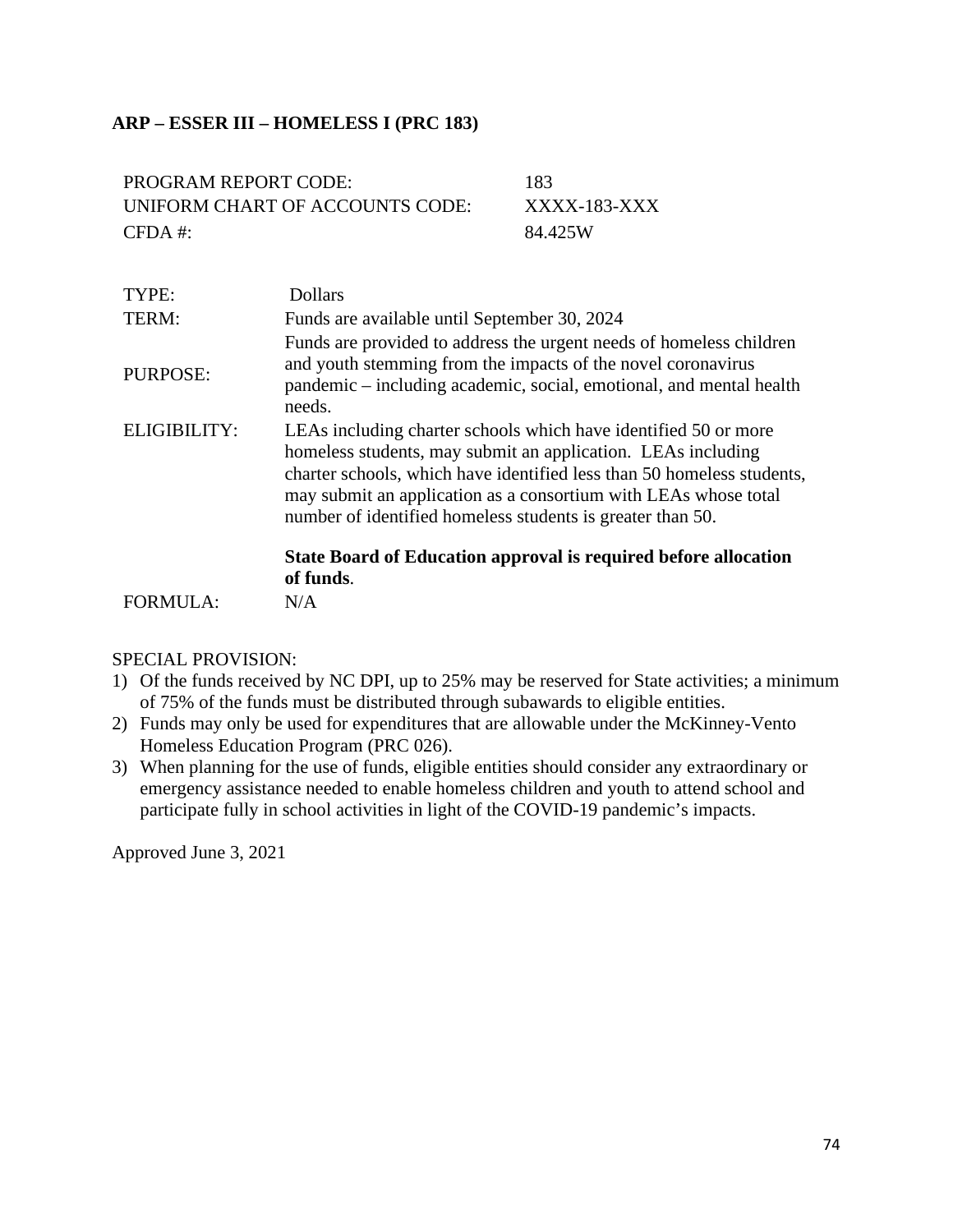# **ARP – ESSER III – HOMELESS I (PRC 183)**

| PROGRAM REPORT CODE:            | 183          |
|---------------------------------|--------------|
| UNIFORM CHART OF ACCOUNTS CODE: | XXXX-183-XXX |
| $CFDA$ #:                       | 84.425W      |

| TYPE:           | <b>Dollars</b>                                                                                                                                                                                                                                                                                                                             |
|-----------------|--------------------------------------------------------------------------------------------------------------------------------------------------------------------------------------------------------------------------------------------------------------------------------------------------------------------------------------------|
| TERM:           | Funds are available until September 30, 2024                                                                                                                                                                                                                                                                                               |
| PURPOSE:        | Funds are provided to address the urgent needs of homeless children<br>and youth stemming from the impacts of the novel coronavirus<br>pandemic – including academic, social, emotional, and mental health<br>needs.                                                                                                                       |
| ELIGIBILITY:    | LEAs including charter schools which have identified 50 or more<br>homeless students, may submit an application. LEAs including<br>charter schools, which have identified less than 50 homeless students,<br>may submit an application as a consortium with LEAs whose total<br>number of identified homeless students is greater than 50. |
|                 | State Board of Education approval is required before allocation<br>of funds.                                                                                                                                                                                                                                                               |
| <b>FORMULA:</b> | N/A                                                                                                                                                                                                                                                                                                                                        |

### SPECIAL PROVISION:

- 1) Of the funds received by NC DPI, up to 25% may be reserved for State activities; a minimum of 75% of the funds must be distributed through subawards to eligible entities.
- 2) Funds may only be used for expenditures that are allowable under the McKinney-Vento Homeless Education Program (PRC 026).
- 3) When planning for the use of funds, eligible entities should consider any extraordinary or emergency assistance needed to enable homeless children and youth to attend school and participate fully in school activities in light of the COVID-19 pandemic's impacts.

Approved June 3, 2021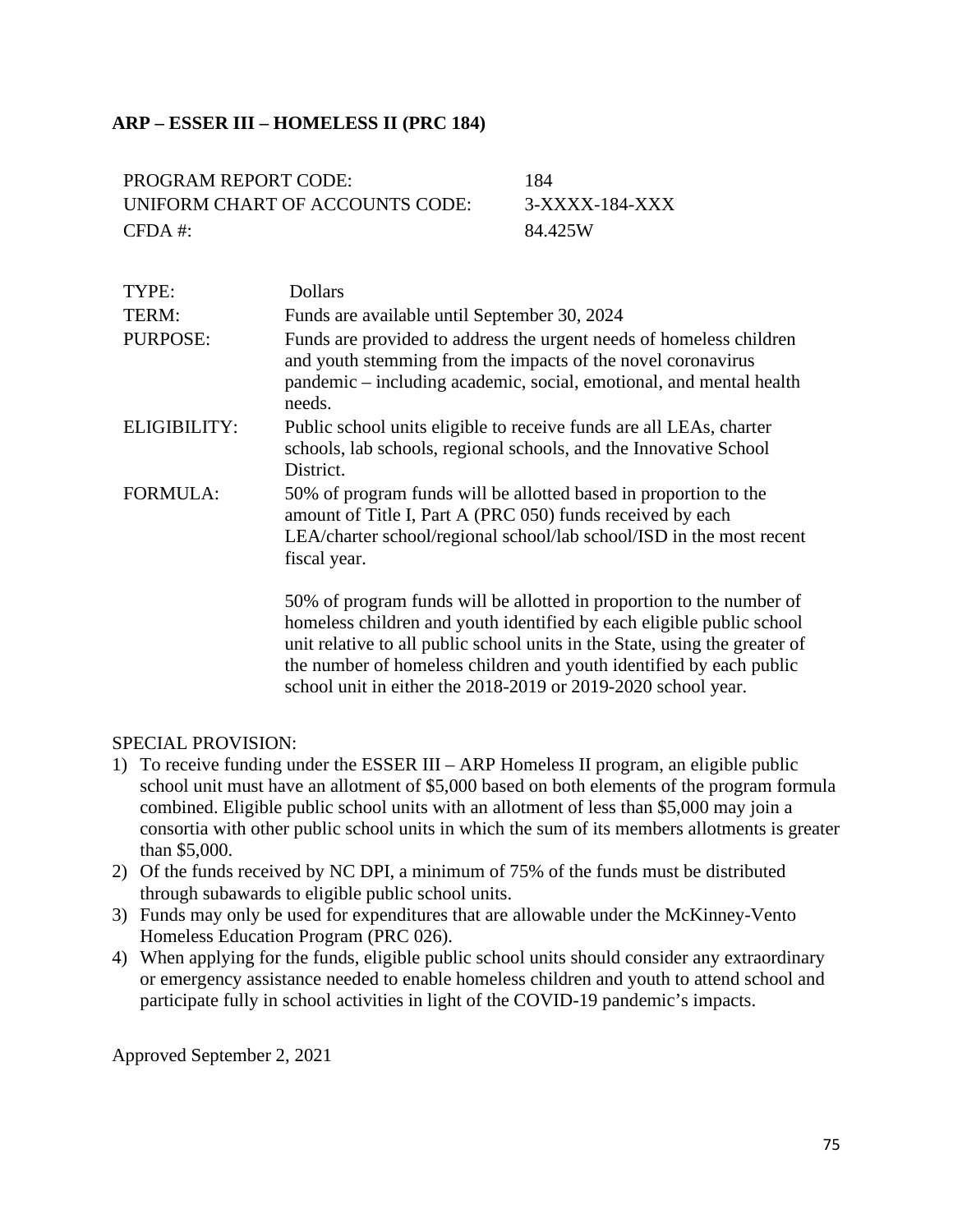# **ARP – ESSER III – HOMELESS II (PRC 184)**

| <b>PROGRAM REPORT CODE:</b>     | 184            |
|---------------------------------|----------------|
| UNIFORM CHART OF ACCOUNTS CODE: | 3-XXXX-184-XXX |
| $CFDA \#$                       | 84.425W        |

| TYPE:           | <b>Dollars</b>                                                                                                                                                                                                                                                                                      |
|-----------------|-----------------------------------------------------------------------------------------------------------------------------------------------------------------------------------------------------------------------------------------------------------------------------------------------------|
| TERM:           | Funds are available until September 30, 2024                                                                                                                                                                                                                                                        |
| <b>PURPOSE:</b> | Funds are provided to address the urgent needs of homeless children<br>and youth stemming from the impacts of the novel coronavirus<br>pandemic – including academic, social, emotional, and mental health<br>needs.                                                                                |
| ELIGIBILITY:    | Public school units eligible to receive funds are all LEAs, charter<br>schools, lab schools, regional schools, and the Innovative School<br>District.                                                                                                                                               |
| <b>FORMULA:</b> | 50% of program funds will be allotted based in proportion to the<br>amount of Title I, Part A (PRC 050) funds received by each<br>LEA/charter school/regional school/lab school/ISD in the most recent<br>fiscal year.                                                                              |
|                 | 50% of program funds will be allotted in proportion to the number of<br>homeless children and youth identified by each eligible public school<br>unit relative to all public school units in the State, using the greater of<br>the number of homeless children and youth identified by each public |

### SPECIAL PROVISION:

1) To receive funding under the ESSER III – ARP Homeless II program, an eligible public school unit must have an allotment of \$5,000 based on both elements of the program formula combined. Eligible public school units with an allotment of less than \$5,000 may join a consortia with other public school units in which the sum of its members allotments is greater than \$5,000.

school unit in either the 2018-2019 or 2019-2020 school year.

- 2) Of the funds received by NC DPI, a minimum of 75% of the funds must be distributed through subawards to eligible public school units.
- 3) Funds may only be used for expenditures that are allowable under the McKinney-Vento Homeless Education Program (PRC 026).
- 4) When applying for the funds, eligible public school units should consider any extraordinary or emergency assistance needed to enable homeless children and youth to attend school and participate fully in school activities in light of the COVID-19 pandemic's impacts.

Approved September 2, 2021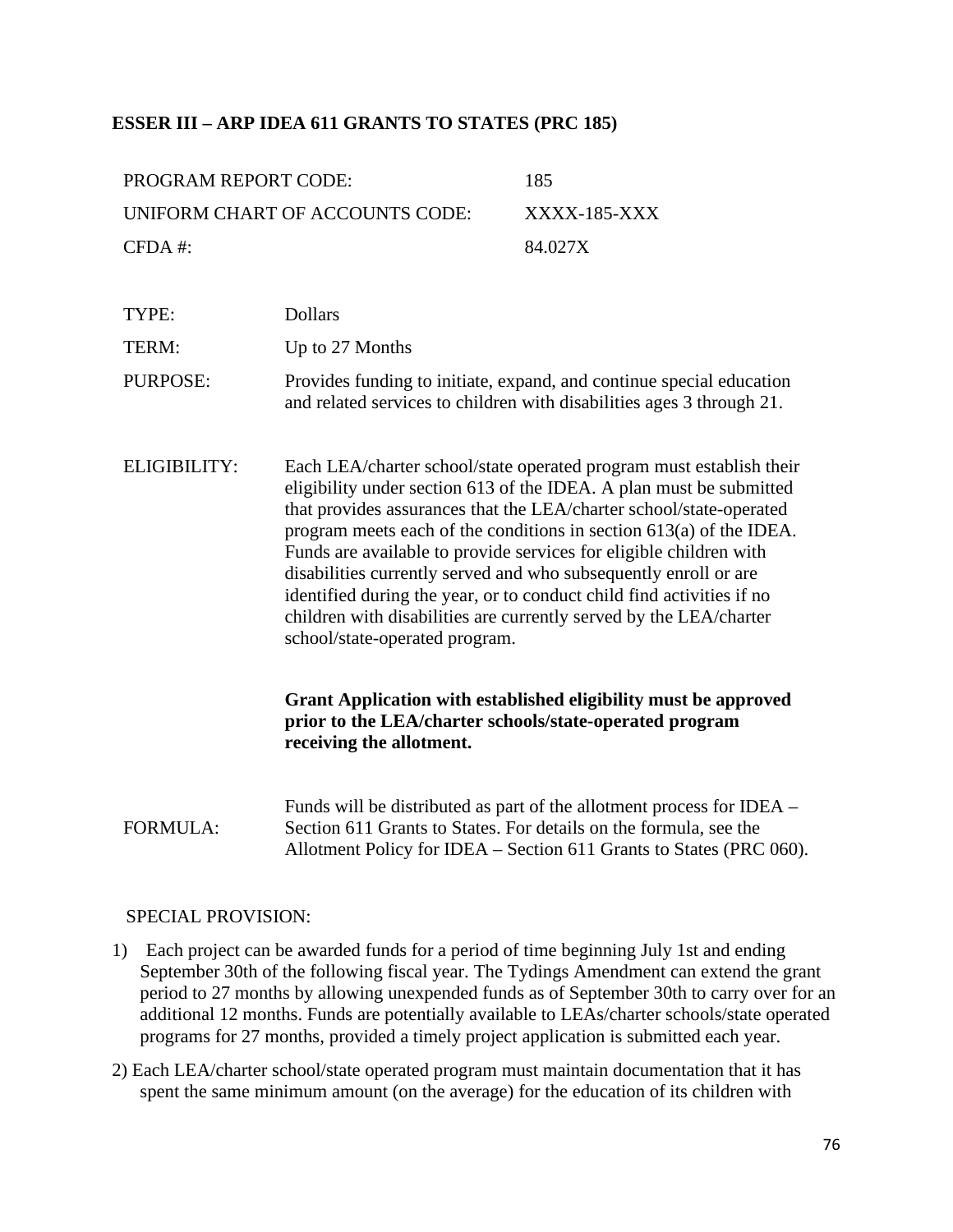## **ESSER III – ARP IDEA 611 GRANTS TO STATES (PRC 185)**

| PROGRAM REPORT CODE:            | 185          |
|---------------------------------|--------------|
| UNIFORM CHART OF ACCOUNTS CODE: | XXXX-185-XXX |
| $CFDA \#$                       | 84.027X      |

|              | and related services to children with disabilities ages 3 through 21.                                                                                                                                                                                                                                                                                                                                                                                                                                                                                                                                                 |
|--------------|-----------------------------------------------------------------------------------------------------------------------------------------------------------------------------------------------------------------------------------------------------------------------------------------------------------------------------------------------------------------------------------------------------------------------------------------------------------------------------------------------------------------------------------------------------------------------------------------------------------------------|
| ELIGIBILITY: | Each LEA/charter school/state operated program must establish their<br>eligibility under section 613 of the IDEA. A plan must be submitted<br>that provides assurances that the LEA/charter school/state-operated<br>program meets each of the conditions in section $613(a)$ of the IDEA.<br>Funds are available to provide services for eligible children with<br>disabilities currently served and who subsequently enroll or are<br>identified during the year, or to conduct child find activities if no<br>children with disabilities are currently served by the LEA/charter<br>school/state-operated program. |

PURPOSE: Provides funding to initiate, expand, and continue special education

## **Grant Application with established eligibility must be approved prior to the LEA/charter schools/state-operated program receiving the allotment.**

FORMULA: Funds will be distributed as part of the allotment process for IDEA – Section 611 Grants to States. For details on the formula, see the Allotment Policy for IDEA – Section 611 Grants to States (PRC 060).

#### SPECIAL PROVISION:

TYPE: Dollars

TERM: Up to 27 Months

- 1) Each project can be awarded funds for a period of time beginning July 1st and ending September 30th of the following fiscal year. The Tydings Amendment can extend the grant period to 27 months by allowing unexpended funds as of September 30th to carry over for an additional 12 months. Funds are potentially available to LEAs/charter schools/state operated programs for 27 months, provided a timely project application is submitted each year.
- 2) Each LEA/charter school/state operated program must maintain documentation that it has spent the same minimum amount (on the average) for the education of its children with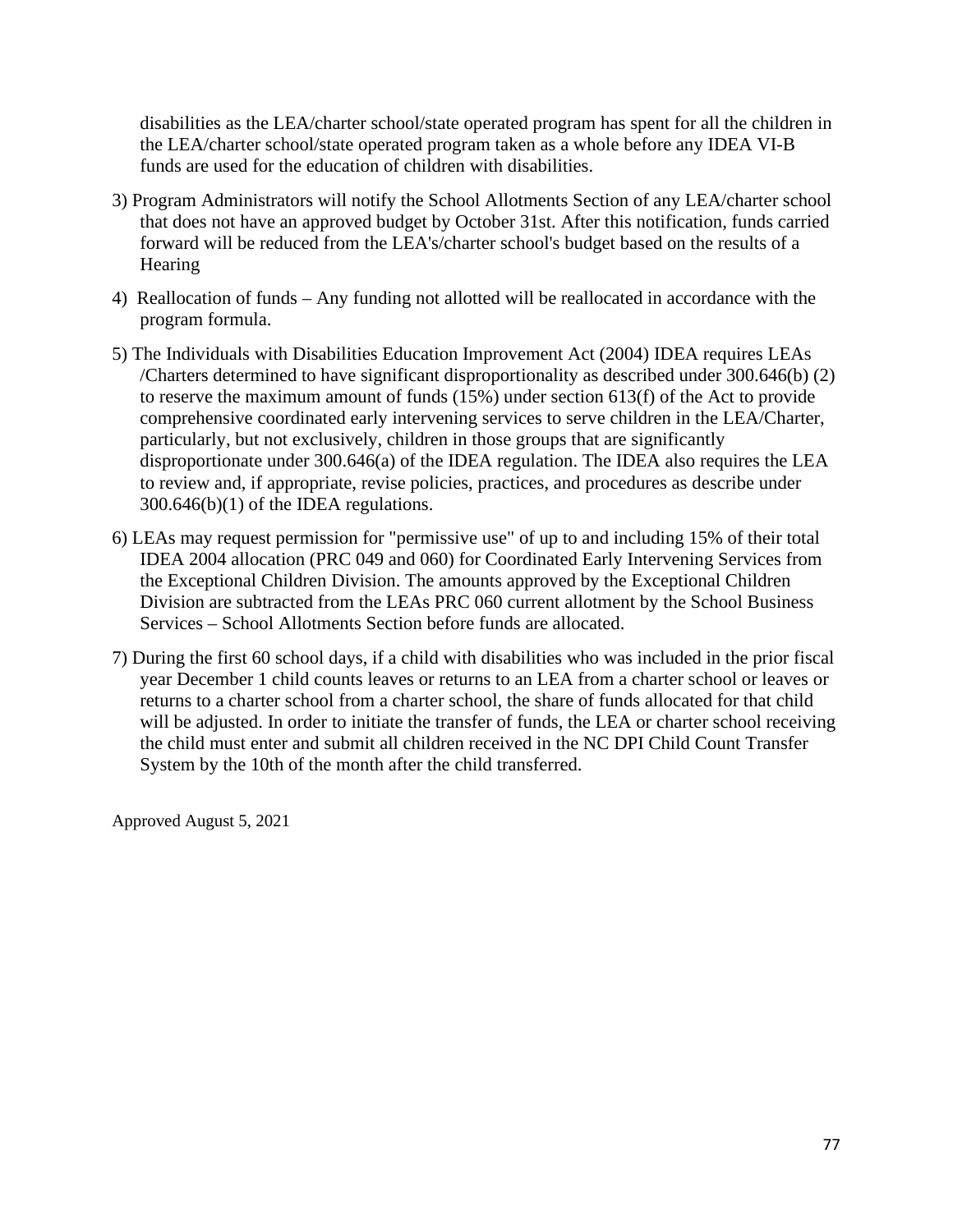disabilities as the LEA/charter school/state operated program has spent for all the children in the LEA/charter school/state operated program taken as a whole before any IDEA VI-B funds are used for the education of children with disabilities.

- 3) Program Administrators will notify the School Allotments Section of any LEA/charter school that does not have an approved budget by October 31st. After this notification, funds carried forward will be reduced from the LEA's/charter school's budget based on the results of a **Hearing**
- 4) Reallocation of funds Any funding not allotted will be reallocated in accordance with the program formula.
- 5) The Individuals with Disabilities Education Improvement Act (2004) IDEA requires LEAs /Charters determined to have significant disproportionality as described under 300.646(b) (2) to reserve the maximum amount of funds (15%) under section 613(f) of the Act to provide comprehensive coordinated early intervening services to serve children in the LEA/Charter, particularly, but not exclusively, children in those groups that are significantly disproportionate under 300.646(a) of the IDEA regulation. The IDEA also requires the LEA to review and, if appropriate, revise policies, practices, and procedures as describe under 300.646(b)(1) of the IDEA regulations.
- 6) LEAs may request permission for "permissive use" of up to and including 15% of their total IDEA 2004 allocation (PRC 049 and 060) for Coordinated Early Intervening Services from the Exceptional Children Division. The amounts approved by the Exceptional Children Division are subtracted from the LEAs PRC 060 current allotment by the School Business Services – School Allotments Section before funds are allocated.
- 7) During the first 60 school days, if a child with disabilities who was included in the prior fiscal year December 1 child counts leaves or returns to an LEA from a charter school or leaves or returns to a charter school from a charter school, the share of funds allocated for that child will be adjusted. In order to initiate the transfer of funds, the LEA or charter school receiving the child must enter and submit all children received in the NC DPI Child Count Transfer System by the 10th of the month after the child transferred.

Approved August 5, 2021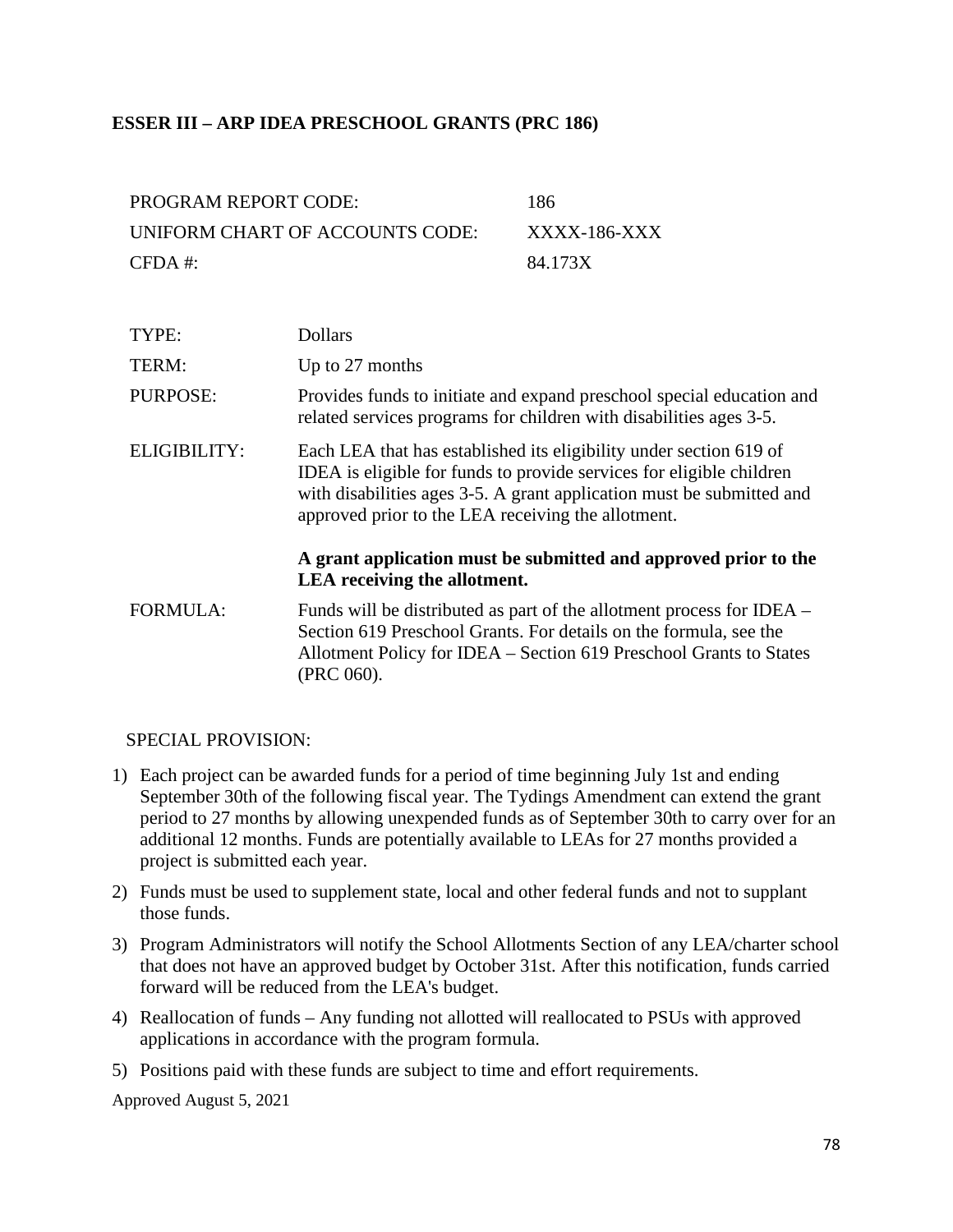# **ESSER III – ARP IDEA PRESCHOOL GRANTS (PRC 186)**

| PROGRAM REPORT CODE:            | 186          |
|---------------------------------|--------------|
| UNIFORM CHART OF ACCOUNTS CODE: | XXXX-186-XXX |
| $CFDA$ #:                       | 84.173X      |

| TYPE:           | <b>Dollars</b>                                                                                                                                                                                                                                                            |
|-----------------|---------------------------------------------------------------------------------------------------------------------------------------------------------------------------------------------------------------------------------------------------------------------------|
| TERM:           | Up to 27 months                                                                                                                                                                                                                                                           |
| PURPOSE:        | Provides funds to initiate and expand preschool special education and<br>related services programs for children with disabilities ages 3-5.                                                                                                                               |
| ELIGIBILITY:    | Each LEA that has established its eligibility under section 619 of<br>IDEA is eligible for funds to provide services for eligible children<br>with disabilities ages 3-5. A grant application must be submitted and<br>approved prior to the LEA receiving the allotment. |
|                 | A grant application must be submitted and approved prior to the<br>LEA receiving the allotment.                                                                                                                                                                           |
| <b>FORMULA:</b> | Funds will be distributed as part of the allotment process for IDEA –<br>Section 619 Preschool Grants. For details on the formula, see the<br>Allotment Policy for IDEA – Section 619 Preschool Grants to States<br>(PRC 060).                                            |

### SPECIAL PROVISION:

- 1) Each project can be awarded funds for a period of time beginning July 1st and ending September 30th of the following fiscal year. The Tydings Amendment can extend the grant period to 27 months by allowing unexpended funds as of September 30th to carry over for an additional 12 months. Funds are potentially available to LEAs for 27 months provided a project is submitted each year.
- 2) Funds must be used to supplement state, local and other federal funds and not to supplant those funds.
- 3) Program Administrators will notify the School Allotments Section of any LEA/charter school that does not have an approved budget by October 31st. After this notification, funds carried forward will be reduced from the LEA's budget.
- 4) Reallocation of funds Any funding not allotted will reallocated to PSUs with approved applications in accordance with the program formula.
- 5) Positions paid with these funds are subject to time and effort requirements.

Approved August 5, 2021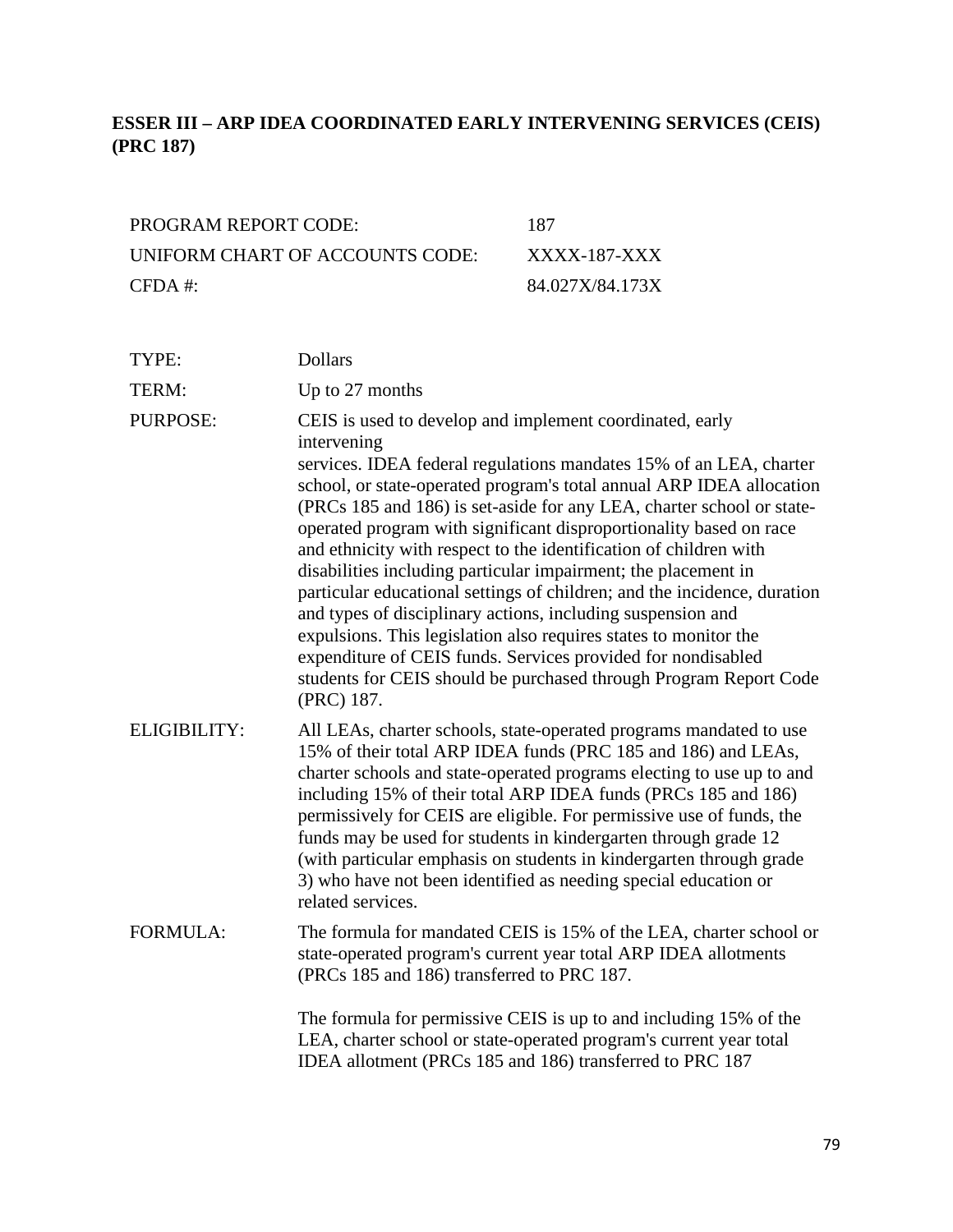# **ESSER III – ARP IDEA COORDINATED EARLY INTERVENING SERVICES (CEIS) (PRC 187)**

| PROGRAM REPORT CODE:            | 187             |
|---------------------------------|-----------------|
| UNIFORM CHART OF ACCOUNTS CODE: | XXXX-187-XXX    |
| $CFDA \#$                       | 84.027X/84.173X |

| TYPE:               | <b>Dollars</b>                                                                                                                                                                                                                                                                                                                                                                                                                                                                                                                                                                                                                                                                                                                                                                                                                                                                |
|---------------------|-------------------------------------------------------------------------------------------------------------------------------------------------------------------------------------------------------------------------------------------------------------------------------------------------------------------------------------------------------------------------------------------------------------------------------------------------------------------------------------------------------------------------------------------------------------------------------------------------------------------------------------------------------------------------------------------------------------------------------------------------------------------------------------------------------------------------------------------------------------------------------|
| TERM:               | Up to 27 months                                                                                                                                                                                                                                                                                                                                                                                                                                                                                                                                                                                                                                                                                                                                                                                                                                                               |
| <b>PURPOSE:</b>     | CEIS is used to develop and implement coordinated, early<br>intervening<br>services. IDEA federal regulations mandates 15% of an LEA, charter<br>school, or state-operated program's total annual ARP IDEA allocation<br>(PRCs 185 and 186) is set-aside for any LEA, charter school or state-<br>operated program with significant disproportionality based on race<br>and ethnicity with respect to the identification of children with<br>disabilities including particular impairment; the placement in<br>particular educational settings of children; and the incidence, duration<br>and types of disciplinary actions, including suspension and<br>expulsions. This legislation also requires states to monitor the<br>expenditure of CEIS funds. Services provided for nondisabled<br>students for CEIS should be purchased through Program Report Code<br>(PRC) 187. |
| <b>ELIGIBILITY:</b> | All LEAs, charter schools, state-operated programs mandated to use<br>15% of their total ARP IDEA funds (PRC 185 and 186) and LEAs,<br>charter schools and state-operated programs electing to use up to and<br>including 15% of their total ARP IDEA funds (PRCs 185 and 186)<br>permissively for CEIS are eligible. For permissive use of funds, the<br>funds may be used for students in kindergarten through grade 12<br>(with particular emphasis on students in kindergarten through grade<br>3) who have not been identified as needing special education or<br>related services.                                                                                                                                                                                                                                                                                      |
| <b>FORMULA:</b>     | The formula for mandated CEIS is 15% of the LEA, charter school or<br>state-operated program's current year total ARP IDEA allotments<br>(PRCs 185 and 186) transferred to PRC 187.                                                                                                                                                                                                                                                                                                                                                                                                                                                                                                                                                                                                                                                                                           |
|                     | The formula for permissive CEIS is up to and including 15% of the<br>LEA, charter school or state-operated program's current year total<br>IDEA allotment (PRCs 185 and 186) transferred to PRC 187                                                                                                                                                                                                                                                                                                                                                                                                                                                                                                                                                                                                                                                                           |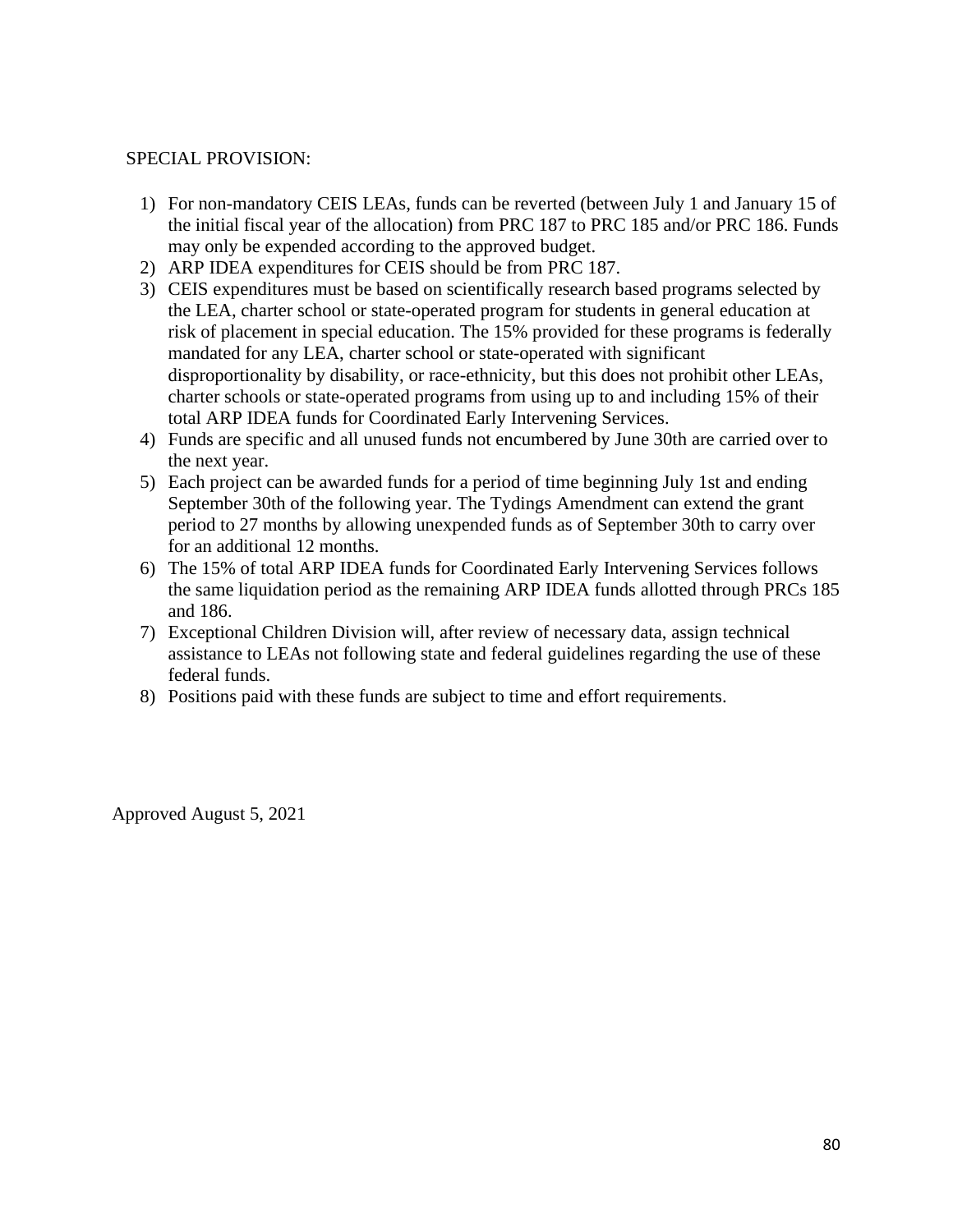### SPECIAL PROVISION:

- 1) For non-mandatory CEIS LEAs, funds can be reverted (between July 1 and January 15 of the initial fiscal year of the allocation) from PRC 187 to PRC 185 and/or PRC 186. Funds may only be expended according to the approved budget.
- 2) ARP IDEA expenditures for CEIS should be from PRC 187.
- 3) CEIS expenditures must be based on scientifically research based programs selected by the LEA, charter school or state-operated program for students in general education at risk of placement in special education. The 15% provided for these programs is federally mandated for any LEA, charter school or state-operated with significant disproportionality by disability, or race-ethnicity, but this does not prohibit other LEAs, charter schools or state-operated programs from using up to and including 15% of their total ARP IDEA funds for Coordinated Early Intervening Services.
- 4) Funds are specific and all unused funds not encumbered by June 30th are carried over to the next year.
- 5) Each project can be awarded funds for a period of time beginning July 1st and ending September 30th of the following year. The Tydings Amendment can extend the grant period to 27 months by allowing unexpended funds as of September 30th to carry over for an additional 12 months.
- 6) The 15% of total ARP IDEA funds for Coordinated Early Intervening Services follows the same liquidation period as the remaining ARP IDEA funds allotted through PRCs 185 and 186.
- 7) Exceptional Children Division will, after review of necessary data, assign technical assistance to LEAs not following state and federal guidelines regarding the use of these federal funds.
- 8) Positions paid with these funds are subject to time and effort requirements.

Approved August 5, 2021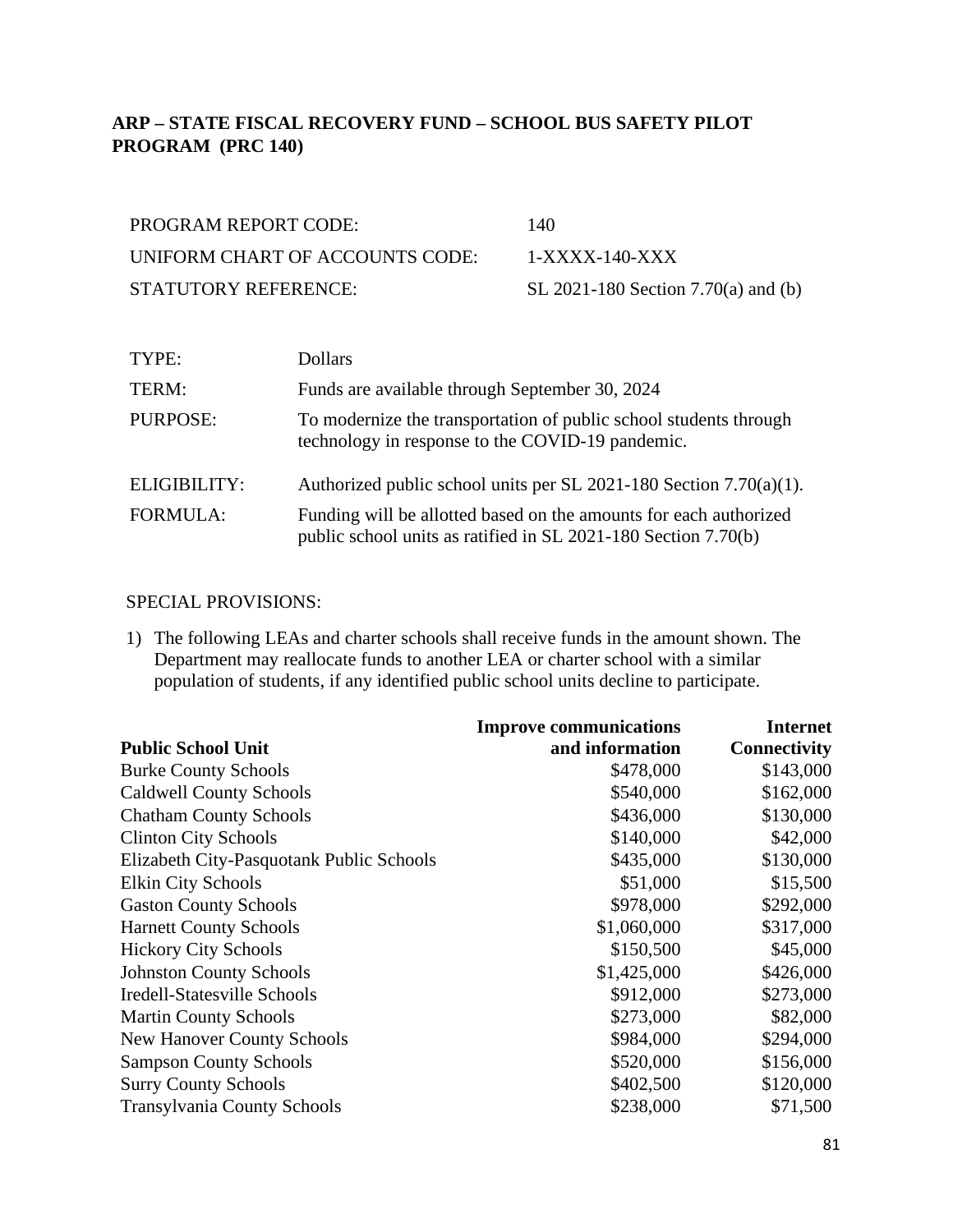# **ARP – STATE FISCAL RECOVERY FUND – SCHOOL BUS SAFETY PILOT PROGRAM (PRC 140)**

| PROGRAM REPORT CODE:            | 140                                 |
|---------------------------------|-------------------------------------|
| UNIFORM CHART OF ACCOUNTS CODE: | $1-XXXX-140-XXX$                    |
| STATUTORY REFERENCE:            | SL 2021-180 Section 7.70(a) and (b) |

| TYPE:           | <b>Dollars</b>                                                                                                                      |
|-----------------|-------------------------------------------------------------------------------------------------------------------------------------|
| TERM:           | Funds are available through September 30, 2024                                                                                      |
| PURPOSE:        | To modernize the transportation of public school students through<br>technology in response to the COVID-19 pandemic.               |
| ELIGIBILITY:    | Authorized public school units per SL 2021-180 Section $7.70(a)(1)$ .                                                               |
| <b>FORMULA:</b> | Funding will be allotted based on the amounts for each authorized<br>public school units as ratified in SL 2021-180 Section 7.70(b) |

# SPECIAL PROVISIONS:

1) The following LEAs and charter schools shall receive funds in the amount shown. The Department may reallocate funds to another LEA or charter school with a similar population of students, if any identified public school units decline to participate.

|                                          | <b>Improve communications</b> | <b>Internet</b>     |
|------------------------------------------|-------------------------------|---------------------|
| <b>Public School Unit</b>                | and information               | <b>Connectivity</b> |
| <b>Burke County Schools</b>              | \$478,000                     | \$143,000           |
| <b>Caldwell County Schools</b>           | \$540,000                     | \$162,000           |
| <b>Chatham County Schools</b>            | \$436,000                     | \$130,000           |
| <b>Clinton City Schools</b>              | \$140,000                     | \$42,000            |
| Elizabeth City-Pasquotank Public Schools | \$435,000                     | \$130,000           |
| <b>Elkin City Schools</b>                | \$51,000                      | \$15,500            |
| <b>Gaston County Schools</b>             | \$978,000                     | \$292,000           |
| <b>Harnett County Schools</b>            | \$1,060,000                   | \$317,000           |
| <b>Hickory City Schools</b>              | \$150,500                     | \$45,000            |
| <b>Johnston County Schools</b>           | \$1,425,000                   | \$426,000           |
| Iredell-Statesville Schools              | \$912,000                     | \$273,000           |
| <b>Martin County Schools</b>             | \$273,000                     | \$82,000            |
| <b>New Hanover County Schools</b>        | \$984,000                     | \$294,000           |
| <b>Sampson County Schools</b>            | \$520,000                     | \$156,000           |
| <b>Surry County Schools</b>              | \$402,500                     | \$120,000           |
| <b>Transylvania County Schools</b>       | \$238,000                     | \$71,500            |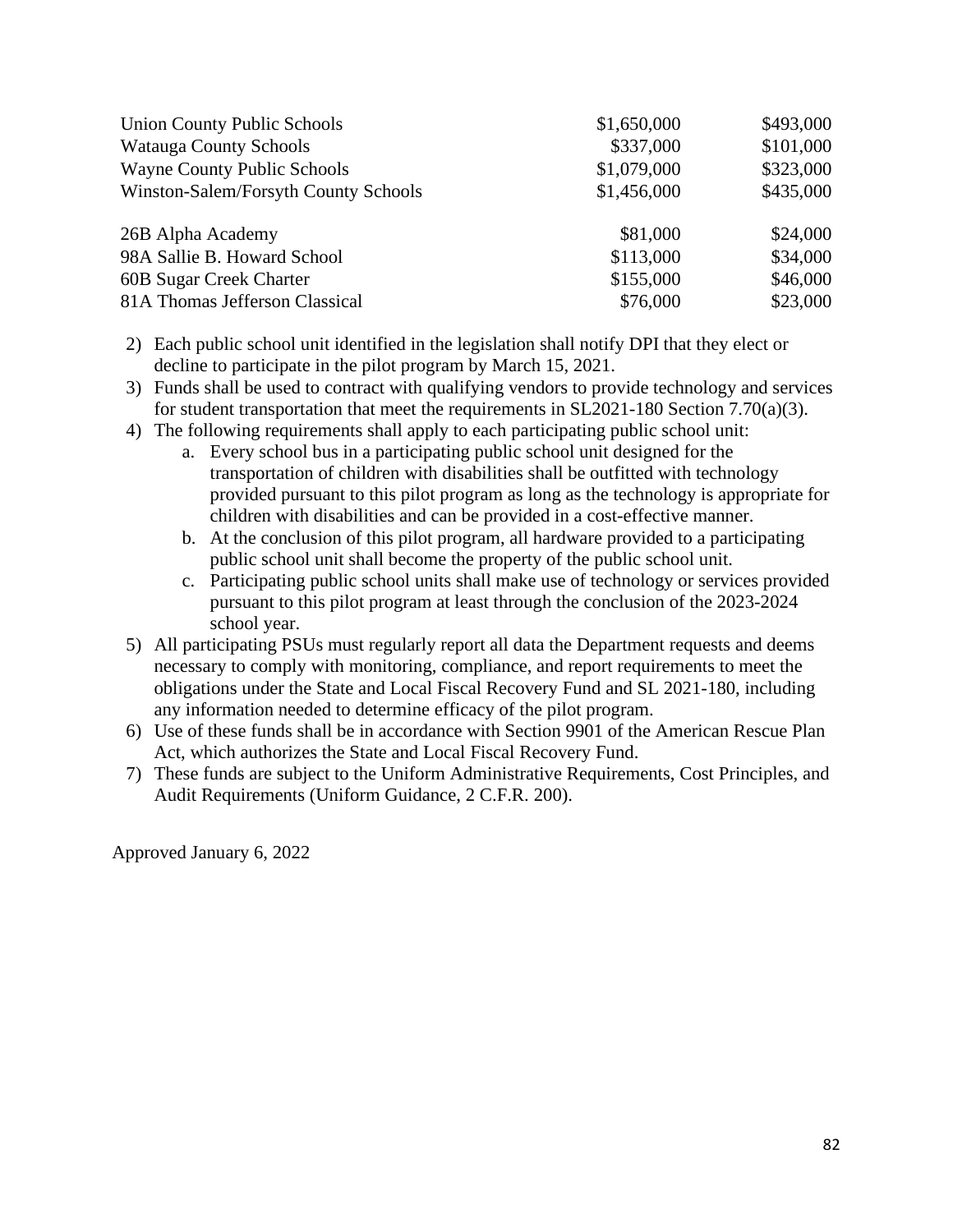| <b>Union County Public Schools</b>   | \$1,650,000 | \$493,000 |
|--------------------------------------|-------------|-----------|
| <b>Watauga County Schools</b>        | \$337,000   | \$101,000 |
| <b>Wayne County Public Schools</b>   | \$1,079,000 | \$323,000 |
| Winston-Salem/Forsyth County Schools | \$1,456,000 | \$435,000 |
| 26B Alpha Academy                    | \$81,000    | \$24,000  |
| 98A Sallie B. Howard School          | \$113,000   | \$34,000  |
| 60B Sugar Creek Charter              | \$155,000   | \$46,000  |
| 81A Thomas Jefferson Classical       | \$76,000    | \$23,000  |

- 2) Each public school unit identified in the legislation shall notify DPI that they elect or decline to participate in the pilot program by March 15, 2021.
- 3) Funds shall be used to contract with qualifying vendors to provide technology and services for student transportation that meet the requirements in SL2021-180 Section 7.70(a)(3).
- 4) The following requirements shall apply to each participating public school unit:
	- a. Every school bus in a participating public school unit designed for the transportation of children with disabilities shall be outfitted with technology provided pursuant to this pilot program as long as the technology is appropriate for children with disabilities and can be provided in a cost-effective manner.
	- b. At the conclusion of this pilot program, all hardware provided to a participating public school unit shall become the property of the public school unit.
	- c. Participating public school units shall make use of technology or services provided pursuant to this pilot program at least through the conclusion of the 2023-2024 school year.
- 5) All participating PSUs must regularly report all data the Department requests and deems necessary to comply with monitoring, compliance, and report requirements to meet the obligations under the State and Local Fiscal Recovery Fund and SL 2021-180, including any information needed to determine efficacy of the pilot program.
- 6) Use of these funds shall be in accordance with Section 9901 of the American Rescue Plan Act, which authorizes the State and Local Fiscal Recovery Fund.
- 7) These funds are subject to the Uniform Administrative Requirements, Cost Principles, and Audit Requirements (Uniform Guidance, 2 C.F.R. 200).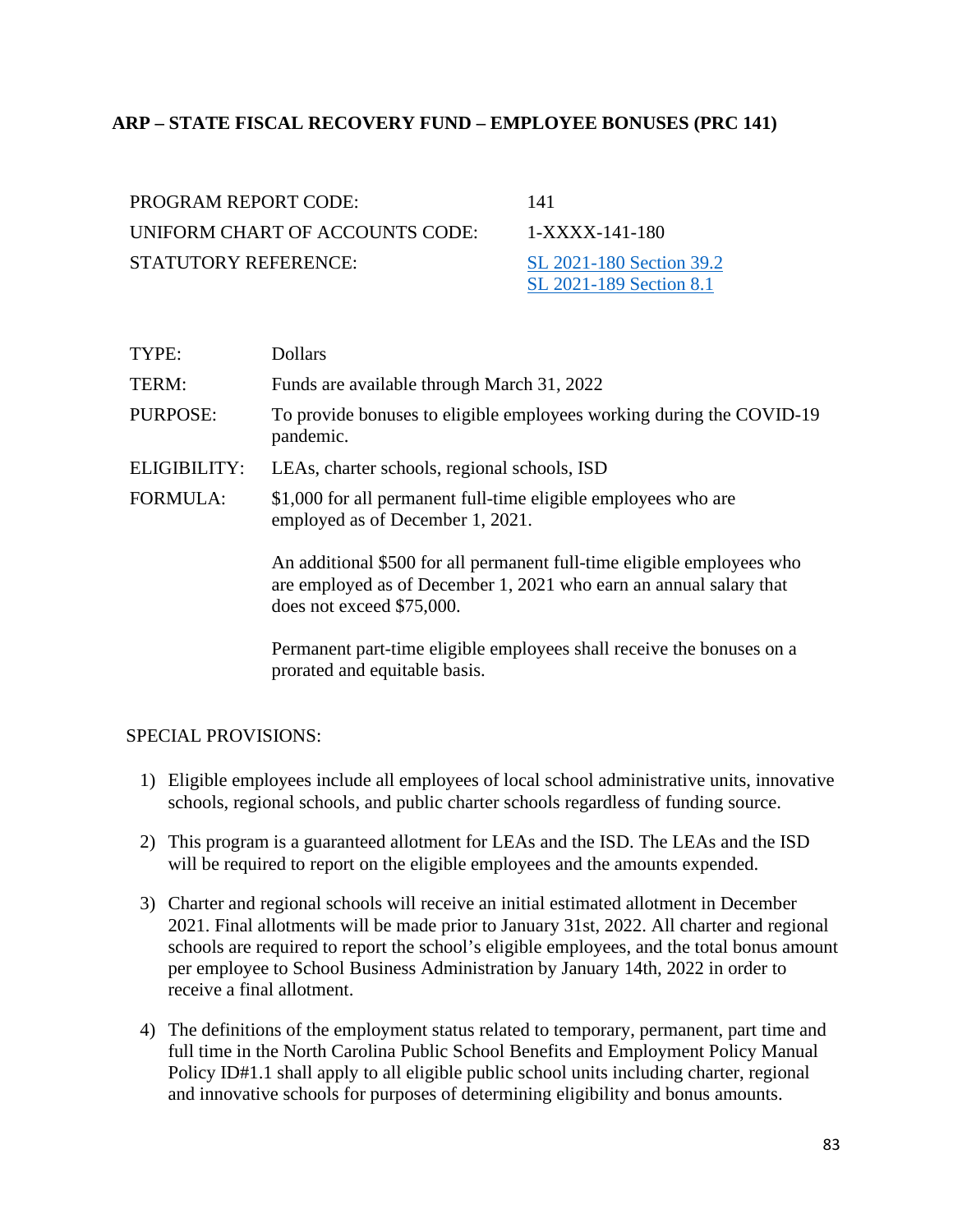# **ARP – STATE FISCAL RECOVERY FUND – EMPLOYEE BONUSES (PRC 141)**

| PROGRAM REPORT CODE:            | 141                      |
|---------------------------------|--------------------------|
| UNIFORM CHART OF ACCOUNTS CODE: | 1-XXXX-141-180           |
| STATUTORY REFERENCE:            | SL 2021-180 Section 39.2 |
|                                 | SL 2021-189 Section 8.1  |

| TYPE:               | <b>Dollars</b>                                                                                                                                                            |
|---------------------|---------------------------------------------------------------------------------------------------------------------------------------------------------------------------|
| TERM:               | Funds are available through March 31, 2022                                                                                                                                |
| PURPOSE:            | To provide bonuses to eligible employees working during the COVID-19<br>pandemic.                                                                                         |
| <b>ELIGIBILITY:</b> | LEAs, charter schools, regional schools, ISD                                                                                                                              |
| <b>FORMULA:</b>     | \$1,000 for all permanent full-time eligible employees who are<br>employed as of December 1, 2021.                                                                        |
|                     | An additional \$500 for all permanent full-time eligible employees who<br>are employed as of December 1, 2021 who earn an annual salary that<br>does not exceed \$75,000. |
|                     | Permanent part-time eligible employees shall receive the bonuses on a<br>prorated and equitable basis.                                                                    |

### SPECIAL PROVISIONS:

- 1) Eligible employees include all employees of local school administrative units, innovative schools, regional schools, and public charter schools regardless of funding source.
- 2) This program is a guaranteed allotment for LEAs and the ISD. The LEAs and the ISD will be required to report on the eligible employees and the amounts expended.
- 3) Charter and regional schools will receive an initial estimated allotment in December 2021. Final allotments will be made prior to January 31st, 2022. All charter and regional schools are required to report the school's eligible employees, and the total bonus amount per employee to School Business Administration by January 14th, 2022 in order to receive a final allotment.
- 4) The definitions of the employment status related to temporary, permanent, part time and full time in the North Carolina Public School Benefits and Employment Policy Manual Policy ID#1.1 shall apply to all eligible public school units including charter, regional and innovative schools for purposes of determining eligibility and bonus amounts.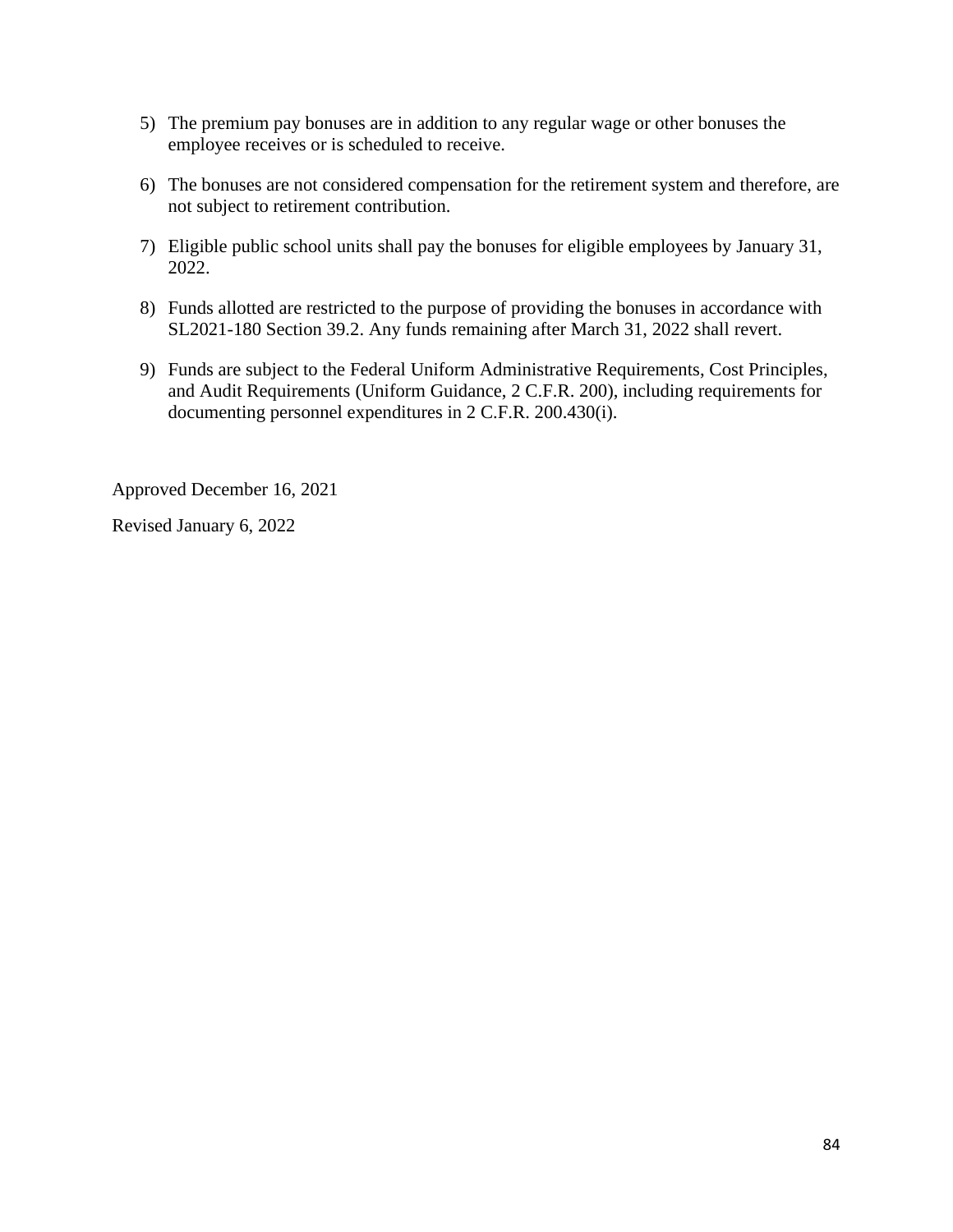- 5) The premium pay bonuses are in addition to any regular wage or other bonuses the employee receives or is scheduled to receive.
- 6) The bonuses are not considered compensation for the retirement system and therefore, are not subject to retirement contribution.
- 7) Eligible public school units shall pay the bonuses for eligible employees by January 31, 2022.
- 8) Funds allotted are restricted to the purpose of providing the bonuses in accordance with SL2021-180 Section 39.2. Any funds remaining after March 31, 2022 shall revert.
- 9) Funds are subject to the Federal Uniform Administrative Requirements, Cost Principles, and Audit Requirements (Uniform Guidance, 2 C.F.R. 200), including requirements for documenting personnel expenditures in 2 C.F.R. 200.430(i).

Approved December 16, 2021

Revised January 6, 2022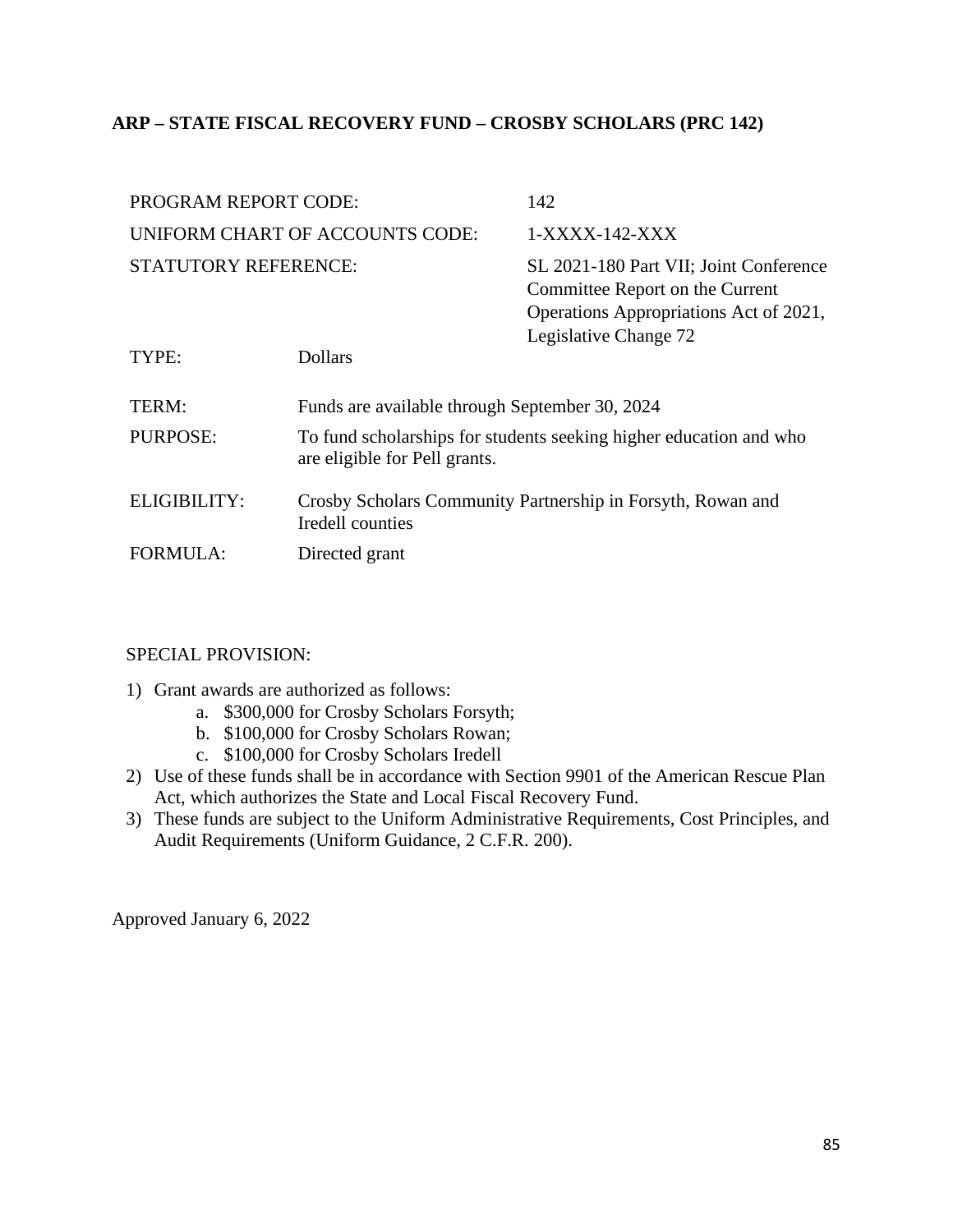# **ARP – STATE FISCAL RECOVERY FUND – CROSBY SCHOLARS (PRC 142)**

| <b>PROGRAM REPORT CODE:</b>     |                                                                                                     | 142                                                                                                                                          |
|---------------------------------|-----------------------------------------------------------------------------------------------------|----------------------------------------------------------------------------------------------------------------------------------------------|
| UNIFORM CHART OF ACCOUNTS CODE: |                                                                                                     | 1-XXXX-142-XXX                                                                                                                               |
| <b>STATUTORY REFERENCE:</b>     |                                                                                                     | SL 2021-180 Part VII; Joint Conference<br>Committee Report on the Current<br>Operations Appropriations Act of 2021,<br>Legislative Change 72 |
| TYPE:                           | <b>Dollars</b>                                                                                      |                                                                                                                                              |
| TERM:                           | Funds are available through September 30, 2024                                                      |                                                                                                                                              |
| <b>PURPOSE:</b>                 | To fund scholarships for students seeking higher education and who<br>are eligible for Pell grants. |                                                                                                                                              |
| <b>ELIGIBILITY:</b>             | Crosby Scholars Community Partnership in Forsyth, Rowan and<br>Iredell counties                     |                                                                                                                                              |
| <b>FORMULA:</b>                 | Directed grant                                                                                      |                                                                                                                                              |

# SPECIAL PROVISION:

- 1) Grant awards are authorized as follows:
	- a. \$300,000 for Crosby Scholars Forsyth;
	- b. \$100,000 for Crosby Scholars Rowan;
	- c. \$100,000 for Crosby Scholars Iredell
- 2) Use of these funds shall be in accordance with Section 9901 of the American Rescue Plan Act, which authorizes the State and Local Fiscal Recovery Fund.
- 3) These funds are subject to the Uniform Administrative Requirements, Cost Principles, and Audit Requirements (Uniform Guidance, 2 C.F.R. 200).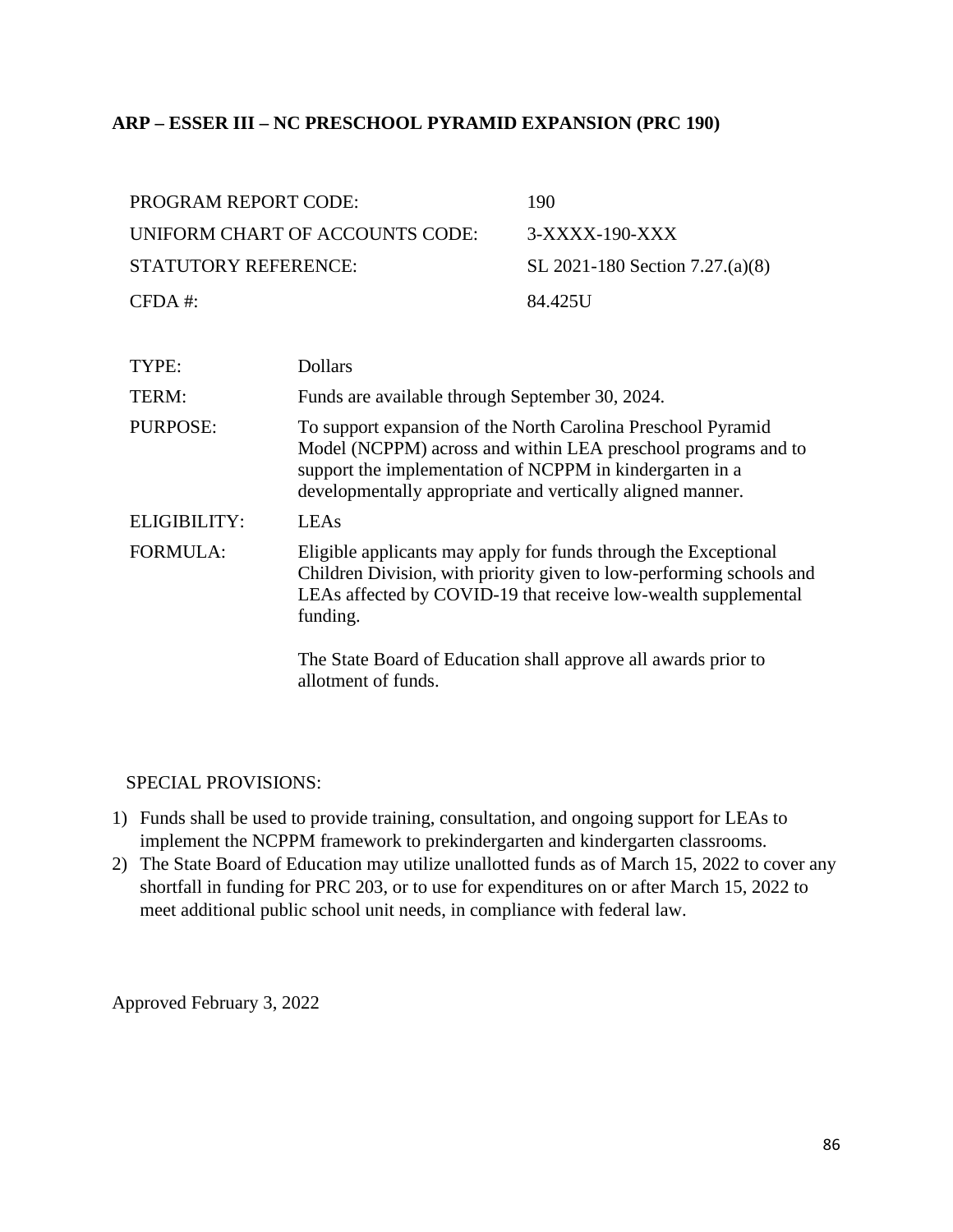### **ARP – ESSER III – NC PRESCHOOL PYRAMID EXPANSION (PRC 190)**

| <b>PROGRAM REPORT CODE:</b>     | 190                             |
|---------------------------------|---------------------------------|
| UNIFORM CHART OF ACCOUNTS CODE: | $3-XXXX-190-XXX$                |
| STATUTORY REFERENCE:            | SL 2021-180 Section 7.27.(a)(8) |
| $CFDA \#$                       | 84.425U                         |

| TYPE:           | <b>Dollars</b>                                                                                                                                                                                                                                          |
|-----------------|---------------------------------------------------------------------------------------------------------------------------------------------------------------------------------------------------------------------------------------------------------|
| TERM:           | Funds are available through September 30, 2024.                                                                                                                                                                                                         |
| PURPOSE:        | To support expansion of the North Carolina Preschool Pyramid<br>Model (NCPPM) across and within LEA preschool programs and to<br>support the implementation of NCPPM in kindergarten in a<br>developmentally appropriate and vertically aligned manner. |
| ELIGIBILITY:    | LEAs                                                                                                                                                                                                                                                    |
| <b>FORMULA:</b> | Eligible applicants may apply for funds through the Exceptional<br>Children Division, with priority given to low-performing schools and<br>LEAs affected by COVID-19 that receive low-wealth supplemental<br>funding.                                   |
|                 | The State Board of Education shall approve all awards prior to<br>allotment of funds.                                                                                                                                                                   |

### SPECIAL PROVISIONS:

- 1) Funds shall be used to provide training, consultation, and ongoing support for LEAs to implement the NCPPM framework to prekindergarten and kindergarten classrooms.
- 2) The State Board of Education may utilize unallotted funds as of March 15, 2022 to cover any shortfall in funding for PRC 203, or to use for expenditures on or after March 15, 2022 to meet additional public school unit needs, in compliance with federal law.

Approved February 3, 2022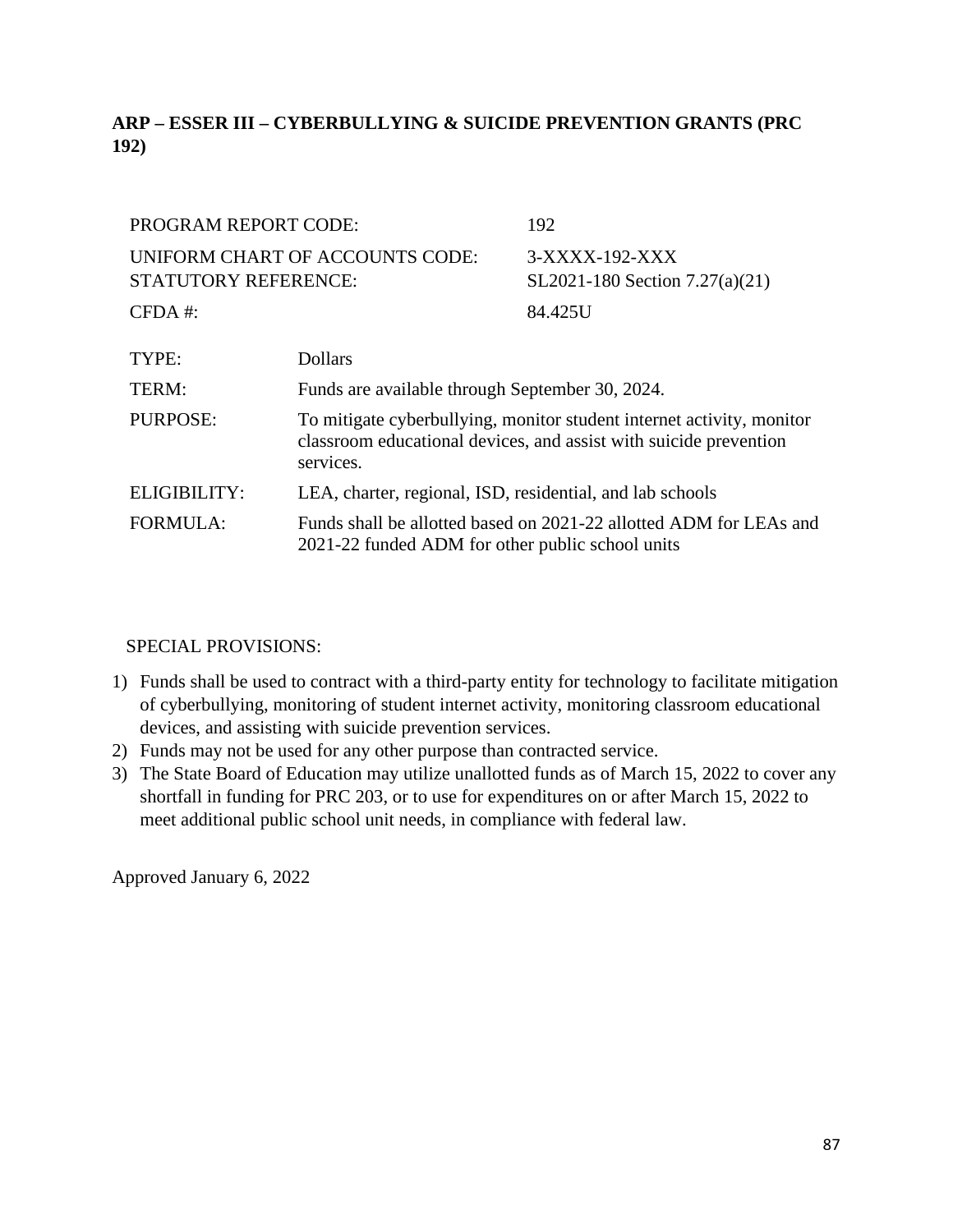# **ARP – ESSER III – CYBERBULLYING & SUICIDE PREVENTION GRANTS (PRC 192)**

| PROGRAM REPORT CODE:        |                                                                                                                                                         | 192                                              |
|-----------------------------|---------------------------------------------------------------------------------------------------------------------------------------------------------|--------------------------------------------------|
| <b>STATUTORY REFERENCE:</b> | UNIFORM CHART OF ACCOUNTS CODE:                                                                                                                         | 3-XXXX-192-XXX<br>SL2021-180 Section 7.27(a)(21) |
| $CFDA$ #:                   |                                                                                                                                                         | 84.425U                                          |
| TYPE:                       | <b>Dollars</b>                                                                                                                                          |                                                  |
| TERM:                       | Funds are available through September 30, 2024.                                                                                                         |                                                  |
| <b>PURPOSE:</b>             | To mitigate cyberbullying, monitor student internet activity, monitor<br>classroom educational devices, and assist with suicide prevention<br>services. |                                                  |
| ELIGIBILITY:                | LEA, charter, regional, ISD, residential, and lab schools                                                                                               |                                                  |
| <b>FORMULA:</b>             | Funds shall be allotted based on 2021-22 allotted ADM for LEAs and<br>2021-22 funded ADM for other public school units                                  |                                                  |

# SPECIAL PROVISIONS:

- 1) Funds shall be used to contract with a third-party entity for technology to facilitate mitigation of cyberbullying, monitoring of student internet activity, monitoring classroom educational devices, and assisting with suicide prevention services.
- 2) Funds may not be used for any other purpose than contracted service.
- 3) The State Board of Education may utilize unallotted funds as of March 15, 2022 to cover any shortfall in funding for PRC 203, or to use for expenditures on or after March 15, 2022 to meet additional public school unit needs, in compliance with federal law.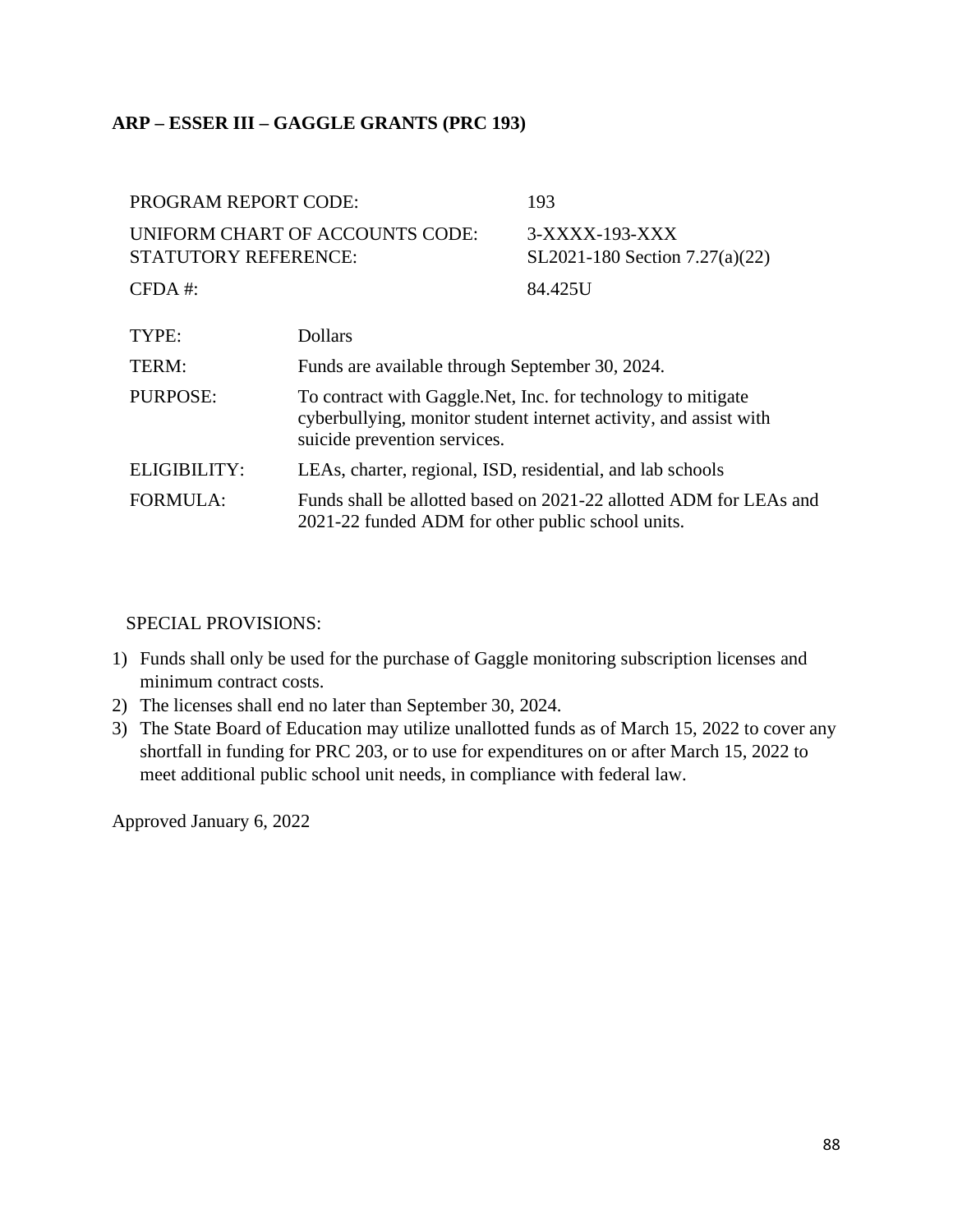## **ARP – ESSER III – GAGGLE GRANTS (PRC 193)**

| <b>PROGRAM REPORT CODE:</b>                                    |                                                                                                                                                                    | 193                                              |
|----------------------------------------------------------------|--------------------------------------------------------------------------------------------------------------------------------------------------------------------|--------------------------------------------------|
| UNIFORM CHART OF ACCOUNTS CODE:<br><b>STATUTORY REFERENCE:</b> |                                                                                                                                                                    | 3-XXXX-193-XXX<br>SL2021-180 Section 7.27(a)(22) |
| $CFDA$ #:                                                      |                                                                                                                                                                    | 84.425U                                          |
| TYPE:                                                          | <b>Dollars</b>                                                                                                                                                     |                                                  |
| TERM:                                                          | Funds are available through September 30, 2024.                                                                                                                    |                                                  |
| <b>PURPOSE:</b>                                                | To contract with Gaggle. Net, Inc. for technology to mitigate<br>cyberbullying, monitor student internet activity, and assist with<br>suicide prevention services. |                                                  |
| ELIGIBILITY:                                                   | LEAs, charter, regional, ISD, residential, and lab schools                                                                                                         |                                                  |
| <b>FORMULA:</b>                                                | Funds shall be allotted based on 2021-22 allotted ADM for LEAs and<br>2021-22 funded ADM for other public school units.                                            |                                                  |

#### SPECIAL PROVISIONS:

- 1) Funds shall only be used for the purchase of Gaggle monitoring subscription licenses and minimum contract costs.
- 2) The licenses shall end no later than September 30, 2024.
- 3) The State Board of Education may utilize unallotted funds as of March 15, 2022 to cover any shortfall in funding for PRC 203, or to use for expenditures on or after March 15, 2022 to meet additional public school unit needs, in compliance with federal law.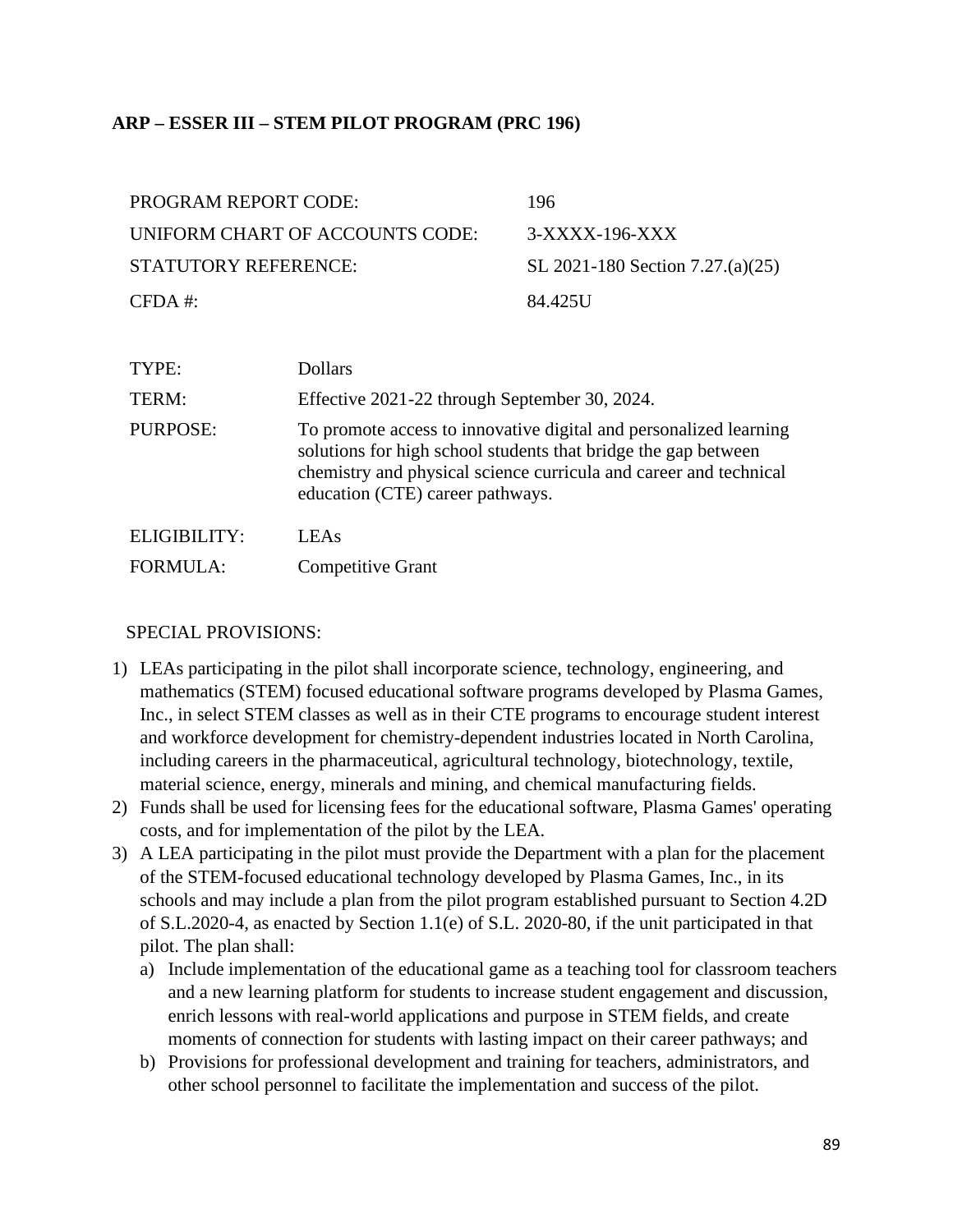# **ARP – ESSER III – STEM PILOT PROGRAM (PRC 196)**

| <b>PROGRAM REPORT CODE:</b>     | 196                              |
|---------------------------------|----------------------------------|
| UNIFORM CHART OF ACCOUNTS CODE: | $3-XXXX-196-XXX$                 |
| STATUTORY REFERENCE:            | SL 2021-180 Section 7.27.(a)(25) |
| $CFDA \#$                       | 84.425U                          |

| TYPE:               | Dollars                                                                                                                                                                                                                                      |
|---------------------|----------------------------------------------------------------------------------------------------------------------------------------------------------------------------------------------------------------------------------------------|
| TERM:               | Effective 2021-22 through September 30, 2024.                                                                                                                                                                                                |
| <b>PURPOSE:</b>     | To promote access to innovative digital and personalized learning<br>solutions for high school students that bridge the gap between<br>chemistry and physical science curricula and career and technical<br>education (CTE) career pathways. |
| <b>ELIGIBILITY:</b> | LEA <sub>s</sub>                                                                                                                                                                                                                             |
| <b>FORMULA:</b>     | <b>Competitive Grant</b>                                                                                                                                                                                                                     |

### SPECIAL PROVISIONS:

- 1) LEAs participating in the pilot shall incorporate science, technology, engineering, and mathematics (STEM) focused educational software programs developed by Plasma Games, Inc., in select STEM classes as well as in their CTE programs to encourage student interest and workforce development for chemistry-dependent industries located in North Carolina, including careers in the pharmaceutical, agricultural technology, biotechnology, textile, material science, energy, minerals and mining, and chemical manufacturing fields.
- 2) Funds shall be used for licensing fees for the educational software, Plasma Games' operating costs, and for implementation of the pilot by the LEA.
- 3) A LEA participating in the pilot must provide the Department with a plan for the placement of the STEM-focused educational technology developed by Plasma Games, Inc., in its schools and may include a plan from the pilot program established pursuant to Section 4.2D of S.L.2020-4, as enacted by Section 1.1(e) of S.L. 2020-80, if the unit participated in that pilot. The plan shall:
	- a) Include implementation of the educational game as a teaching tool for classroom teachers and a new learning platform for students to increase student engagement and discussion, enrich lessons with real-world applications and purpose in STEM fields, and create moments of connection for students with lasting impact on their career pathways; and
	- b) Provisions for professional development and training for teachers, administrators, and other school personnel to facilitate the implementation and success of the pilot.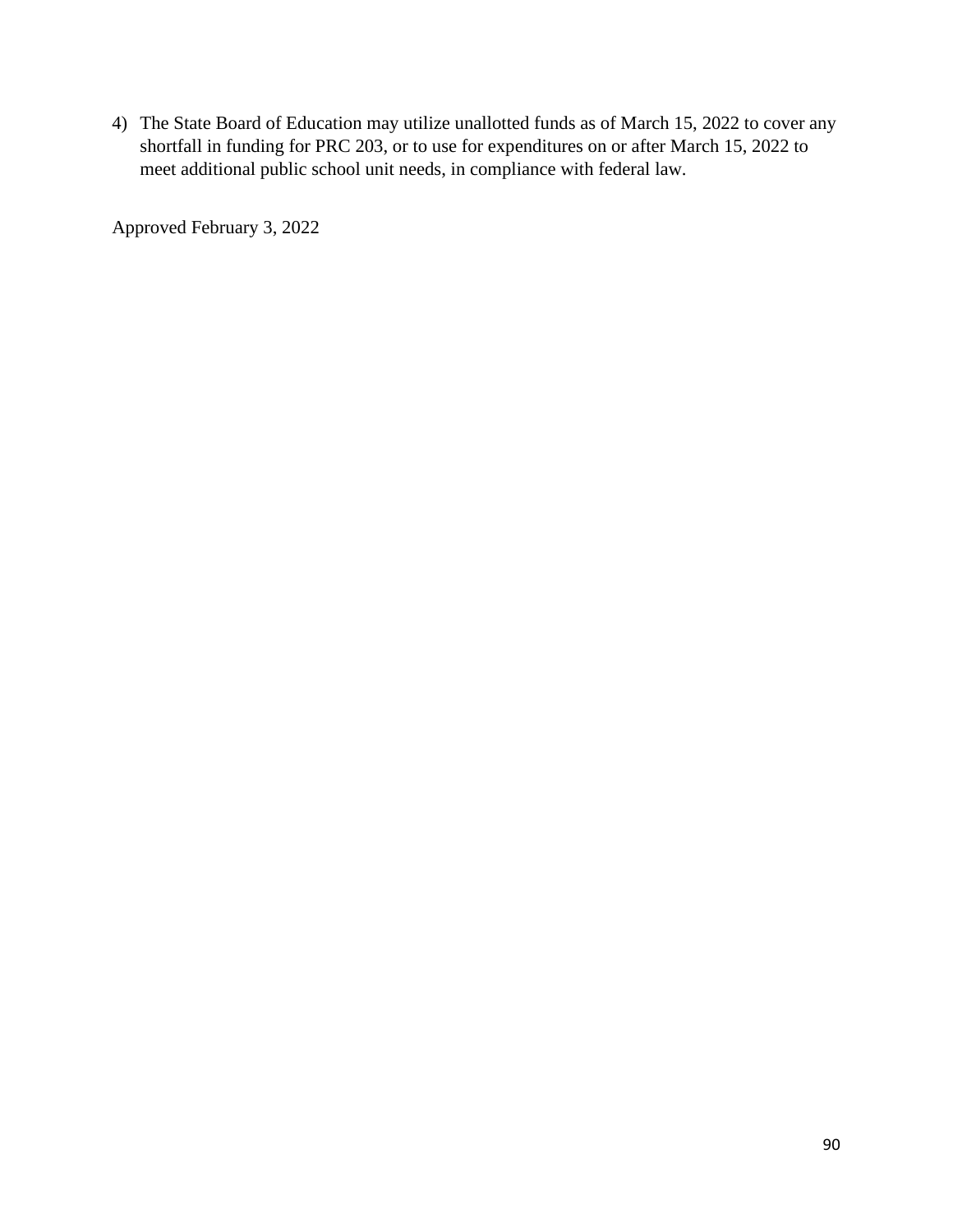4) The State Board of Education may utilize unallotted funds as of March 15, 2022 to cover any shortfall in funding for PRC 203, or to use for expenditures on or after March 15, 2022 to meet additional public school unit needs, in compliance with federal law.

Approved February 3, 2022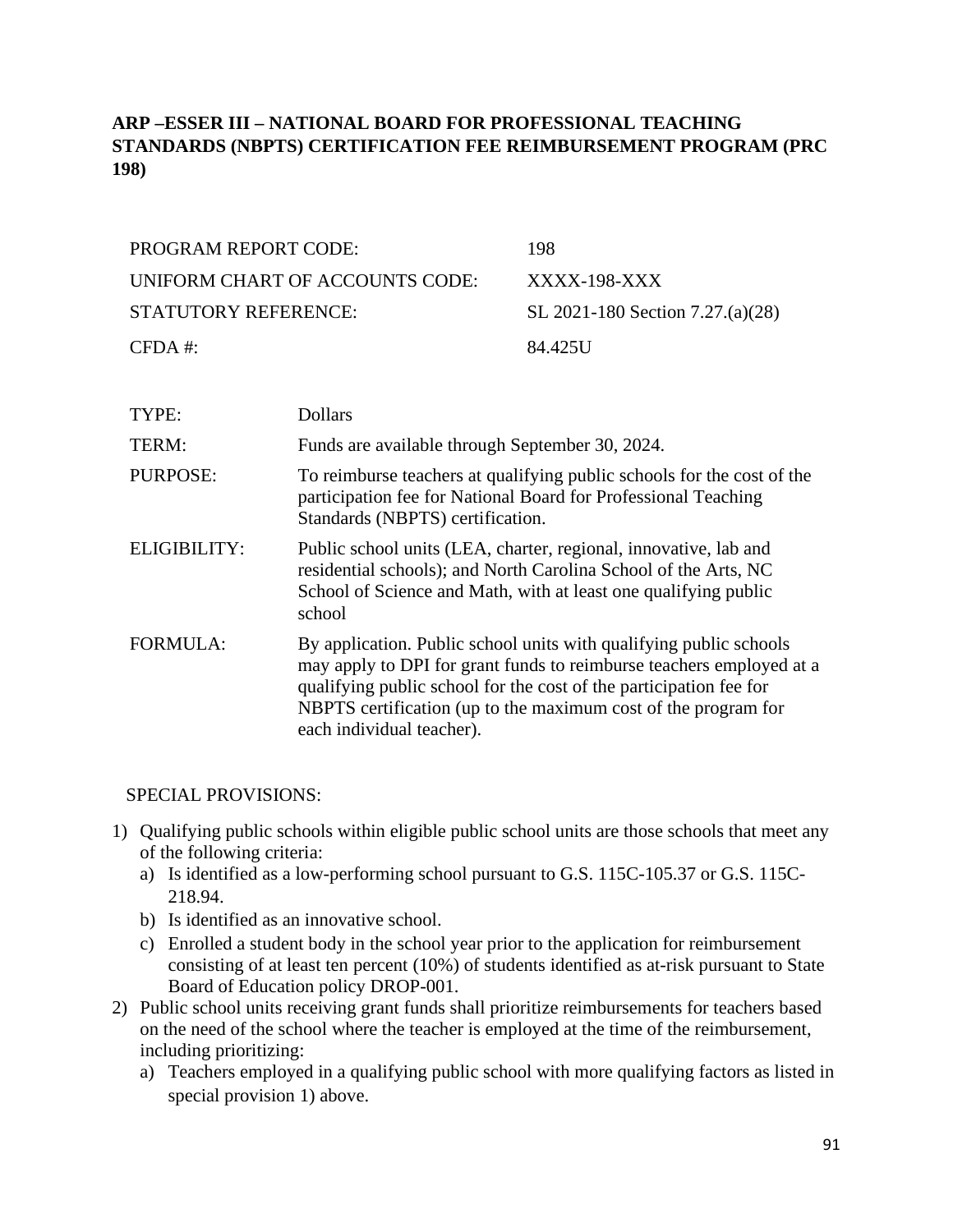# **ARP –ESSER III – NATIONAL BOARD FOR PROFESSIONAL TEACHING STANDARDS (NBPTS) CERTIFICATION FEE REIMBURSEMENT PROGRAM (PRC 198)**

| PROGRAM REPORT CODE:            | 198                              |
|---------------------------------|----------------------------------|
| UNIFORM CHART OF ACCOUNTS CODE: | XXXX-198-XXX                     |
| STATUTORY REFERENCE:            | SL 2021-180 Section 7.27.(a)(28) |
| $CFDA$ #:                       | 84.425U                          |

| TYPE:           | <b>Dollars</b>                                                                                                                                                                                                                                                                                                  |
|-----------------|-----------------------------------------------------------------------------------------------------------------------------------------------------------------------------------------------------------------------------------------------------------------------------------------------------------------|
| TERM:           | Funds are available through September 30, 2024.                                                                                                                                                                                                                                                                 |
| <b>PURPOSE:</b> | To reimburse teachers at qualifying public schools for the cost of the<br>participation fee for National Board for Professional Teaching<br>Standards (NBPTS) certification.                                                                                                                                    |
| ELIGIBILITY:    | Public school units (LEA, charter, regional, innovative, lab and<br>residential schools); and North Carolina School of the Arts, NC<br>School of Science and Math, with at least one qualifying public<br>school                                                                                                |
| <b>FORMULA:</b> | By application. Public school units with qualifying public schools<br>may apply to DPI for grant funds to reimburse teachers employed at a<br>qualifying public school for the cost of the participation fee for<br>NBPTS certification (up to the maximum cost of the program for<br>each individual teacher). |

### SPECIAL PROVISIONS:

- 1) Qualifying public schools within eligible public school units are those schools that meet any of the following criteria:
	- a) Is identified as a low-performing school pursuant to G.S. 115C-105.37 or G.S. 115C-218.94.
	- b) Is identified as an innovative school.
	- c) Enrolled a student body in the school year prior to the application for reimbursement consisting of at least ten percent (10%) of students identified as at-risk pursuant to State Board of Education policy DROP-001.
- 2) Public school units receiving grant funds shall prioritize reimbursements for teachers based on the need of the school where the teacher is employed at the time of the reimbursement, including prioritizing:
	- a) Teachers employed in a qualifying public school with more qualifying factors as listed in special provision 1) above.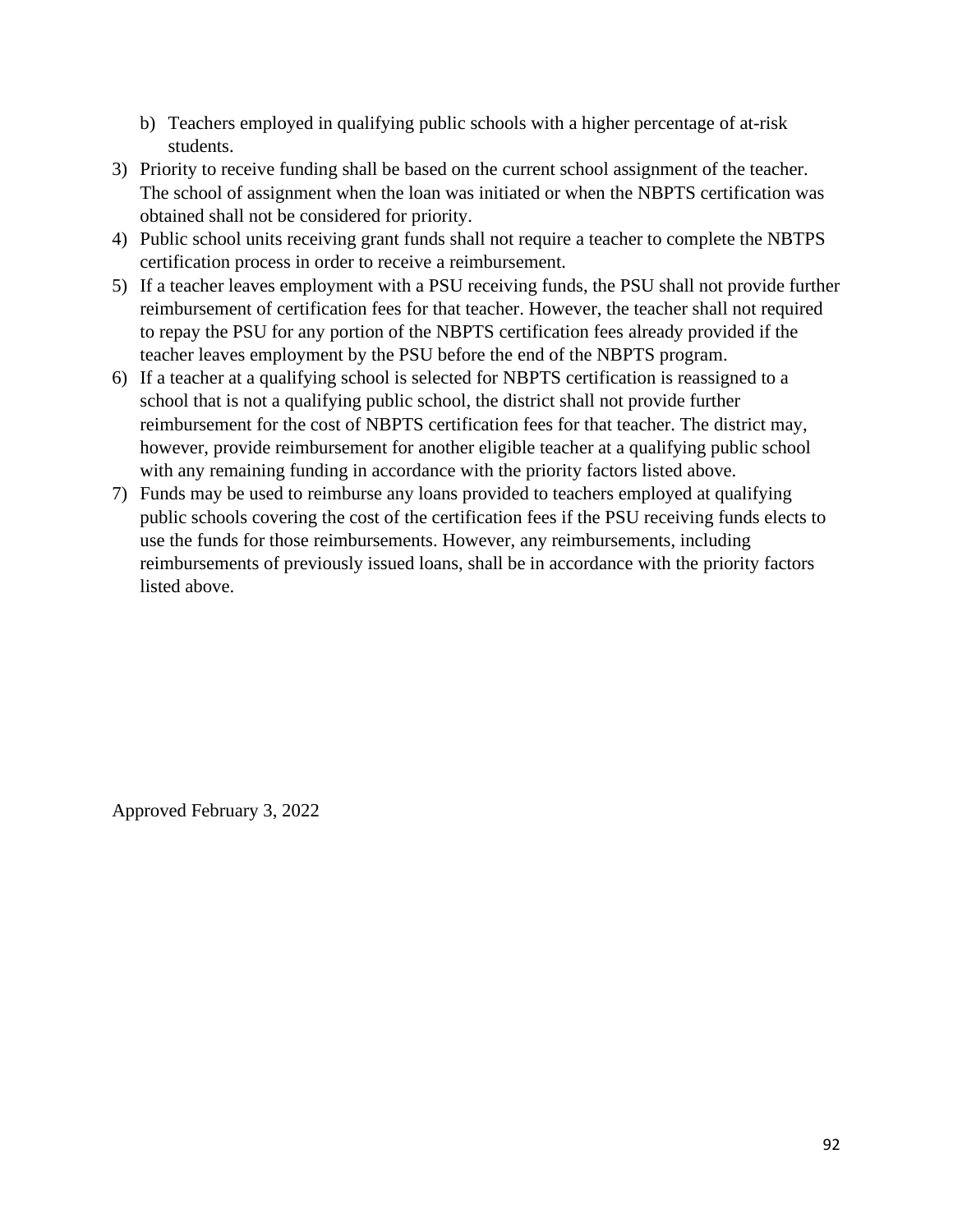- b) Teachers employed in qualifying public schools with a higher percentage of at-risk students.
- 3) Priority to receive funding shall be based on the current school assignment of the teacher. The school of assignment when the loan was initiated or when the NBPTS certification was obtained shall not be considered for priority.
- 4) Public school units receiving grant funds shall not require a teacher to complete the NBTPS certification process in order to receive a reimbursement.
- 5) If a teacher leaves employment with a PSU receiving funds, the PSU shall not provide further reimbursement of certification fees for that teacher. However, the teacher shall not required to repay the PSU for any portion of the NBPTS certification fees already provided if the teacher leaves employment by the PSU before the end of the NBPTS program.
- 6) If a teacher at a qualifying school is selected for NBPTS certification is reassigned to a school that is not a qualifying public school, the district shall not provide further reimbursement for the cost of NBPTS certification fees for that teacher. The district may, however, provide reimbursement for another eligible teacher at a qualifying public school with any remaining funding in accordance with the priority factors listed above.
- 7) Funds may be used to reimburse any loans provided to teachers employed at qualifying public schools covering the cost of the certification fees if the PSU receiving funds elects to use the funds for those reimbursements. However, any reimbursements, including reimbursements of previously issued loans, shall be in accordance with the priority factors listed above.

Approved February 3, 2022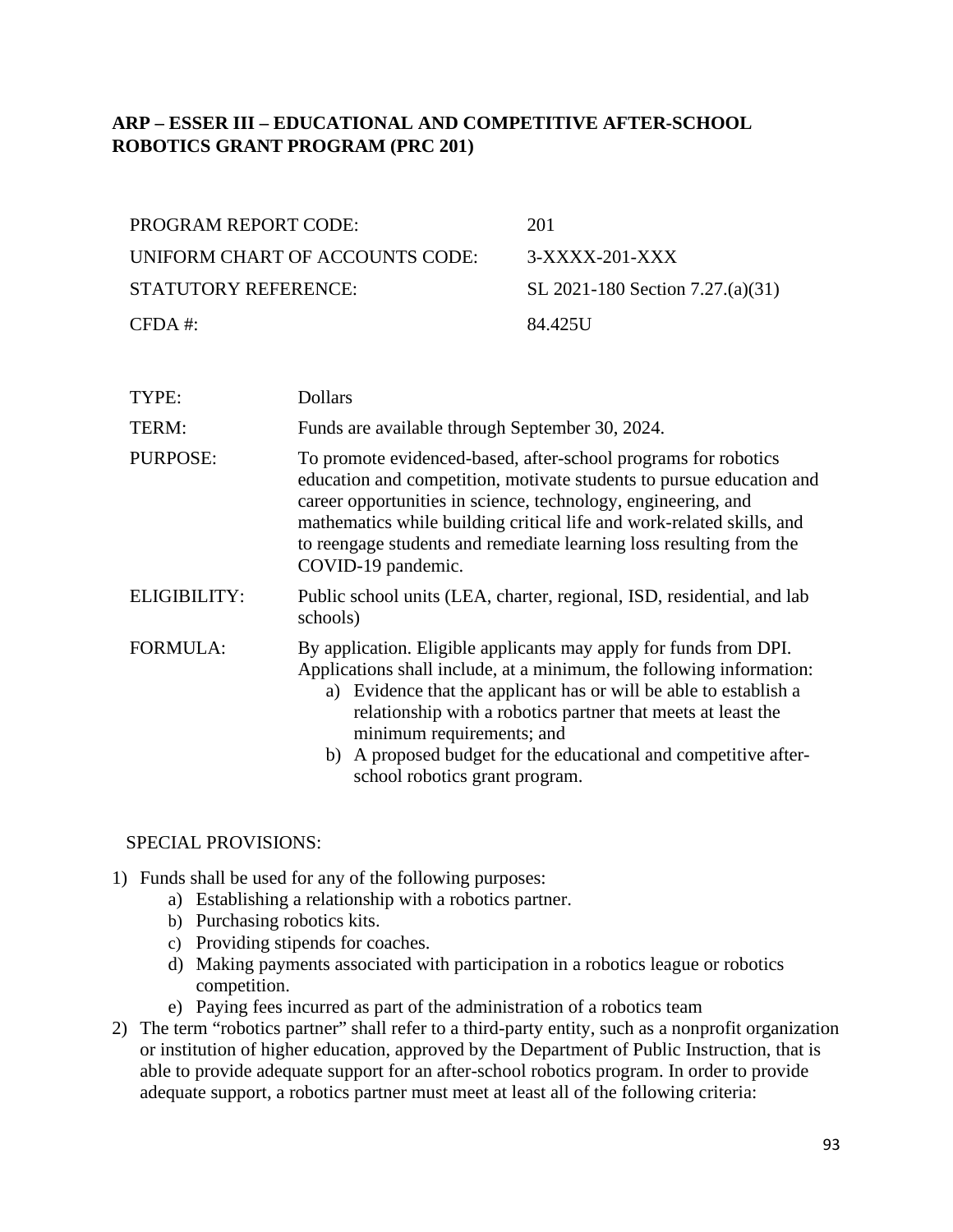# **ARP – ESSER III – EDUCATIONAL AND COMPETITIVE AFTER-SCHOOL ROBOTICS GRANT PROGRAM (PRC 201)**

| <b>PROGRAM REPORT CODE:</b>     | 201                              |
|---------------------------------|----------------------------------|
| UNIFORM CHART OF ACCOUNTS CODE: | $3-XXXX-201-XXX$                 |
| STATUTORY REFERENCE:            | SL 2021-180 Section 7.27.(a)(31) |
| $CFDA \#$                       | 84.425U                          |

| TYPE:               | <b>Dollars</b>                                                                                                                                                                                                                                                                                                                                                                                                   |  |
|---------------------|------------------------------------------------------------------------------------------------------------------------------------------------------------------------------------------------------------------------------------------------------------------------------------------------------------------------------------------------------------------------------------------------------------------|--|
| TERM:               | Funds are available through September 30, 2024.                                                                                                                                                                                                                                                                                                                                                                  |  |
| PURPOSE:            | To promote evidenced-based, after-school programs for robotics<br>education and competition, motivate students to pursue education and<br>career opportunities in science, technology, engineering, and<br>mathematics while building critical life and work-related skills, and<br>to reengage students and remediate learning loss resulting from the<br>COVID-19 pandemic.                                    |  |
| <b>ELIGIBILITY:</b> | Public school units (LEA, charter, regional, ISD, residential, and lab<br>schools)                                                                                                                                                                                                                                                                                                                               |  |
| <b>FORMULA:</b>     | By application. Eligible applicants may apply for funds from DPI.<br>Applications shall include, at a minimum, the following information:<br>a) Evidence that the applicant has or will be able to establish a<br>relationship with a robotics partner that meets at least the<br>minimum requirements; and<br>b) A proposed budget for the educational and competitive after-<br>school robotics grant program. |  |

### SPECIAL PROVISIONS:

- 1) Funds shall be used for any of the following purposes:
	- a) Establishing a relationship with a robotics partner.
	- b) Purchasing robotics kits.
	- c) Providing stipends for coaches.
	- d) Making payments associated with participation in a robotics league or robotics competition.
	- e) Paying fees incurred as part of the administration of a robotics team
- 2) The term "robotics partner" shall refer to a third-party entity, such as a nonprofit organization or institution of higher education, approved by the Department of Public Instruction, that is able to provide adequate support for an after-school robotics program. In order to provide adequate support, a robotics partner must meet at least all of the following criteria: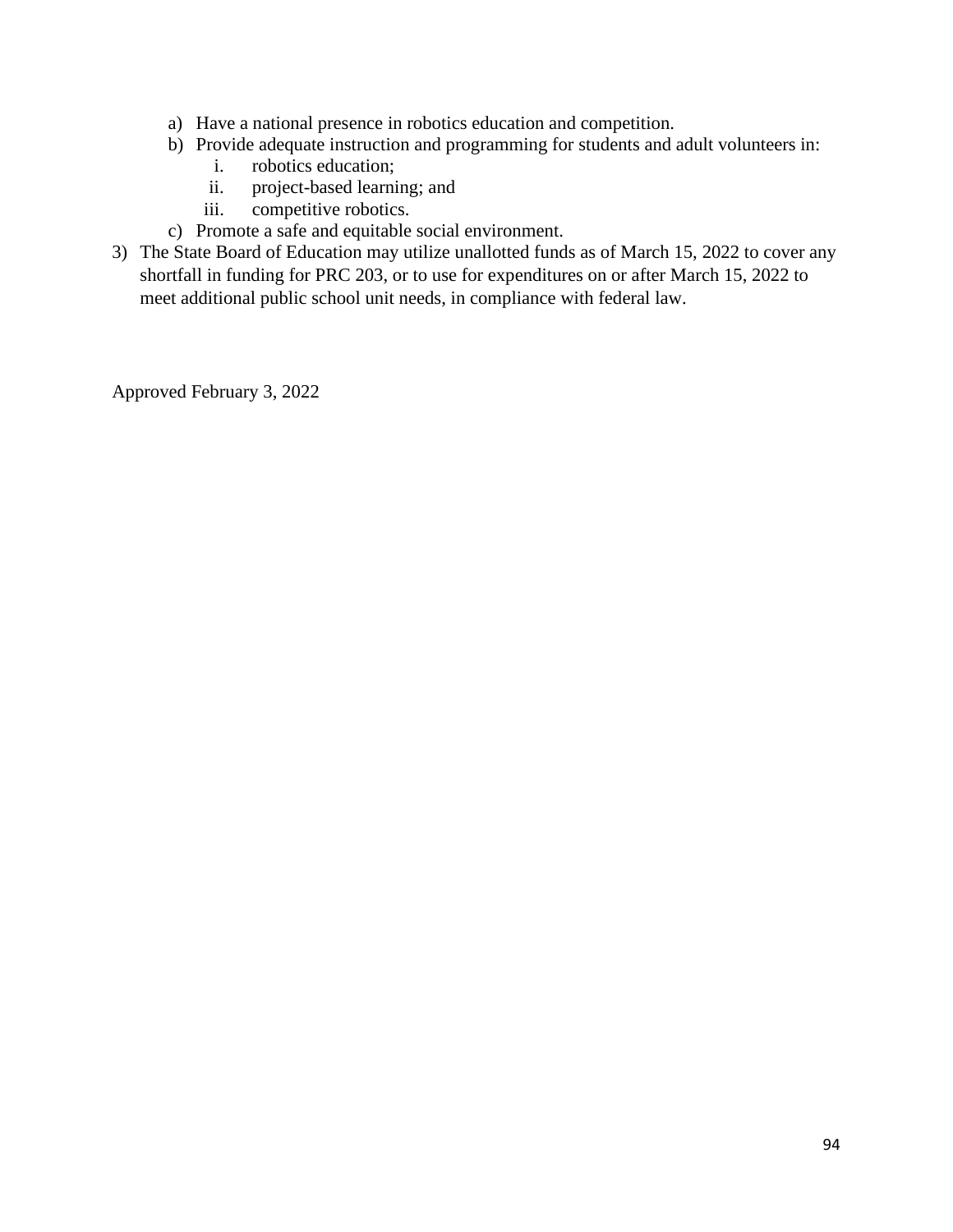- a) Have a national presence in robotics education and competition.
- b) Provide adequate instruction and programming for students and adult volunteers in:
	- i. robotics education;
	- ii. project-based learning; and
	- iii. competitive robotics.
- c) Promote a safe and equitable social environment.
- 3) The State Board of Education may utilize unallotted funds as of March 15, 2022 to cover any shortfall in funding for PRC 203, or to use for expenditures on or after March 15, 2022 to meet additional public school unit needs, in compliance with federal law.

Approved February 3, 2022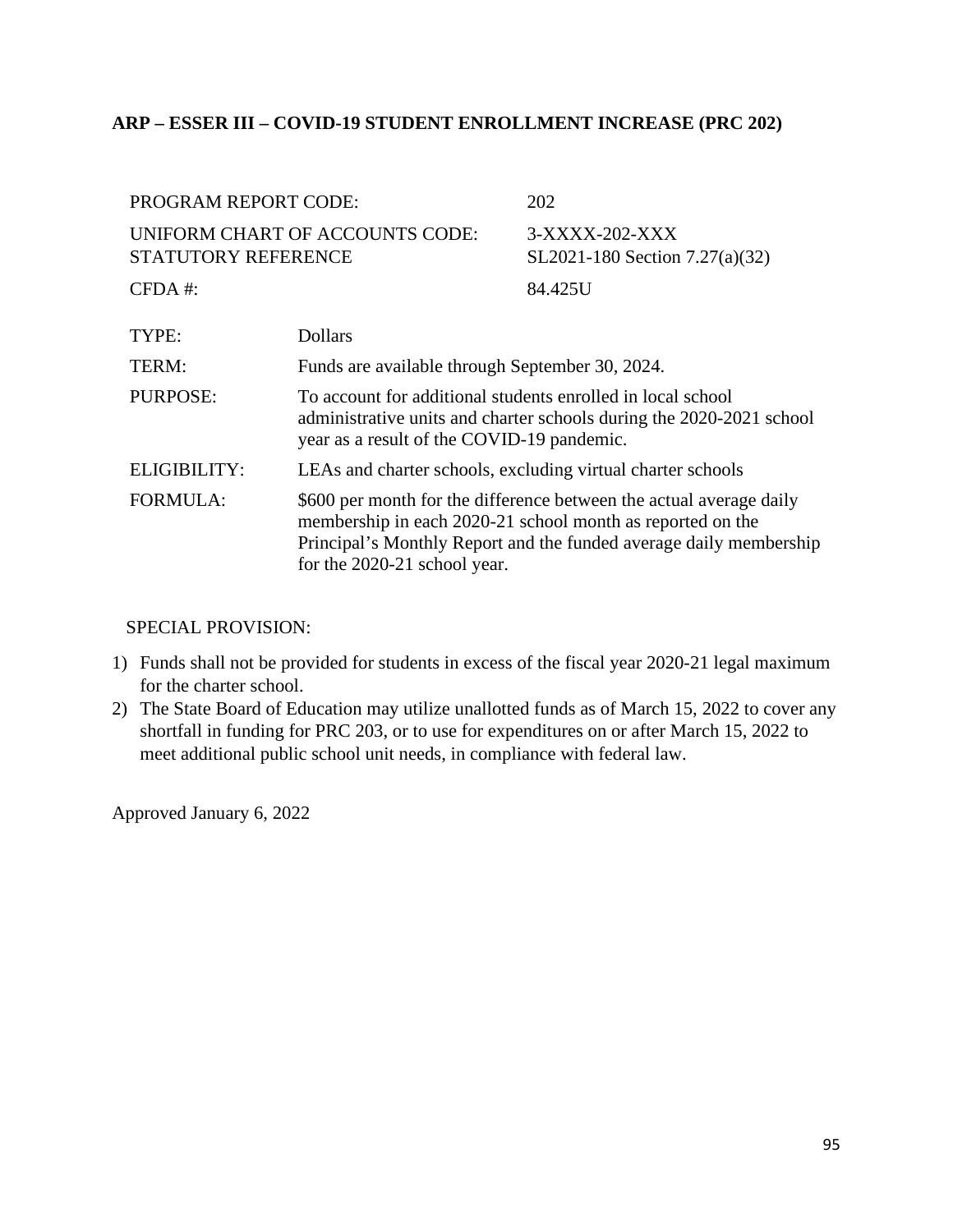### **ARP – ESSER III – COVID-19 STUDENT ENROLLMENT INCREASE (PRC 202)**

| <b>PROGRAM REPORT CODE:</b>                            |                                                                                                                                                                                                                                         | 202                                              |
|--------------------------------------------------------|-----------------------------------------------------------------------------------------------------------------------------------------------------------------------------------------------------------------------------------------|--------------------------------------------------|
| UNIFORM CHART OF ACCOUNTS CODE:<br>STATUTORY REFERENCE |                                                                                                                                                                                                                                         | 3-XXXX-202-XXX<br>SL2021-180 Section 7.27(a)(32) |
| $CFDA$ #:                                              |                                                                                                                                                                                                                                         | 84.425U                                          |
| TYPE:                                                  | <b>Dollars</b>                                                                                                                                                                                                                          |                                                  |
| TERM:                                                  | Funds are available through September 30, 2024.                                                                                                                                                                                         |                                                  |
| <b>PURPOSE:</b>                                        | To account for additional students enrolled in local school<br>administrative units and charter schools during the 2020-2021 school<br>year as a result of the COVID-19 pandemic.                                                       |                                                  |
| <b>ELIGIBILITY:</b>                                    | LEAs and charter schools, excluding virtual charter schools                                                                                                                                                                             |                                                  |
| <b>FORMULA:</b>                                        | \$600 per month for the difference between the actual average daily<br>membership in each 2020-21 school month as reported on the<br>Principal's Monthly Report and the funded average daily membership<br>for the 2020-21 school year. |                                                  |

#### SPECIAL PROVISION:

- 1) Funds shall not be provided for students in excess of the fiscal year 2020-21 legal maximum for the charter school.
- 2) The State Board of Education may utilize unallotted funds as of March 15, 2022 to cover any shortfall in funding for PRC 203, or to use for expenditures on or after March 15, 2022 to meet additional public school unit needs, in compliance with federal law.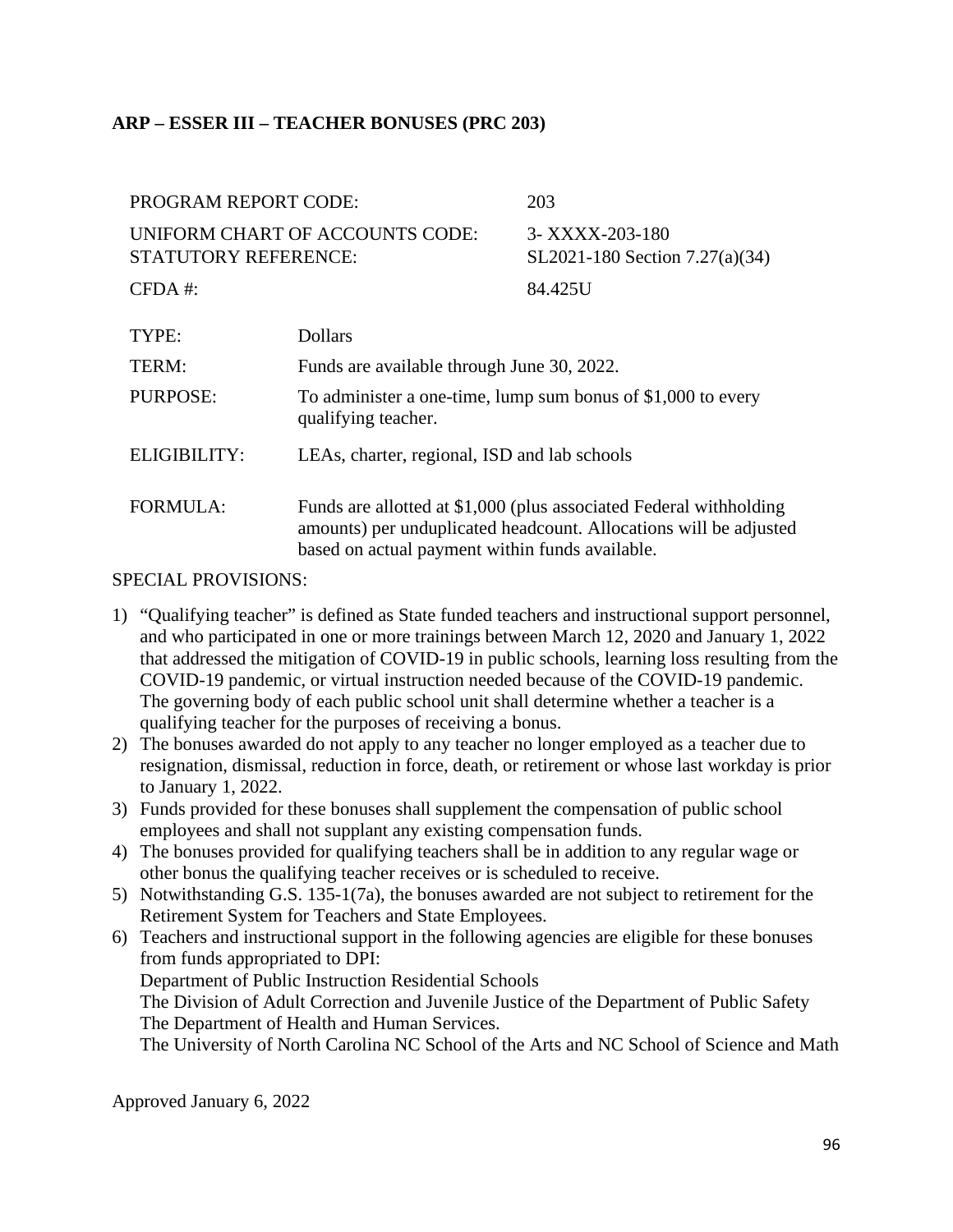# **ARP – ESSER III – TEACHER BONUSES (PRC 203)**

| <b>PROGRAM REPORT CODE:</b>                                    |                                                                                                                                                                                            | 203                                               |
|----------------------------------------------------------------|--------------------------------------------------------------------------------------------------------------------------------------------------------------------------------------------|---------------------------------------------------|
| UNIFORM CHART OF ACCOUNTS CODE:<br><b>STATUTORY REFERENCE:</b> |                                                                                                                                                                                            | 3- XXXX-203-180<br>SL2021-180 Section 7.27(a)(34) |
| $CFDA$ #:                                                      |                                                                                                                                                                                            | 84.425U                                           |
| TYPE:                                                          | <b>Dollars</b>                                                                                                                                                                             |                                                   |
| TERM:                                                          | Funds are available through June 30, 2022.                                                                                                                                                 |                                                   |
| <b>PURPOSE:</b>                                                | To administer a one-time, lump sum bonus of \$1,000 to every<br>qualifying teacher.                                                                                                        |                                                   |
| ELIGIBILITY:                                                   | LEAs, charter, regional, ISD and lab schools                                                                                                                                               |                                                   |
| <b>FORMULA:</b>                                                | Funds are allotted at \$1,000 (plus associated Federal withholding<br>amounts) per unduplicated headcount. Allocations will be adjusted<br>based on actual payment within funds available. |                                                   |

#### SPECIAL PROVISIONS:

- 1) "Qualifying teacher" is defined as State funded teachers and instructional support personnel, and who participated in one or more trainings between March 12, 2020 and January 1, 2022 that addressed the mitigation of COVID-19 in public schools, learning loss resulting from the COVID-19 pandemic, or virtual instruction needed because of the COVID-19 pandemic. The governing body of each public school unit shall determine whether a teacher is a qualifying teacher for the purposes of receiving a bonus.
- 2) The bonuses awarded do not apply to any teacher no longer employed as a teacher due to resignation, dismissal, reduction in force, death, or retirement or whose last workday is prior to January 1, 2022.
- 3) Funds provided for these bonuses shall supplement the compensation of public school employees and shall not supplant any existing compensation funds.
- 4) The bonuses provided for qualifying teachers shall be in addition to any regular wage or other bonus the qualifying teacher receives or is scheduled to receive.
- 5) Notwithstanding G.S. 135-1(7a), the bonuses awarded are not subject to retirement for the Retirement System for Teachers and State Employees.
- 6) Teachers and instructional support in the following agencies are eligible for these bonuses from funds appropriated to DPI: Department of Public Instruction Residential Schools The Division of Adult Correction and Juvenile Justice of the Department of Public Safety The Department of Health and Human Services. The University of North Carolina NC School of the Arts and NC School of Science and Math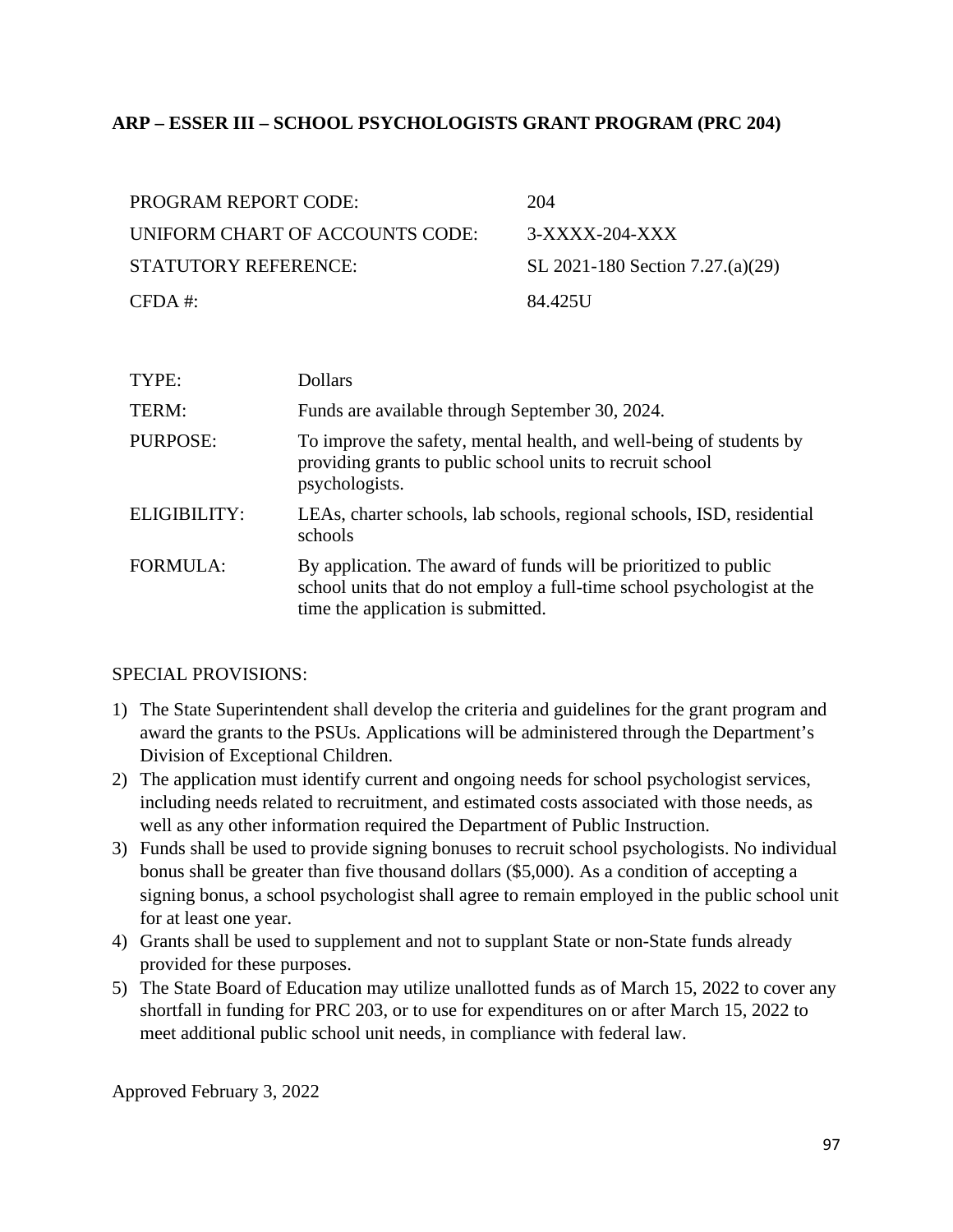## **ARP – ESSER III – SCHOOL PSYCHOLOGISTS GRANT PROGRAM (PRC 204)**

| <b>PROGRAM REPORT CODE:</b>     | 204                              |
|---------------------------------|----------------------------------|
| UNIFORM CHART OF ACCOUNTS CODE: | $3-XXXX-204-XXX$                 |
| STATUTORY REFERENCE:            | SL 2021-180 Section 7.27.(a)(29) |
| $CFDA \#$                       | 84.425U                          |

| TYPE:           | <b>Dollars</b>                                                                                                                                                                   |
|-----------------|----------------------------------------------------------------------------------------------------------------------------------------------------------------------------------|
| TERM:           | Funds are available through September 30, 2024.                                                                                                                                  |
| PURPOSE:        | To improve the safety, mental health, and well-being of students by<br>providing grants to public school units to recruit school<br>psychologists.                               |
| ELIGIBILITY:    | LEAs, charter schools, lab schools, regional schools, ISD, residential<br>schools                                                                                                |
| <b>FORMULA:</b> | By application. The award of funds will be prioritized to public<br>school units that do not employ a full-time school psychologist at the<br>time the application is submitted. |

### SPECIAL PROVISIONS:

- 1) The State Superintendent shall develop the criteria and guidelines for the grant program and award the grants to the PSUs. Applications will be administered through the Department's Division of Exceptional Children.
- 2) The application must identify current and ongoing needs for school psychologist services, including needs related to recruitment, and estimated costs associated with those needs, as well as any other information required the Department of Public Instruction.
- 3) Funds shall be used to provide signing bonuses to recruit school psychologists. No individual bonus shall be greater than five thousand dollars (\$5,000). As a condition of accepting a signing bonus, a school psychologist shall agree to remain employed in the public school unit for at least one year.
- 4) Grants shall be used to supplement and not to supplant State or non-State funds already provided for these purposes.
- 5) The State Board of Education may utilize unallotted funds as of March 15, 2022 to cover any shortfall in funding for PRC 203, or to use for expenditures on or after March 15, 2022 to meet additional public school unit needs, in compliance with federal law.

Approved February 3, 2022